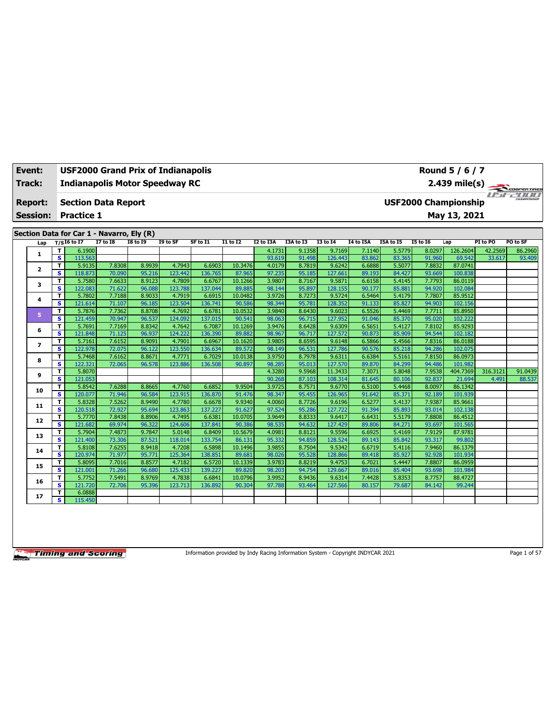| Track:          |         | <b>Indianapolis Motor Speedway RC</b><br>2.439 mile(s)<br><b>USF2000 Championship</b><br><b>Section Data Report</b> |                  |                  |                   |                   |                   |                  |                  |                   |                  |                  |                  |                    |          |                                  |
|-----------------|---------|---------------------------------------------------------------------------------------------------------------------|------------------|------------------|-------------------|-------------------|-------------------|------------------|------------------|-------------------|------------------|------------------|------------------|--------------------|----------|----------------------------------|
| <b>Report:</b>  |         |                                                                                                                     |                  |                  |                   |                   |                   |                  |                  |                   |                  |                  |                  |                    |          | <b>I'n College College State</b> |
| <b>Session:</b> |         | <b>Practice 1</b>                                                                                                   |                  |                  |                   |                   |                   |                  |                  |                   |                  |                  |                  | May 13, 2021       |          |                                  |
|                 |         | Section Data for Car 1 - Navarro, Ely (R)                                                                           |                  |                  |                   |                   |                   |                  |                  |                   |                  |                  |                  |                    |          |                                  |
| Lap             |         | $T/SI6$ to I7                                                                                                       | <b>I7 to I8</b>  | <b>18 to 19</b>  | I9 to SF          | SF to I1          | <b>I1 to I2</b>   | I2 to I3A        | I3A to I3        | <b>I3 to 14</b>   | I4 to I5A        | I5A to I5        | <b>15 to 16</b>  | Lap                | PI to PO | PO to SF                         |
|                 | T.      | 6.1900                                                                                                              |                  |                  |                   |                   |                   | 4.1731           | 9.1358           | 9.7169            | 7.1140           | 5.5779           | 8.0297           | 126.2604           | 42.2569  | 86.2960                          |
| 1               | s.      | 113.563                                                                                                             |                  |                  |                   |                   |                   | 93.619           | 91.498           | 126.443           | 83.862           | 83.365           | 91.960           | 69.542             | 33.617   | 93.409                           |
| $\mathbf{z}$    | T.      | 5.9135                                                                                                              | 7.8308           | 8.9939           | 4.7943            | 6.6903            | 10.3476           | 4.0179           | 8.7819           | 9.6242            | 6.6888           | 5.5077           | 7.8832           | 87.0741            |          |                                  |
|                 | s       | 118.873                                                                                                             | 70.090           | 95.216           | 123.442           | 136.765           | 87.965            | 97.235           | 95.185           | 127.661           | 89.193           | 84.427           | 93.669           | 100.838            |          |                                  |
| з               | T       | 5.7580                                                                                                              | 7.6633           | 8.9123           | 4.7809            | 6.6767            | 10.1266           | 3.9807           | 8.7167           | 9.5871            | 6.6158           | 5.4145           | 7.7793           | 86.0119            |          |                                  |
|                 | s.      | 122.083                                                                                                             | 71.622           | 96.088           | 123.788           | 137.044           | 89.885            | 98.144           | 95.897           | 128.155           | 90.177           | 85.881           | 94.920           | 102.084            |          |                                  |
| 4               | T       | 5.7802                                                                                                              | 7.7188           | 8.9033           | 4.7919            | 6.6915            | 10.0482           | 3.9726           | 8.7273           | 9.5724            | 6.5464           | 5.4179           | 7.7807           | 85.9512            |          |                                  |
|                 | s       | 121.614                                                                                                             | 71.107           | 96.185           | 123.504           | 136.741           | 90.586            | 98.344           | 95.781           | 128.352           | 91.133           | 85.827           | 94.903           | 102.156            |          |                                  |
| 5               | T.      | 5.7876                                                                                                              | 7.7362           | 8.8708           | 4.7692            | 6.6781            | 10.0532           | 3.9840           | 8.6430           | 9.6023            | 6.5526           | 5.4469           | 7.7711           | 85.8950            |          |                                  |
|                 | s.      | 121.459                                                                                                             | 70.947           | 96.537           | 124.092           | 137.015           | 90.541            | 98.063           | 96.715           | 127.952           | 91.046           | 85.370           | 95.020           | 102.222            |          |                                  |
| 6               | T.<br>s | 5.7691<br>121.848                                                                                                   | 7.7169<br>71.125 | 8.8342<br>96.937 | 4.7642<br>124.222 | 6.7087<br>136.390 | 10.1269<br>89.882 | 3.9476<br>98.967 | 8.6428<br>96.717 | 9.6309<br>127.572 | 6.5651<br>90.873 | 5.4127<br>85.909 | 7.8102<br>94.544 | 85.9293<br>102.182 |          |                                  |
|                 | T.      | 5.7161                                                                                                              | 7.6152           | 8.9091           | 4.7901            | 6.6967            | 10.1620           | 3.9805           | 8.6595           | 9.6148            | 6.5866           | 5.4566           | 7.8316           | 86.0188            |          |                                  |
| $\overline{ }$  | s       | 122.978                                                                                                             | 72.075           | 96.122           | 123.550           | 136.634           | 89.572            | 98.149           | 96.531           | 127.786           | 90.576           | 85.218           | 94.286           | 102.075            |          |                                  |
|                 | T       | 5.7468                                                                                                              | 7.6162           | 8.8671           | 4.7771            | 6.7029            | 10.0138           | 3.9750           | 8.7978           | 9.6311            | 6.6384           | 5.5161           | 7.8150           | 86.0973            |          |                                  |
| 8               | s       | 122.321                                                                                                             | 72.065           | 96.578           | 123.886           | 136.508           | 90.897            | 98.285           | 95.013           | 127.570           | 89.870           | 84.299           | 94.486           | 101.982            |          |                                  |
|                 | T.      | 5.8070                                                                                                              |                  |                  |                   |                   |                   | 4.3280           | 9.5968           | 11.3433           | 7.3071           | 5.8048           | 7.9538           | 404.7369           | 316.3121 | 91.0439                          |
| 9               | s       | 121.053                                                                                                             |                  |                  |                   |                   |                   | 90.268           | 87.103           | 108.314           | 81.645           | 80.106           | 92.837           | 21.694             | 4.491    | 88.537                           |
|                 | T.      | 5.8542                                                                                                              | 7.6288           | 8.8665           | 4.7760            | 6.6852            | 9.9504            | 3.9725           | 8.7571           | 9.6770            | 6.5100           | 5.4468           | 8.0097           | 86.1342            |          |                                  |
| 10              | s       | 120.077                                                                                                             | 71.946           | 96.584           | 123.915           | 136.870           | 91.476            | 98.347           | 95.455           | 126.965           | 91.642           | 85.371           | 92.189           | 101.939            |          |                                  |
| 11              | T.      | 5.8328                                                                                                              | 7.5262           | 8.9490           | 4.7780            | 6.6678            | 9.9340            | 4.0060           | 8.7726           | 9.6196            | 6.5277           | 5.4137           | 7.9387           | 85.9661            |          |                                  |
|                 | s.      | 120.518                                                                                                             | 72.927           | 95.694           | 123.863           | 137.227           | 91.627            | 97.524           | 95.286           | 127.722           | 91.394           | 85.893           | 93.014           | 102.138            |          |                                  |
| 12              | T.      | 5.7770                                                                                                              | 7.8438           | 8.8906           | 4.7495            | 6.6381            | 10.0705           | 3.9649           | 8.8333           | 9.6417            | 6.6431           | 5.5179           | 7.8808           | 86.4512            |          |                                  |
|                 | s.      | 121.682                                                                                                             | 69.974           | 96.322           | 124.606           | 137.841           | 90.386            | 98.535           | 94.632           | 127,429           | 89.806           | 84.271           | 93.697           | 101.565            |          |                                  |
| 13              | T       | 5.7904                                                                                                              | 7.4873           | 9.7847           | 5.0148            | 6.8409            | 10.5679           | 4.0981           | 8.8121           | 9.5596            | 6.6925           | 5.4169           | 7.9129           | 87.9781            |          |                                  |
|                 | s.      | 121.400                                                                                                             | 73.306           | 87.521           | 118.014           | 133.754           | 86.131            | 95.332           | 94.859           | 128.524           | 89.143           | 85.842           | 93.317           | 99.802             |          |                                  |
| 14              | т<br>s  | 5.8108<br>120.974                                                                                                   | 7.6255<br>71.977 | 8.9418<br>95.771 | 4.7208<br>125.364 | 6.5898<br>138.851 | 10.1496<br>89.681 | 3.9855<br>98.026 | 8.7504<br>95.528 | 9.5342<br>128.866 | 6.6719<br>89.418 | 5.4116<br>85.927 | 7.9460<br>92.928 | 86.1379<br>101.934 |          |                                  |
|                 | T       | 5.8095                                                                                                              | 7.7016           | 8.8577           | 4.7182            | 6.5720            | 10.1339           | 3.9783           | 8.8219           | 9.4753            | 6.7021           | 5.4447           | 7.8807           | 86.0959            |          |                                  |
| 15              | s.      | 121.001                                                                                                             | 71.266           | 96.680           | 125.433           | 139.227           | 89.820            | 98.203           | 94.754           | 129.667           | 89.016           | 85.404           | 93.698           | 101.984            |          |                                  |
|                 | T       | 5.7752                                                                                                              | 7.5491           | 8.9769           | 4.7838            | 6.6841            | 10.0796           | 3.9952           | 8.9436           | 9.6314            | 7.4428           | 5.8353           | 8.7757           | 88.4727            |          |                                  |
| 16              | s.      | 121.720                                                                                                             | 72.706           | 95.396           | 123.713           | 136.892           | 90.304            | 97.788           | 93.464           | 127.566           | 80.157           | 79.687           | 84.142           | 99.244             |          |                                  |
|                 | T       | 6.0888                                                                                                              |                  |                  |                   |                   |                   |                  |                  |                   |                  |                  |                  |                    |          |                                  |
| 17              | s.      | 115.450                                                                                                             |                  |                  |                   |                   |                   |                  |                  |                   |                  |                  |                  |                    |          |                                  |

**Event: USF2000 Grand Prix of Indianapolis**

Information provided by Indy Racing Information System - Copyright INDYCAR 2021 Page 1 of 57

**Round 5 / 6 / 7**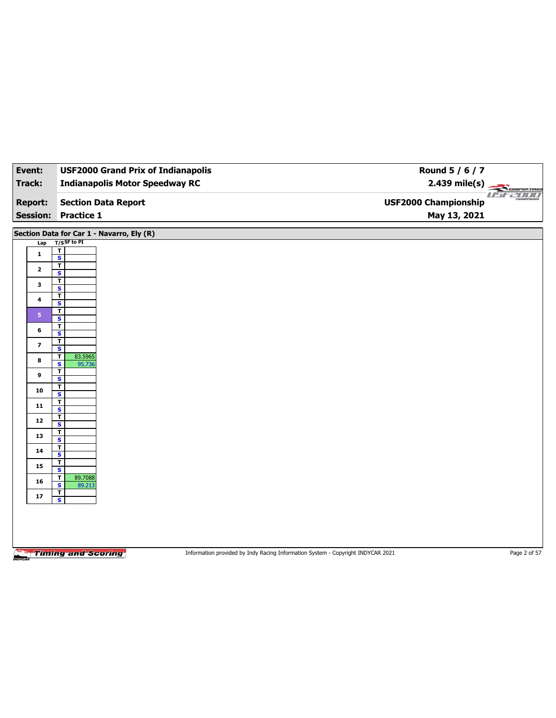| Event:                            | <b>USF2000 Grand Prix of Indianapolis</b>       | Round 5 / 6 / 7                                                                 |               |
|-----------------------------------|-------------------------------------------------|---------------------------------------------------------------------------------|---------------|
| <b>Track:</b>                     | <b>Indianapolis Motor Speedway RC</b>           |                                                                                 |               |
| <b>Report:</b><br><b>Session:</b> | <b>Section Data Report</b><br><b>Practice 1</b> | <b>USF2000 Championship</b><br>May 13, 2021                                     | 2.439 mile(s) |
|                                   |                                                 |                                                                                 |               |
|                                   | Section Data for Car 1 - Navarro, Ely (R)       |                                                                                 |               |
| Lap                               | $T/S$ SF to PI<br>T                             |                                                                                 |               |
| $\mathbf{1}$                      | $\overline{\mathbf{s}}$                         |                                                                                 |               |
| $\mathbf{2}$                      | $\overline{\mathbf{r}}$<br>S                    |                                                                                 |               |
| 3                                 | T                                               |                                                                                 |               |
|                                   | $\overline{\mathbf{s}}$<br>T                    |                                                                                 |               |
| 4                                 | S                                               |                                                                                 |               |
| 5 <sub>1</sub>                    | т<br>$\overline{\mathbf{s}}$                    |                                                                                 |               |
| 6                                 | $\overline{\mathbf{r}}$<br>S                    |                                                                                 |               |
| 7                                 | T                                               |                                                                                 |               |
|                                   | $\overline{\mathbf{s}}$<br>T<br>83.5965         |                                                                                 |               |
| 8                                 | $\overline{\mathbf{s}}$<br>95.736               |                                                                                 |               |
| 9                                 | T<br>$\overline{\mathbf{s}}$                    |                                                                                 |               |
| 10                                | т<br>$\overline{\mathbf{s}}$                    |                                                                                 |               |
| 11                                | T                                               |                                                                                 |               |
| 12                                | $\overline{\mathbf{s}}$<br>T                    |                                                                                 |               |
|                                   | S<br>T                                          |                                                                                 |               |
| 13                                | $\overline{\mathbf{s}}$                         |                                                                                 |               |
| 14                                | T<br>S                                          |                                                                                 |               |
| 15                                | T<br>$\overline{\mathbf{s}}$                    |                                                                                 |               |
| 16                                | 89.7088<br>T                                    |                                                                                 |               |
|                                   | S<br>89.213<br>$\mathbf{T}$                     |                                                                                 |               |
| ${\bf 17}$                        | $\overline{\mathbf{s}}$                         |                                                                                 |               |
|                                   |                                                 |                                                                                 |               |
|                                   |                                                 |                                                                                 |               |
|                                   |                                                 |                                                                                 |               |
|                                   | <b>Timing and Scoring</b>                       | Information provided by Indy Racing Information System - Copyright INDYCAR 2021 | Page 2 of 57  |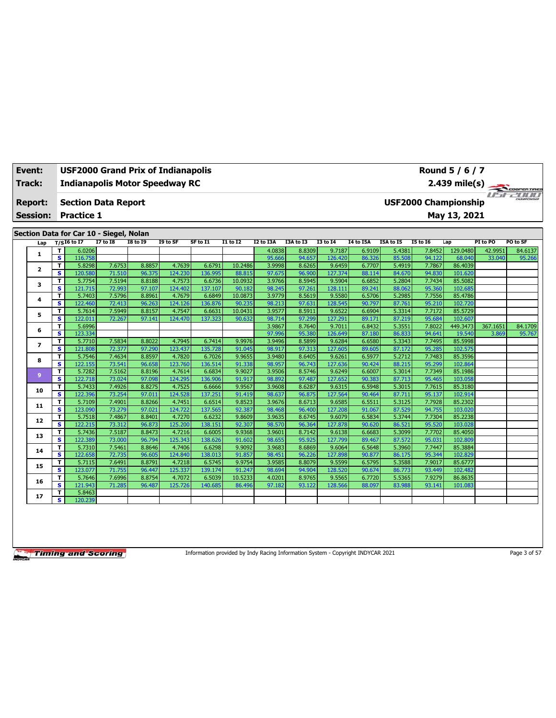| Track:          | $2.439 \text{ mile(s)}$<br><b>Indianapolis Motor Speedway RC</b> |                                         |                  |                  |                   |                   |                  |                  |                  |                   |                  |                  |                             |                    |          |                         |
|-----------------|------------------------------------------------------------------|-----------------------------------------|------------------|------------------|-------------------|-------------------|------------------|------------------|------------------|-------------------|------------------|------------------|-----------------------------|--------------------|----------|-------------------------|
| <b>Report:</b>  |                                                                  | <b>Section Data Report</b>              |                  |                  |                   |                   |                  |                  |                  |                   |                  |                  | <b>USF2000 Championship</b> |                    |          | <b>Fiftee South Ave</b> |
| <b>Session:</b> |                                                                  | <b>Practice 1</b>                       |                  |                  |                   |                   |                  |                  |                  |                   |                  |                  |                             | May 13, 2021       |          |                         |
|                 |                                                                  | Section Data for Car 10 - Siegel, Nolan |                  |                  |                   |                   |                  |                  |                  |                   |                  |                  |                             |                    |          |                         |
| Lap             |                                                                  | $T/S$ I6 to I7                          | <b>I7 to 18</b>  | <b>18 to 19</b>  | I9 to SF          | SF to I1          | <b>I1 to I2</b>  | I2 to I3A        | I3A to I3        | <b>I3 to 14</b>   | I4 to I5A        | I5A to I5        | <b>I5 to 16</b>             | Lap                | PI to PO | PO to SF                |
|                 | т                                                                | 6.0206                                  |                  |                  |                   |                   |                  | 4.0838           | 8.8309           | 9.7187            | 6.9109           | 5.4381           | 7.8452                      | 129.0480           | 42.9951  | 84.6137                 |
| 1               | S                                                                | 116.758                                 |                  |                  |                   |                   |                  | 95.666           | 94.657           | 126.420           | 86.326           | 85.508           | 94.122                      | 68.040             | 33.040   | 95.266                  |
|                 | т                                                                | 5.8298                                  | 7.6753           | 8.8857           | 4.7639            | 6.6791            | 10.2486          | 3.9998           | 8.6265           | 9.6459            | 6.7707           | 5.4919           | 7.7867                      | 86.4039            |          |                         |
| 2               | s                                                                | 120.580                                 | 71.510           | 96.375           | 124.230           | 136.995           | 88.815           | 97.675           | 96.900           | 127.374           | 88.114           | 84.670           | 94.830                      | 101.620            |          |                         |
| 3               | T                                                                | 5.7754                                  | 7.5194           | 8.8188           | 4.7573            | 6.6736            | 10.0932          | 3.9766           | 8.5945           | 9.5904            | 6.6852           | 5.2804           | 7.7434                      | 85.5082            |          |                         |
|                 | s                                                                | 121.715                                 | 72.993           | 97.107           | 124.402           | 137.107           | 90.182           | 98.245           | 97.261           | 128.111           | 89.241           | 88.062           | 95.360                      | 102.685            |          |                         |
| 4               | T                                                                | 5.7403                                  | 7.5796           | 8.8961           | 4.7679            | 6.6849            | 10.0873          | 3.9779           | 8.5619           | 9.5580            | 6.5706           | 5.2985           | 7.7556                      | 85.4786            |          |                         |
|                 | s                                                                | 122,460                                 | 72.413           | 96.263           | 124.126           | 136.876           | 90.235           | 98.213           | 97.631           | 128.545           | 90.797           | 87.761           | 95.210                      | 102.720            |          |                         |
| 5               | T                                                                | 5.7614                                  | 7.5949           | 8.8157           | 4.7547            | 6.6631            | 10.0431          | 3.9577           | 8.5911           | 9.6522            | 6.6904           | 5.3314           | 7.7172                      | 85.5729            |          |                         |
|                 | s                                                                | 122.011                                 | 72.267           | 97.141           | 124.470           | 137.323           | 90.632           | 98.714           | 97.299           | 127.291           | 89.171           | 87.219           | 95.684                      | 102.607            |          |                         |
| 6               | т                                                                | 5.6996                                  |                  |                  |                   |                   |                  | 3.9867           | 8.7640           | 9.7011            | 6.8432           | 5.3551           | 7.8022                      | 449.3473           | 367.1651 | 84.1709                 |
|                 | s                                                                | 123.334                                 |                  |                  |                   |                   |                  | 97.996           | 95.380           | 126.649           | 87.180           | 86.833           | 94.641                      | 19.540             | 3.869    | 95.767                  |
| 7               | т                                                                | 5.7710                                  | 7.5834           | 8.8022           | 4.7945            | 6.7414            | 9.9976           | 3.9496           | 8.5899           | 9.6284            | 6.6580           | 5.3343           | 7.7495                      | 85.5998            |          |                         |
|                 | s                                                                | 121.808                                 | 72.377           | 97.290           | 123.437           | 135.728           | 91.045           | 98.917           | 97.313           | 127.605           | 89.605           | 87.172           | 95.285                      | 102.575            |          |                         |
| 8               | т                                                                | 5.7546                                  | 7.4634           | 8.8597           | 4.7820            | 6.7026            | 9.9655           | 3.9480           | 8.6405           | 9.6261            | 6.5977           | 5.2712           | 7.7483                      | 85.3596            |          |                         |
|                 | s                                                                | 122.155                                 | 73.541           | 96.658           | 123.760           | 136.514           | 91.338           | 98.957           | 96.743           | 127.636           | 90.424           | 88.215           | 95.299                      | 102.864            |          |                         |
| 9               | T                                                                | 5.7282                                  | 7.5162           | 8.8196           | 4.7614            | 6.6834            | 9.9027           | 3.9506           | 8.5746           | 9.6249            | 6.6007           | 5.3014           | 7.7349                      | 85.1986            |          |                         |
|                 | s                                                                | 122.718                                 | 73.024           | 97.098           | 124.295           | 136.906           | 91.917           | 98.892           | 97.487           | 127.652           | 90.383           | 87.713           | 95.465                      | 103.058            |          |                         |
| 10              | T                                                                | 5.7433                                  | 7.4926           | 8.8275           | 4.7525            | 6.6666            | 9.9567           | 3.9608           | 8.6287           | 9.6315            | 6.5948           | 5.3015           | 7.7615                      | 85.3180            |          |                         |
|                 | s                                                                | 122.396                                 | 73.254           | 97.011           | 124.528           | 137.251           | 91.419           | 98.637           | 96.875           | 127.564           | 90.464           | 87.711           | 95.137                      | 102.914            |          |                         |
| 11              | т                                                                | 5.7109                                  | 7.4901           | 8.8266           | 4.7451            | 6.6514            | 9.8523           | 3.9676           | 8.6713           | 9.6585            | 6.5511           | 5.3125           | 7.7928                      | 85.2302            |          |                         |
|                 | s                                                                | 123.090                                 | 73.279           | 97.021           | 124.722           | 137.565           | 92.387           | 98.468           | 96.400           | 127,208           | 91.067           | 87.529           | 94.755                      | 103.020            |          |                         |
| 12              | T<br>s                                                           | 5.7518<br>122.215                       | 7.4867<br>73.312 | 8.8401<br>96.873 | 4.7270<br>125.200 | 6.6232<br>138.151 | 9.8609<br>92.307 | 3.9635<br>98.570 | 8.6745<br>96.364 | 9.6079<br>127.878 | 6.5834<br>90.620 | 5.3744<br>86.521 | 7.7304<br>95.520            | 85.2238<br>103.028 |          |                         |
|                 |                                                                  | 5.7436                                  | 7.5187           | 8.8473           | 4.7216            | 6.6005            | 9.9368           | 3.9601           | 8.7142           | 9.6138            | 6.6683           | 5.3099           | 7.7702                      | 85.4050            |          |                         |
| 13              | т<br>s                                                           | 122.389                                 | 73.000           | 96.794           | 125.343           | 138.626           | 91.602           | 98.655           | 95.925           | 127.799           | 89.467           | 87.572           | 95.031                      | 102.809            |          |                         |
|                 | T                                                                | 5.7310                                  | 7.5461           | 8.8646           | 4.7406            | 6.6298            | 9.9092           | 3.9683           | 8.6869           | 9.6064            | 6.5648           | 5.3960           | 7.7447                      | 85.3884            |          |                         |
| 14              | s                                                                | 122.658                                 | 72.735           | 96.605           | 124.840           | 138.013           | 91.857           | 98.451           | 96.226           | 127.898           | 90.877           | 86.175           | 95.344                      | 102.829            |          |                         |
|                 | т                                                                | 5.7115                                  | 7.6491           | 8.8791           | 4.7218            | 6.5745            | 9.9754           | 3.9585           | 8.8079           | 9.5599            | 6.5795           | 5.3588           | 7.9017                      | 85.6777            |          |                         |
| 15              | s                                                                | 123.077                                 | 71.755           | 96.447           | 125.337           | 139.174           | 91.247           | 98.694           | 94.904           | 128,520           | 90.674           | 86.773           | 93.449                      | 102.482            |          |                         |
|                 | т                                                                | 5.7646                                  | 7.6996           | 8.8754           | 4.7072            | 6.5039            | 10.5233          | 4.0201           | 8.9765           | 9.5565            | 6.7720           | 5.5365           | 7.9279                      | 86.8635            |          |                         |
| 16              | s                                                                | 121.943                                 | 71.285           | 96.487           | 125.726           | 140.685           | 86.496           | 97.182           | 93.122           | 128.566           | 88.097           | 83.988           | 93.141                      | 101.083            |          |                         |
|                 | т                                                                | 5.8463                                  |                  |                  |                   |                   |                  |                  |                  |                   |                  |                  |                             |                    |          |                         |
| 17              | s                                                                | 120.239                                 |                  |                  |                   |                   |                  |                  |                  |                   |                  |                  |                             |                    |          |                         |
|                 |                                                                  |                                         |                  |                  |                   |                   |                  |                  |                  |                   |                  |                  |                             |                    |          |                         |

**Event: USF2000 Grand Prix of Indianapolis**

Information provided by Indy Racing Information System - Copyright INDYCAR 2021 Page 3 of 57

**Round 5 / 6 / 7**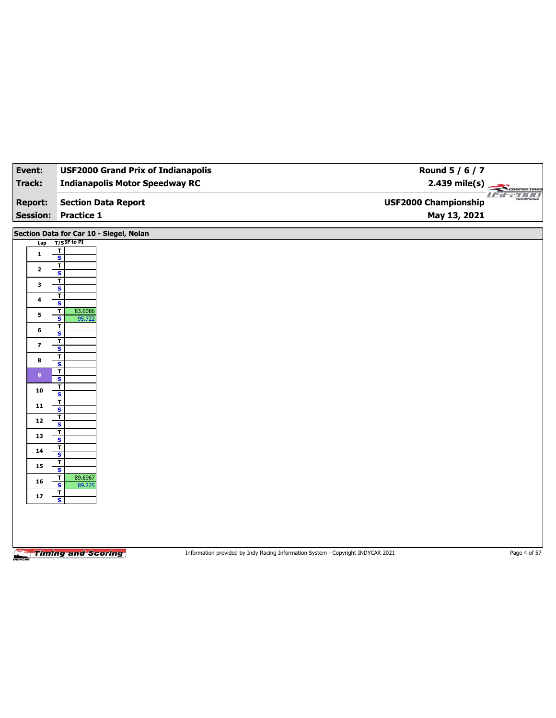| Event:                            | <b>USF2000 Grand Prix of Indianapolis</b>         |                                                                                 | Round 5 / 6 / 7                                                  |
|-----------------------------------|---------------------------------------------------|---------------------------------------------------------------------------------|------------------------------------------------------------------|
| <b>Track:</b>                     | <b>Indianapolis Motor Speedway RC</b>             |                                                                                 | $2.439$ mile(s)                                                  |
| <b>Report:</b><br><b>Session:</b> | <b>Section Data Report</b><br><b>Practice 1</b>   |                                                                                 | <b>COOPERTRES</b><br><b>USF2000 Championship</b><br>May 13, 2021 |
|                                   |                                                   |                                                                                 |                                                                  |
|                                   | Section Data for Car 10 - Siegel, Nolan           |                                                                                 |                                                                  |
| Lap                               | $T/S$ SF to PI<br>T                               |                                                                                 |                                                                  |
| $\mathbf{1}$                      | $\overline{\mathbf{s}}$                           |                                                                                 |                                                                  |
| $\mathbf{2}$                      | T<br>S                                            |                                                                                 |                                                                  |
| 3                                 | T                                                 |                                                                                 |                                                                  |
|                                   | $\overline{\mathbf{s}}$<br>т                      |                                                                                 |                                                                  |
| 4                                 | S                                                 |                                                                                 |                                                                  |
| 5                                 | 83.6086<br>T<br>$\overline{\mathbf{s}}$<br>95.722 |                                                                                 |                                                                  |
| 6                                 | T<br>S                                            |                                                                                 |                                                                  |
| $\overline{\mathbf{z}}$           | T                                                 |                                                                                 |                                                                  |
|                                   | $\overline{\mathbf{s}}$<br>T                      |                                                                                 |                                                                  |
| 8                                 | S                                                 |                                                                                 |                                                                  |
| 9 <sup>°</sup>                    | T<br>$\overline{\mathbf{s}}$                      |                                                                                 |                                                                  |
| 10                                | T                                                 |                                                                                 |                                                                  |
|                                   | $\overline{\mathbf{s}}$<br>T                      |                                                                                 |                                                                  |
| 11                                | $\overline{\mathbf{s}}$<br>T                      |                                                                                 |                                                                  |
| $12$                              | S                                                 |                                                                                 |                                                                  |
| 13                                | T<br>$\overline{\mathbf{s}}$                      |                                                                                 |                                                                  |
| 14                                | T                                                 |                                                                                 |                                                                  |
|                                   | s<br>T                                            |                                                                                 |                                                                  |
| 15                                | $\overline{\mathbf{s}}$                           |                                                                                 |                                                                  |
| 16                                | 89.6967<br>т<br>S<br>89.225                       |                                                                                 |                                                                  |
| ${\bf 17}$                        | $\mathbf{T}$<br>$\overline{\mathbf{s}}$           |                                                                                 |                                                                  |
|                                   |                                                   |                                                                                 |                                                                  |
|                                   |                                                   |                                                                                 |                                                                  |
|                                   |                                                   |                                                                                 |                                                                  |
|                                   |                                                   |                                                                                 |                                                                  |
|                                   | <b>Timing and Scoring</b>                         | Information provided by Indy Racing Information System - Copyright INDYCAR 2021 | Page 4 of 57                                                     |
|                                   |                                                   |                                                                                 |                                                                  |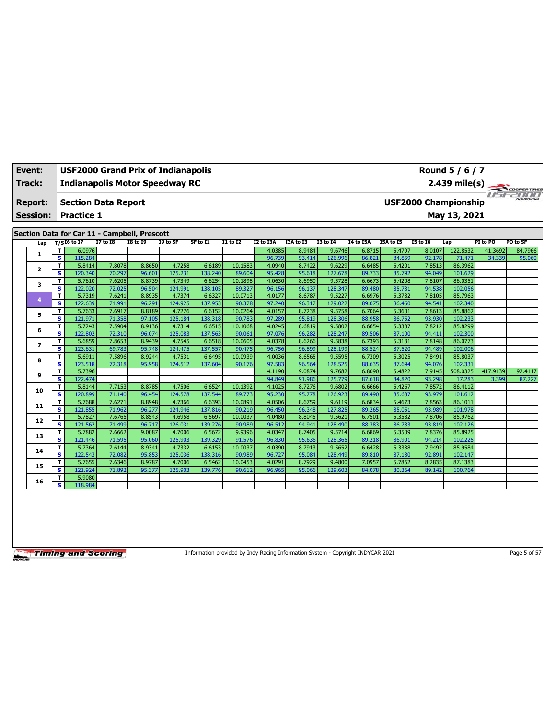| Event:<br>Track: |                         | <b>USF2000 Grand Prix of Indianapolis</b><br>Round 5 / 6 / 7<br><b>Indianapolis Motor Speedway RC</b><br>2.439 mile(s) |                 |                 |          |          |                 |           |           |                 |                  |           |                             |              |          |          |
|------------------|-------------------------|------------------------------------------------------------------------------------------------------------------------|-----------------|-----------------|----------|----------|-----------------|-----------|-----------|-----------------|------------------|-----------|-----------------------------|--------------|----------|----------|
| <b>Report:</b>   |                         | <b>Section Data Report</b>                                                                                             |                 |                 |          |          |                 |           |           |                 |                  |           | <b>USF2000 Championship</b> |              |          |          |
|                  |                         |                                                                                                                        |                 |                 |          |          |                 |           |           |                 |                  |           |                             |              |          |          |
| <b>Session:</b>  |                         | <b>Practice 1</b>                                                                                                      |                 |                 |          |          |                 |           |           |                 |                  |           |                             | May 13, 2021 |          |          |
|                  |                         |                                                                                                                        |                 |                 |          |          |                 |           |           |                 |                  |           |                             |              |          |          |
|                  |                         | Section Data for Car 11 - Campbell, Prescott                                                                           |                 |                 |          |          |                 |           |           |                 |                  |           |                             |              |          |          |
| Lap              |                         | $T/SI6$ to I7                                                                                                          | <b>I7 to I8</b> | <b>I8 to 19</b> | I9 to SF | SF to I1 | <b>I1 to I2</b> | I2 to I3A | I3A to I3 | <b>I3 to 14</b> | <b>I4 to I5A</b> | I5A to I5 | <b>15 to 16</b>             | Lap          | PI to PO | PO to SF |
|                  | т                       | 6.0976                                                                                                                 |                 |                 |          |          |                 | 4.0385    | 8.9484    | 9.6746          | 6.8715           | 5.4797    | 8.0107                      | 122.8532     | 41.3692  | 84.7966  |
| 1                | $\overline{\mathbf{s}}$ | 115.284                                                                                                                |                 |                 |          |          |                 | 96.739    | 93.414    | 126.996         | 86.821           | 84.859    | 92.178                      | 71.471       | 34.339   | 95.060   |
|                  | т                       | 5.8414                                                                                                                 | 7.8078          | 8.8650          | 4.7258   | 6.6189   | 10.1583         | 4.0940    | 8.7422    | 9.6229          | 6.6485           | 5.4201    | 7.8513                      | 86.3962      |          |          |
| $\mathbf{z}$     | s.                      | 120.340                                                                                                                | 70.297          | 96.601          | 125.231  | 138.240  | 89.604          | 95.428    | 95.618    | 127.678         | 89.733           | 85.792    | 94.049                      | 101.629      |          |          |
|                  | T                       | 5.7610                                                                                                                 | 7.6205          | 8.8739          | 4.7349   | 6.6254   | 10.1898         | 4.0630    | 8.6950    | 9.5728          | 6.6673           | 5.4208    | 7.8107                      | 86.0351      |          |          |
| 3                | s                       | 122.020                                                                                                                | 72.025          | 96.504          | 124.991  | 138.105  | 89.327          | 96.156    | 96.137    | 128.347         | 89.480           | 85.781    | 94.538                      | 102.056      |          |          |
| 4                | т                       | 5.7319                                                                                                                 | 7.6241          | 8.8935          | 4.7374   | 6.6327   | 10.0713         | 4.0177    | 8.6787    | 9.5227          | 6.6976           | 5.3782    | 7.8105                      | 85.7963      |          |          |
|                  | s                       | 122.639                                                                                                                | 71.991          | 96.291          | 124.925  | 137.953  | 90.378          | 97.240    | 96.317    | 129.022         | 89.075           | 86.460    | 94.541                      | 102.340      |          |          |
| 5                | T                       | 5.7633                                                                                                                 | 7.6917          | 8.8189          | 4.7276   | 6.6152   | 10.0264         | 4.0157    | 8.7238    | 9.5758          | 6.7064           | 5.3601    | 7.8613                      | 85.8862      |          |          |
|                  | s.                      | 121.971                                                                                                                | 71.358          | 97.105          | 125.184  | 138.318  | 90.783          | 97.289    | 95.819    | 128,306         | 88.958           | 86.752    | 93.930                      | 102.233      |          |          |
| 6                | T                       | 5.7243                                                                                                                 | 7.5904          | 8.9136          | 4.7314   | 6.6515   | 10.1068         | 4.0245    | 8.6819    | 9.5802          | 6.6654           | 5.3387    | 7.8212                      | 85.8299      |          |          |
|                  | s                       | 122.802                                                                                                                | 72.310          | 96.074          | 125.083  | 137.563  | 90.061          | 97.076    | 96.282    | 128.247         | 89.506           | 87.100    | 94.411                      | 102.300      |          |          |
| 7                | T                       | 5.6859                                                                                                                 | 7.8653          | 8.9439          | 4.7545   | 6.6518   | 10.0605         | 4.0378    | 8.6266    | 9.5838          | 6.7393           | 5.3131    | 7.8148                      | 86.0773      |          |          |
|                  | s                       | 123.631                                                                                                                | 69.783          | 95.748          | 124.475  | 137.557  | 90.475          | 96.756    | 96.899    | 128.199         | 88.524           | 87.520    | 94.489                      | 102.006      |          |          |
| 8                | T                       | 5.6911                                                                                                                 | 7.5896          | 8.9244          | 4.7531   | 6.6495   | 10.0939         | 4.0036    | 8.6565    | 9.5595          | 6.7309           | 5.3025    | 7.8491                      | 85.8037      |          |          |
|                  | s.                      | 123.518                                                                                                                | 72.318          | 95.958          | 124.512  | 137.604  | 90.176          | 97.583    | 96.564    | 128.525         | 88.635           | 87.694    | 94.076                      | 102.331      |          |          |
| 9                | T                       | 5.7396                                                                                                                 |                 |                 |          |          |                 | 4.1190    | 9.0874    | 9.7682          | 6.8090           | 5.4822    | 7.9145                      | 508.0325     | 417.9139 | 92.4117  |
|                  | s                       | 122.474                                                                                                                |                 |                 |          |          |                 | 94.849    | 91.986    | 125,779         | 87.618           | 84.820    | 93.298                      | 17.283       | 3.399    | 87.227   |
| 10               | T                       | 5.8144                                                                                                                 | 7.7153          | 8.8785          | 4.7506   | 6.6524   | 10.1392         | 4.1025    | 8.7276    | 9.6802          | 6.6666           | 5.4267    | 7.8572                      | 86.4112      |          |          |
|                  | s                       | 120.899                                                                                                                | 71.140          | 96.454          | 124.578  | 137.544  | 89.773          | 95.230    | 95.778    | 126.923         | 89.490           | 85.687    | 93.979                      | 101.612      |          |          |
| 11               | T                       | 5.7688                                                                                                                 | 7.6271          | 8.8948          | 4.7366   | 6.6393   | 10.0891         | 4.0506    | 8.6759    | 9.6119          | 6.6834           | 5.4673    | 7.8563                      | 86.1011      |          |          |
|                  | s                       | 121.855                                                                                                                | 71.962          | 96.277          | 124.946  | 137.816  | 90.219          | 96.450    | 96.348    | 127.825         | 89.265           | 85.051    | 93.989                      | 101.978      |          |          |
| 12               | Τ                       | 5.7827                                                                                                                 | 7.6765          | 8.8543          | 4.6958   | 6.5697   | 10.0037         | 4.0480    | 8.8045    | 9.5621          | 6.7501           | 5.3582    | 7.8706                      | 85.9762      |          |          |
|                  | s                       | 121.562                                                                                                                | 71.499          | 96.717          | 126.031  | 139.276  | 90.989          | 96.512    | 94.941    | 128.490         | 88.383           | 86.783    | 93.819                      | 102.126      |          |          |
| 13               | т                       | 5.7882                                                                                                                 | 7.6662          | 9.0087          | 4.7006   | 6.5672   | 9.9396          | 4.0347    | 8.7405    | 9.5714          | 6.6869           | 5.3509    | 7.8376                      | 85.8925      |          |          |
|                  | s                       | 121.446                                                                                                                | 71.595          | 95.060          | 125.903  | 139.329  | 91.576          | 96.830    | 95.636    | 128.365         | 89.218           | 86.901    | 94.214                      | 102.225      |          |          |
| 14               | T                       | 5.7364                                                                                                                 | 7.6144          | 8.9341          | 4.7332   | 6.6153   | 10.0037         | 4.0390    | 8.7913    | 9.5652          | 6.6428           | 5.3338    | 7.9492                      | 85.9584      |          |          |
|                  | s                       | 122.543                                                                                                                | 72.082          | 95.853          | 125.036  | 138.316  | 90.989          | 96.727    | 95.084    | 128,449         | 89.810           | 87.180    | 92.891                      | 102.147      |          |          |
| 15               | т                       | 5.7655                                                                                                                 | 7.6346          | 8.9787          | 4.7006   | 6.5462   | 10.0453         | 4.0291    | 8.7929    | 9.4800          | 7.0957           | 5.7862    | 8.2835                      | 87.1383      |          |          |
|                  | s.                      | 121.924                                                                                                                | 71.892          | 95.377          | 125.903  | 139.776  | 90.612          | 96.965    | 95.066    | 129.603         | 84.078           | 80.364    | 89.142                      | 100.764      |          |          |

**16 T** 5.908

**S** 118.984

Information provided by Indy Racing Information System - Copyright INDYCAR 2021 Page 5 of 57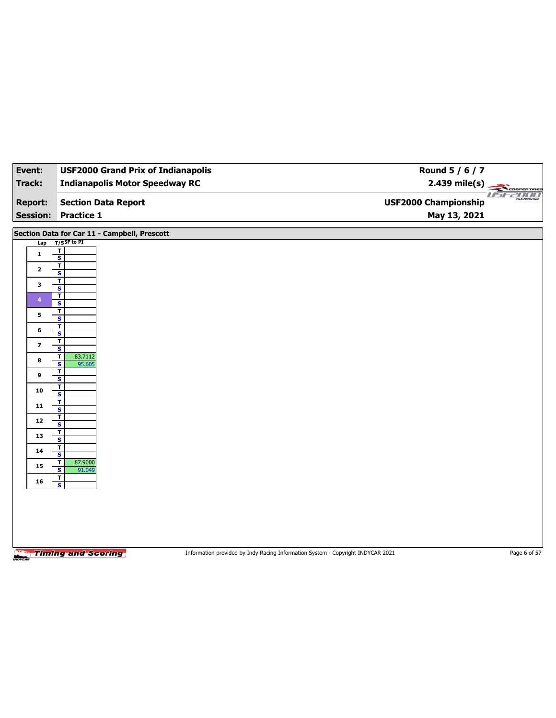| Event:                            | <b>USF2000 Grand Prix of Indianapolis</b>                   | Round 5 / 6 / 7                                                                 |                         |
|-----------------------------------|-------------------------------------------------------------|---------------------------------------------------------------------------------|-------------------------|
| Track:                            | <b>Indianapolis Motor Speedway RC</b>                       |                                                                                 | $2.439 \text{ mile(s)}$ |
| <b>Report:</b><br><b>Session:</b> | <b>Section Data Report</b><br><b>Practice 1</b>             | <b>USF2000 Championship</b><br>May 13, 2021                                     | usr-2000                |
|                                   |                                                             |                                                                                 |                         |
|                                   | Section Data for Car 11 - Campbell, Prescott                |                                                                                 |                         |
| Lap                               | $T/S$ SF to PI<br>$\overline{\mathbf{r}}$                   |                                                                                 |                         |
| $\mathbf{1}$                      | $\overline{\mathbf{s}}$                                     |                                                                                 |                         |
| $\mathbf{2}$                      | $\overline{1}$<br>$\mathbf{s}$                              |                                                                                 |                         |
| 3                                 | $\overline{\mathbf{r}}$<br>$\overline{\mathbf{s}}$          |                                                                                 |                         |
| $\overline{4}$                    | $\overline{\mathsf{r}}$                                     |                                                                                 |                         |
|                                   | S<br>$\overline{\mathsf{r}}$                                |                                                                                 |                         |
| 5                                 | $\overline{\mathbf{s}}$                                     |                                                                                 |                         |
| 6                                 | $\overline{\mathsf{r}}$<br>S                                |                                                                                 |                         |
| $\overline{\mathbf{z}}$           | $\overline{1}$<br>$\overline{\mathbf{s}}$                   |                                                                                 |                         |
| 8                                 | T<br>83.7112                                                |                                                                                 |                         |
|                                   | 95.605<br>S<br>$\overline{\mathbf{r}}$                      |                                                                                 |                         |
| 9                                 | $\overline{\mathbf{s}}$                                     |                                                                                 |                         |
| 10                                | T<br>S                                                      |                                                                                 |                         |
| 11                                | $\overline{1}$<br>$\overline{\mathbf{s}}$                   |                                                                                 |                         |
| 12                                | T<br>$\mathbf{s}$                                           |                                                                                 |                         |
| 13                                | $\overline{\mathbf{r}}$                                     |                                                                                 |                         |
|                                   | $\overline{\mathbf{s}}$<br>$\mathbf T$                      |                                                                                 |                         |
| 14                                | S                                                           |                                                                                 |                         |
| 15                                | 87.9000<br>$\mathbf T$<br>$\overline{\mathbf{s}}$<br>91.049 |                                                                                 |                         |
| 16                                | $\overline{\mathbf{r}}$<br>$\overline{\mathbf{s}}$          |                                                                                 |                         |
|                                   |                                                             |                                                                                 |                         |
|                                   |                                                             |                                                                                 |                         |
|                                   |                                                             |                                                                                 |                         |
|                                   |                                                             |                                                                                 |                         |
|                                   |                                                             |                                                                                 |                         |
|                                   | <b>Timing and Scoring</b>                                   | Information provided by Indy Racing Information System - Copyright INDYCAR 2021 | Page 6 of 57            |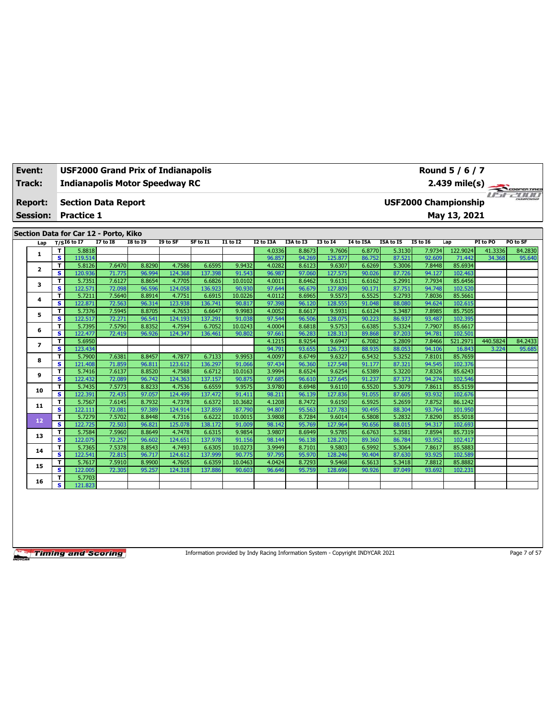| Track:                  |                         | <b>Indianapolis Motor Speedway RC</b>                                                          |                  |                  |                   |                   |                  |                  |                  |                   |                  |                  |                  | $2.439$ mile(s)    |          | COOPERTIRES |
|-------------------------|-------------------------|------------------------------------------------------------------------------------------------|------------------|------------------|-------------------|-------------------|------------------|------------------|------------------|-------------------|------------------|------------------|------------------|--------------------|----------|-------------|
| Report:                 |                         | <b>USF2000 Championship</b><br><b>Section Data Report</b><br>May 13, 2021<br><b>Practice 1</b> |                  |                  |                   |                   |                  |                  |                  |                   |                  |                  |                  |                    |          |             |
| <b>Session:</b>         |                         |                                                                                                |                  |                  |                   |                   |                  |                  |                  |                   |                  |                  |                  |                    |          |             |
|                         |                         |                                                                                                |                  |                  |                   |                   |                  |                  |                  |                   |                  |                  |                  |                    |          |             |
|                         |                         | Section Data for Car 12 - Porto, Kiko                                                          |                  |                  |                   |                   |                  |                  |                  |                   |                  |                  |                  |                    |          |             |
| Lap                     |                         | $T/SI6$ to I7                                                                                  | $I7$ to $I8$     | <b>I8 to 19</b>  | I9 to SF          | SF to I1          | <b>I1 to I2</b>  | I2 to I3A        | I3A to I3        | <b>I3 to 14</b>   | <b>I4 to I5A</b> | I5A to I5        | <b>I5 to 16</b>  | Lap                | PI to PO | PO to SF    |
|                         | T                       | 5.8818                                                                                         |                  |                  |                   |                   |                  | 4.0336           | 8.8673           | 9.7606            | 6.8770           | 5.3130           | 7.9734           | 122.9024           | 41.3336  | 84.2830     |
| 1                       | s.                      | 119.514                                                                                        |                  |                  |                   |                   |                  | 96.857           | 94.269           | 125.877           | 86.752           | 87.521           | 92.609           | 71.442             | 34.368   | 95.640      |
| $\overline{\mathbf{2}}$ | T                       | 5.8126                                                                                         | 7.6470           | 8.8290           | 4.7586            | 6.6595            | 9.9432           | 4.0282           | 8.6123           | 9.6307            | 6.6269           | 5.3006           | 7.8448           | 85.6934            |          |             |
|                         | s                       | 120.936                                                                                        | 71.775           | 96.994           | 124.368           | 137.398           | 91.543           | 96.987           | 97.060           | 127.575           | 90.026           | 87.726           | 94.127           | 102.463            |          |             |
| 3                       | т                       | 5.7351                                                                                         | 7.6127           | 8.8654           | 4.7705            | 6.6826            | 10.0102          | 4.0011           | 8.6462           | 9.6131            | 6.6162           | 5.2991           | 7.7934           | 85.6456            |          |             |
|                         | s.                      | 122.571                                                                                        | 72.098           | 96.596           | 124.058           | 136.923           | 90.930           | 97.644           | 96.679           | 127.809           | 90.171           | 87.751           | 94.748           | 102.520            |          |             |
| 4                       | T                       | 5.7211                                                                                         | 7.5640           | 8.8914           | 4.7751            | 6.6915            | 10.0226          | 4.0112           | 8.6965           | 9.5573            | 6.5525           | 5.2793           | 7.8036           | 85.5661            |          |             |
|                         | s                       | 122.871                                                                                        | 72.563           | 96.314           | 123.938           | 136.741           | 90.817           | 97.398           | 96.120           | 128.555           | 91.048           | 88.080           | 94.624           | 102.615            |          |             |
| 5                       | T                       | 5.7376                                                                                         | 7.5945           | 8.8705           | 4.7653            | 6.6647            | 9.9983           | 4.0052           | 8.6617           | 9.5931            | 6.6124           | 5.3487           | 7.8985           | 85.7505            |          |             |
|                         | s                       | 122.517                                                                                        | 72.271           | 96.541           | 124.193           | 137.291           | 91.038           | 97.544           | 96.506           | 128.075           | 90.223           | 86.937           | 93.487           | 102.395            |          |             |
| 6                       | T                       | 5.7395                                                                                         | 7.5790           | 8.8352           | 4.7594            | 6.7052            | 10.0243          | 4.0004           | 8.6818           | 9.5753            | 6.6385           | 5.3324           | 7.7907           | 85.6617            |          |             |
|                         | s.                      | 122.477                                                                                        | 72.419           | 96.926           | 124.347           | 136.461           | 90.802           | 97.661           | 96.283           | 128.313           | 89.868           | 87.203           | 94.781           | 102.501            |          |             |
| 7                       | T                       | 5.6950                                                                                         |                  |                  |                   |                   |                  | 4.1215           | 8.9254           | 9.6947            | 6.7082           | 5.2809           | 7.8466           | 521.2971           | 440.5824 | 84.2433     |
|                         | s                       | 123.434                                                                                        |                  |                  |                   |                   |                  | 94.791           | 93.655           | 126.733           | 88.935           | 88.053           | 94.106           | 16.843             | 3.224    | 95.685      |
| 8                       | т<br>s                  | 5.7900<br>121.408                                                                              | 7.6381<br>71.859 | 8.8457<br>96.811 | 4.7877<br>123,612 | 6.7133<br>136.297 | 9.9953<br>91.066 | 4.0097<br>97.434 | 8.6749<br>96.360 | 9.6327<br>127.548 | 6.5432<br>91.177 | 5.3252<br>87.321 | 7.8101<br>94.545 | 85.7659<br>102.376 |          |             |
|                         | T                       | 5.7416                                                                                         | 7.6137           | 8.8520           | 4.7588            | 6.6712            | 10.0163          | 3.9994           | 8.6524           | 9.6254            | 6.5389           | 5.3220           | 7.8326           | 85.6243            |          |             |
| 9                       | $\overline{\mathbf{s}}$ | 122.432                                                                                        | 72.089           | 96.742           | 124.363           | 137.157           | 90.875           | 97.685           | 96.610           | 127.645           | 91.237           | 87.373           | 94.274           | 102.546            |          |             |
|                         | T                       | 5.7435                                                                                         | 7.5773           | 8.8233           | 4.7536            | 6.6559            | 9.9575           | 3.9780           | 8.6948           | 9.6110            | 6.5520           | 5.3079           | 7.8611           | 85.5159            |          |             |
| 10                      | s                       | 122.391                                                                                        | 72.435           | 97.057           | 124.499           | 137.472           | 91.411           | 98.211           | 96.139           | 127.836           | 91.055           | 87.605           | 93.932           | 102.676            |          |             |
|                         | т                       | 5.7567                                                                                         | 7.6145           | 8.7932           | 4.7378            | 6.6372            | 10.3682          | 4.1208           | 8.7472           | 9.6150            | 6.5925           | 5.2659           | 7.8752           | 86.1242            |          |             |
| 11                      | s                       | 122.111                                                                                        | 72.081           | 97.389           | 124.914           | 137.859           | 87.790           | 94.807           | 95.563           | 127,783           | 90.495           | 88.304           | 93.764           | 101.950            |          |             |
|                         | T                       | 5.7279                                                                                         | 7.5702           | 8.8448           | 4.7316            | 6.6222            | 10.0015          | 3.9808           | 8.7284           | 9.6014            | 6.5808           | 5.2832           | 7.8290           | 85.5018            |          |             |
| 12                      | s.                      | 122.725                                                                                        | 72.503           | 96.821           | 125.078           | 138.172           | 91.009           | 98.142           | 95.769           | 127.964           | 90.656           | 88.015           | 94.317           | 102.693            |          |             |
|                         | т                       | 5.7584                                                                                         | 7.5960           | 8.8649           | 4.7478            | 6.6315            | 9.9854           | 3.9807           | 8.6949           | 9.5785            | 6.6763           | 5.3581           | 7.8594           | 85.7319            |          |             |
| 13                      | s                       | 122.075                                                                                        | 72.257           | 96.602           | 124.651           | 137.978           | 91.156           | 98.144           | 96.138           | 128.270           | 89.360           | 86.784           | 93.952           | 102.417            |          |             |
| 14                      | т                       | 5.7365                                                                                         | 7.5378           | 8.8543           | 4.7493            | 6.6305            | 10.0273          | 3.9949           | 8.7101           | 9.5803            | 6.5992           | 5.3064           | 7.8617           | 85.5883            |          |             |
|                         | s                       | 122.541                                                                                        | 72.815           | 96.717           | 124.612           | 137.999           | 90.775           | 97.795           | 95.970           | 128,246           | 90.404           | 87.630           | 93.925           | 102.589            |          |             |
| 15                      | T                       | 5.7617                                                                                         | 7.5910           | 8.9900           | 4.7605            | 6.6359            | 10.0463          | 4.0424           | 8.7293           | 9.5468            | 6.5613           | 5.3418           | 7.8812           | 85.8882            |          |             |
|                         | s                       | 122.005                                                                                        | 72.305           | 95.257           | 124.318           | 137.886           | 90.603           | 96.646           | 95.759           | 128.696           | 90.926           | 87.049           | 93.692           | 102.231            |          |             |
| 16                      | T                       | 5.7703                                                                                         |                  |                  |                   |                   |                  |                  |                  |                   |                  |                  |                  |                    |          |             |
|                         | s.                      | 121.823                                                                                        |                  |                  |                   |                   |                  |                  |                  |                   |                  |                  |                  |                    |          |             |

**Event: USF2000 Grand Prix of Indianapolis**

Information provided by Indy Racing Information System - Copyright INDYCAR 2021 Page 7 of 57

**Round 5 / 6 / 7**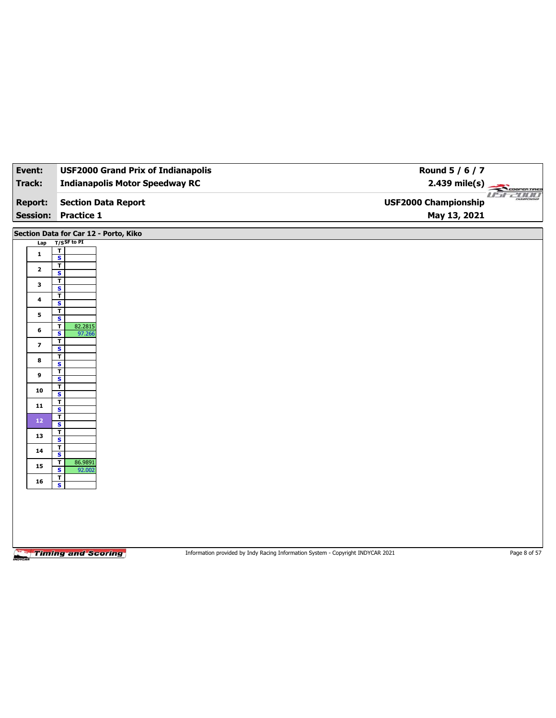| Event:                            | <b>USF2000 Grand Prix of Indianapolis</b>          | Round 5 / 6 / 7                                                                 |              |
|-----------------------------------|----------------------------------------------------|---------------------------------------------------------------------------------|--------------|
| <b>Track:</b>                     | <b>Indianapolis Motor Speedway RC</b>              | $2.439$ mile(s)                                                                 | COOPERTIRES  |
| <b>Report:</b><br><b>Session:</b> | <b>Section Data Report</b><br><b>Practice 1</b>    | <b>USF2000 Championship</b><br>May 13, 2021                                     | useano       |
|                                   | Section Data for Car 12 - Porto, Kiko              |                                                                                 |              |
| Lap                               | T/SSF to PI                                        |                                                                                 |              |
| $\mathbf{1}$                      | T<br>$\overline{\mathbf{s}}$                       |                                                                                 |              |
| $\mathbf{2}$                      | т<br>S                                             |                                                                                 |              |
| 3                                 | T                                                  |                                                                                 |              |
| 4                                 | $\overline{\mathbf{s}}$<br>T                       |                                                                                 |              |
|                                   | S<br>$\mathbf T$                                   |                                                                                 |              |
| 5                                 | $\overline{\mathbf{s}}$<br>82.2815<br>$\mathbf T$  |                                                                                 |              |
| 6                                 | S<br>97.266                                        |                                                                                 |              |
| $\overline{\mathbf{z}}$           | T<br>$\overline{\mathbf{s}}$                       |                                                                                 |              |
| 8                                 | $\overline{\mathbf{r}}$<br>$\overline{\mathbf{s}}$ |                                                                                 |              |
| 9                                 | T<br>$\overline{\mathbf{s}}$                       |                                                                                 |              |
| 10                                | T                                                  |                                                                                 |              |
| 11                                | S<br>T                                             |                                                                                 |              |
|                                   | $\overline{\mathbf{s}}$<br>T                       |                                                                                 |              |
| 12                                | S                                                  |                                                                                 |              |
| 13                                | $\mathbf{T}$<br>$\overline{\mathbf{s}}$            |                                                                                 |              |
| 14                                | т<br>$\overline{\mathsf{s}}$                       |                                                                                 |              |
| 15                                | T<br>86.9891<br>$\overline{\mathbf{s}}$<br>92.002  |                                                                                 |              |
| 16                                | Τ<br>$\overline{\mathbf{s}}$                       |                                                                                 |              |
|                                   |                                                    |                                                                                 |              |
|                                   |                                                    |                                                                                 |              |
|                                   |                                                    |                                                                                 |              |
|                                   |                                                    |                                                                                 |              |
|                                   |                                                    |                                                                                 |              |
|                                   | <b>Timing and Scoring</b>                          | Information provided by Indy Racing Information System - Copyright INDYCAR 2021 | Page 8 of 57 |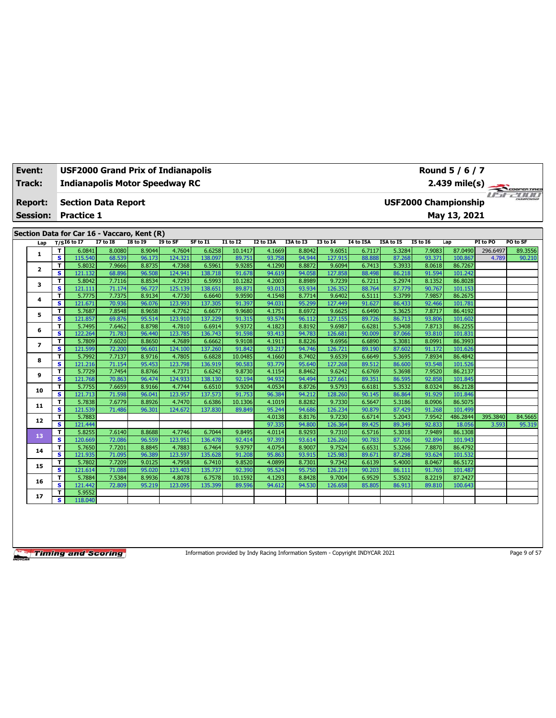| Event:<br>Track:                  | Round 5 / 6 / 7<br><b>USF2000 Grand Prix of Indianapolis</b><br><b>Indianapolis Motor Speedway RC</b><br>$2.439$ mile(s) |                                                 |                  |                  |                   |                   |                   |                  |                  |                   |                  |                  |                  |                                             |          |                    |
|-----------------------------------|--------------------------------------------------------------------------------------------------------------------------|-------------------------------------------------|------------------|------------------|-------------------|-------------------|-------------------|------------------|------------------|-------------------|------------------|------------------|------------------|---------------------------------------------|----------|--------------------|
| <b>Report:</b><br><b>Session:</b> |                                                                                                                          | <b>Section Data Report</b><br><b>Practice 1</b> |                  |                  |                   |                   |                   |                  |                  |                   |                  |                  |                  | <b>USF2000 Championship</b><br>May 13, 2021 |          | <b>TESCOPERTRE</b> |
|                                   |                                                                                                                          | Section Data for Car 16 - Vaccaro, Kent (R)     |                  |                  |                   |                   |                   |                  |                  |                   |                  |                  |                  |                                             |          |                    |
| Lap                               |                                                                                                                          | $T/SI6$ to I7                                   | <b>I7 to I8</b>  | <b>I8 to 19</b>  | I9 to SF          | SF to I1          | $I1$ to $I2$      | I2 to I3A        | I3A to I3        | <b>I3 to 14</b>   | I4 to I5A        | I5A to I5        | <b>I5 to 16</b>  | Lap                                         | PI to PO | PO to SF           |
| 1                                 | T                                                                                                                        | 6.0841                                          | 8.0080           | 8.9044           | 4.7604            | 6.6258            | 10.1417           | 4.1669           | 8.8042           | 9.6051            | 6.7117           | 5.3284           | 7.9083           | 87.0490                                     | 296.6497 | 89.3556            |
|                                   | $\overline{\mathbf{s}}$                                                                                                  | 115.540                                         | 68.539           | 96.173           | 124.321           | 138.097           | 89.751            | 93.758           | 94.944           | 127.915           | 88.888           | 87.268           | 93.371           | 100.867                                     | 4.789    | 90.210             |
| $\mathbf{2}$                      | T.                                                                                                                       | 5.8032                                          | 7.9666           | 8.8735           | 4.7368            | 6.5961            | 9.9285            | 4.1290           | 8.8872           | 9.6094            | 6.7413           | 5.3933           | 8.0618           | 86.7267                                     |          |                    |
|                                   | S                                                                                                                        | 121.132                                         | 68.896           | 96.508           | 124.941           | 138.718           | 91.678            | 94.619           | 94.058           | 127.858           | 88.498           | 86.218           | 91.594           | 101.242                                     |          |                    |
| 3                                 | T                                                                                                                        | 5.8042                                          | 7.7116           | 8.8534           | 4.7293            | 6.5993            | 10.1282           | 4.2003           | 8.8989           | 9.7239            | 6.7211           | 5.2974           | 8.1352           | 86.8028                                     |          |                    |
|                                   | s                                                                                                                        | 121.111                                         | 71.174           | 96.727           | 125.139           | 138.651           | 89.871            | 93.013           | 93.934           | 126.352           | 88.764           | 87.779           | 90.767           | 101.153                                     |          |                    |
| 4                                 | т                                                                                                                        | 5.7775                                          | 7.7375           | 8.9134           | 4.7730            | 6.6640            | 9.9590            | 4.1548           | 8.7714           | 9.6402            | 6.5111           | 5.3799           | 7.9857           | 86.2675                                     |          |                    |
|                                   | s                                                                                                                        | 121.671                                         | 70.936           | 96.076           | 123.993           | 137.305           | 91.397            | 94.031           | 95.299           | 127.449           | 91.627           | 86.433           | 92.466           | 101.781                                     |          |                    |
| 5                                 | T                                                                                                                        | 5.7687                                          | 7.8548           | 8.9658           | 4.7762            | 6.6677            | 9.9680            | 4.1751           | 8.6972           | 9.6625            | 6.6490           | 5.3625           | 7.8717           | 86.4192                                     |          |                    |
|                                   | s                                                                                                                        | 121.857                                         | 69.876           | 95.514           | 123.910           | 137.229           | 91.315            | 93.574           | 96.112           | 127.155           | 89.726           | 86.713           | 93.806           | 101.602                                     |          |                    |
| 6                                 | T.                                                                                                                       | 5.7495                                          | 7.6462           | 8.8798           | 4.7810            | 6.6914            | 9.9372            | 4.1823           | 8.8192           | 9.6987            | 6.6281           | 5.3408           | 7.8713           | 86.2255                                     |          |                    |
|                                   | S                                                                                                                        | 122.264                                         | 71.783           | 96.440           | 123.785           | 136.743           | 91.598            | 93.413           | 94.783           | 126.681           | 90.009           | 87.066           | 93.810           | 101.831                                     |          |                    |
| $\overline{ }$                    | T                                                                                                                        | 5.7809                                          | 7.6020           | 8.8650           | 4.7689            | 6.6662            | 9.9108            | 4.1911           | 8.8226           | 9.6956            | 6.6890           | 5.3081           | 8.0991           | 86.3993                                     |          |                    |
|                                   | $\mathbf{s}$                                                                                                             | 121.599                                         | 72.200           | 96.601           | 124.100           | 137.260           | 91.842            | 93.217           | 94.746           | 126.721           | 89.190           | 87.602           | 91.172           | 101.626                                     |          |                    |
| 8                                 | T                                                                                                                        | 5.7992                                          | 7.7137           | 8.9716           | 4.7805            | 6.6828            | 10.0485           | 4.1660           | 8.7402           | 9.6539            | 6.6649           | 5.3695           | 7.8934           | 86.4842                                     |          |                    |
|                                   | s                                                                                                                        | 121.216                                         | 71.154           | 95.453           | 123.798           | 136.919           | 90.583            | 93.779           | 95.640           | 127.268           | 89.512           | 86.600           | 93.548           | 101.526                                     |          |                    |
| 9                                 | T                                                                                                                        | 5.7729                                          | 7.7454           | 8.8766           | 4.7371            | 6.6242            | 9.8730            | 4.1154           | 8.8462           | 9.6242            | 6.6769           | 5.3698           | 7.9520           | 86.2137                                     |          |                    |
|                                   | s                                                                                                                        | 121.768                                         | 70.863           | 96.474           | 124.933           | 138.130           | 92.194            | 94.932           | 94.494           | 127.661           | 89.351           | 86.595           | 92.858           | 101.845                                     |          |                    |
| 10                                | T                                                                                                                        | 5.7755                                          | 7.6659           | 8.9166<br>96.041 | 4.7744            | 6.6510            | 9.9204            | 4.0534<br>96.384 | 8.8726<br>94.212 | 9.5793            | 6.6181           | 5.3532           | 8.0324           | 86.2128                                     |          |                    |
|                                   | s                                                                                                                        | 121.713                                         | 71.598<br>7.6779 | 8.8926           | 123.957           | 137.573           | 91.753            |                  |                  | 128.260<br>9.7330 | 90.145           | 86.864<br>5.3186 | 91.929           | 101.846                                     |          |                    |
| 11                                | т<br>s                                                                                                                   | 5.7838<br>121.539                               | 71.486           | 96.301           | 4.7470<br>124.672 | 6.6386<br>137.830 | 10.1306<br>89.849 | 4.1019<br>95.244 | 8.8282<br>94.686 | 126.234           | 6.5647<br>90.879 | 87.429           | 8.0906<br>91.268 | 86.5075<br>101.499                          |          |                    |
|                                   | T                                                                                                                        | 5.7883                                          |                  |                  |                   |                   |                   | 4.0138           | 8.8176           | 9.7230            | 6.6714           | 5.2043           | 7.9542           | 486.2844                                    | 395.3840 | 84.5665            |
| 12                                | $\overline{\mathbf{s}}$                                                                                                  | 121.444                                         |                  |                  |                   |                   |                   | 97.335           | 94.800           | 126.364           | 89.425           | 89.349           | 92.833           | 18.056                                      | 3.593    | 95.319             |
|                                   | T                                                                                                                        | 5.8255                                          | 7.6140           | 8.8688           | 4.7746            | 6.7044            | 9.8495            | 4.0114           | 8.9293           | 9.7310            | 6.5716           | 5.3018           | 7.9489           | 86.1308                                     |          |                    |
| 13                                | S                                                                                                                        | 120.669                                         | 72.086           | 96.559           | 123.951           | 136.478           | 92.414            | 97.393           | 93.614           | 126.260           | 90.783           | 87.706           | 92.894           | 101.943                                     |          |                    |
|                                   | т                                                                                                                        | 5.7650                                          | 7.7201           | 8.8845           | 4.7883            | 6.7464            | 9.9797            | 4.0754           | 8.9007           | 9.7524            | 6.6531           | 5.3266           | 7.8870           | 86.4792                                     |          |                    |
| 14                                | s                                                                                                                        | 121.935                                         | 71.095           | 96.389           | 123.597           | 135.628           | 91.208            | 95.863           | 93.915           | 125.983           | 89.671           | 87.298           | 93.624           | 101.532                                     |          |                    |
|                                   | т                                                                                                                        | 5.7802                                          | 7.7209           | 9.0125           | 4.7958            | 6.7410            | 9.8520            | 4.0899           | 8.7301           | 9.7342            | 6.6139           | 5.4000           | 8.0467           | 86.5172                                     |          |                    |
| 15                                | s                                                                                                                        | 121.614                                         | 71.088           | 95.020           | 123.403           | 135.737           | 92.390            | 95.524           | 95.750           | 126.219           | 90.203           | 86.111           | 91.765           | 101.487                                     |          |                    |
|                                   | T                                                                                                                        | 5.7884                                          | 7.5384           | 8.9936           | 4.8078            | 6.7578            | 10.1592           | 4.1293           | 8.8428           | 9.7004            | 6.9529           | 5.3502           | 8.2219           | 87.2427                                     |          |                    |
| 16                                | s                                                                                                                        | 121.442                                         | 72.809           | 95.219           | 123.095           | 135.399           | 89.596            | 94.612           | 94.530           | 126.658           | 85.805           | 86.913           | 89.810           | 100.643                                     |          |                    |
|                                   | T.                                                                                                                       | 5.9552                                          |                  |                  |                   |                   |                   |                  |                  |                   |                  |                  |                  |                                             |          |                    |
| 17                                | s                                                                                                                        | 118.040                                         |                  |                  |                   |                   |                   |                  |                  |                   |                  |                  |                  |                                             |          |                    |
|                                   |                                                                                                                          |                                                 |                  |                  |                   |                   |                   |                  |                  |                   |                  |                  |                  |                                             |          |                    |

Information provided by Indy Racing Information System - Copyright INDYCAR 2021 Page 9 of 57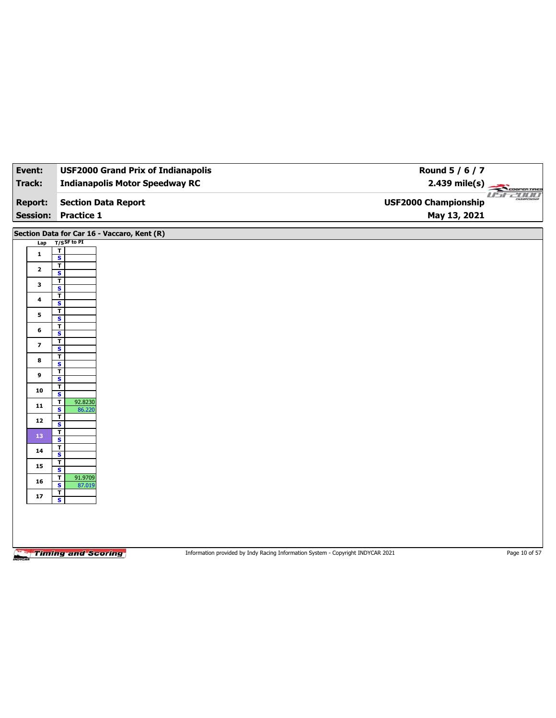| Event:                  | <b>USF2000 Grand Prix of Indianapolis</b>          |                                                                                 | Round 5 / 6 / 7             |                               |
|-------------------------|----------------------------------------------------|---------------------------------------------------------------------------------|-----------------------------|-------------------------------|
| Track:                  | <b>Indianapolis Motor Speedway RC</b>              |                                                                                 | $2.439$ mile(s)             | COOPERTIRES                   |
| <b>Report:</b>          | <b>Section Data Report</b>                         |                                                                                 | <b>USF2000 Championship</b> | <b>USF2000</b><br>CHAMPSONSHI |
| <b>Session:</b>         | <b>Practice 1</b>                                  |                                                                                 | May 13, 2021                |                               |
|                         | Section Data for Car 16 - Vaccaro, Kent (R)        |                                                                                 |                             |                               |
| Lap                     | $T/S$ SF to PI                                     |                                                                                 |                             |                               |
| $\mathbf{1}$            | T<br>$\overline{\mathbf{s}}$                       |                                                                                 |                             |                               |
| $\mathbf{2}$            | $\overline{\mathbf{r}}$<br>$\mathsf{s}$            |                                                                                 |                             |                               |
| 3                       | T                                                  |                                                                                 |                             |                               |
| 4                       | $\overline{\mathbf{s}}$<br>$\overline{\mathbf{r}}$ |                                                                                 |                             |                               |
|                         | $\mathsf{s}$<br>т                                  |                                                                                 |                             |                               |
| 5                       | $\overline{\mathbf{s}}$<br>T                       |                                                                                 |                             |                               |
| 6                       | $\mathsf{s}$                                       |                                                                                 |                             |                               |
| $\overline{\mathbf{z}}$ | T<br>$\overline{\mathbf{s}}$                       |                                                                                 |                             |                               |
| 8                       | T<br>S                                             |                                                                                 |                             |                               |
| 9                       | T                                                  |                                                                                 |                             |                               |
| 10                      | $\overline{\mathbf{s}}$<br>T                       |                                                                                 |                             |                               |
|                         | S<br>92.8230<br>T                                  |                                                                                 |                             |                               |
| 11                      | $\overline{\mathbf{s}}$<br>86.220<br>т             |                                                                                 |                             |                               |
| 12                      | $\mathsf{s}$                                       |                                                                                 |                             |                               |
| 13                      | $\mathbf T$<br>$\overline{\mathbf{s}}$             |                                                                                 |                             |                               |
| 14                      | T<br>S                                             |                                                                                 |                             |                               |
| 15                      | T<br>$\overline{\mathbf{s}}$                       |                                                                                 |                             |                               |
| 16                      | 91.9709<br>т                                       |                                                                                 |                             |                               |
|                         | S<br>87.019<br>$\mathbf T$                         |                                                                                 |                             |                               |
| 17                      | $\overline{\mathbf{s}}$                            |                                                                                 |                             |                               |
|                         |                                                    |                                                                                 |                             |                               |
|                         |                                                    |                                                                                 |                             |                               |
|                         |                                                    |                                                                                 |                             |                               |
|                         | <b>Timing and Scoring</b>                          | Information provided by Indy Racing Information System - Copyright INDYCAR 2021 |                             | Page 10 of 57                 |
|                         |                                                    |                                                                                 |                             |                               |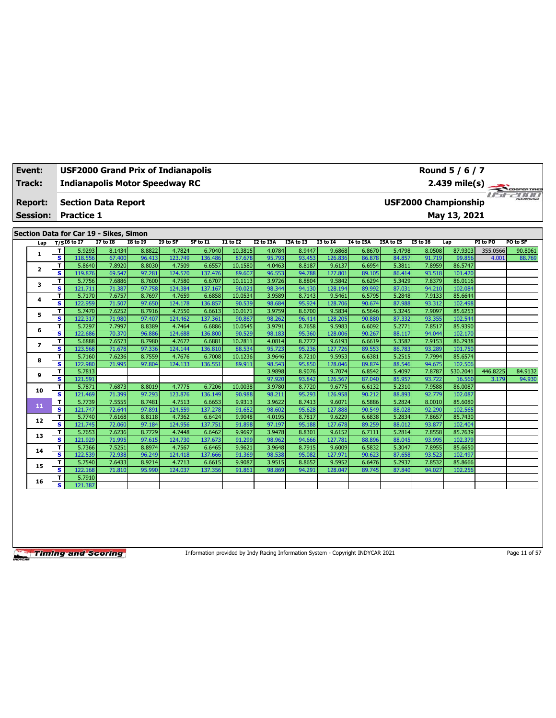| Event:          | <b>USF2000 Grand Prix of Indianapolis</b><br>Round 5 / 6 / 7<br><b>Indianapolis Motor Speedway RC</b><br>$2.439$ mile(s) |                                        |                  |                  |                   |                   |                   |                  |                  |                   |                  |                  |                             |                    |          |             |
|-----------------|--------------------------------------------------------------------------------------------------------------------------|----------------------------------------|------------------|------------------|-------------------|-------------------|-------------------|------------------|------------------|-------------------|------------------|------------------|-----------------------------|--------------------|----------|-------------|
| Track:          |                                                                                                                          |                                        |                  |                  |                   |                   |                   |                  |                  |                   |                  |                  |                             |                    |          | COOPERTIRES |
| <b>Report:</b>  |                                                                                                                          | <b>Section Data Report</b>             |                  |                  |                   |                   |                   |                  |                  |                   |                  |                  | <b>USF2000 Championship</b> |                    |          |             |
| <b>Session:</b> |                                                                                                                          | <b>Practice 1</b>                      |                  |                  |                   |                   |                   |                  |                  |                   |                  |                  |                             | May 13, 2021       |          |             |
|                 |                                                                                                                          |                                        |                  |                  |                   |                   |                   |                  |                  |                   |                  |                  |                             |                    |          |             |
|                 |                                                                                                                          | Section Data for Car 19 - Sikes, Simon |                  |                  |                   |                   |                   |                  |                  |                   |                  |                  |                             |                    |          |             |
| Lap             |                                                                                                                          | $T/SI6$ to I7                          | <b>I7 to 18</b>  | <b>18 to 19</b>  | I9 to SF          | SF to I1          | <b>I1 to I2</b>   | I2 to I3A        | <b>I3A to I3</b> | <b>I3 to 14</b>   | I4 to I5A        | I5A to I5        | <b>I5 to 16</b>             | Lap                | PI to PO | PO to SF    |
| 1               | т                                                                                                                        | 5.9293                                 | 8.1434           | 8.8822           | 4.7824            | 6.7040            | 10.3815           | 4.0784           | 8.9447           | 9.6868            | 6.8670           | 5.4798           | 8.0508                      | 87.9303            | 355.0566 | 90.8061     |
|                 | s                                                                                                                        | 118.556                                | 67.400           | 96.413           | 123.749           | 136.486           | 87.678            | 95.793           | 93.453           | 126.836           | 86.878           | 84.857           | 91.719                      | 99.856             | 4.001    | 88.769      |
| $\mathbf{2}$    | T<br>s                                                                                                                   | 5.8640<br>119.876                      | 7.8920<br>69.547 | 8.8030<br>97.281 | 4.7509<br>124.570 | 6.6557<br>137.476 | 10.1580<br>89.607 | 4.0463<br>96.553 | 8.8187<br>94.788 | 9.6137<br>127.801 | 6.6954<br>89.105 | 5.3811<br>86.414 | 7.8959<br>93.518            | 86.5747<br>101.420 |          |             |
|                 | T                                                                                                                        | 5.7756                                 | 7.6886           | 8.7600           | 4.7580            | 6.6707            | 10.1113           | 3.9726           | 8.8804           | 9.5842            | 6.6294           | 5.3429           | 7.8379                      | 86.0116            |          |             |
| 3               | s                                                                                                                        | 121.711                                | 71.387           | 97.758           | 124.384           | 137.167           | 90.021            | 98.344           | 94.130           | 128.194           | 89.992           | 87.031           | 94.210                      | 102.084            |          |             |
|                 | T                                                                                                                        | 5.7170                                 | 7.6757           | 8.7697           | 4.7659            | 6.6858            | 10.0534           | 3.9589           | 8.7143           | 9.5461            | 6.5795           | 5.2848           | 7.9133                      | 85.6644            |          |             |
| 4               | s                                                                                                                        | 122.959                                | 71.507           | 97.650           | 124.178           | 136.857           | 90.539            | 98.684           | 95.924           | 128,706           | 90.674           | 87.988           | 93.312                      | 102.498            |          |             |
|                 | T                                                                                                                        | 5.7470                                 | 7.6252           | 8.7916           | 4.7550            | 6.6613            | 10.0171           | 3.9759           | 8.6700           | 9.5834            | 6.5646           | 5.3245           | 7.9097                      | 85.6253            |          |             |
| 5               | s.                                                                                                                       | 122.317                                | 71.980           | 97.407           | 124.462           | 137.361           | 90.867            | 98.262           | 96.414           | 128.205           | 90.880           | 87.332           | 93.355                      | 102.544            |          |             |
| 6               | T                                                                                                                        | 5.7297                                 | 7.7997           | 8.8389           | 4.7464            | 6.6886            | 10.0545           | 3.9791           | 8.7658           | 9.5983            | 6.6092           | 5.2771           | 7.8517                      | 85.9390            |          |             |
|                 | s                                                                                                                        | 122.686                                | 70.370           | 96.886           | 124.688           | 136.800           | 90.529            | 98.183           | 95.360           | 128.006           | 90.267           | 88.117           | 94.044                      | 102.170            |          |             |
| $\overline{ }$  | т                                                                                                                        | 5.6888                                 | 7.6573           | 8.7980           | 4.7672            | 6.6881            | 10.2811           | 4.0814           | 8.7772           | 9.6193            | 6.6619           | 5.3582           | 7.9153                      | 86.2938            |          |             |
|                 | s                                                                                                                        | 123.568                                | 71.678           | 97.336           | 124.144           | 136.810           | 88.534            | 95.723           | 95.236           | 127.726           | 89.553           | 86.783           | 93.289                      | 101.750            |          |             |
| 8               | T                                                                                                                        | 5.7160                                 | 7.6236           | 8.7559           | 4.7676            | 6.7008            | 10.1236           | 3.9646           | 8.7210           | 9.5953            | 6.6381           | 5.2515           | 7.7994                      | 85.6574            |          |             |
|                 | s                                                                                                                        | 122.980                                | 71.995           | 97.804           | 124.133           | 136.551           | 89.911            | 98.543           | 95.850           | 128.046           | 89.874           | 88.546           | 94.675                      | 102.506            |          |             |
| 9               | T<br>$\overline{\mathbf{s}}$                                                                                             | 5.7813                                 |                  |                  |                   |                   |                   | 3.9898           | 8.9076           | 9.7074            | 6.8542           | 5.4097           | 7.8787                      | 530.2041           | 446.8225 | 84.9132     |
|                 | T                                                                                                                        | 121.591<br>5.7871                      | 7.6873           | 8.8019           | 4.7775            | 6.7206            | 10.0038           | 97.920<br>3.9780 | 93.842<br>8.7720 | 126.567<br>9.6775 | 87.040<br>6.6132 | 85.957<br>5.2310 | 93.722<br>7.9588            | 16.560<br>86.0087  | 3.179    | 94.930      |
| 10              | s                                                                                                                        | 121.469                                | 71.399           | 97.293           | 123.876           | 136.149           | 90.988            | 98.211           | 95.293           | 126.958           | 90.212           | 88.893           | 92.779                      | 102.087            |          |             |
|                 | T                                                                                                                        | 5.7739                                 | 7.5555           | 8.7481           | 4.7513            | 6.6653            | 9.9313            | 3.9622           | 8.7413           | 9.607             | 6.5886           | 5.2824           | 8.0010                      | 85.6080            |          |             |
| 11              | s                                                                                                                        | 121.747                                | 72.644           | 97.891           | 124.559           | 137.278           | 91.652            | 98.602           | 95.628           | 127.888           | 90.549           | 88.028           | 92.290                      | 102.565            |          |             |
|                 | T                                                                                                                        | 5.7740                                 | 7.6168           | 8.8118           | 4.7362            | 6.6424            | 9.9048            | 4.0195           | 8.7817           | 9.6229            | 6.6838           | 5.2834           | 7.8657                      | 85.7430            |          |             |
| 12              | s.                                                                                                                       | 121.745                                | 72.060           | 97.184           | 124.956           | 137.751           | 91.898            | 97.197           | 95.188           | 127.678           | 89.259           | 88.012           | 93.877                      | 102.404            |          |             |
|                 | T                                                                                                                        | 5.7653                                 | 7.6236           | 8.7729           | 4.7448            | 6.6462            | 9.9697            | 3.9478           | 8.8301           | 9.6152            | 6.7111           | 5.2814           | 7.8558                      | 85.7639            |          |             |
| 13              | s                                                                                                                        | 121.929                                | 71.995           | 97.615           | 124.730           | 137,673           | 91.299            | 98.962           | 94.666           | 127.781           | 88.896           | 88.045           | 93.995                      | 102.379            |          |             |
| 14              | т                                                                                                                        | 5.7366                                 | 7.5251           | 8.8974           | 4.7567            | 6.6465            | 9.9621            | 3.9648           | 8.7915           | 9.6009            | 6.5832           | 5.3047           | 7.8955                      | 85.6650            |          |             |
|                 | s.                                                                                                                       | 122.539                                | 72.938           | 96.249           | 124.418           | 137.666           | 91.369            | 98.538           | 95.082           | 127.97            | 90.623           | 87.658           | 93.523                      | 102.497            |          |             |
| 15              | T                                                                                                                        | 5.7540                                 | 7.6433           | 8.9214           | 4.7713            | 6.6615            | 9.9087            | 3.9515           | 8.8652           | 9.5952            | 6.6476           | 5.2937           | 7.8532                      | 85.8666            |          |             |
|                 | s                                                                                                                        | 122.168                                | 71.810           | 95.990           | 124.037           | 137.356           | 91.861            | 98.869           | 94.291           | 128.047           | 89.745           | 87.840           | 94.027                      | 102.256            |          |             |
| 16              | т                                                                                                                        | 5.7910                                 |                  |                  |                   |                   |                   |                  |                  |                   |                  |                  |                             |                    |          |             |
|                 | s.                                                                                                                       | 121.387                                |                  |                  |                   |                   |                   |                  |                  |                   |                  |                  |                             |                    |          |             |

Information provided by Indy Racing Information System - Copyright INDYCAR 2021 Page 11 of 57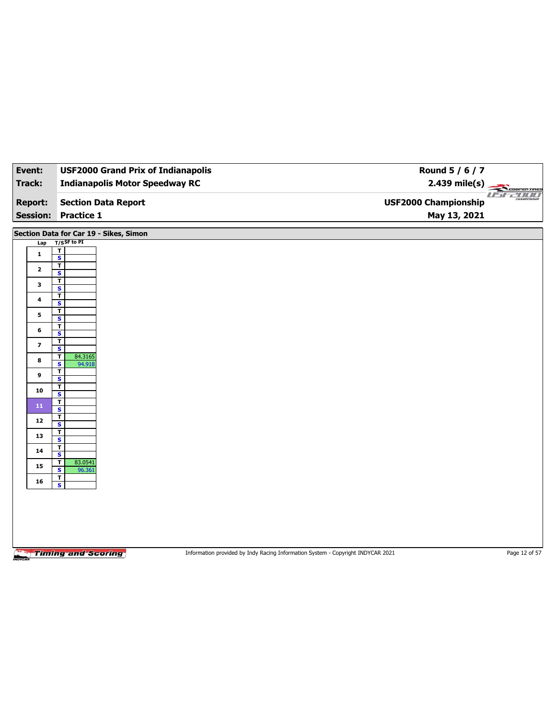| Event:                  | <b>USF2000 Grand Prix of Indianapolis</b>                | Round 5 / 6 / 7                                                                 |                |
|-------------------------|----------------------------------------------------------|---------------------------------------------------------------------------------|----------------|
| <b>Track:</b>           | <b>Indianapolis Motor Speedway RC</b>                    | $2.439$ mile(s)                                                                 | COOPERTIRES    |
| <b>Report:</b>          | <b>Section Data Report</b>                               | <b>USF2000 Championship</b>                                                     | <b>USEZION</b> |
| <b>Session:</b>         | <b>Practice 1</b>                                        | May 13, 2021                                                                    |                |
|                         |                                                          |                                                                                 |                |
|                         | Section Data for Car 19 - Sikes, Simon<br>$T/S$ SF to PI |                                                                                 |                |
| Lap<br>$\mathbf{1}$     | $\mathbf T$                                              |                                                                                 |                |
|                         | $\overline{\mathbf{s}}$<br>T                             |                                                                                 |                |
| $\mathbf{2}$            | $\mathbf{s}$                                             |                                                                                 |                |
| 3                       | $\overline{\mathbf{r}}$<br>$\overline{\mathbf{s}}$       |                                                                                 |                |
| 4                       | T                                                        |                                                                                 |                |
|                         | S<br>$\overline{\mathbf{r}}$                             |                                                                                 |                |
| 5                       | $\overline{\mathbf{s}}$                                  |                                                                                 |                |
| 6                       | T<br>$\mathbf{s}$                                        |                                                                                 |                |
| $\overline{\mathbf{z}}$ | $\mathbf T$<br>$\overline{\mathbf{s}}$                   |                                                                                 |                |
| 8                       | 84.3165<br>T                                             |                                                                                 |                |
|                         | $\mathbf{s}$<br>94.918<br>$\mathbf T$                    |                                                                                 |                |
| 9                       | $\overline{\mathbf{s}}$                                  |                                                                                 |                |
| 10                      | T<br>S                                                   |                                                                                 |                |
| ${\bf 11}$              | $\mathbf{T}$<br>$\overline{\mathbf{s}}$                  |                                                                                 |                |
| 12                      | T                                                        |                                                                                 |                |
| 13                      | S<br>T                                                   |                                                                                 |                |
|                         | $\overline{\mathbf{s}}$<br>T                             |                                                                                 |                |
| 14                      | $\mathbf{s}$                                             |                                                                                 |                |
| 15                      | 83.0541<br>т<br>$\overline{\mathbf{s}}$<br>96.361        |                                                                                 |                |
| 16                      | $\mathbf{T}$<br>$\mathbf{s}$                             |                                                                                 |                |
|                         |                                                          |                                                                                 |                |
|                         |                                                          |                                                                                 |                |
|                         |                                                          |                                                                                 |                |
|                         |                                                          |                                                                                 |                |
|                         |                                                          |                                                                                 |                |
|                         | <b>Timing and Scoring</b>                                | Information provided by Indy Racing Information System - Copyright INDYCAR 2021 | Page 12 of 57  |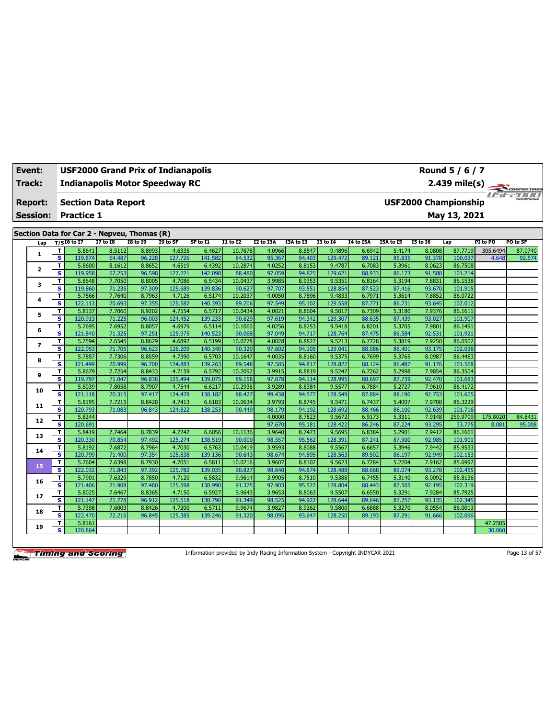| <b>Event:</b>                                                                                                                                             |                         | Round 5 / 6 / 7<br><b>USF2000 Grand Prix of Indianapolis</b><br><b>Indianapolis Motor Speedway RC</b><br>$2.439$ mile(s) |                  |                                             |                   |                   |                   |                  |                  |                   |                  |                  |                  |                             |          |             |
|-----------------------------------------------------------------------------------------------------------------------------------------------------------|-------------------------|--------------------------------------------------------------------------------------------------------------------------|------------------|---------------------------------------------|-------------------|-------------------|-------------------|------------------|------------------|-------------------|------------------|------------------|------------------|-----------------------------|----------|-------------|
| Track:                                                                                                                                                    |                         |                                                                                                                          |                  |                                             |                   |                   |                   |                  |                  |                   |                  |                  |                  |                             |          | COOPERTIRES |
| <b>Report:</b>                                                                                                                                            |                         | <b>Section Data Report</b>                                                                                               |                  |                                             |                   |                   |                   |                  |                  |                   |                  |                  |                  | <b>USF2000 Championship</b> | $H = t$  | <b>2000</b> |
| <b>Session:</b>                                                                                                                                           |                         | <b>Practice 1</b>                                                                                                        |                  |                                             |                   |                   |                   |                  |                  |                   |                  |                  |                  | May 13, 2021                |          |             |
|                                                                                                                                                           |                         |                                                                                                                          |                  |                                             |                   |                   |                   |                  |                  |                   |                  |                  |                  |                             |          |             |
|                                                                                                                                                           |                         |                                                                                                                          |                  | Section Data for Car 2 - Nepveu, Thomas (R) |                   |                   |                   |                  |                  |                   |                  |                  |                  |                             |          |             |
| $T/SI6$ to I7<br><b>I7 to I8</b><br><b>I8 to I9</b><br>I9 to SF<br>SF to I1<br><b>I1 to I2</b><br><b>I2 to I3A</b><br>I3A to I3<br><b>I3 to 14</b><br>Lap |                         |                                                                                                                          |                  |                                             |                   |                   |                   |                  |                  |                   | <b>I4 to I5A</b> | I5A to I5        | <b>I5 to 16</b>  | Lap                         | PI to PO | PO to SF    |
| 1                                                                                                                                                         | T                       | 5.8641                                                                                                                   | 8.5112           | 8.8993                                      | 4.6335            | 6.4627            | 10.7678           | 4.0966           | 8.8547           | 9.4896            | 6.6942           | 5.4174           | 8.0808           | 87.7719                     | 305.6494 | 87.0740     |
|                                                                                                                                                           | s                       | 119.874                                                                                                                  | 64.487           | 96.228                                      | 127.726           | 141.582           | 84.532            | 95.367           | 94.403           | 129.472           | 89.121           | 85.835           | 91.378           | 100.037                     | 4.648    | 92.574      |
| 2                                                                                                                                                         | T<br>s                  | 5.8600<br>119.958                                                                                                        | 8.1612<br>67.253 | 8.8652<br>96.598                            | 4.6519<br>127.221 | 6.4392<br>142.098 | 10.2874<br>88.480 | 4.0252<br>97.059 | 8.8153<br>94.825 | 9.4787<br>129.621 | 6.7083<br>88.933 | 5.3961<br>86.173 | 8.0623<br>91.588 | 86.7508<br>101.214          |          |             |
|                                                                                                                                                           | T                       | 5.8648                                                                                                                   | 7.7050           | 8.8005                                      | 4.7086            | 6.5434            | 10.0437           | 3.9985           | 8.9353           | 9.5351            | 6.8164           | 5.3194           | 7.8831           | 86.1538                     |          |             |
| з                                                                                                                                                         | s                       | 119.860                                                                                                                  | 71.235           | 97.309                                      | 125.689           | 139.836           | 90.627            | 97.707           | 93.551           | 128.854           | 87.523           | 87.416           | 93.670           | 101.915                     |          |             |
|                                                                                                                                                           | T                       | 5.7566                                                                                                                   | 7.7640           | 8.7963                                      | 4.7126            | 6.5174            | 10.2037           | 4.0050           | 8.7896           | 9.4833            | 6.7971           | 5.3614           | 7.8852           | 86.0722                     |          |             |
| 4                                                                                                                                                         | s                       | 122.113                                                                                                                  | 70.693           | 97.355                                      | 125.582           | 140.393           | 89.206            | 97.549           | 95.102           | 129.558           | 87.771           | 86.731           | 93.645           | 102.012                     |          |             |
| 5                                                                                                                                                         | T                       | 5.8137                                                                                                                   | 7.7060           | 8.9202                                      | 4.7554            | 6.5717            | 10.0434           | 4.0021           | 8.8604           | 9.5017            | 6.7309           | 5.3180           | 7.9376           | 86.1611                     |          |             |
|                                                                                                                                                           | s                       | 120.913                                                                                                                  | 71.225           | 96.003                                      | 124.452           | 139.233           | 90.629            | 97.619           | 94.342           | 129.307           | 88.635           | 87.439           | 93.027           | 101.907                     |          |             |
| 6                                                                                                                                                         | т                       | 5.7695                                                                                                                   | 7.6952           | 8.8057                                      | 4.6979            | 6.5114            | 10.1060           | 4.0256           | 8.8253           | 9.5418            | 6.8201           | 5.3705           | 7.9801           | 86.1491                     |          |             |
|                                                                                                                                                           | s                       | 121.840                                                                                                                  | 71.325           | 97.251                                      | 125.975           | 140.523           | 90.068            | 97.049           | 94.717           | 128.764           | 87.475           | 86.584           | 92.531           | 101.921                     |          |             |
| $\overline{ }$                                                                                                                                            | т                       | 5.7594                                                                                                                   | 7.6545           | 8.8629                                      | 4.6892            | 6.5199            | 10.0778           | 4.0028           | 8.8827           | 9.5213            | 6.7728           | 5.3819           | 7.9250           | 86.0502                     |          |             |
|                                                                                                                                                           | $\overline{\mathbf{s}}$ | 122.053                                                                                                                  | 71.705           | 96.623                                      | 126.209           | 140.340           | 90.320            | 97.602           | 94.105           | 129.041           | 88.086           | 86.401           | 93.175           | 102.038                     |          |             |
| 8                                                                                                                                                         | т                       | 5.7857                                                                                                                   | 7.7306           | 8.8559                                      | 4.7390            | 6.5703            | 10.1647           | 4.0035           | 8.8160           | 9.5375            | 6.7699           | 5.3765           | 8.0987           | 86.4483                     |          |             |
|                                                                                                                                                           | s<br>T                  | 121.499<br>5.8679                                                                                                        | 70.999<br>7.7254 | 96.700<br>8.8433                            | 124.883<br>4.7159 | 139.263<br>6.5792 | 89.548<br>10.2092 | 97.585<br>3.9915 | 94.817<br>8.8819 | 128.822<br>9.5247 | 88.124<br>6.7262 | 86.487<br>5.2998 | 91.176<br>7.9854 | 101.568<br>86.3504          |          |             |
| 9                                                                                                                                                         | s                       | 119.797                                                                                                                  | 71.047           | 96.838                                      | 125.494           | 139.075           | 89.158            | 97.878           | 94.114           | 128.995           | 88.697           | 87.739           | 92.470           | 101.683                     |          |             |
|                                                                                                                                                           | T                       | 5.8039                                                                                                                   | 7.8058           | 8.7907                                      | 4.7544            | 6.6217            | 10.2936           | 3.9289           | 8.8384           | 9.5577            | 6.7884           | 5.2727           | 7.9610           | 86.4172                     |          |             |
| 10                                                                                                                                                        | s                       | 121.118                                                                                                                  | 70.315           | 97.417                                      | 124.478           | 138.182           | 88.427            | 99.438           | 94.577           | 128.549           | 87.884           | 88.190           | 92.753           | 101.605                     |          |             |
|                                                                                                                                                           | T                       | 5.8195                                                                                                                   | 7.7215           | 8.8428                                      | 4.7413            | 6.6183            | 10.0634           | 3.9793           | 8.8745           | 9.5471            | 6.7437           | 5.4007           | 7.9708           | 86.3229                     |          |             |
| 11                                                                                                                                                        | s                       | 120.793                                                                                                                  | 71.083           | 96.843                                      | 124.822           | 138.253           | 90.449            | 98.179           | 94.192           | 128.692           | 88.466           | 86.100           | 92.639           | 101.716                     |          |             |
|                                                                                                                                                           | т                       | 5.8244                                                                                                                   |                  |                                             |                   |                   |                   | 4.0000           | 8.7823           | 9.5672            | 6.9173           | 5.3311           | 7.9148           | 259.9709                    | 175.8020 | 84.8431     |
| 12                                                                                                                                                        | s                       | 120.691                                                                                                                  |                  |                                             |                   |                   |                   | 97.670           | 95.181           | 128.422           | 86.246           | 87.224           | 93.295           | 33.775                      | 8.081    | 95.008      |
| 13                                                                                                                                                        | T                       | 5.8419                                                                                                                   | 7.7464           | 8.7839                                      | 4.7242            | 6.6056            | 10.1136           | 3.9640           | 8.7473           | 9.5695            | 6.8384           | 5.2901           | 7.9412           | 86.1661                     |          |             |
|                                                                                                                                                           | s                       | 120.330                                                                                                                  | 70.854           | 97.492                                      | 125.274           | 138.519           | 90.000            | 98.557           | 95.562           | 128.391           | 87.241           | 87,900           | 92.985           | 101.901                     |          |             |
| 14                                                                                                                                                        | т                       | 5.8192                                                                                                                   | 7.6872           | 8.7964                                      | 4.7030            | 6.5763            | 10.0419           | 3.9593           | 8.8088           | 9.5567            | 6.6657           | 5.3946           | 7.9442           | 85.9533                     |          |             |
|                                                                                                                                                           | $\overline{\mathbf{s}}$ | 120.799                                                                                                                  | 71.400           | 97.354                                      | 125.838           | 139.136           | 90.643            | 98.674           | 94.895           | 128.563           | 89.502           | 86.197           | 92.949           | 102.153                     |          |             |
| 15                                                                                                                                                        | т                       | 5.7604                                                                                                                   | 7.6398           | 8.7930                                      | 4.7051            | 6.5811            | 10.0216           | 3.9607           | 8.8107           | 9.5623            | 6.7284           | 5.2204           | 7.9162           | 85.6997                     |          |             |
|                                                                                                                                                           | s                       | 122.032                                                                                                                  | 71.843<br>7.6329 | 97.392<br>8.7850                            | 125.782<br>4.7120 | 139.035           | 90.827<br>9.9614  | 98.640<br>3.9905 | 94.874<br>8.7510 | 128.488           | 88.668           | 89.074<br>5.3140 | 93.278<br>8.0092 | 102.455<br>85.8136          |          |             |
| 16                                                                                                                                                        | т<br>s                  | 5.7901<br>121.406                                                                                                        | 71.908           | 97.480                                      | 125.598           | 6.5832<br>138.990 | 91.375            | 97.903           | 95.522           | 9.5388<br>128.804 | 6.7455<br>88.443 | 87.505           | 92.195           | 102.319                     |          |             |
|                                                                                                                                                           | т                       | 5.8025                                                                                                                   | 7.6467           | 8.8365                                      | 4.7150            | 6.5927            | 9.9643            | 3.9653           | 8.8063           | 9.5507            | 6.6550           | 5.3291           | 7.9284           | 85.7925                     |          |             |
| 17                                                                                                                                                        | s                       | 121.147                                                                                                                  | 71,778           | 96.912                                      | 125.518           | 138.790           | 91.349            | 98.525           | 94.922           | 128.644           | 89.646           | 87.257           | 93.135           | 102.345                     |          |             |
|                                                                                                                                                           | т                       | 5.7398                                                                                                                   | 7.6003           | 8.8426                                      | 4.7200            | 6.5711            | 9.9674            | 3.9827           | 8.9262           | 9.5800            | 6.6888           | 5.3270           | 8.0554           | 86.0013                     |          |             |
| 18                                                                                                                                                        | s                       | 122.470                                                                                                                  | 72.216           | 96.845                                      | 125.385           | 139.246           | 91.320            | 98.095           | 93.647           | 128,250           | 89.193           | 87.291           | 91.666           | 102.096                     |          |             |
| 19                                                                                                                                                        | T                       | 5.8161                                                                                                                   |                  |                                             |                   |                   |                   |                  |                  |                   |                  |                  |                  |                             | 47.2585  |             |
|                                                                                                                                                           | s                       | 120.864                                                                                                                  |                  |                                             |                   |                   |                   |                  |                  |                   |                  |                  |                  |                             | 30.060   |             |

Information provided by Indy Racing Information System - Copyright INDYCAR 2021 Page 13 of 57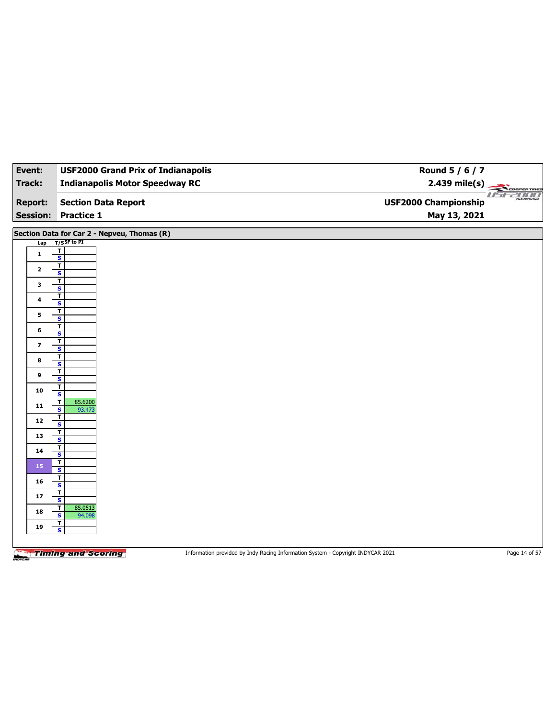| Event:         | <b>USF2000 Grand Prix of Indianapolis</b>          | Round 5 / 6 / 7                       |
|----------------|----------------------------------------------------|---------------------------------------|
| <b>Track:</b>  | <b>Indianapolis Motor Speedway RC</b>              | $2.439$ mile(s)<br>COOPERTIRES        |
| <b>Report:</b> | <b>Section Data Report</b>                         | useano<br><b>USF2000 Championship</b> |
|                | <b>Session: Practice 1</b>                         | May 13, 2021                          |
|                | Section Data for Car 2 - Nepveu, Thomas (R)        |                                       |
| Lap            | $T/S$ SF to PI                                     |                                       |
| 1              | $rac{1}{s}$                                        |                                       |
| $\mathbf{2}$   | T<br>$\overline{\mathbf{s}}$                       |                                       |
| 3              | T                                                  |                                       |
| 4              | $\overline{\mathbf{s}}$<br>T                       |                                       |
| 5              | S<br>$\overline{1}$                                |                                       |
| 6              | $\overline{\mathbf{s}}$<br>T                       |                                       |
| 7              | S<br>T                                             |                                       |
|                | $\overline{\mathbf{s}}$<br>т                       |                                       |
| 8              | $\overline{\mathsf{s}}$<br>T                       |                                       |
| 9              | $\overline{\mathbf{s}}$<br>$\mathbf{I}$            |                                       |
| 10             | S<br>85.6200                                       |                                       |
| 11             | $\mathbf T$<br>$\overline{\mathbf{s}}$<br>93.473   |                                       |
| $12$           | $\mathbf{I}$<br>$\overline{\mathbf{s}}$            |                                       |
| 13             | $rac{1}{s}$                                        |                                       |
| 14             | T<br>$\overline{\mathbf{s}}$                       |                                       |
| 15             | $\overline{\mathbf{r}}$<br>$\overline{\mathbf{s}}$ |                                       |
| 16             | $\overline{\mathbf{r}}$<br>$\overline{\mathbf{s}}$ |                                       |
| 17             | $\overline{I}$<br>$\overline{\mathbf{s}}$          |                                       |
| 18             | 85.0513<br>T<br>S<br>94.098                        |                                       |
| 19             | T                                                  |                                       |
|                | $\overline{\mathbf{s}}$                            |                                       |
|                |                                                    |                                       |

Information provided by Indy Racing Information System - Copyright INDYCAR 2021 Page 14 of 57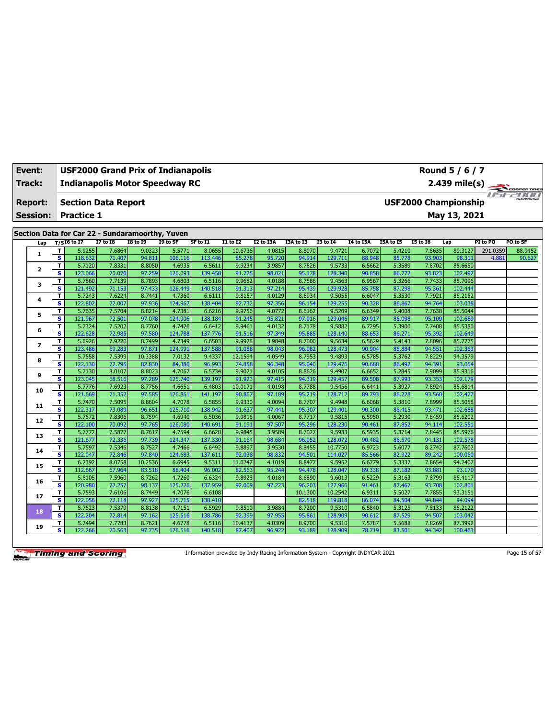| Event: |                 | Round 5 / 6 / 7<br><b>USF2000 Grand Prix of Indianapolis</b> |                   |                                                 |                  |                                       |                   |                  |                  |                  |                   |                  |                  |                  |                             |          |              |
|--------|-----------------|--------------------------------------------------------------|-------------------|-------------------------------------------------|------------------|---------------------------------------|-------------------|------------------|------------------|------------------|-------------------|------------------|------------------|------------------|-----------------------------|----------|--------------|
| Track: |                 |                                                              |                   |                                                 |                  | <b>Indianapolis Motor Speedway RC</b> |                   |                  |                  |                  |                   |                  |                  |                  | 2.439 mile(s)               |          | COOPER TIRES |
|        | <b>Report:</b>  |                                                              |                   | <b>Section Data Report</b>                      |                  |                                       |                   |                  |                  |                  |                   |                  |                  |                  | <b>USF2000 Championship</b> |          | ust-2000     |
|        | <b>Session:</b> |                                                              | <b>Practice 1</b> |                                                 |                  |                                       |                   |                  |                  |                  |                   |                  |                  |                  | May 13, 2021                |          |              |
|        |                 |                                                              |                   |                                                 |                  |                                       |                   |                  |                  |                  |                   |                  |                  |                  |                             |          |              |
|        |                 |                                                              |                   | Section Data for Car 22 - Sundaramoorthy, Yuven |                  |                                       |                   |                  |                  |                  |                   |                  |                  |                  |                             |          |              |
|        | Lap             |                                                              | $T/S$ I6 to I7    | <b>I7 to I8</b>                                 | <b>I8 to I9</b>  | I9 to SF                              | SF to I1          | <b>I1 to I2</b>  | <b>I2 to I3A</b> | I3A to I3        | <b>I3 to 14</b>   | <b>I4 to I5A</b> | I5A to I5        | <b>I5 to 16</b>  | Lap                         | PI to PO | PO to SF     |
|        | 1               | т<br>$\overline{\mathbf{s}}$                                 | 5.9255            | 7.6864                                          | 9.0323           | 5.5771                                | 8.0655            | 10.6736          | 4.0815           | 8.8070<br>94.914 | 9.4721            | 6.7072           | 5.4210           | 7.8635           | 89.3127                     | 291.0359 | 88.9452      |
|        |                 | T                                                            | 118.632<br>5.7120 | 71.407<br>7.8331                                | 94.811<br>8.8050 | 106.116<br>4.6935                     | 113.446<br>6.5611 | 85.278<br>9.9234 | 95.720<br>3.9857 | 8.7826           | 129.711<br>9.5733 | 88.948<br>6.5662 | 85.778<br>5.3589 | 93.903<br>7.8702 | 98.311<br>85.6650           | 4.881    | 90.627       |
|        | 2               | $\overline{\mathbf{s}}$                                      | 123.066           | 70.070                                          | 97.259           | 126.093                               | 139.458           | 91.725           | 98.021           | 95.178           | 128.340           | 90.858           | 86.772           | 93.823           | 102.497                     |          |              |
|        |                 | т                                                            | 5.7860            | 7.7139                                          | 8.7893           | 4.6803                                | 6.5116            | 9.9682           | 4.0188           | 8.7586           | 9.4563            | 6.9567           | 5.3266           | 7.7433           | 85.7096                     |          |              |
|        | з               | $\overline{\mathbf{s}}$                                      | 121.492           | 71.153                                          | 97.433           | 126.449                               | 140.518           | 91.313           | 97.214           | 95.439           | 129.928           | 85.758           | 87.298           | 95.361           | 102.444                     |          |              |
|        |                 | T                                                            | 5.7243            | 7.6224                                          | 8.7441           | 4.7360                                | 6.6111            | 9.8157           | 4.0129           | 8.6934           | 9.5055            | 6.6047           | 5.3530           | 7.7921           | 85.2152                     |          |              |
|        | 4               | $\overline{\mathbf{s}}$                                      | 122.802           | 72.007                                          | 97.936           | 124.962                               | 138.404           | 92.732           | 97.356           | 96.154           | 129.255           | 90.328           | 86.867           | 94.764           | 103.038                     |          |              |
|        |                 | т                                                            | 5.7635            | 7.5704                                          | 8.8214           | 4.7381                                | 6.6216            | 9.9756           | 4.0772           | 8.6162           | 9.5209            | 6.6349           | 5.4008           | 7.7638           | 85.5044                     |          |              |
|        | 5               | $\overline{\mathbf{s}}$                                      | 121.967           | 72.501                                          | 97.078           | 124.906                               | 138.184           | 91.245           | 95.821           | 97.016           | 129.046           | 89.917           | 86.098           | 95.109           | 102.689                     |          |              |
|        | 6               | T                                                            | 5.7324            | 7.5202                                          | 8.7760           | 4.7426                                | 6.6412            | 9.9461           | 4.0132           | 8.7178           | 9.5882            | 6.7295           | 5.3900           | 7.7408           | 85.5380                     |          |              |
|        |                 | s                                                            | 122.628           | 72.985                                          | 97.580           | 124.788                               | 137.776           | 91.516           | 97.349           | 95.885           | 128.140           | 88.653           | 86.271           | 95.392           | 102.649                     |          |              |
|        | $\overline{ }$  | т                                                            | 5.6926            | 7.9220                                          | 8.7499           | 4.7349                                | 6.6503            | 9.9928           | 3.9848           | 8.7000           | 9.5634            | 6.5629           | 5.4143           | 7.8096           | 85.7775                     |          |              |
|        |                 | s                                                            | 123.486           | 69.283                                          | 97.871           | 124.991                               | 137.588           | 91.088           | 98.043           | 96.082           | 128,473           | 90.904           | 85.884           | 94.551           | 102.363                     |          |              |
|        | 8               | т                                                            | 5.7558            | 7.5399                                          | 10.3388          | 7.0132                                | 9.4337            | 12.1594          | 4.0549           | 8.7953           | 9.4893            | 6.5785           | 5.3762           | 7.8229           | 94.3579                     |          |              |
|        |                 | s                                                            | 122.130           | 72.795                                          | 82.830           | 84.386                                | 96.993            | 74.858           | 96.348           | 95.040           | 129.476           | 90.688           | 86.492           | 94.391           | 93.054                      |          |              |
|        | 9               | т                                                            | 5.7130            | 8.0107                                          | 8.8023           | 4.7067                                | 6.5734            | 9.9021           | 4.0105           | 8.8626           | 9.4907            | 6.6652           | 5.2845           | 7.9099           | 85.9316                     |          |              |
|        |                 | s                                                            | 123.045           | 68.516                                          | 97.289           | 125.740                               | 139.197           | 91.923           | 97.415           | 94.319           | 129.457           | 89.508           | 87.993           | 93.353           | 102.179                     |          |              |
|        | 10              | т                                                            | 5.7776            | 7.6923                                          | 8.7756           | 4.6651                                | 6.4803            | 10.0171          | 4.0198           | 8.7788           | 9.5456            | 6.6441           | 5.3927           | 7.8924           | 85.6814                     |          |              |
|        |                 | s                                                            | 121.669           | 71.352                                          | 97.585           | 126.861                               | 141.197           | 90.867           | 97.189           | 95.219           | 128.712           | 89.793           | 86.228           | 93.560           | 102.477                     |          |              |
|        | 11              | т                                                            | 5.7470            | 7.5095                                          | 8.8604           | 4.7078                                | 6.5855            | 9.9330           | 4.0094           | 8.7707           | 9.4948            | 6.6068           | 5.3810           | 7.8999           | 85.5058                     |          |              |
|        |                 | s                                                            | 122.317           | 73.089                                          | 96.651           | 125.710                               | 138.942           | 91.637           | 97.441           | 95.307           | 129.401           | 90.300           | 86.415           | 93.471           | 102.688                     |          |              |
|        | 12              | т<br>s                                                       | 5.7572<br>122.100 | 7.8306<br>70.092                                | 8.7594<br>97.765 | 4.6940<br>126.080                     | 6.5036<br>140.691 | 9.9816<br>91.191 | 4.0067<br>97.507 | 8.7717<br>95.296 | 9.5815<br>128.230 | 6.5950<br>90.461 | 5.2930<br>87.852 | 7.8459<br>94.114 | 85.6202<br>102.551          |          |              |
|        |                 | т                                                            | 5.7772            | 7.5877                                          | 8.7617           | 4.7594                                | 6.6628            | 9.9845           | 3.9589           | 8.7027           | 9.5933            | 6.5935           | 5.3714           | 7.8445           | 85.5976                     |          |              |
|        | 13              | s                                                            | 121.677           | 72.336                                          | 97.739           | 124.347                               | 137.330           | 91.164           | 98.684           | 96.052           | 128.072           | 90.482           | 86.570           | 94.131           | 102.578                     |          |              |
|        |                 | т                                                            | 5.7597            | 7.5346                                          | 8.7527           | 4.7466                                | 6.6492            | 9.8897           | 3.9530           | 8.8455           | 10.7750           | 6.9723           | 5.6077           | 8.2742           | 87.7602                     |          |              |
|        | 14              | s                                                            | 122.047           | 72.846                                          | 97.840           | 124.683                               | 137.611           | 92.038           | 98.832           | 94.501           | 114.027           | 85.566           | 82.922           | 89.242           | 100.050                     |          |              |
|        |                 | T                                                            | 6.2392            | 8.0758                                          | 10.2536          | 6.6945                                | 9.5311            | 11.0247          | 4.1019           | 8.8477           | 9.5952            | 6.6779           | 5.3337           | 7.8654           | 94.2407                     |          |              |
|        | 15              | $\overline{\mathbf{s}}$                                      | 112.667           | 67.964                                          | 83.518           | 88.404                                | 96.002            | 82.563           | 95.244           | 94.478           | 128.047           | 89.338           | 87.182           | 93.881           | 93.170                      |          |              |
|        |                 | т                                                            | 5.8105            | 7.5960                                          | 8.7262           | 4.7260                                | 6.6324            | 9.8928           | 4.0184           | 8.6890           | 9.6013            | 6.5229           | 5.3163           | 7.8799           | 85.4117                     |          |              |
|        | 16              | $\overline{\mathbf{s}}$                                      | 120.980           | 72.257                                          | 98.137           | 125.226                               | 137.959           | 92.009           | 97.223           | 96.203           | 127.966           | 91.461           | 87.467           | 93.708           | 102.801                     |          |              |
|        |                 | T                                                            | 5.7593            | 7.6106                                          | 8.7449           | 4.7076                                | 6.6108            |                  |                  | 10.1300          | 10.2542           | 6.9311           | 5.5027           | 7.7855           | 93.3151                     |          |              |
|        | 17              | s                                                            | 122.056           | 72.118                                          | 97.927           | 125.715                               | 138.410           |                  |                  | 82.518           | 119,818           | 86.074           | 84.504           | 94.844           | 94.094                      |          |              |
|        | 18              | т                                                            | 5.7523            | 7.5379                                          | 8.8138           | 4.7151                                | 6.5929            | 9.8510           | 3.9884           | 8.7200           | 9.5310            | 6.5840           | 5.3125           | 7.8133           | 85.2122                     |          |              |
|        |                 | s                                                            | 122.204           | 72.814                                          | 97.162           | 125.516                               | 138.786           | 92.399           | 97.955           | 95.861           | 128,909           | 90.612           | 87.529           | 94.507           | 103.042                     |          |              |
|        | 19              | т                                                            | 5.7494            | 7.7783                                          | 8.7621           | 4.6778                                | 6.5116            | 10.4137          | 4.0309           | 8.9700           | 9.5310            | 7.5787           | 5.5688           | 7.8269           | 87.3992                     |          |              |
|        |                 | s                                                            | 122.266           | 70.563                                          | 97.735           | 126.516                               | 140.518           | 87.407           | 96.922           | 93.189           | 128.909           | 78.719           | 83.501           | 94.342           | 100.463                     |          |              |

Information provided by Indy Racing Information System - Copyright INDYCAR 2021 Page 15 of 57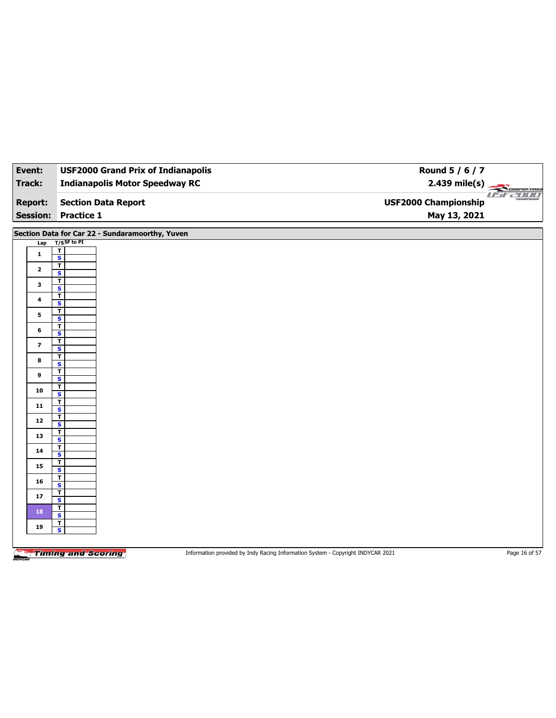| Event:          | <b>USF2000 Grand Prix of Indianapolis</b>          | Round 5 / 6 / 7                                               |
|-----------------|----------------------------------------------------|---------------------------------------------------------------|
| <b>Track:</b>   | <b>Indianapolis Motor Speedway RC</b>              | $2.439 \text{ mile(s)}$                                       |
| <b>Report:</b>  | <b>Section Data Report</b>                         | <b>USE2000</b><br>CHAMPIONSHIP<br><b>USF2000 Championship</b> |
| <b>Session:</b> | <b>Practice 1</b>                                  | May 13, 2021                                                  |
|                 |                                                    |                                                               |
|                 | Section Data for Car 22 - Sundaramoorthy, Yuven    |                                                               |
| Lap             | $T/S$ SF to PI                                     |                                                               |
| 1               | $rac{1}{s}$                                        |                                                               |
| $\mathbf{2}$    | ┳<br>$\overline{\mathbf{s}}$                       |                                                               |
| 3               | $\overline{\mathbf{r}}$                            |                                                               |
|                 | $\overline{\mathbf{s}}$<br>$\overline{\mathbf{r}}$ |                                                               |
| 4               | s                                                  |                                                               |
| 5               | $\overline{1}$<br>$\overline{\mathbf{s}}$          |                                                               |
| 6               | $\overline{1}$                                     |                                                               |
|                 | $\overline{\mathbf{s}}$<br>$\mathbf T$             |                                                               |
| 7               | $\overline{\mathbf{s}}$                            |                                                               |
| 8               | $\overline{\mathbf{r}}$<br>S                       |                                                               |
|                 | $\mathbf T$                                        |                                                               |
| 9               | $\overline{\mathbf{s}}$                            |                                                               |
| 10              | T<br>S                                             |                                                               |
| $11$            | T<br>$\overline{\mathbf{s}}$                       |                                                               |
|                 | т                                                  |                                                               |
| 12              | S                                                  |                                                               |
| 13              | T<br>$\overline{\mathbf{s}}$                       |                                                               |
| 14              | T                                                  |                                                               |
|                 | $\overline{\mathbf{s}}$<br>$\mathbf T$             |                                                               |
| 15              | $\overline{\mathbf{s}}$                            |                                                               |
| 16              | $\overline{\mathbf{r}}$<br>$\overline{\mathbf{s}}$ |                                                               |
| ${\bf 17}$      | $rac{1}{s}$                                        |                                                               |
| 18              | $\mathbf{I}$                                       |                                                               |
| 19              | $\overline{\mathbf{s}}$<br>$\overline{1}$          |                                                               |
|                 | $\overline{\mathbf{s}}$                            |                                                               |
|                 |                                                    |                                                               |

Information provided by Indy Racing Information System - Copyright INDYCAR 2021 Page 16 of 57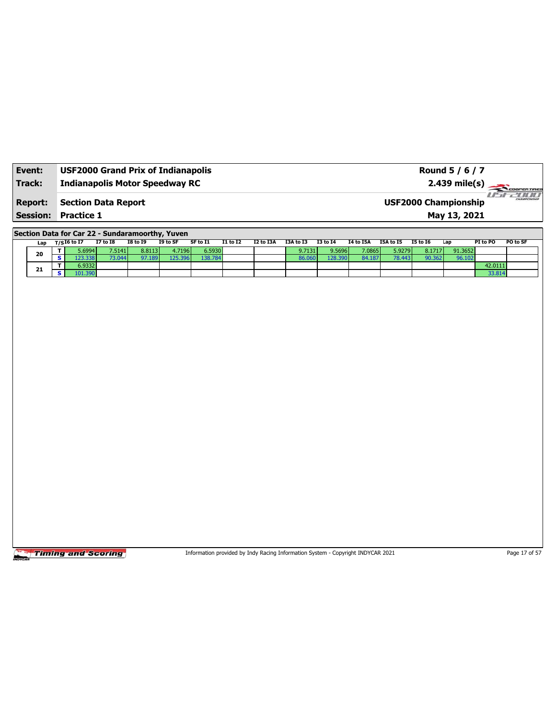| Event: | <b>USF2000 Grand Prix of Indianapolis</b> | Round 5 / 6 / 7                                            |
|--------|-------------------------------------------|------------------------------------------------------------|
| Track: | <b>Indianapolis Motor Speedway RC</b>     | $2.439$ mile(s) $\sqrt{C_{coherent}$                       |
|        | <b>Report: Section Data Report</b>        | 20000<br><b>HAMPSONSHIP</b><br><b>USF2000 Championship</b> |
|        | <b>Session: Practice 1</b>                | May 13, 2021                                               |

**Section Data for Car 22 - Sundaramoorthy, Yuven**

|    | Lap | ד / 16 to I7 | <b>I7 to I8</b> | I8 to I9 | I9 to SF | SF to I1 | <b>I1 to I2</b> | I2 to I3A | I3A to I3 | <b>I3 to I4</b> | 14 to 15A | I5A to I5 | <b>I5 to 16</b> | Lap     | PI to PO | PO to SF |
|----|-----|--------------|-----------------|----------|----------|----------|-----------------|-----------|-----------|-----------------|-----------|-----------|-----------------|---------|----------|----------|
|    | 20  | 5.69941      | 7.5141          | 8.8113   | 4.7196   | 6.5930   |                 |           | 9.7131 l' | 9.5696          | 7.0865    | 5.9279    | 8.1717          | 91.3652 |          |          |
|    |     | .338         | 3.044           |          | 25.      | 38.784   |                 |           |           | .28.390         | 84.187    | 78.443    | 90.3621         | 96.102  |          |          |
|    |     | 6.9332       |                 |          |          |          |                 |           |           |                 |           |           |                 |         | 42.0111  |          |
| 21 |     | 101.390      |                 |          |          |          |                 |           |           |                 |           |           |                 |         | 33.814   |          |

**Timing and Scoring** 

Information provided by Indy Racing Information System - Copyright INDYCAR 2021 Page 17 of 57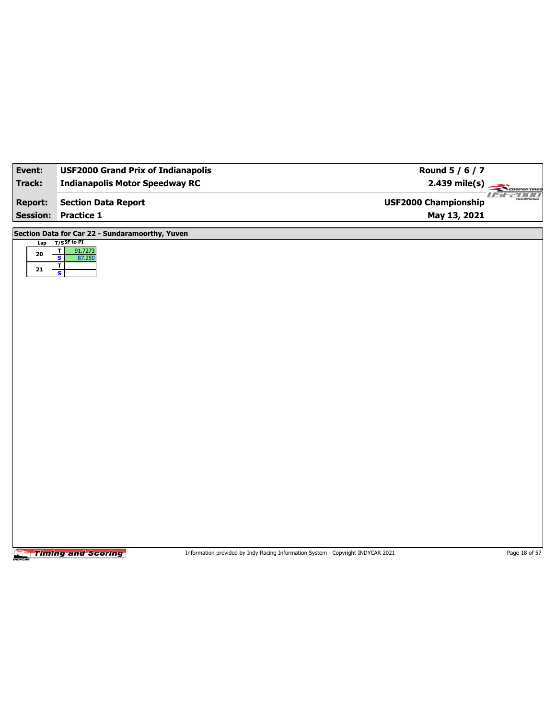| Event:          | <b>USF2000 Grand Prix of Indianapolis</b>             | Round 5 / 6 / 7                         |
|-----------------|-------------------------------------------------------|-----------------------------------------|
| <b>Track:</b>   | <b>Indianapolis Motor Speedway RC</b>                 | $2.439$ mile(s)<br>COOPERTIRES          |
| <b>Report:</b>  | <b>Section Data Report</b>                            | use zoon<br><b>USF2000 Championship</b> |
| <b>Session:</b> | <b>Practice 1</b>                                     | May 13, 2021                            |
|                 | Section Data for Car 22 - Sundaramoorthy, Yuven       |                                         |
|                 | Lap T/SSF to PI<br>$\overline{\mathbf{r}}$<br>91.7273 |                                         |
| ${\bf 20}$      | $\overline{\mathbf{s}}$<br>87.250<br>T                |                                         |
| 21              | ŋ                                                     |                                         |
|                 |                                                       |                                         |
|                 |                                                       |                                         |
|                 |                                                       |                                         |
|                 |                                                       |                                         |
|                 |                                                       |                                         |
|                 |                                                       |                                         |
|                 |                                                       |                                         |
|                 |                                                       |                                         |
|                 |                                                       |                                         |
|                 |                                                       |                                         |
|                 |                                                       |                                         |
|                 |                                                       |                                         |
|                 |                                                       |                                         |
|                 |                                                       |                                         |
|                 |                                                       |                                         |
|                 |                                                       |                                         |
|                 |                                                       |                                         |
|                 |                                                       |                                         |

Information provided by Indy Racing Information System - Copyright INDYCAR 2021 Page 18 of 57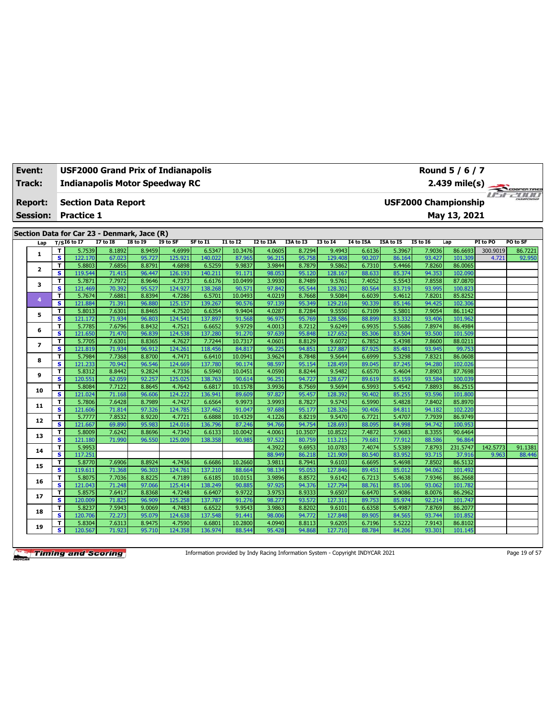| Event:          | Round 5 / 6 / 7<br><b>USF2000 Grand Prix of Indianapolis</b> |                                             |                  |                  |                   |                   |                  |                  |                  |                   |                  |                  |                             |                    |          |                |
|-----------------|--------------------------------------------------------------|---------------------------------------------|------------------|------------------|-------------------|-------------------|------------------|------------------|------------------|-------------------|------------------|------------------|-----------------------------|--------------------|----------|----------------|
| Track:          |                                                              | <b>Indianapolis Motor Speedway RC</b>       |                  |                  |                   |                   |                  |                  |                  |                   |                  |                  |                             | 2.439 mile(s)      |          | COOPER TIRES   |
| <b>Report:</b>  |                                                              | <b>Section Data Report</b>                  |                  |                  |                   |                   |                  |                  |                  |                   |                  |                  | <b>USF2000 Championship</b> |                    |          | <i>USE2000</i> |
| <b>Session:</b> |                                                              | <b>Practice 1</b>                           |                  |                  |                   |                   |                  |                  |                  |                   |                  |                  |                             | May 13, 2021       |          |                |
|                 |                                                              |                                             |                  |                  |                   |                   |                  |                  |                  |                   |                  |                  |                             |                    |          |                |
|                 |                                                              | Section Data for Car 23 - Denmark, Jace (R) |                  |                  |                   |                   |                  |                  |                  |                   |                  |                  |                             |                    |          |                |
| Lap             |                                                              | $T/SI6$ to I7                               | <b>I7 to I8</b>  | <b>I8 to 19</b>  | I9 to SF          | SF to I1          | $I1$ to $I2$     | <b>I2 to I3A</b> | I3A to I3        | <b>I3 to 14</b>   | I4 to I5A        | I5A to I5        | <b>I5 to 16</b>             | Lap                | PI to PO | PO to SF       |
| 1               | T                                                            | 5.7539                                      | 8.1892           | 8.9459           | 4.6999            | 6.5347            | 10.3476          | 4.0605           | 8.7294           | 9.4943            | 6.6136           | 5.3967           | 7.9036                      | 86.6693            | 300.9019 | 86.7221        |
|                 | $\overline{\mathbf{s}}$                                      | 122.170                                     | 67.023           | 95.727           | 125.921           | 140.022           | 87.965           | 96.215           | 95.758           | 129.408           | 90.207           | 86.164           | 93.427                      | 101.309            | 4.721    | 92.950         |
| $\mathbf{z}$    | T<br>s                                                       | 5.8803<br>119.544                           | 7.6856<br>71.415 | 8.8791<br>96.447 | 4.6898<br>126.193 | 6.5259<br>140.211 | 9.9837<br>91.171 | 3.9844<br>98.053 | 8.7879<br>95.120 | 9.5862<br>128.167 | 6.7310<br>88.633 | 5.4466<br>85.374 | 7.8260<br>94.353            | 86.0065<br>102.090 |          |                |
|                 | т                                                            | 5.7871                                      | 7.7972           | 8.9646           | 4.7373            | 6.6176            | 10.0499          | 3.9930           | 8.7489           | 9.5761            | 7.4052           | 5.5543           | 7.8558                      | 87,0870            |          |                |
| з               | s                                                            | 121.469                                     | 70.392           | 95.527           | 124.927           | 138.268           | 90.571           | 97.842           | 95.544           | 128.302           | 80.564           | 83.719           | 93.995                      | 100.823            |          |                |
|                 | T                                                            | 5.7674                                      | 7.6881           | 8.8394           | 4.7286            | 6.5701            | 10.0493          | 4.0219           | 8.7668           | 9.5084            | 6.6039           | 5.4612           | 7.8201                      | 85.8252            |          |                |
| 4               | s                                                            | 121.884                                     | 71.391           | 96.880           | 125.157           | 139.267           | 90.576           | 97.139           | 95.349           | 129,216           | 90.339           | 85.146           | 94.425                      | 102.306            |          |                |
|                 | T                                                            | 5.8013                                      | 7.6301           | 8.8465           | 4.7520            | 6.6354            | 9.9404           | 4.0287           | 8.7284           | 9.5550            | 6.7109           | 5.5801           | 7.9054                      | 86.1142            |          |                |
| 5               | s                                                            | 121.172                                     | 71.934           | 96.803           | 124.541           | 137.897           | 91.568           | 96.975           | 95.769           | 128.586           | 88.899           | 83.332           | 93.406                      | 101.962            |          |                |
|                 | т                                                            | 5.7785                                      | 7.6796           | 8.8432           | 4.7521            | 6.6652            | 9.9729           | 4.0013           | 8.7212           | 9.6249            | 6.9935           | 5.5686           | 7.8974                      | 86.4984            |          |                |
| 6               | s                                                            | 121.650                                     | 71.470           | 96.839           | 124.538           | 137.280           | 91.270           | 97.639           | 95.848           | 127.652           | 85.306           | 83.504           | 93.500                      | 101.509            |          |                |
|                 | т                                                            | 5.7705                                      | 7.6301           | 8.8365           | 4.7627            | 7.7244            | 10.7317          | 4.0601           | 8.8129           | 9.6072            | 6.7852           | 5.4398           | 7.8600                      | 88.0211            |          |                |
| 7               | $\overline{\mathbf{s}}$                                      | 121.819                                     | 71.934           | 96.912           | 124.261           | 118.456           | 84.817           | 96.225           | 94.851           | 127.887           | 87.925           | 85.481           | 93.945                      | 99.753             |          |                |
|                 | т                                                            | 5.7984                                      | 7.7368           | 8.8700           | 4.7471            | 6.6410            | 10.0941          | 3.9624           | 8.7848           | 9.5644            | 6.6999           | 5.3298           | 7.8321                      | 86.0608            |          |                |
| 8               | $\overline{\mathbf{s}}$                                      | 121.233                                     | 70.942           | 96.546           | 124.669           | 137.780           | 90.174           | 98.597           | 95.154           | 128.459           | 89.045           | 87.245           | 94.280                      | 102.026            |          |                |
|                 | T                                                            | 5.8312                                      | 8.8442           | 9.2824           | 4.7336            | 6.5940            | 10.0451          | 4.0590           | 8.8244           | 9.5482            | 6.6570           | 5.4604           | 7.8903                      | 87.7698            |          |                |
| 9               | $\overline{\mathbf{s}}$                                      | 120.551                                     | 62.059           | 92.257           | 125.025           | 138.763           | 90.614           | 96.251           | 94.727           | 128,677           | 89.619           | 85.159           | 93.584                      | 100.039            |          |                |
| 10              | т                                                            | 5.8084                                      | 7.7122           | 8.8645           | 4.7642            | 6.6817            | 10.1578          | 3.9936           | 8.7569           | 9.5694            | 6.5993           | 5.4542           | 7.8893                      | 86.2515            |          |                |
|                 | s                                                            | 121.024                                     | 71.168           | 96.606           | 124.222           | 136.941           | 89.609           | 97.827           | 95.457           | 128.392           | 90.402           | 85.255           | 93.596                      | 101.800            |          |                |
| 11              | т                                                            | 5.7806                                      | 7.6428           | 8.7989           | 4.7427            | 6.6564            | 9.9973           | 3.9993           | 8.7827           | 9.5743            | 6.5990           | 5.4828           | 7.8402                      | 85.8970            |          |                |
|                 | s                                                            | 121.606                                     | 71.814           | 97.326           | 124.785           | 137.462           | 91.047           | 97.688           | 95.177           | 128.326           | 90.406           | 84.811           | 94.182                      | 102.220            |          |                |
| 12              | т                                                            | 5.7777                                      | 7.8532           | 8.9220           | 4.7721            | 6.6888            | 10.4329          | 4.1226           | 8.8219           | 9.5470            | 6.7721           | 5.4707           | 7.7939                      | 86.9749            |          |                |
|                 | s                                                            | 121.667                                     | 69.890           | 95.983           | 124.016           | 136.796           | 87.246           | 94.766           | 94.754           | 128.693           | 88.095           | 84.998           | 94.742                      | 100.953            |          |                |
| 13              | т                                                            | 5.8009                                      | 7.6242           | 8.8696           | 4.7342            | 6.6133            | 10.0042          | 4.0061           | 10.3507          | 10.8522           | 7.4872           | 5.9683           | 8.3355                      | 90.6464            |          |                |
|                 | s                                                            | 121.180                                     | 71.990           | 96.550           | 125.009           | 138.358           | 90.985           | 97.522           | 80.759           | 113.215           | 79.681           | 77.912           | 88.586                      | 96.864             |          |                |
| 14              | т                                                            | 5.9953                                      |                  |                  |                   |                   |                  | 4.3922           | 9.6953           | 10.0783           | 7.4074           | 5.5389           | 7.8793                      | 231.5747           | 142.5773 | 91.1381        |
|                 | s                                                            | 117.251                                     |                  |                  |                   |                   |                  | 88.949           | 86.218           | 121.909           | 80.540           | 83.952           | 93.715                      | 37.916             | 9.963    | 88.446         |
| 15              | T                                                            | 5.8770                                      | 7.6906           | 8.8924           | 4.7436            | 6.6686            | 10.2660          | 3.9811           | 8.7941           | 9.6103            | 6.6695           | 5.4698           | 7.8502                      | 86.5132            |          |                |
|                 | s                                                            | 119.611                                     | 71.368           | 96.303           | 124.761           | 137.210           | 88.664           | 98.134           | 95.053           | 127.846           | 89.451           | 85.012           | 94.062                      | 101.492            |          |                |
| 16              | т<br>$\overline{\mathbf{s}}$                                 | 5.8075                                      | 7.7036           | 8.8225           | 4.7189            | 6.6185            | 10.0151          | 3.9896           | 8.8572           | 9.6142            | 6.7213           | 5.4638           | 7.9346                      | 86.2668            |          |                |
|                 |                                                              | 121.043                                     | 71.248           | 97.066           | 125.414           | 138.249           | 90.885           | 97.925           | 94.376           | 127.794           | 88.761           | 85.106           | 93.062                      | 101.782            |          |                |
| 17              | T<br>s                                                       | 5.8575<br>120.009                           | 7.6417<br>71.825 | 8.8368<br>96.909 | 4.7248<br>125.258 | 6.6407<br>137.787 | 9.9722<br>91.276 | 3.9753<br>98.277 | 8.9333<br>93.572 | 9.6507<br>127.31  | 6.6470<br>89.753 | 5.4086<br>85.974 | 8.0076<br>92.214            | 86.2962<br>101.747 |          |                |
|                 | т                                                            | 5.8237                                      | 7.5943           | 9.0069           | 4.7483            | 6.6522            | 9.9543           | 3.9863           | 8.8202           | 9.6101            | 6.6358           | 5.4987           | 7.8769                      | 86.2077            |          |                |
| 18              | s                                                            | 120.706                                     | 72.273           | 95.079           | 124.638           | 137.548           | 91.441           | 98.006           | 94.772           | 127.848           | 89.905           | 84.565           | 93.744                      | 101.852            |          |                |
|                 | т                                                            | 5.8304                                      | 7.6313           | 8.9475           | 4.7590            | 6.6801            | 10.2800          | 4.0940           | 8.8113           | 9.6205            | 6.7196           | 5.5222           | 7.9143                      | 86.8102            |          |                |
| 19              | s                                                            | 120.567                                     | 71.923           | 95.710           | 124.358           | 136.974           | 88.544           | 95.428           | 94.868           | 127.710           | 88.784           | 84.206           | 93.301                      | 101.145            |          |                |
|                 |                                                              |                                             |                  |                  |                   |                   |                  |                  |                  |                   |                  |                  |                             |                    |          |                |

Information provided by Indy Racing Information System - Copyright INDYCAR 2021 Page 19 of 57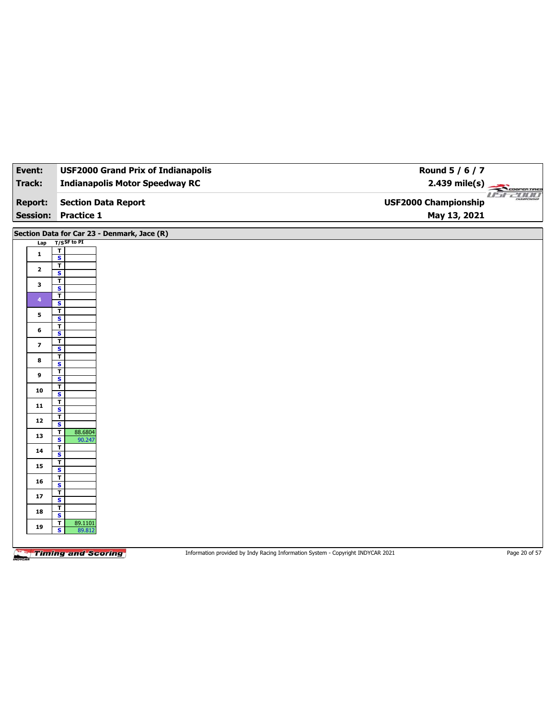| Event:                  | <b>USF2000 Grand Prix of Indianapolis</b>                                    | Round 5 / 6 / 7                                                                 |               |
|-------------------------|------------------------------------------------------------------------------|---------------------------------------------------------------------------------|---------------|
| <b>Track:</b>           | <b>Indianapolis Motor Speedway RC</b>                                        | $2.439 \text{ mile(s)}$                                                         |               |
| <b>Report:</b>          | <b>Section Data Report</b>                                                   | <b>USF2000 Championship</b>                                                     | USE2000       |
| <b>Session:</b>         | <b>Practice 1</b>                                                            | May 13, 2021                                                                    |               |
| Lap                     | Section Data for Car 23 - Denmark, Jace (R)<br>$T/S$ SF to PI<br>$\mathbf T$ |                                                                                 |               |
| $\mathbf{1}$            | $\overline{\mathbf{s}}$                                                      |                                                                                 |               |
| $\mathbf{2}$            | $\overline{\mathbf{r}}$<br>$\overline{\mathbf{s}}$                           |                                                                                 |               |
| 3                       | $\overline{I}$<br>$\overline{\mathbf{s}}$                                    |                                                                                 |               |
| $\blacktriangleleft$    | T<br>S                                                                       |                                                                                 |               |
| 5                       | $\mathbf{T}$<br>$\overline{\mathbf{s}}$                                      |                                                                                 |               |
| 6                       | $\overline{\mathbf{r}}$<br>S                                                 |                                                                                 |               |
| $\overline{\mathbf{z}}$ | $\mathbf T$<br>$\overline{\mathbf{s}}$                                       |                                                                                 |               |
| 8                       | T<br>S                                                                       |                                                                                 |               |
| 9                       | $\mathbf T$<br>$\overline{\mathbf{s}}$                                       |                                                                                 |               |
| 10                      | T<br>S                                                                       |                                                                                 |               |
| 11                      | $\mathbf{T}$                                                                 |                                                                                 |               |
| 12                      | $\overline{\mathbf{s}}$<br>т                                                 |                                                                                 |               |
| 13                      | ${\bf s}$<br>88.6804<br>T                                                    |                                                                                 |               |
| 14                      | $\overline{\mathbf{s}}$<br>90.247<br>т                                       |                                                                                 |               |
| 15                      | S<br>$\overline{\mathbf{r}}$                                                 |                                                                                 |               |
| 16                      | $\overline{\mathbf{s}}$<br>T                                                 |                                                                                 |               |
| 17                      | $\mathbf{s}$<br>T                                                            |                                                                                 |               |
| 18                      | $\overline{\mathbf{s}}$<br>T                                                 |                                                                                 |               |
|                         | S<br>$\mathbf{T}$<br>89.1101                                                 |                                                                                 |               |
| 19                      | $\overline{\mathbf{s}}$<br>89.812                                            |                                                                                 |               |
|                         | <b>Timing and Scoring</b>                                                    | Information provided by Indy Racing Information System - Copyright INDYCAR 2021 | Page 20 of 57 |

 $\overline{\phantom{a}}$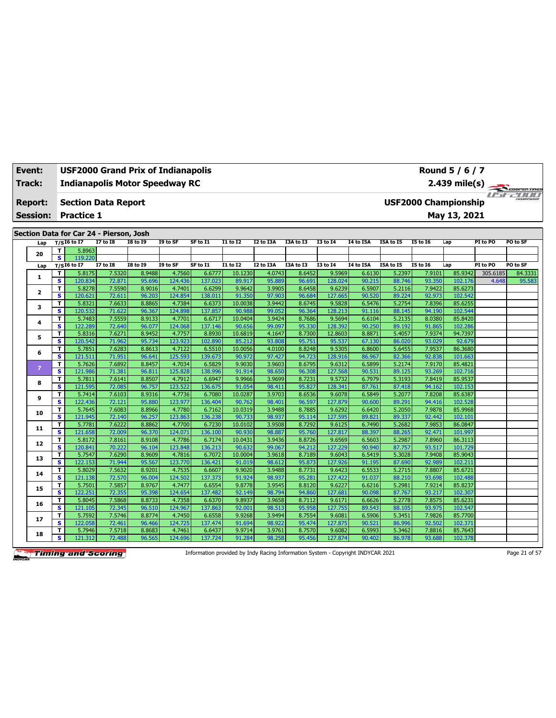| Event: | USF2000 Grand Prix of Indianapolis    |
|--------|---------------------------------------|
| Track: | <b>Indianapolis Motor Speedway RC</b> |
|        |                                       |

**Section Data Report Report: Session: Practice 1**

**Section Data for Car 24 - Pierson, Josh**

| Lap          |              | $_{\rm T/S}$ I6 to I7 | $\frac{1}{2}$ . The state of $\frac{1}{2}$ is the state of $\frac{1}{2}$<br><b>I7 to I8</b> | <b>I8 to I9</b> | I9 to SF | SF to I1 | <b>I1 to I2</b> | <b>I2 to I3A</b> | I3A to I3 | <b>I3 to 14</b> | I4 to I5A | I5A to I5 | <b>I5 to 16</b> | Lap     | PI to PO | PO to SF |
|--------------|--------------|-----------------------|---------------------------------------------------------------------------------------------|-----------------|----------|----------|-----------------|------------------|-----------|-----------------|-----------|-----------|-----------------|---------|----------|----------|
|              | T.           | 5.8963                |                                                                                             |                 |          |          |                 |                  |           |                 |           |           |                 |         |          |          |
| 20           | s.           | 119.220               |                                                                                             |                 |          |          |                 |                  |           |                 |           |           |                 |         |          |          |
| Lap          |              | $T/SI6$ to $I7$       | <b>I7 to 18</b>                                                                             | <b>I8 to I9</b> | I9 to SF | SF to I1 | I1 to I2        | I2 to I3A        | I3A to I3 | <b>I3 to 14</b> | I4 to I5A | I5A to I5 | <b>I5 to 16</b> | Lap     | PI to PO | PO to SF |
|              | T            | 5.8175                | 7.5320                                                                                      | 8.9488          | 4.7560   | 6.6777   | 10.1230         | 4.0743           | 8.6452    | 9.5969          | 6.6130    | 5.2397    | 7.9101          | 85.9342 | 305.6185 | 84.3331  |
| 1            | s            | 120.834               | 72.871                                                                                      | 95.696          | 124.436  | 137.023  | 89.917          | 95.889           | 96.691    | 128.024         | 90.215    | 88.746    | 93.350          | 102.176 | 4.648    | 95.583   |
| $\mathbf{z}$ | т            | 5.8278                | 7.5590                                                                                      | 8.9016          | 4.7401   | 6.6299   | 9.9642          | 3.9905           | 8.6458    | 9.6239          | 6.5907    | 5.2116    | 7.9422          | 85.6273 |          |          |
|              | $\mathbf{s}$ | 120.621               | 72.611                                                                                      | 96.203          | 124.854  | 138.011  | 91.350          | 97.903           | 96.684    | 127.665         | 90.520    | 89.224    | 92.973          | 102.542 |          |          |
| 3            | T            | 5.8321                | 7.6633                                                                                      | 8.8865          | 4.7384   | 6.6373   | 10.0038         | 3.9442           | 8.6745    | 9.5828          | 6.5476    | 5.2754    | 7.8396          | 85.6255 |          |          |
|              | s            | 120.532               | 71.622                                                                                      | 96.367          | 124.898  | 137.857  | 90.988          | 99.052           | 96.364    | 128.213         | 91.116    | 88.145    | 94.190          | 102.544 |          |          |
| 4            | T            | 5.7483                | 7.5559                                                                                      | 8.9133          | 4.7701   | 6.6717   | 10.0404         | 3.9424           | 8.7686    | 9.5694          | 6.6104    | 5.2135    | 8.0380          | 85.8420 |          |          |
|              | s            | 122.289               | 72.640                                                                                      | 96.077          | 124.068  | 137.146  | 90.656          | 99.097           | 95.330    | 128.392         | 90.250    | 89.192    | 91.865          | 102.286 |          |          |
| 5            | т            | 5.8316                | 7.6271                                                                                      | 8.9452          | 4.7757   | 8.8930   | 10.6819         | 4.1647           | 8.7300    | 12.8603         | 8.8871    | 5.4057    | 7.9374          | 94.7397 |          |          |
|              | $\mathbf{s}$ | 120.542               | 71.962                                                                                      | 95.734          | 123.923  | 102.890  | 85.212          | 93.808           | 95.751    | 95.537          | 67.130    | 86.020    | 93.029          | 92.679  |          |          |
| 6            | T            | 5.7851                | 7.6283                                                                                      | 8.8613          | 4.7122   | 6.5510   | 10.0056         | 4.0100           | 8.8248    | 9.5305          | 6.8600    | 5.6455    | 7.9537          | 86.3680 |          |          |
|              | s            | 121.511               | 71.951                                                                                      | 96.641          | 125.593  | 139.673  | 90.972          | 97.427           | 94.723    | 128.916         | 86.967    | 82.366    | 92.838          | 101.663 |          |          |
| 7            | T.           | 5.7626                | 7.6892                                                                                      | 8.8457          | 4.7034   | 6.5829   | 9.9030          | 3.9603           | 8.6795    | 9.6312          | 6.5899    | 5.2174    | 7.9170          | 85.4821 |          |          |
|              | s            | 121.986               | 71.381                                                                                      | 96.811          | 125.828  | 138.996  | 91.914          | 98.650           | 96.308    | 127.568         | 90.531    | 89.125    | 93.269          | 102.716 |          |          |
| 8            | т            | 5.7811                | 7.6141                                                                                      | 8.8507          | 4.7912   | 6.6947   | 9.9966          | 3.9699           | 8.7231    | 9.5732          | 6.7979    | 5.3193    | 7.8419          | 85.9537 |          |          |
|              | s            | 121.595               | 72.085                                                                                      | 96.757          | 123.522  | 136.675  | 91.054          | 98.411           | 95.827    | 128.341         | 87.761    | 87.418    | 94.162          | 102.153 |          |          |
| 9            | т            | 5.7414                | 7.6103                                                                                      | 8.9316          | 4.7736   | 6.7080   | 10.0287         | 3.9703           | 8.6536    | 9.6078          | 6.5849    | 5.2077    | 7.8208          | 85.6387 |          |          |
|              | s            | 122.436               | 72.121                                                                                      | 95.880          | 123.977  | 136.404  | 90.762          | 98.401           | 96.597    | 127.879         | 90.600    | 89.291    | 94.416          | 102.528 |          |          |
| 10           | T            | 5.7645                | 7.6083                                                                                      | 8.8966          | 4.7780   | 6.7162   | 10.0319         | 3.9488           | 8.7885    | 9.6292          | 6.6420    | 5.2050    | 7.9878          | 85.9968 |          |          |
|              | s            | 121.945               | 72.140                                                                                      | 96.257          | 123.863  | 136.238  | 90.733          | 98.937           | 95.114    | 127.595         | 89.821    | 89.337    | 92.442          | 102.101 |          |          |
| 11           | т            | 5.7781                | 7.6222                                                                                      | 8.8862          | 4.7700   | 6.7230   | 10.0102         | 3.9508           | 8.7292    | 9.6125          | 6.7490    | 5.2682    | 7.9853          | 86.0847 |          |          |
|              | s            | 121.658               | 72.009                                                                                      | 96.370          | 124.071  | 136.100  | 90.930          | 98.887           | 95.760    | 127.817         | 88.397    | 88.265    | 92.471          | 101.997 |          |          |
| 12           | T            | 5.8172                | 7.8161                                                                                      | 8.9108          | 4.7786   | 6.7174   | 10.0431         | 3.9436           | 8.8726    | 9.6569          | 6.5603    | 5.2987    | 7.8960          | 86.3113 |          |          |
|              | s            | 120.841               | 70.222                                                                                      | 96.104          | 123.848  | 136.213  | 90.632          | 99.067           | 94.212    | 127.229         | 90.940    | 87.757    | 93.517          | 101.729 |          |          |
| 13           | T            | 5.7547                | 7.6290                                                                                      | 8.9609          | 4.7816   | 6.7072   | 10.0004         | 3.9618           | 8.7189    | 9.6043          | 6.5419    | 5.3028    | 7.9408          | 85.9043 |          |          |
|              | $\mathbf{s}$ | 122.153               | 71.944                                                                                      | 95.567          | 123.770  | 136.421  | 91.019          | 98.612           | 95.873    | 127.926         | 91.195    | 87.690    | 92.989          | 102.211 |          |          |
| 14           | T            | 5.8029                | 7.5632                                                                                      | 8.9201          | 4.7535   | 6.6607   | 9.9020          | 3.9488           | 8.7731    | 9.6423          | 6.5533    | 5.2715    | 7.8807          | 85.6721 |          |          |
|              | s            | 121.138               | 72.570                                                                                      | 96.004          | 124.502  | 137.373  | 91.924          | 98.937           | 95.281    | 127.422         | 91.037    | 88.210    | 93.698          | 102.488 |          |          |
| 15           | T            | 5.7501                | 7.5857                                                                                      | 8.9767          | 4.7477   | 6.6554   | 9.8778          | 3.9545           | 8.8120    | 9.6227          | 6.6216    | 5.2981    | 7.9214          | 85.8237 |          |          |
|              | s            | 122.251               | 72.355                                                                                      | 95.398          | 124.654  | 137.482  | 92.149          | 98.794           | 94.860    | 127.681         | 90.098    | 87.767    | 93.217          | 102.307 |          |          |
| 16           | Т            | 5.8045                | 7.5868                                                                                      | 8.8733          | 4.7358   | 6.6370   | 9.8937          | 3.9658           | 8.7112    | 9.6171          | 6.6626    | 5.2778    | 7.8575          | 85.6231 |          |          |
|              | $\mathbf{s}$ | 121.105               | 72.345                                                                                      | 96.510          | 124.967  | 137.863  | 92.001          | 98.513           | 95.958    | 127.755         | 89.543    | 88.105    | 93.975          | 102.547 |          |          |
| 17           | T            | 5.7592                | 7.5746                                                                                      | 8.8774          | 4.7450   | 6.6558   | 9.9268          | 3.9494           | 8.7554    | 9.6081          | 6.5906    | 5.3451    | 7.9826          | 85.7700 |          |          |
|              | s            | 122.058               | 72.461                                                                                      | 96.466          | 124.725  | 137.474  | 91.694          | 98.922           | 95.474    | 127.875         | 90.521    | 86.996    | 92.502          | 102.371 |          |          |
| 18           | T            | 5.7946                | 7.5718                                                                                      | 8.8683          | 4.7461   | 6.6437   | 9.9714          | 3.9761           | 8.7570    | 9.6082          | 6.5993    | 5.3462    | 7.8816          | 85.7643 |          |          |
|              | s            | 121.312               | 72.488                                                                                      | 96.565          | 124.696  | 137.724  | 91.284          | 98.258           | 95.456    | 127.874         | 90.402    | 86.978    | 93.688          | 102.378 |          |          |

**Timing and Scoring** 

Information provided by Indy Racing Information System - Copyright INDYCAR 2021 Page 21 of 57

**USF2000 Championship**

**May 13, 2021**

**Round 5 / 6 / 7**



cooren mes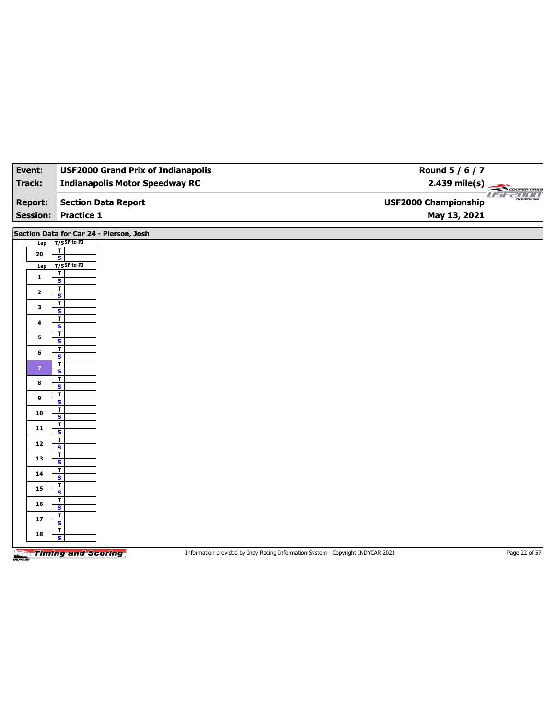| Event:                            | <b>USF2000 Grand Prix of Indianapolis</b>          | Round 5 / 6 / 7                                                                 |                         |
|-----------------------------------|----------------------------------------------------|---------------------------------------------------------------------------------|-------------------------|
| <b>Track:</b>                     | <b>Indianapolis Motor Speedway RC</b>              |                                                                                 | $2.439 \text{ mile(s)}$ |
| <b>Report:</b><br><b>Session:</b> | <b>Section Data Report</b><br><b>Practice 1</b>    | <b>USF2000 Championship</b><br>May 13, 2021                                     | <i>USE2000</i>          |
|                                   |                                                    |                                                                                 |                         |
|                                   | Section Data for Car 24 - Pierson, Josh            |                                                                                 |                         |
| Lap                               | $T/S$ SF to PI<br>$\overline{\mathbf{r}}$          |                                                                                 |                         |
| 20                                | $\overline{\mathbf{s}}$                            |                                                                                 |                         |
| Lap                               | T/SSF to PI                                        |                                                                                 |                         |
| $\mathbf{1}$                      | T<br>$\overline{\mathbf{s}}$                       |                                                                                 |                         |
|                                   | $\overline{\mathbf{r}}$                            |                                                                                 |                         |
| $\mathbf{2}$                      | $\overline{\mathbf{s}}$                            |                                                                                 |                         |
| 3                                 | T<br>$\overline{\mathbf{s}}$                       |                                                                                 |                         |
|                                   | $\overline{\mathbf{T}}$                            |                                                                                 |                         |
| $\ddot{\phantom{a}}$              | $\overline{\mathbf{s}}$                            |                                                                                 |                         |
| 5                                 | T<br>S                                             |                                                                                 |                         |
| 6                                 | $\overline{1}$                                     |                                                                                 |                         |
|                                   | $\mathbf{s}$<br>T                                  |                                                                                 |                         |
| $\overline{7}$                    | $\mathbf s$                                        |                                                                                 |                         |
| 8                                 | $\overline{\mathbf{r}}$                            |                                                                                 |                         |
|                                   | S<br>$\overline{\mathbf{r}}$                       |                                                                                 |                         |
| 9                                 | $\overline{\mathbf{s}}$                            |                                                                                 |                         |
| 10                                | $\overline{\mathbf{r}}$                            |                                                                                 |                         |
|                                   | S<br>$\overline{\mathbf{r}}$                       |                                                                                 |                         |
| 11                                | $\mathbf{s}$                                       |                                                                                 |                         |
| 12                                | $\overline{\mathbf{r}}$<br>$\mathbf{s}$            |                                                                                 |                         |
|                                   | т                                                  |                                                                                 |                         |
| 13                                | $\overline{\mathbf{s}}$                            |                                                                                 |                         |
| 14                                | $\overline{\mathbf{r}}$<br>$\overline{\mathbf{s}}$ |                                                                                 |                         |
| 15                                | T                                                  |                                                                                 |                         |
|                                   | S                                                  |                                                                                 |                         |
| 16                                | T<br>S                                             |                                                                                 |                         |
| 17                                | T                                                  |                                                                                 |                         |
|                                   | $\mathbf{s}$<br>$\overline{\mathbf{r}}$            |                                                                                 |                         |
| 18                                | S                                                  |                                                                                 |                         |
|                                   | <b>Timing and Scoring</b>                          |                                                                                 | Page 22 of 57           |
|                                   |                                                    | Information provided by Indy Racing Information System - Copyright INDYCAR 2021 |                         |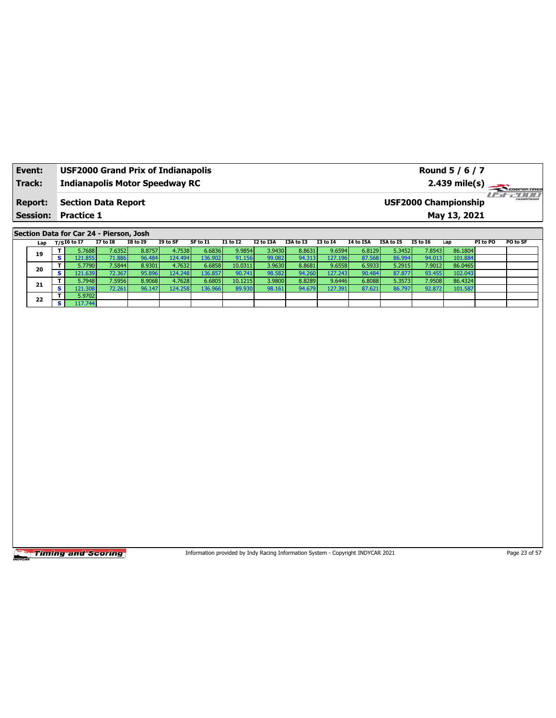| Event:          | <b>USF2000 Grand Prix of Indianapolis</b> | Round 5 / 6 / 7                                                  |
|-----------------|-------------------------------------------|------------------------------------------------------------------|
| <b>Track:</b>   | <b>Indianapolis Motor Speedway RC</b>     | $2.439 \text{ mile(s)}$                                          |
| <b>Report:</b>  | <b>Section Data Report</b>                | <b>2000</b><br><b>HAMPSONSHIP</b><br><b>USF2000 Championship</b> |
| <b>Session:</b> | <b>Practice 1</b>                         | May 13, 2021                                                     |
|                 |                                           |                                                                  |

## **Section Data for Car 24 - Pierson, Josh**

|  | Lap |            | T/SI6 to I7 | <b>I7 to I8</b> | <b>I8 to I9</b> | I9 to SF | SF to I1 | I1 to I2 | I2 to I3A | I3A to I3 | <b>I3 to 14</b> | <b>I4 to I5A</b> | I5A to I5 | <b>I5 to 16</b> | Lap     | PI to PO | PO to SF |
|--|-----|------------|-------------|-----------------|-----------------|----------|----------|----------|-----------|-----------|-----------------|------------------|-----------|-----------------|---------|----------|----------|
|  | 19  |            | 5.7688      | 7.6352          | 8.8757          | 4.7538   | 6.6836   | 9.9854   | 3.9430    | 8.8631    | 9.6594          | 6.8129           | 5.3452    | 7.8543          | 86.1804 |          |          |
|  |     | $\epsilon$ | 121.855     | 71.886          | 96.484          | 124.494  | .36.902  | 91.156   | 99.082    | 94.313    | 127.196         | 87.568           | 86.994    | 94.013          | 101.884 |          |          |
|  | 20  |            | 5.7790      | 7.5844          | 8.9301          | 4.7632   | 6.6858   | 10.0311  | 3.9630    | 8.8681    | 9.6558          | 6.5933           | 5.2915    | 7.9012          | 86.0465 |          |          |
|  |     | c.         | 121.639     | 72.367          | 95.896          | 124.248  | 36.857   | 90.741   | 98.582    | 94.260    | 127.243         | 90.484           | 87.877    | 93.455          | 102.043 |          |          |
|  |     |            | 5.7948      | 7.5956          | 8.9068          | 4.7628   | 6.6805   | 10.1215  | 3.9800    | 8.8289    | 9.6446          | 6.8088           | 5.3573    | 7.9508          | 86.4324 |          |          |
|  | 21  | $\epsilon$ | 121.308     | 72.261          | 96.147          | 124.258  | 136.966  | 89.930   | 98.161    | 94.679    | 127.391         | 87.621           | 86.797    | 92.872          | 101.587 |          |          |
|  | 22  |            | 5.9702      |                 |                 |          |          |          |           |           |                 |                  |           |                 |         |          |          |
|  |     | $\epsilon$ | 17.744      |                 |                 |          |          |          |           |           |                 |                  |           |                 |         |          |          |

**Timing and Scoring** 

Information provided by Indy Racing Information System - Copyright INDYCAR 2021 Page 23 of 57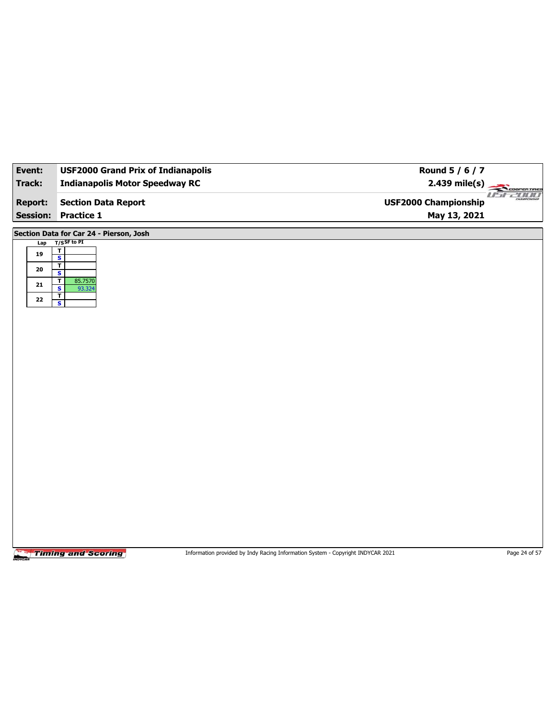| Event:          | <b>USF2000 Grand Prix of Indianapolis</b>         | Round 5 / 6 / 7                                        |
|-----------------|---------------------------------------------------|--------------------------------------------------------|
| <b>Track:</b>   | <b>Indianapolis Motor Speedway RC</b>             | $2.439$ mile(s)<br>COOPERTIRES                         |
| <b>Report:</b>  | <b>Section Data Report</b>                        | $II - I$<br><b>2000</b><br><b>USF2000 Championship</b> |
| <b>Session:</b> | <b>Practice 1</b>                                 | May 13, 2021                                           |
|                 | Section Data for Car 24 - Pierson, Josh           |                                                        |
| Lap             | $T/S$ SF to PI                                    |                                                        |
| 19              | $rac{1}{s}$<br>T                                  |                                                        |
| 20              | $\overline{\mathbf{s}}$                           |                                                        |
| 21              | 85.7570<br>T<br>$\overline{\mathbf{s}}$<br>93.324 |                                                        |
| 22              | $\mathbf{T}$<br>$\overline{\mathbf{s}}$           |                                                        |
|                 |                                                   |                                                        |
|                 |                                                   |                                                        |
|                 |                                                   |                                                        |
|                 |                                                   |                                                        |
|                 |                                                   |                                                        |
|                 |                                                   |                                                        |
|                 |                                                   |                                                        |
|                 |                                                   |                                                        |
|                 |                                                   |                                                        |
|                 |                                                   |                                                        |
|                 |                                                   |                                                        |
|                 |                                                   |                                                        |
|                 |                                                   |                                                        |
|                 |                                                   |                                                        |
|                 |                                                   |                                                        |
|                 |                                                   |                                                        |
|                 |                                                   |                                                        |
|                 |                                                   |                                                        |

Information provided by Indy Racing Information System - Copyright INDYCAR 2021 Page 24 of 57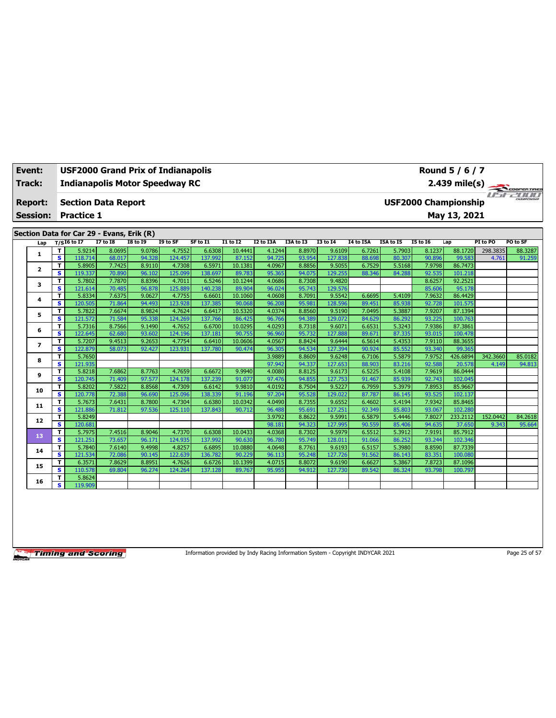| Event:                            |        | USF2000 Grand Prix of Indianapolis              |                 |                  |          |          | Round 5 / 6 / 7 |                  |                  |                   |                  |                  |                             |                    |          |             |
|-----------------------------------|--------|-------------------------------------------------|-----------------|------------------|----------|----------|-----------------|------------------|------------------|-------------------|------------------|------------------|-----------------------------|--------------------|----------|-------------|
| Track:                            |        | <b>Indianapolis Motor Speedway RC</b>           |                 |                  |          |          |                 |                  |                  |                   |                  |                  |                             | $2.439$ mile(s)    |          |             |
| <b>Report:</b><br><b>Session:</b> |        | <b>Section Data Report</b><br><b>Practice 1</b> |                 |                  |          |          |                 |                  |                  |                   |                  |                  | <b>USF2000 Championship</b> | May 13, 2021       |          | COOPERTIRES |
|                                   |        | Section Data for Car 29 - Evans, Erik (R)       |                 |                  |          |          |                 |                  |                  |                   |                  |                  |                             |                    |          |             |
| Lap                               |        | $T/SI6$ to I7                                   | <b>I7 to 18</b> | <b>I8 to I9</b>  | I9 to SF | SF to I1 | <b>I1 to I2</b> | <b>I2 to I3A</b> | I3A to I3        | <b>I3 to 14</b>   | <b>I4 to I5A</b> | I5A to I5        | <b>I5 to 16</b>             | Lap                | PI to PO | PO to SF    |
| 1                                 | T      | 5.9214                                          | 8.0695          | 9.0786           | 4.7552   | 6.6308   | 10.4441         | 4.1244           | 8.8970           | 9.6109            | 6.7261           | 5.7903           | 8.1237                      | 88.1720            | 298.3835 | 88.3287     |
|                                   | s      | 118.714                                         | 68.017          | 94.328           | 124.457  | 137.992  | 87.152          | 94.725           | 93.954           | 127.838           | 88.698           | 80.307           | 90.896                      | 99.583             | 4.761    | 91.259      |
| 2                                 | T.     | 5.8905                                          | 7.7425          | 8.9110           | 4.7308   | 6.5971   | 10.1381         | 4.0967           | 8.8856           | 9.5055            | 6.7529           | 5.5168           | 7.9798                      | 86,7473            |          |             |
|                                   | s      | 119.337                                         | 70.890          | 96.102           | 125.099  | 138.697  | 89.783          | 95.365           | 94.075           | 129.255           | 88.346           | 84.288           | 92.535                      | 101.218            |          |             |
| 3                                 | T      | 5.7802                                          | 7.7870          | 8.8396           | 4.7011   | 6.5246   | 10.1244         | 4.0686           | 8.7308           | 9.4820            |                  |                  | 8.6257                      | 92.2521            |          |             |
|                                   | s      | 121.614                                         | 70.485          | 96.878           | 125.889  | 140.238  | 89.904          | 96.024           | 95.743           | 129.576           |                  |                  | 85.606                      | 95.178             |          |             |
| 4                                 | T      | 5.8334                                          | 7.6375          | 9.0627           | 4.7755   | 6.6601   | 10.1060         | 4.0608           | 8.7091           | 9.5542            | 6.6695           | 5.4109           | 7.9632                      | 86.4429            |          |             |
|                                   | s      | 120.505                                         | 71.864          | 94.493           | 123.928  | 137.385  | 90.068          | 96.208           | 95.981           | 128.596           | 89.451           | 85.938           | 92.728                      | 101.575            |          |             |
| 5                                 | T      | 5.7822                                          | 7.6674          | 8.9824           | 4.7624   | 6.6417   | 10.5320         | 4.0374           | 8.8560           | 9.5190            | 7.0495           | 5.3887           | 7.9207                      | 87.1394            |          |             |
|                                   | s      | 121.572                                         | 71.584          | 95.338           | 124.269  | 137.766  | 86.425          | 96.766           | 94.389           | 129.072           | 84.629           | 86.292           | 93.225                      | 100.763            |          |             |
| 6                                 | т      | 5.7316                                          | 8.7566          | 9.1490           | 4.7652   | 6.6700   | 10.0295         | 4.0293           | 8.7318           | 9.6071            | 6.6531           | 5.3243           | 7.9386                      | 87.3861            |          |             |
|                                   | s      | 122.645                                         | 62.680          | 93.602           | 124.196  | 137.181  | 90.755          | 96.960           | 95.732           | 127.888           | 89.671           | 87.335           | 93.015                      | 100.478            |          |             |
| $\overline{ }$                    | T      | 5.7207                                          | 9.4513          | 9.2653           | 4.7754   | 6.6410   | 10.0606         | 4.0567           | 8.8424           | 9.6444            | 6.5614           | 5.4353           | 7.9110                      | 88.3655            |          |             |
|                                   | s      | 122.879                                         | 58.073          | 92.427           | 123.931  | 137.780  | 90.474          | 96.305           | 94.534           | 127.394           | 90.924           | 85.552           | 93.340                      | 99.365             |          |             |
| 8                                 | т      | 5.7650                                          |                 |                  |          |          |                 | 3.9889           | 8.8609           | 9.6248            | 6.7106           | 5.5879           | 7.9752                      | 426.6894           | 342.3660 | 85.0182     |
|                                   | s      | 121.935                                         |                 |                  |          |          |                 | 97.942           | 94.337           | 127.653           | 88.903           | 83.216           | 92.588                      | 20.578             | 4.149    | 94.813      |
| 9                                 | T      | 5.8218                                          | 7.6862          | 8.7763           | 4.7659   | 6.6672   | 9.9940          | 4.0080           | 8.8125           | 9.6173            | 6.5225           | 5.4108           | 7.9619                      | 86.0444            |          |             |
|                                   | s      | 120.745                                         | 71.409          | 97.577           | 124.178  | 137.239  | 91.077          | 97.476           | 94.855           | 127.753           | 91.467           | 85.939           | 92.743                      | 102.045            |          |             |
| 10                                | т      | 5.8202                                          | 7.5822          | 8.8568           | 4.7309   | 6.6142   | 9.9810          | 4.0192           | 8.7504           | 9.5227            | 6.7959           | 5.3979           | 7.8953                      | 85.9667            |          |             |
|                                   | s      | 120.778                                         | 72.388          | 96.690           | 125.096  | 138.339  | 91.196          | 97.204           | 95.528           | 129.022           | 87.787           | 86.145           | 93.525                      | 102.137            |          |             |
| 11                                | T<br>s | 5.7673                                          | 7.6431          | 8.7800<br>97.536 | 4.7304   | 6.6380   | 10.0342         | 4.0490           | 8.7355<br>95.691 | 9.6552            | 6.4602           | 5.4194<br>85.803 | 7.9342<br>93.067            | 85.8465<br>102.280 |          |             |
|                                   |        | 121.886<br>5.8249                               | 71.812          |                  | 125.110  | 137.843  | 90.712          | 96.488<br>3.9792 | 8.8622           | 127.251<br>9.5991 | 92.349<br>6.5879 | 5.4446           | 7.8027                      | 233.2112           | 152.0442 | 84.2618     |
| 12                                | т<br>s | 120.681                                         |                 |                  |          |          |                 | 98.181           | 94.323           | 127.995           | 90.559           | 85.406           | 94.635                      | 37.650             | 9.343    | 95.664      |
|                                   | T      | 5.7975                                          | 7.4516          | 8.9046           | 4.7370   | 6.6308   | 10.0433         | 4.0368           | 8.7302           | 9.5979            | 6.5512           | 5.3912           | 7.9191                      | 85.7912            |          |             |
| 13                                | s      | 121.251                                         | 73.657          | 96.171           | 124.935  | 137.992  | 90.630          | 96.780           | 95.749           | 128.011           | 91.066           | 86.252           | 93.244                      | 102.346            |          |             |
|                                   | т      | 5.7840                                          | 7.6140          | 9.4998           | 4.8257   | 6.6895   | 10.0880         | 4.0648           | 8.7761           | 9.6193            | 6.5157           | 5.3980           | 8.8590                      | 87.7339            |          |             |
| 14                                | s      | 121.534                                         | 72.086          | 90.145           | 122.639  | 136.782  | 90.229          | 96.113           | 95.248           | 127.726           | 91.562           | 86.143           | 83.351                      | 100.080            |          |             |
|                                   | т      | 6.3571                                          | 7.8629          | 8.8951           | 4.7626   | 6.6726   | 10.1399         | 4.0715           | 8.8072           | 9.6190            | 6.6627           | 5.3867           | 7.8723                      | 87.1096            |          |             |
| 15                                | s      | 110.578                                         | 69.804          | 96.274           | 124.264  | 137.128  | 89.767          | 95.955           | 94.912           | 127.730           | 89.542           | 86.324           | 93.798                      | 100.797            |          |             |
|                                   | т      | 5.8624                                          |                 |                  |          |          |                 |                  |                  |                   |                  |                  |                             |                    |          |             |
| 16                                |        | 119.909                                         |                 |                  |          |          |                 |                  |                  |                   |                  |                  |                             |                    |          |             |
|                                   | s      |                                                 |                 |                  |          |          |                 |                  |                  |                   |                  |                  |                             |                    |          |             |

Information provided by Indy Racing Information System - Copyright INDYCAR 2021 Page 25 of 57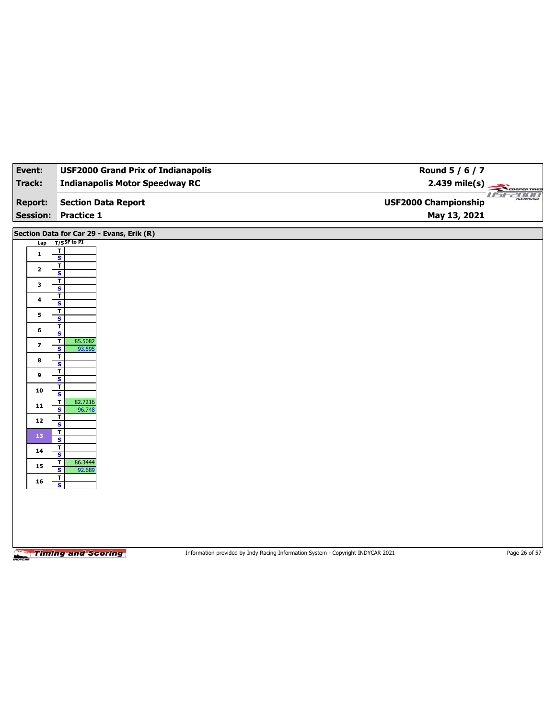| Event:                            | <b>USF2000 Grand Prix of Indianapolis</b>                   | Round 5 / 6 / 7                                                                 |                      |
|-----------------------------------|-------------------------------------------------------------|---------------------------------------------------------------------------------|----------------------|
| <b>Track:</b>                     | <b>Indianapolis Motor Speedway RC</b>                       | $2.439$ mile(s)                                                                 | COOPERTIRES          |
| <b>Report:</b><br><b>Session:</b> | <b>Section Data Report</b><br><b>Practice 1</b>             | <b>USF2000 Championship</b><br>May 13, 2021                                     | useano<br>CHAMPIONSH |
|                                   | Section Data for Car 29 - Evans, Erik (R)                   |                                                                                 |                      |
| Lap                               | $T/S$ SF to PI                                              |                                                                                 |                      |
| $\mathbf{1}$                      | T<br>$\overline{\mathbf{s}}$                                |                                                                                 |                      |
| $\mathbf{2}$                      | $\overline{\mathbf{r}}$                                     |                                                                                 |                      |
| 3                                 | $\mathbf{s}$<br>T                                           |                                                                                 |                      |
|                                   | $\overline{\mathbf{s}}$<br>T                                |                                                                                 |                      |
| $\ddot{\phantom{a}}$              | $\mathbf{s}$                                                |                                                                                 |                      |
| 5                                 | $\overline{\mathbf{r}}$<br>$\overline{\mathbf{s}}$          |                                                                                 |                      |
| 6                                 | T<br>S                                                      |                                                                                 |                      |
| $\overline{\mathbf{z}}$           | 85.5082<br>т<br>$\overline{\mathbf{s}}$<br>93.595           |                                                                                 |                      |
| 8                                 | T                                                           |                                                                                 |                      |
|                                   | S<br>$\mathbf T$                                            |                                                                                 |                      |
| 9                                 | $\overline{\mathbf{s}}$<br>T                                |                                                                                 |                      |
| 10                                | $\overline{\mathbf{s}}$                                     |                                                                                 |                      |
| 11                                | 82.7216<br>$\mathbf T$<br>$\overline{\mathbf{s}}$<br>96.748 |                                                                                 |                      |
| 12                                | T<br>S                                                      |                                                                                 |                      |
| 13                                | $\mathbf{T}$<br>$\overline{\mathbf{s}}$                     |                                                                                 |                      |
| 14                                | T                                                           |                                                                                 |                      |
|                                   | $\mathbf{s}$<br>86.3444<br>T                                |                                                                                 |                      |
| 15                                | $\overline{\mathbf{s}}$<br>92.689<br>$\mathbf{T}$           |                                                                                 |                      |
| ${\bf 16}$                        | $\mathbf{s}$                                                |                                                                                 |                      |
|                                   |                                                             |                                                                                 |                      |
|                                   |                                                             |                                                                                 |                      |
|                                   |                                                             |                                                                                 |                      |
|                                   |                                                             |                                                                                 |                      |
| MOYCAR                            | <b>Timing and Scoring</b>                                   | Information provided by Indy Racing Information System - Copyright INDYCAR 2021 | Page 26 of 57        |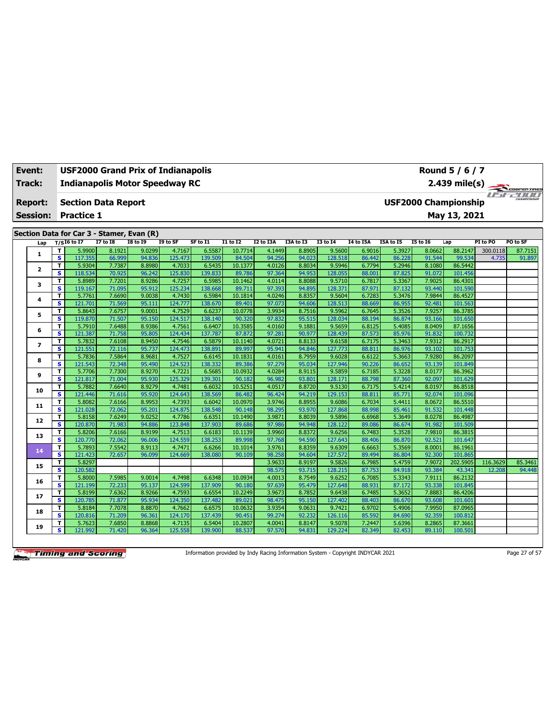| Event:                                                                                                                                                                                                      | <b>USF2000 Grand Prix of Indianapolis</b><br>Round 5 / 6 / 7 |                                           |                  |                  |                   |                   |                   |                  |                  |                   |                  |                  |                             |                    |                  |                      |
|-------------------------------------------------------------------------------------------------------------------------------------------------------------------------------------------------------------|--------------------------------------------------------------|-------------------------------------------|------------------|------------------|-------------------|-------------------|-------------------|------------------|------------------|-------------------|------------------|------------------|-----------------------------|--------------------|------------------|----------------------|
| Track:                                                                                                                                                                                                      |                                                              | <b>Indianapolis Motor Speedway RC</b>     |                  |                  |                   |                   |                   |                  |                  |                   |                  |                  |                             | $2.439$ mile(s)    |                  | COOPERTIRES          |
| <b>Report:</b>                                                                                                                                                                                              |                                                              | <b>Section Data Report</b>                |                  |                  |                   |                   |                   |                  |                  |                   |                  |                  | <b>USF2000 Championship</b> |                    | 11 <del>51</del> | <b>PERTIFICATION</b> |
| <b>Session:</b>                                                                                                                                                                                             |                                                              | <b>Practice 1</b>                         |                  |                  |                   |                   |                   |                  |                  |                   |                  |                  |                             | May 13, 2021       |                  |                      |
|                                                                                                                                                                                                             |                                                              |                                           |                  |                  |                   |                   |                   |                  |                  |                   |                  |                  |                             |                    |                  |                      |
|                                                                                                                                                                                                             |                                                              | Section Data for Car 3 - Stamer, Evan (R) |                  |                  |                   |                   |                   |                  |                  |                   |                  |                  |                             |                    |                  |                      |
| $T/S$ I6 to I7<br><b>I8 to I9</b><br><b>I7 to I8</b><br>I9 to SF<br>SF to I1<br>$I1$ to $I2$<br>I2 to I3A<br>I3A to I3<br><b>I3 to 14</b><br><b>I4 to I5A</b><br>I5A to I5<br><b>15 to 16</b><br>Lap<br>Lap |                                                              |                                           |                  |                  |                   |                   |                   |                  |                  |                   |                  |                  | PI to PO                    | PO to SF           |                  |                      |
| $\mathbf{1}$                                                                                                                                                                                                | т                                                            | 5.9900                                    | 8.1921           | 9.0299           | 4.7167            | 6.5587            | 10.7714           | 4.1449           | 8.8905           | 9.5600            | 6.9016           | 5.3927           | 8.0662                      | 88.2147            | 300.0118         | 87.7151              |
|                                                                                                                                                                                                             | $\overline{\mathbf{s}}$                                      | 117.355                                   | 66.999           | 94.836           | 125.473           | 139.509           | 84.504            | 94.256           | 94.023           | 128.518           | 86.442           | 86.228           | 91.544                      | 99.534             | 4.735            | 91.897               |
| $\overline{2}$                                                                                                                                                                                              | т<br>S                                                       | 5.9304<br>118.534                         | 7.7387<br>70.925 | 8.8980<br>96.242 | 4.7033<br>125.830 | 6.5435<br>139.833 | 10.1377<br>89.786 | 4.0126<br>97.364 | 8.8034<br>94.953 | 9.5946<br>128.055 | 6.7794<br>88.001 | 5.2946<br>87.825 | 8.1080<br>91.072            | 86.5442<br>101.456 |                  |                      |
|                                                                                                                                                                                                             | т                                                            | 5.8989                                    | 7.7201           | 8.9286           | 4.7257            | 6.5985            | 10.1462           | 4.0114           | 8.8088           | 9.5710            | 6.7817           | 5.3367           | 7.9025                      | 86.4301            |                  |                      |
| 3                                                                                                                                                                                                           | $\overline{\mathbf{s}}$                                      | 119.167                                   | 71.095           | 95.912           | 125.234           | 138.668           | 89.711            | 97.393           | 94.895           | 128.371           | 87.971           | 87.132           | 93.440                      | 101.590            |                  |                      |
|                                                                                                                                                                                                             | т                                                            | 5.7761                                    | 7.6690           | 9.0038           | 4.7430            | 6.5984            | 10.1814           | 4.0246           | 8.8357           | 9.5604            | 6.7283           | 5.3476           | 7.9844                      | 86.4527            |                  |                      |
| 4                                                                                                                                                                                                           | $\overline{\mathbf{s}}$                                      | 121.701                                   | 71.569           | 95.111           | 124.777           | 138.670           | 89.401            | 97.073           | 94.606           | 128.513           | 88.669           | 86.955           | 92.481                      | 101.563            |                  |                      |
| 5                                                                                                                                                                                                           | т                                                            | 5.8643                                    | 7.6757           | 9.0001           | 4.7529            | 6.6237            | 10.0778           | 3.9934           | 8.7516           | 9.5962            | 6.7645           | 5.3526           | 7.9257                      | 86.3785            |                  |                      |
|                                                                                                                                                                                                             | $\overline{\mathbf{s}}$                                      | 119.870                                   | 71.507           | 95.150           | 124.517           | 138.140           | 90.320            | 97.832           | 95.515           | 128.034           | 88.194           | 86.874           | 93.166                      | 101.650            |                  |                      |
| 6                                                                                                                                                                                                           | T                                                            | 5.7910                                    | 7.6488           | 8.9386           | 4.7561            | 6.6407            | 10.3585           | 4.0160           | 9.1881           | 9.5659            | 6.8125           | 5.4085           | 8.0409                      | 87.1656            |                  |                      |
|                                                                                                                                                                                                             | $\overline{\mathbf{s}}$                                      | 121.387                                   | 71.758           | 95.805           | 124.434           | 137.787           | 87.872            | 97.281           | 90.977           | 128.439           | 87.573           | 85.976           | 91.832                      | 100.732            |                  |                      |
| 7                                                                                                                                                                                                           | т                                                            | 5.7832                                    | 7.6108           | 8.9450           | 4.7546            | 6.5879            | 10.1140           | 4.0721           | 8.8133           | 9.6158            | 6.7175           | 5.3463           | 7.9312                      | 86.2917            |                  |                      |
|                                                                                                                                                                                                             | $\overline{\mathbf{s}}$                                      | 121.551                                   | 72.116           | 95.737           | 124.473           | 138.891           | 89.997            | 95.941           | 94.846           | 127.773           | 88.811           | 86.976           | 93.102<br>7.9280            | 101.753<br>86.2097 |                  |                      |
| 8                                                                                                                                                                                                           | T<br>$\overline{\mathbf{s}}$                                 | 5.7836<br>121.543                         | 7.5864<br>72.348 | 8.9681<br>95.490 | 4.7527<br>124.523 | 6.6145<br>138.332 | 10.1831<br>89.386 | 4.0161<br>97.279 | 8.7959<br>95.034 | 9.6028<br>127.946 | 6.6122<br>90.226 | 5.3663<br>86.652 | 93.139                      | 101.849            |                  |                      |
|                                                                                                                                                                                                             | т                                                            | 5.7706                                    | 7.7300           | 8.9270           | 4.7221            | 6.5685            | 10.0932           | 4.0284           | 8.9115           | 9.5859            | 6.7185           | 5.3228           | 8.0177                      | 86.3962            |                  |                      |
| 9                                                                                                                                                                                                           | $\overline{\mathbf{s}}$                                      | 121.817                                   | 71.004           | 95.930           | 125.329           | 139.301           | 90.182            | 96.982           | 93.801           | 128.171           | 88.798           | 87.360           | 92.097                      | 101.629            |                  |                      |
|                                                                                                                                                                                                             | T                                                            | 5.7882                                    | 7.6640           | 8.9279           | 4.7481            | 6.6032            | 10.5251           | 4.0517           | 8.8720           | 9.5130            | 6.7175           | 5.4214           | 8.0197                      | 86.8518            |                  |                      |
| 10                                                                                                                                                                                                          | S                                                            | 121.446                                   | 71.616           | 95.920           | 124.643           | 138.569           | 86.482            | 96.424           | 94.219           | 129.153           | 88.811           | 85.771           | 92.074                      | 101.096            |                  |                      |
|                                                                                                                                                                                                             | T                                                            | 5.8082                                    | 7.6166           | 8.9953           | 4.7393            | 6.6042            | 10.0970           | 3.9746           | 8.8955           | 9.6086            | 6.7034           | 5.4411           | 8.0672                      | 86.5510            |                  |                      |
| 11                                                                                                                                                                                                          | $\overline{\mathbf{s}}$                                      | 121.028                                   | 72.062           | 95.201           | 124.875           | 138.548           | 90.148            | 98.295           | 93.970           | 127.868           | 88.998           | 85.461           | 91.532                      | 101.448            |                  |                      |
| 12                                                                                                                                                                                                          | т                                                            | 5.8158                                    | 7.6249           | 9.0252           | 4.7786            | 6.6351            | 10.1490           | 3.9871           | 8.8039           | 9.5896            | 6.6968           | 5.3649           | 8.0278                      | 86.4987            |                  |                      |
|                                                                                                                                                                                                             | $\overline{\mathbf{s}}$                                      | 120.870                                   | 71.983           | 94.886           | 123.848           | 137.903           | 89.686            | 97.986           | 94.948           | 128.122           | 89.086           | 86.674           | 91.982                      | 101.509            |                  |                      |
| 13                                                                                                                                                                                                          | T                                                            | 5.8206                                    | 7.6166           | 8.9199           | 4.7513            | 6.6183            | 10.1139           | 3.9960           | 8.8372           | 9.6256            | 6.7483           | 5.3528           | 7.9810                      | 86.3815            |                  |                      |
|                                                                                                                                                                                                             | s<br>T                                                       | 120.770<br>5.7893                         | 72.062<br>7.5542 | 96.006<br>8.9113 | 124.559<br>4.7471 | 138.253<br>6.6266 | 89.998<br>10.1014 | 97.768<br>3.9761 | 94.590<br>8.8359 | 127.643<br>9.6309 | 88.406<br>6.6663 | 86.870<br>5.3569 | 92.521<br>8.0001            | 101.647<br>86.1961 |                  |                      |
| 14                                                                                                                                                                                                          | s                                                            | 121.423                                   | 72.657           | 96.099           | 124.669           | 138.080           | 90.109            | 98.258           | 94.604           | 127.572           | 89.494           | 86.804           | 92,300                      | 101.865            |                  |                      |
|                                                                                                                                                                                                             | T                                                            | 5.8297                                    |                  |                  |                   |                   |                   | 3.9633           | 8.9197           | 9.5826            | 6.7985           | 5.4759           | 7.9072                      | 202.5905           | 116.3629         | 85.3461              |
| 15                                                                                                                                                                                                          | s.                                                           | 120.582                                   |                  |                  |                   |                   |                   | 98.575           | 93.715           | 128.215           | 87.753           | 84.918           | 93.384                      | 43.341             | 12,208           | 94.448               |
|                                                                                                                                                                                                             | T                                                            | 5.8000                                    | 7.5985           | 9.0014           | 4.7498            | 6.6348            | 10.0934           | 4.0013           | 8.7549           | 9.6252            | 6.7085           | 5.3343           | 7.9111                      | 86.2132            |                  |                      |
| 16                                                                                                                                                                                                          | s.                                                           | 121.199                                   | 72.233           | 95.137           | 124.599           | 137.909           | 90.180            | 97.639           | 95.479           | 127.648           | 88.931           | 87.172           | 93.338                      | 101.845            |                  |                      |
| 17                                                                                                                                                                                                          | T                                                            | 5.8199                                    | 7.6362           | 8.9266           | 4.7593            | 6.6554            | 10.2249           | 3.9673           | 8.7852           | 9.6438            | 6.7485           | 5.3652           | 7.8883                      | 86.4206            |                  |                      |
|                                                                                                                                                                                                             | s.                                                           | 120.785                                   | 71.877           | 95.934           | 124.350           | 137.482           | 89.021            | 98.475           | 95.150           | 127.402           | 88.403           | 86,670           | 93.608                      | 101.601            |                  |                      |
| 18                                                                                                                                                                                                          | T                                                            | 5.8184                                    | 7.7078           | 8.8870           | 4.7662            | 6.6575            | 10.0632           | 3.9354           | 9.0631           | 9.7421            | 6.9702           | 5.4906           | 7.9950                      | 87.0965            |                  |                      |
|                                                                                                                                                                                                             | s                                                            | 120.816                                   | 71.209           | 96.361           | 124.170           | 137.439           | 90.451            | 99.274           | 92.232           | 126.116           | 85.592           | 84.690           | 92.359                      | 100.812            |                  |                      |
| 19                                                                                                                                                                                                          | Τ<br>s                                                       | 5.7623                                    | 7.6850           | 8.8868<br>96.364 | 4.7135<br>125.558 | 6.5404            | 10.2807           | 4.0041           | 8.8147<br>94.831 | 9.5078            | 7.2447<br>82.349 | 5.6396           | 8.2865                      | 87.3661            |                  |                      |
|                                                                                                                                                                                                             |                                                              | 121.992                                   | 71.420           |                  |                   | 139.900           | 88.537            | 97.570           |                  | 129.224           |                  | 82.453           | 89.110                      | 100.501            |                  |                      |

Information provided by Indy Racing Information System - Copyright INDYCAR 2021 Page 27 of 57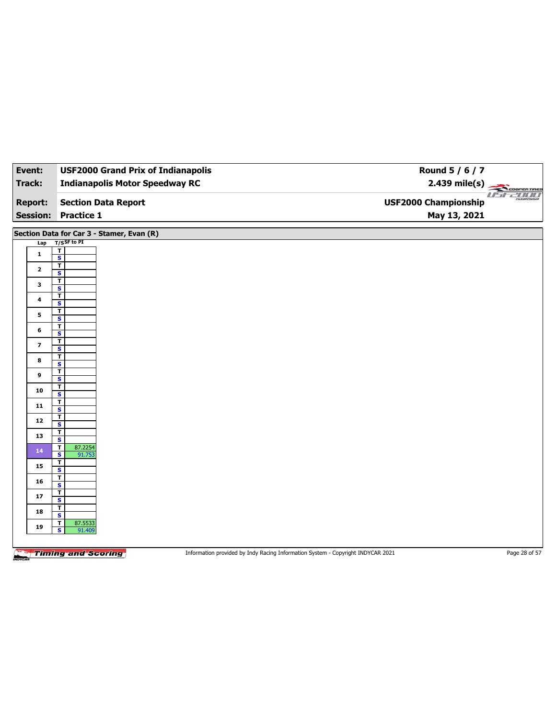| Event:                   | <b>USF2000 Grand Prix of Indianapolis</b>                   | Round 5 / 6 / 7                                                                                  |  |
|--------------------------|-------------------------------------------------------------|--------------------------------------------------------------------------------------------------|--|
| <b>Track:</b>            | <b>Indianapolis Motor Speedway RC</b>                       | $2.439$ mile(s)                                                                                  |  |
| <b>Report:</b>           | <b>Section Data Report</b>                                  | <b>Coorentmes</b><br><b>USF2000 Championship</b>                                                 |  |
| <b>Session:</b>          | <b>Practice 1</b>                                           | May 13, 2021                                                                                     |  |
|                          | Section Data for Car 3 - Stamer, Evan (R)                   |                                                                                                  |  |
| Lap                      | $T/S$ SF to PI                                              |                                                                                                  |  |
| $\mathbf{1}$             | $\overline{\mathbf{I}}$<br>$\overline{\mathbf{s}}$          |                                                                                                  |  |
| $\mathbf{2}$             | $\overline{\mathbf{r}}$                                     |                                                                                                  |  |
|                          | S<br>T                                                      |                                                                                                  |  |
| 3                        | $\overline{\mathbf{s}}$                                     |                                                                                                  |  |
| 4                        | $\overline{\mathsf{r}}$<br>S                                |                                                                                                  |  |
| 5                        | $\mathbf T$                                                 |                                                                                                  |  |
|                          | $\overline{\mathbf{s}}$<br>T                                |                                                                                                  |  |
| 6                        | S                                                           |                                                                                                  |  |
| $\overline{\phantom{a}}$ | $\mathbf T$<br>$\overline{\mathbf{s}}$                      |                                                                                                  |  |
| 8                        | T<br>$\mathbf{s}$                                           |                                                                                                  |  |
| 9                        | $\mathbf T$                                                 |                                                                                                  |  |
|                          | $\overline{\mathbf{s}}$<br>Τ                                |                                                                                                  |  |
| 10                       | S                                                           |                                                                                                  |  |
| 11                       | $\mathbf T$<br>$\overline{\mathbf{s}}$                      |                                                                                                  |  |
| 12                       | T<br>S                                                      |                                                                                                  |  |
| 13                       | $\mathbf T$                                                 |                                                                                                  |  |
|                          | $\overline{\mathbf{s}}$<br>87.2254<br>T                     |                                                                                                  |  |
| 14                       | S<br>91.753<br>$\mathbf T$                                  |                                                                                                  |  |
| 15                       | $\overline{\mathbf{s}}$                                     |                                                                                                  |  |
| 16                       | T<br>S                                                      |                                                                                                  |  |
| 17                       | $\mathbf{T}$                                                |                                                                                                  |  |
|                          | $\overline{\mathbf{s}}$<br>T                                |                                                                                                  |  |
| 18                       | S                                                           |                                                                                                  |  |
| 19                       | 87.5533<br>$\mathbf T$<br>$\overline{\mathbf{s}}$<br>91.409 |                                                                                                  |  |
|                          |                                                             |                                                                                                  |  |
|                          | <b>Timing and Scoring</b>                                   | Page 28 of 57<br>Information provided by Indy Racing Information System - Copyright INDYCAR 2021 |  |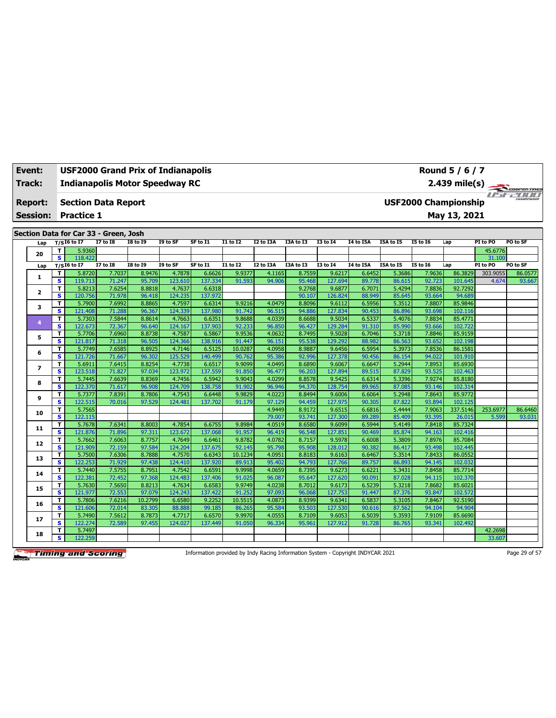| Event:         | <b>USF2000 Grand Prix of Indianapolis</b> |
|----------------|-------------------------------------------|
| <b>Track:</b>  | <b>Indianapolis Motor Speedway RC</b>     |
| <b>Report:</b> | Section Data Report                       |

**Session: Practice 1**

**Section Data for Car 33 - Green, Josh**

|  | Lap          |              | $T/SI6$ to I7     | <b>I7 to I8</b>  | <b>18 to 19</b>  | I9 to SF          | SF to I1          | I1 to I2         | I2 to I3A        | I3A to I3        | I3 to I4          | <b>I4 to I5A</b> | I5A to I5        | <b>I5 to 16</b>  | Lap                | PI to PO | PO to SF |
|--|--------------|--------------|-------------------|------------------|------------------|-------------------|-------------------|------------------|------------------|------------------|-------------------|------------------|------------------|------------------|--------------------|----------|----------|
|  |              | T.           | 5.9360            |                  |                  |                   |                   |                  |                  |                  |                   |                  |                  |                  |                    | 45.6776  |          |
|  | 20           | s.           | 118,422           |                  |                  |                   |                   |                  |                  |                  |                   |                  |                  |                  |                    | 31.100   |          |
|  | Lap          |              | $T/SI6$ to $I7$   | <b>I7 to 18</b>  | <b>I8 to 19</b>  | I9 to SF          | SF to I1          | <b>I1 to I2</b>  | <b>I2 to I3A</b> | I3A to I3        | <b>I3 to 14</b>   | <b>14 to 15A</b> | I5A to I5        | <b>I5 to 16</b>  | Lap                | PI to PO | PO to SF |
|  | 1            | T            | 5.8720            | 7.7037           | 8.9476           | 4.7878            | 6.6626            | 9.9377           | 4.1165           | 8.7559           | 9.6217            | 6.6452           | 5.3686           | 7.9636           | 86.3829            | 303.9055 | 86.0577  |
|  |              | $\mathbf{s}$ | 119.713           | 71.247           | 95.709           | 123.610           | 137.334           | 91.593           | 94.906           | 95.468           | 127.694           | 89.778           | 86.615           | 92.723           | 101.645            | 4.674    | 93.667   |
|  | $\mathbf{2}$ | T            | 5.8213            | 7.6254           | 8.8818           | 4.7637            | 6.6318            |                  |                  | 9.2768           | 9.6877            | 6.7071           | 5.4294           | 7.8836           | 92.7292            |          |          |
|  |              | s            | 120.756           | 71.978           | 96.418           | 124.235           | 137.972           |                  |                  | 90.107           | 126.824           | 88.949           | 85.645           | 93.664           | 94.689             |          |          |
|  | 3            | т            | 5.7900            | 7.6992           | 8.8865           | 4.7597            | 6.6314            | 9.9216           | 4.0479           | 8.8096           | 9.6112            | 6.5956           | 5.3512           | 7.8807           | 85.9846            |          |          |
|  |              | $\mathbf{s}$ | 121.408           | 71.288           | 96.367           | 124.339           | 137.980           | 91.742           | 96.515           | 94.886           | 127.834           | 90.453           | 86.896           | 93.698           | 102.116            |          |          |
|  | 4            | T            | 5.7303            | 7.5844           | 8.8614           | 4.7663            | 6.6351            | 9.8688           | 4.0339           | 8.6688           | 9.5034            | 6.5337           | 5.4076           | 7.8834           | 85.4771            |          |          |
|  |              | s            | 122.673           | 72.367           | 96.640           | 124.167           | 137.903           | 92.233           | 96.850           | 96.427           | 129.284           | 91.310           | 85.990           | 93.666           | 102.722            |          |          |
|  | 5            | T            | 5.7706            | 7.6960           | 8.8738           | 4.7587            | 6.5867            | 9.9536           | 4.0632           | 8.7495           | 9.5028            | 6.7046           | 5.3718           | 7.8846           | 85.9159            |          |          |
|  |              | $\mathbf{s}$ | 121.817           | 71.318           | 96.505           | 124.366           | 138.916           | 91.447           | 96.151           | 95.538           | 129.292           | 88.982           | 86.563           | 93.652           | 102.198            |          |          |
|  | 6            | T            | 5.7749            | 7.6585           | 8.8925           | 4.7146            | 6.5125            | 10.0287          | 4.0958           | 8.9887           | 9.6456            | 6.5954           | 5.3973           | 7.8536           | 86.1581            |          |          |
|  |              | s            | 121.726           | 71.667           | 96.302           | 125.529           | 140.499           | 90.762           | 95.386           | 92.996           | 127.378           | 90.456           | 86.154           | 94.022           | 101.910            |          |          |
|  | 7            | T            | 5.6911            | 7.6415           | 8.8254           | 4.7738            | 6.6517            | 9.9099           | 4.0495           | 8.6890           | 9.6067            | 6.6647           | 5.2944           | 7.8953           | 85.6930            |          |          |
|  |              | $\mathbf{s}$ | 123.518           | 71.827           | 97.034           | 123.972           | 137.559           | 91.850           | 96.477           | 96.203           | 127.894           | 89.515           | 87.829           | 93.525           | 102.463            |          |          |
|  | 8            | T            | 5.7445            | 7.6639           | 8.8369           | 4.7456            | 6.5942            | 9.9043           | 4.0299           | 8.8578           | 9.5425            | 6.6314           | 5.3396           | 7.9274           | 85.8180            |          |          |
|  |              | s            | 122.370           | 71.617           | 96.908           | 124.709           | 138.758           | 91.902           | 96.946           | 94.370           | 128.754           | 89.965           | 87.085           | 93.146           | 102.314            |          |          |
|  | 9            | T            | 5.7377            | 7.8391           | 8.7806           | 4.7543            | 6.6448            | 9.9829           | 4.0223           | 8.8494           | 9.6006            | 6.6064           | 5.2948           | 7.8643           | 85.9772            |          |          |
|  |              | $\mathbf{s}$ | 122.515           | 70.016           | 97.529           | 124.481           | 137.702           | 91.179           | 97.129           | 94.459           | 127.975           | 90.305           | 87.822           | 93.894           | 102.125            |          |          |
|  | 10           | T            | 5.7565            |                  |                  |                   |                   |                  | 4.9449           | 8.9172           | 9.6515            | 6.6816           | 5.4444           | 7.9063           | 337.5146           | 253.6977 | 86.6460  |
|  |              | $\mathbf{s}$ | 122.115           |                  |                  |                   |                   |                  | 79.007           | 93.741           | 127.300           | 89.289           | 85.409           | 93.395           | 26.015             | 5.599    | 93.031   |
|  | 11           | T            | 5.7678            | 7.6341           | 8.8003           | 4.7854            | 6.6755            | 9.8984           | 4.0519           | 8.6580           | 9.6099            | 6.5944           | 5.4149           | 7.8418           | 85.7324            |          |          |
|  |              | $\mathbf{s}$ | 121.876           | 71.896           | 97.311           | 123.672           | 137.068           | 91.957           | 96.419           | 96.548           | 127.851           | 90.469           | 85.874           | 94.163           | 102.416            |          |          |
|  | 12           | T            | 5.7662            | 7.6063           | 8.7757           | 4.7649            | 6.6461            | 9.8782           | 4.0782           | 8.7157           | 9.5978            | 6.6008           | 5.3809           | 7.8976           | 85.7084            |          |          |
|  |              | $\mathbf{s}$ | 121.909           | 72.159           | 97.584           | 124.204           | 137.675           | 92.145           | 95.798           | 95.908           | 128.012           | 90.382           | 86.417           | 93.498<br>7.8433 | 102.445<br>86.0552 |          |          |
|  | 13           | T            | 5.7500            | 7.6306           | 8.7888           | 4.7570            | 6.6343            | 10.1234          | 4.0951           | 8.8183           | 9.6163            | 6.6467           | 5.3514           |                  |                    |          |          |
|  |              | s<br>T       | 122.253           | 71.929<br>7.5755 | 97.438<br>8.7951 | 124.410<br>4.7542 | 137.920           | 89.913<br>9.9998 | 95.402<br>4.0659 | 94.793<br>8.7395 | 127.766<br>9.6273 | 89.757<br>6.6221 | 86.893<br>5.3431 | 94.145<br>7.8458 | 102.032<br>85.7714 |          |          |
|  | 14           | $\mathbf{s}$ | 5.7440<br>122.381 | 72.452           | 97.368           | 124.483           | 6.6591<br>137.406 | 91.025           | 96.087           | 95.647           | 127.620           | 90.091           | 87.028           | 94.115           | 102.370            |          |          |
|  |              | T            | 5.7630            | 7.5650           | 8.8213           | 4.7634            | 6.6583            | 9.9749           | 4.0238           | 8.7012           | 9.6173            | 6.5239           | 5.3218           | 7.8682           | 85.6021            |          |          |
|  | 15           | $\mathbf{s}$ | 121.977           | 72.553           | 97.079           | 124.243           | 137.422           | 91.252           | 97.093           | 96.068           | 127.753           | 91.447           | 87.376           | 93.847           | 102.572            |          |          |
|  |              | T            | 5.7806            | 7.6216           | 10.2799          | 6.6580            | 9.2252            | 10.5515          | 4.0873           | 8.9399           | 9.6341            | 6.5837           | 5.3105           | 7.8467           | 92.5190            |          |          |
|  | 16           | $\mathbf{s}$ | 121.606           | 72.014           | 83.305           | 88.888            | 99.185            | 86.265           | 95.584           | 93.503           | 127.530           | 90.616           | 87.562           | 94.104           | 94.904             |          |          |
|  |              | T            | 5.7490            | 7.5612           | 8.7873           | 4.7717            | 6.6570            | 9.9970           | 4.0555           | 8.7109           | 9.6053            | 6.5039           | 5.3593           | 7.9109           | 85.6690            |          |          |
|  | 17           | s            | 122.274           | 72.589           | 97.455           | 124.027           | 137.449           | 91.050           | 96.334           | 95.961           | 127.912           | 91.728           | 86.765           | 93.341           | 102.492            |          |          |
|  |              | T            | 5.7497            |                  |                  |                   |                   |                  |                  |                  |                   |                  |                  |                  |                    | 42.2698  |          |
|  | 18           | s            | 122.259           |                  |                  |                   |                   |                  |                  |                  |                   |                  |                  |                  |                    | 33.607   |          |
|  |              |              |                   |                  |                  |                   |                   |                  |                  |                  |                   |                  |                  |                  |                    |          |          |

**Timing and Scoring** 

Information provided by Indy Racing Information System - Copyright INDYCAR 2021 Page 29 of 57

 $\mathbb{Z}$ 

**USF2000 Championship**

**May 13, 2021**

**2.439 mile(s)**

**Round 5 / 6 / 7**

ren rine:<br>CIICIICI coo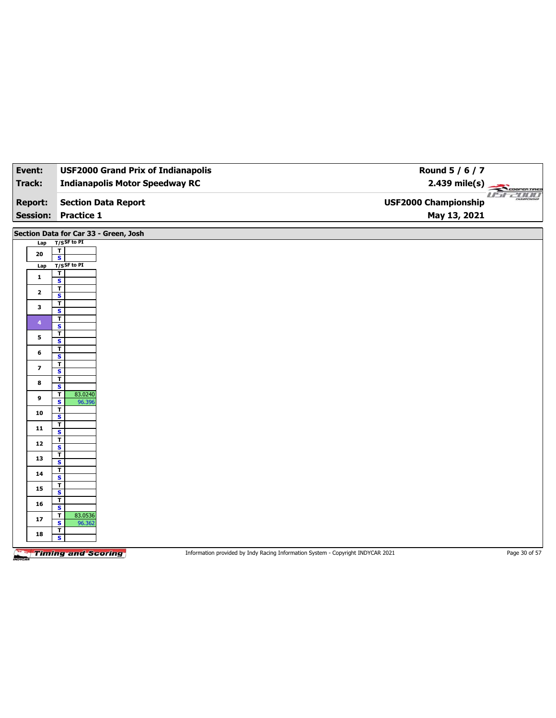| Event:                            | <b>USF2000 Grand Prix of Indianapolis</b>          | Round $5/6/7$                                                                   |                               |
|-----------------------------------|----------------------------------------------------|---------------------------------------------------------------------------------|-------------------------------|
| <b>Track:</b>                     | <b>Indianapolis Motor Speedway RC</b>              |                                                                                 |                               |
| <b>Report:</b><br><b>Session:</b> | <b>Section Data Report</b><br><b>Practice 1</b>    | <b>USF2000 Championship</b>                                                     | 2.439 mile(s)<br>May 13, 2021 |
|                                   | Section Data for Car 33 - Green, Josh              |                                                                                 |                               |
| Lap                               | $T/S$ SF to PI                                     |                                                                                 |                               |
| 20                                | $\mathbf{T}$<br>$\overline{\mathbf{s}}$            |                                                                                 |                               |
| Lap                               | T/SSF to PI                                        |                                                                                 |                               |
| $\mathbf{1}$                      | $\overline{\mathbf{r}}$<br>$\mathbf{s}$            |                                                                                 |                               |
|                                   | $\overline{\mathbf{r}}$                            |                                                                                 |                               |
| $\mathbf{2}$                      | $\overline{\mathbf{s}}$                            |                                                                                 |                               |
| 3                                 | T<br>$\overline{\mathbf{s}}$                       |                                                                                 |                               |
| $\overline{4}$                    | T                                                  |                                                                                 |                               |
|                                   | $\overline{\mathbf{s}}$<br>$\mathbf T$             |                                                                                 |                               |
| 5                                 | $\mathbf{s}$                                       |                                                                                 |                               |
| 6                                 | $\overline{\mathbf{r}}$<br>$\overline{\mathbf{s}}$ |                                                                                 |                               |
| $\overline{\phantom{a}}$          | $\overline{\mathbf{r}}$                            |                                                                                 |                               |
|                                   | $\overline{\mathbf{s}}$<br>$\overline{\mathbf{r}}$ |                                                                                 |                               |
| 8                                 | S                                                  |                                                                                 |                               |
| 9                                 | 83.0240<br>T<br>$\mathbf{s}$<br>96.396             |                                                                                 |                               |
| 10                                | $\overline{\mathbf{r}}$                            |                                                                                 |                               |
|                                   | $\mathbf{s}$<br>T                                  |                                                                                 |                               |
| 11                                | $\mathbf{s}$                                       |                                                                                 |                               |
| 12                                | $\overline{\mathbf{r}}$<br>$\overline{\mathbf{s}}$ |                                                                                 |                               |
| 13                                | $\overline{\mathbf{r}}$                            |                                                                                 |                               |
|                                   | $\overline{\mathbf{s}}$<br>T                       |                                                                                 |                               |
| 14                                | $\mathbf{s}$                                       |                                                                                 |                               |
| 15                                | T<br>$\overline{\mathbf{s}}$                       |                                                                                 |                               |
| 16                                | Τ                                                  |                                                                                 |                               |
|                                   | S<br>T<br>83.0536                                  |                                                                                 |                               |
| 17                                | $\mathbf{s}$<br>96.362                             |                                                                                 |                               |
| 18                                | $\overline{\mathbf{r}}$<br>S                       |                                                                                 |                               |
|                                   |                                                    |                                                                                 |                               |
|                                   | <b>Timing and Scoring</b>                          | Information provided by Indy Racing Information System - Copyright INDYCAR 2021 | Page 30 of 57                 |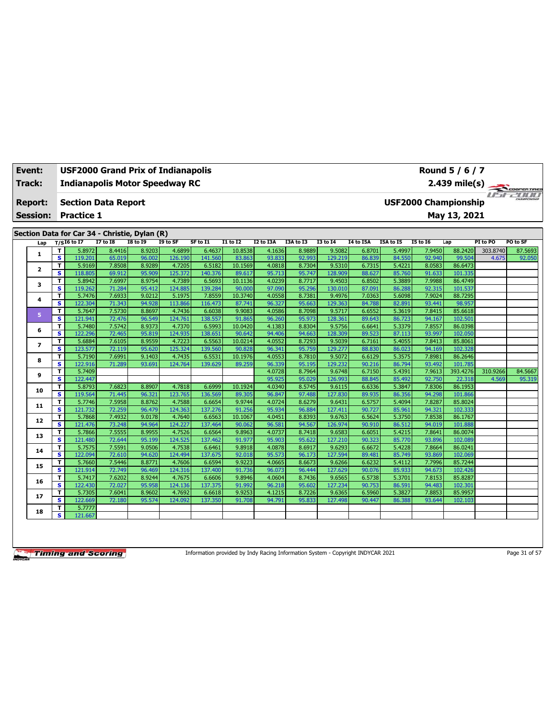| <b>Event:</b><br>Track: |                                                                                                                                                                                              | <b>USF2000 Grand Prix of Indianapolis</b><br><b>Indianapolis Motor Speedway RC</b> |                  |                  |                   | Round 5 / 6 / 7<br>2.439 mile(s) |                   |                  | COOPERTIRES      |                   |                  |                  |                  |                             |          |          |
|-------------------------|----------------------------------------------------------------------------------------------------------------------------------------------------------------------------------------------|------------------------------------------------------------------------------------|------------------|------------------|-------------------|----------------------------------|-------------------|------------------|------------------|-------------------|------------------|------------------|------------------|-----------------------------|----------|----------|
| <b>Report:</b>          |                                                                                                                                                                                              | <b>Section Data Report</b>                                                         |                  |                  |                   |                                  |                   |                  |                  |                   |                  |                  |                  | <b>USF2000 Championship</b> |          | useann   |
| <b>Session:</b>         |                                                                                                                                                                                              | <b>Practice 1</b>                                                                  |                  |                  |                   |                                  |                   |                  |                  |                   |                  |                  |                  | May 13, 2021                |          |          |
|                         |                                                                                                                                                                                              |                                                                                    |                  |                  |                   |                                  |                   |                  |                  |                   |                  |                  |                  |                             |          |          |
|                         |                                                                                                                                                                                              | Section Data for Car 34 - Christie, Dylan (R)                                      |                  |                  |                   |                                  |                   |                  |                  |                   |                  |                  |                  |                             |          |          |
| Lap                     | $I7$ to $I8$<br><b>I8 to I9</b><br>$T/SI6$ to I7<br>I9 to SF<br>SF to I1<br><b>I1 to I2</b><br>I2 to I3A<br>I3A to I3<br><b>I3 to 14</b><br><b>I4 to I5A</b><br>I5A to I5<br><b>I5 to 16</b> |                                                                                    |                  |                  |                   |                                  |                   |                  |                  |                   |                  |                  |                  | Lap                         | PI to PO | PO to SF |
| 1                       | T                                                                                                                                                                                            | 5.8972                                                                             | 8.4416           | 8.9203           | 4.6899            | 6.4637                           | 10.8538           | 4.1636           | 8.9889           | 9.5082            | 6.8701           | 5.4997           | 7.9450           | 88.2420                     | 303.8740 | 87.5693  |
|                         | s                                                                                                                                                                                            | 119.201                                                                            | 65.019           | 96.002           | 126.190           | 141.560                          | 83.863            | 93.833           | 92.993           | 129.219           | 86.839           | 84.550           | 92.940           | 99.504                      | 4.675    | 92.050   |
| $\mathbf{2}$            | T                                                                                                                                                                                            | 5.9169                                                                             | 7.8508           | 8.9289           | 4.7205            | 6.5182                           | 10.1569           | 4.0818           | 8.7304           | 9.5310            | 6.7315           | 5.4221           | 8.0583           | 86.6473                     |          |          |
|                         | s                                                                                                                                                                                            | 118.805<br>5.8942                                                                  | 69.912<br>7.6997 | 95.909<br>8.9754 | 125.372<br>4.7389 | 140.376<br>6.5693                | 89.617<br>10.1136 | 95.713<br>4.0239 | 95.747<br>8.7717 | 128.909<br>9.4503 | 88.627           | 85.760<br>5.3889 | 91.633<br>7.9988 | 101.335<br>86.4749          |          |          |
| з                       | T<br>$\mathbf{s}$                                                                                                                                                                            | 119.262                                                                            | 71.284           | 95.412           | 124.885           | 139.284                          | 90.000            | 97.090           | 95.296           | 130.010           | 6.8502<br>87.091 | 86.288           | 92.315           | 101.537                     |          |          |
|                         | T                                                                                                                                                                                            | 5.7476                                                                             | 7.6933           | 9.0212           | 5.1975            | 7.8559                           | 10.3740           | 4.0558           | 8.7381           | 9.4976            | 7.0363           | 5.6098           | 7.9024           | 88.7295                     |          |          |
| 4                       | s                                                                                                                                                                                            | 122.304                                                                            | 71.343           | 94.928           | 113.866           | 116.473                          | 87.741            | 96.327           | 95.663           | 129.363           | 84.788           | 82.891           | 93.441           | 98.957                      |          |          |
|                         | T                                                                                                                                                                                            | 5.7647                                                                             | 7.5730           | 8.8697           | 4.7436            | 6.6038                           | 9.9083            | 4.0586           | 8.7098           | 9.5717            | 6.6552           | 5.3619           | 7.8415           | 85.6618                     |          |          |
| 5                       | s                                                                                                                                                                                            | 121.941                                                                            | 72.476           | 96.549           | 124.761           | 138.557                          | 91.865            | 96.260           | 95.973           | 128.361           | 89.643           | 86.723           | 94.167           | 102.501                     |          |          |
|                         | T                                                                                                                                                                                            | 5.7480                                                                             | 7.5742           | 8.9373           | 4.7370            | 6.5993                           | 10.0420           | 4.1383           | 8.8304           | 9.5756            | 6.6641           | 5.3379           | 7.8557           | 86.0398                     |          |          |
| 6                       | s                                                                                                                                                                                            | 122.296                                                                            | 72.465           | 95.819           | 124.935           | 138.651                          | 90.642            | 94.406           | 94.663           | 128.309           | 89.523           | 87.113           | 93.997           | 102.050                     |          |          |
| $\overline{ }$          | T                                                                                                                                                                                            | 5.6884                                                                             | 7.6105           | 8.9559           | 4.7223            | 6.5563                           | 10.0214           | 4.0552           | 8.7293           | 9.5039            | 6.7161           | 5.4055           | 7.8413           | 85.8061                     |          |          |
|                         | s                                                                                                                                                                                            | 123.577                                                                            | 72.119           | 95.620           | 125.324           | 139.560                          | 90.828            | 96.341           | 95.759           | 129.277           | 88.830           | 86.023           | 94.169           | 102.328                     |          |          |
| 8                       | T                                                                                                                                                                                            | 5.7190                                                                             | 7.6991           | 9.1403           | 4.7435            | 6.5531                           | 10.1976           | 4.0553           | 8.7810           | 9.5072            | 6.6129           | 5.3575           | 7.8981           | 86.2646                     |          |          |
|                         | s                                                                                                                                                                                            | 122.916                                                                            | 71.289           | 93.691           | 124.764           | 139.629                          | 89.259            | 96.339           | 95.195           | 129.232           | 90.216           | 86.794           | 93.492           | 101.785                     |          |          |
| 9                       | T                                                                                                                                                                                            | 5.7409                                                                             |                  |                  |                   |                                  |                   | 4.0728           | 8.7964           | 9.6748            | 6.7150           | 5.4391           | 7.9613           | 393.4276                    | 310.9266 | 84.5667  |
|                         | s                                                                                                                                                                                            | 122,447                                                                            |                  |                  |                   |                                  |                   | 95.925           | 95.029           | 126.993           | 88.845           | 85.492           | 92.750           | 22.318                      | 4.569    | 95.319   |
| 10                      | T<br>$\mathbf{s}$                                                                                                                                                                            | 5.8793                                                                             | 7.6823           | 8.8907<br>96.321 | 4.7818<br>123.765 | 6.6999<br>136.569                | 10.1924           | 4.0340<br>96.847 | 8.5745           | 9.6115<br>127,830 | 6.6336           | 5.3847           | 7.8306           | 86.1953                     |          |          |
|                         | T                                                                                                                                                                                            | 119.564<br>5.7746                                                                  | 71.445<br>7.5958 | 8.8762           | 4.7588            | 6.6654                           | 89.305<br>9.9744  | 4.0724           | 97.488<br>8.6279 | 9.6431            | 89.935<br>6.5757 | 86.356<br>5.4094 | 94.298<br>7.8287 | 101.866<br>85.8024          |          |          |
| 11                      | s                                                                                                                                                                                            | 121.732                                                                            | 72.259           | 96.479           | 124.363           | 137.276                          | 91.256            | 95.934           | 96.884           | 127.411           | 90.727           | 85.961           | 94.321           | 102.333                     |          |          |
|                         | T                                                                                                                                                                                            | 5.7868                                                                             | 7.4932           | 9.0178           | 4.7640            | 6.6563                           | 10.1067           | 4.0451           | 8.8393           | 9.6763            | 6.5624           | 5.3750           | 7.8538           | 86.1767                     |          |          |
| 12                      | s                                                                                                                                                                                            | 121.476                                                                            | 73.248           | 94.964           | 124.227           | 137.464                          | 90.062            | 96.581           | 94.567           | 126.974           | 90.910           | 86.512           | 94.019           | 101.888                     |          |          |
|                         | T                                                                                                                                                                                            | 5.7866                                                                             | 7.5555           | 8.9955           | 4.7526            | 6.6564                           | 9.8963            | 4.0737           | 8.7418           | 9.6583            | 6.6051           | 5.4215           | 7.8641           | 86.0074                     |          |          |
| 13                      | s                                                                                                                                                                                            | 121.480                                                                            | 72.644           | 95.199           | 124.525           | 137.462                          | 91.977            | 95.903           | 95.622           | 127.210           | 90.323           | 85.770           | 93.896           | 102.089                     |          |          |
| 14                      | T                                                                                                                                                                                            | 5.7575                                                                             | 7.5591           | 9.0506           | 4.7538            | 6.6461                           | 9.8918            | 4.0878           | 8.6917           | 9.6293            | 6.6672           | 5.4228           | 7.8664           | 86.0241                     |          |          |
|                         | s                                                                                                                                                                                            | 122.094                                                                            | 72.610           | 94.620           | 124.494           | 137.675                          | 92.018            | 95.573           | 96.173           | 127.594           | 89.481           | 85.749           | 93.869           | 102.069                     |          |          |
| 15                      | T                                                                                                                                                                                            | 5.7660                                                                             | 7.5446           | 8.8771           | 4.7606            | 6.6594                           | 9.9223            | 4.0665           | 8.6673           | 9.6266            | 6.6232           | 5.4112           | 7.7996           | 85.7244                     |          |          |
|                         | s                                                                                                                                                                                            | 121.914                                                                            | 72.749           | 96.469           | 124.316           | 137.400                          | 91.736            | 96.073           | 96.444           | 127.629           | 90.076           | 85.933           | 94.673           | 102.426                     |          |          |
| 16                      | T                                                                                                                                                                                            | 5.7417                                                                             | 7.6202           | 8.9244           | 4.7675            | 6.6606                           | 9.8946            | 4.0604           | 8.7436           | 9.6565            | 6.5738           | 5.3701           | 7.8153           | 85.8287                     |          |          |
|                         | s                                                                                                                                                                                            | 122.430                                                                            | 72.027           | 95.958           | 124.136           | 137.375                          | 91.992            | 96.218           | 95.602           | 127.234           | 90.753           | 86.591           | 94.483           | 102.301                     |          |          |
| 17                      | T<br>s                                                                                                                                                                                       | 5.7305<br>122.669                                                                  | 7.6041           | 8.9602           | 4.7692<br>124.092 | 6.6618<br>137.350                | 9.9253            | 4.1215           | 8.7226           | 9.6365            | 6.5960           | 5.3827           | 7.8853           | 85.9957                     |          |          |
|                         | Τ                                                                                                                                                                                            | 5.7777                                                                             | 72.180           | 95.574           |                   |                                  | 91.708            | 94.791           | 95.833           | 127.498           | 90.447           | 86.388           | 93.644           | 102.103                     |          |          |
| 18                      | s                                                                                                                                                                                            | 121.667                                                                            |                  |                  |                   |                                  |                   |                  |                  |                   |                  |                  |                  |                             |          |          |
|                         |                                                                                                                                                                                              |                                                                                    |                  |                  |                   |                                  |                   |                  |                  |                   |                  |                  |                  |                             |          |          |

Information provided by Indy Racing Information System - Copyright INDYCAR 2021 Page 31 of 57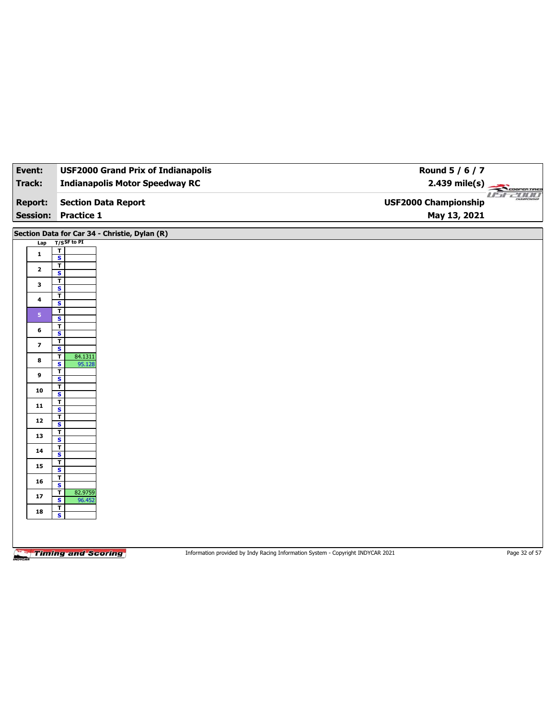| Event:                                                                                                                              | <b>USF2000 Grand Prix of Indianapolis</b>                                                                                                                                                                                                                                                                                                                                                                     | Round 5 / 6 / 7                                                                 |                       |
|-------------------------------------------------------------------------------------------------------------------------------------|---------------------------------------------------------------------------------------------------------------------------------------------------------------------------------------------------------------------------------------------------------------------------------------------------------------------------------------------------------------------------------------------------------------|---------------------------------------------------------------------------------|-----------------------|
| <b>Track:</b>                                                                                                                       | <b>Indianapolis Motor Speedway RC</b>                                                                                                                                                                                                                                                                                                                                                                         | $2.439$ mile(s)                                                                 | COOPERTIRES           |
| <b>Report:</b>                                                                                                                      | <b>Section Data Report</b>                                                                                                                                                                                                                                                                                                                                                                                    | <b>USF2000 Championship</b>                                                     | use 2000<br>CHAMPIONS |
| <b>Session:</b>                                                                                                                     | Practice 1                                                                                                                                                                                                                                                                                                                                                                                                    | May 13, 2021                                                                    |                       |
| Lap<br>$\mathbf{1}$<br>$\mathbf{2}$<br>3<br>4<br>5 <sub>1</sub><br>6<br>$\overline{\mathbf{z}}$<br>8<br>9<br>10<br>${\bf 11}$<br>12 | Section Data for Car 34 - Christie, Dylan (R)<br>$T/S$ SF to PI<br>T.<br>$\overline{\mathbf{s}}$<br>T<br>S<br>T<br>$\overline{\mathbf{s}}$<br>$\overline{\mathsf{r}}$<br>$\overline{\mathbf{s}}$<br>T<br>$\overline{\mathbf{s}}$<br>т<br>S<br>T<br>$\overline{\mathbf{s}}$<br>T<br>84.1311<br>S<br>95.128<br>T<br>$\overline{\mathbf{s}}$<br>Ŧ<br>S<br>T<br>$\overline{\mathbf{s}}$<br>т<br>$\mathsf{s}$<br>T |                                                                                 |                       |
| 13<br>14                                                                                                                            | $\overline{\mathbf{s}}$<br>T                                                                                                                                                                                                                                                                                                                                                                                  |                                                                                 |                       |
| 15                                                                                                                                  | $\mathsf{s}$<br>T                                                                                                                                                                                                                                                                                                                                                                                             |                                                                                 |                       |
| 16                                                                                                                                  | $\overline{\mathbf{s}}$<br>T                                                                                                                                                                                                                                                                                                                                                                                  |                                                                                 |                       |
| 17                                                                                                                                  | S<br>$\mathbf T$<br>82.9759<br>$\overline{\mathbf{s}}$<br>96.452                                                                                                                                                                                                                                                                                                                                              |                                                                                 |                       |
| 18                                                                                                                                  | т<br>S                                                                                                                                                                                                                                                                                                                                                                                                        |                                                                                 |                       |
|                                                                                                                                     | <b>Timing and Scoring</b>                                                                                                                                                                                                                                                                                                                                                                                     | Information provided by Indy Racing Information System - Copyright INDYCAR 2021 | Page 32 of 57         |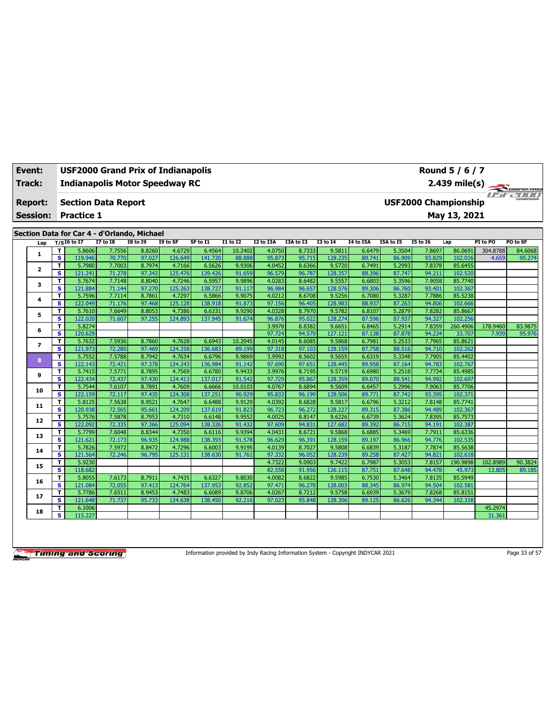| Event:<br>Track: |                          | Round 5 / 6 / 7<br><b>USF2000 Grand Prix of Indianapolis</b><br><b>Indianapolis Motor Speedway RC</b><br>$2.439$ mile(s) |                                                                                                                                                                                                                                                           |                  |                  |                   |                   |                  |                  |                  |                   |                  |                  |                             | COOPERTIRES        |          |                 |
|------------------|--------------------------|--------------------------------------------------------------------------------------------------------------------------|-----------------------------------------------------------------------------------------------------------------------------------------------------------------------------------------------------------------------------------------------------------|------------------|------------------|-------------------|-------------------|------------------|------------------|------------------|-------------------|------------------|------------------|-----------------------------|--------------------|----------|-----------------|
|                  | <b>Report:</b>           |                                                                                                                          | <b>Section Data Report</b>                                                                                                                                                                                                                                |                  |                  |                   |                   |                  |                  |                  |                   |                  |                  | <b>USF2000 Championship</b> |                    |          | <i>USE 2000</i> |
|                  | <b>Session:</b>          |                                                                                                                          | <b>Practice 1</b>                                                                                                                                                                                                                                         |                  |                  |                   |                   |                  |                  |                  |                   |                  |                  |                             | May 13, 2021       |          |                 |
|                  |                          |                                                                                                                          |                                                                                                                                                                                                                                                           |                  |                  |                   |                   |                  |                  |                  |                   |                  |                  |                             |                    |          |                 |
|                  |                          |                                                                                                                          | Section Data for Car 4 - d'Orlando, Michael<br><b>I7 to I8</b><br>$T/SI6$ to I7<br><b>I8 to I9</b><br>I9 to SF<br>SF to I1<br>$I1$ to $I2$<br><b>I2 to I3A</b><br>I3A to I3<br><b>I3 to 14</b><br>I5A to I5<br><b>I5 to 16</b><br><b>I4 to I5A</b><br>Lap |                  |                  |                   |                   |                  |                  |                  |                   |                  |                  |                             |                    |          |                 |
|                  | Lap                      |                                                                                                                          |                                                                                                                                                                                                                                                           |                  |                  |                   |                   |                  |                  |                  |                   |                  |                  |                             |                    | PI to PO | PO to SF        |
|                  | 1.                       | т                                                                                                                        | 5.8606                                                                                                                                                                                                                                                    | 7.7556           | 8.8260           | 4.6729            | 6.4564            | 10.2402          | 4.0750           | 8.7333           | 9.5811            | 6.6479           | 5.3504           | 7.8697                      | 86.0691            | 304.8788 | 84.6068         |
|                  |                          | s<br>T                                                                                                                   | 119.946                                                                                                                                                                                                                                                   | 70.770<br>7.7003 | 97.027<br>8.7974 | 126.649<br>4.7166 | 141.720<br>6.5626 | 88.888<br>9.9306 | 95.873<br>4.0452 | 95.715<br>8.6366 | 128.235           | 89.741           | 86.909<br>5.2993 | 93.829<br>7.8378            | 102.016<br>85.6455 | 4.659    | 95.274          |
|                  | $\mathbf{z}$             | s                                                                                                                        | 5.7980<br>121.241                                                                                                                                                                                                                                         | 71.278           | 97.343           | 125.476           | 139.426           | 91.659           | 96.579           | 96.787           | 9.5720<br>128.357 | 6.7491<br>88.396 | 87.747           | 94.211                      | 102.520            |          |                 |
|                  |                          | т                                                                                                                        | 5.7674                                                                                                                                                                                                                                                    | 7.7148           | 8.8040           | 4.7246            | 6.5957            | 9.9896           | 4.0283           | 8.6482           | 9.5557            | 6.6803           | 5.3596           | 7.9058                      | 85.7740            |          |                 |
|                  | 3                        | s                                                                                                                        | 121.884                                                                                                                                                                                                                                                   | 71.144           | 97.270           | 125.263           | 138.727           | 91.117           | 96.984           | 96.657           | 128.576           | 89.306           | 86.760           | 93.401                      | 102.367            |          |                 |
|                  |                          | T                                                                                                                        | 5.7596                                                                                                                                                                                                                                                    | 7.7114           | 8.7861           | 4.7297            | 6.5866            | 9.9075           | 4.0212           | 8.6708           | 9.5256            | 6.7080           | 5.3287           | 7.7886                      | 85.5238            |          |                 |
|                  | 4                        | s                                                                                                                        | 122.049                                                                                                                                                                                                                                                   | 71.176           | 97.468           | 125.128           | 138.918           | 91.873           | 97.156           | 96.405           | 128.983           | 88.937           | 87.263           | 94.806                      | 102.666            |          |                 |
|                  |                          | т                                                                                                                        | 5.7610                                                                                                                                                                                                                                                    | 7.6649           | 8.8053           | 4.7386            | 6.6331            | 9.9290           | 4.0328           | 8.7970           | 9.5782            | 6.8107           | 5.2879           | 7.8282                      | 85.8667            |          |                 |
|                  | 5                        | $\overline{\mathbf{s}}$                                                                                                  | 122.020                                                                                                                                                                                                                                                   | 71.607           | 97.255           | 124.893           | 137.945           | 91.674           | 96.876           | 95.022           | 128.274           | 87.596           | 87.937           | 94.327                      | 102.256            |          |                 |
|                  |                          | т                                                                                                                        | 5.8274                                                                                                                                                                                                                                                    |                  |                  |                   |                   |                  | 3.9978           | 8.8382           | 9.6651            | 6.8465           | 5.2914           | 7.8359                      | 260.4906           | 178.9460 | 83.9875         |
|                  | 6                        | s                                                                                                                        | 120.629                                                                                                                                                                                                                                                   |                  |                  |                   |                   |                  | 97.724           | 94.579           | 127.121           | 87.138           | 87.878           | 94.234                      | 33.707             | 7.939    | 95.976          |
|                  | $\overline{\phantom{a}}$ | T                                                                                                                        | 5.7632                                                                                                                                                                                                                                                    | 7.5936           | 8.7860           | 4.7628            | 6.6943            | 10.2045          | 4.0145           | 8.6085           | 9.5868            | 6.7981           | 5.2533           | 7.7965                      | 85.8621            |          |                 |
|                  |                          | s                                                                                                                        | 121.973                                                                                                                                                                                                                                                   | 72,280           | 97.469           | 124.258           | 136.683           | 89.199           | 97.318           | 97.103           | 128.159           | 87.758           | 88.516           | 94.710                      | 102.262            |          |                 |
|                  | 8                        | т                                                                                                                        | 5.7552                                                                                                                                                                                                                                                    | 7.5788           | 8.7942           | 4.7634            | 6.6796            | 9.9869           | 3.9992           | 8.5602           | 9.5655            | 6.6319           | 5.3348           | 7.7905                      | 85.4402            |          |                 |
|                  |                          | s                                                                                                                        | 122.143                                                                                                                                                                                                                                                   | 72.421           | 97.378           | 124.243           | 136.984           | 91.142           | 97.690           | 97.651           | 128.445           | 89.958           | 87.164           | 94.783                      | 102.767            |          |                 |
|                  | 9                        | T                                                                                                                        | 5.7415                                                                                                                                                                                                                                                    | 7.5771           | 8.7895           | 4.7569            | 6.6780            | 9.9433           | 3.9976           | 8.7195           | 9.5719            | 6.6980           | 5.2518           | 7.7734                      | 85.4985            |          |                 |
|                  |                          | s                                                                                                                        | 122.434                                                                                                                                                                                                                                                   | 72.437           | 97.430           | 124.413           | 137.017           | 91.542           | 97.729           | 95.867           | 128.359           | 89.070           | 88.541           | 94.992                      | 102.697            |          |                 |
|                  | 10                       | т                                                                                                                        | 5.7544                                                                                                                                                                                                                                                    | 7.6107           | 8.7891           | 4.7609            | 6.6666            | 10.0103          | 4.0767           | 8.6894           | 9.5609            | 6.6457           | 5.2996           | 7.9063                      | 85.7706            |          |                 |
|                  |                          | s                                                                                                                        | 122.159                                                                                                                                                                                                                                                   | 72.117           | 97.435           | 124.308           | 137.251           | 90.929           | 95.833           | 96.199           | 128.506           | 89.771           | 87.742           | 93.395                      | 102.371            |          |                 |
|                  | 11                       | T                                                                                                                        | 5.8125                                                                                                                                                                                                                                                    | 7.5638           | 8.9521           | 4.7647            | 6.6488            | 9.9129           | 4.0392           | 8.6828           | 9.5817            | 6.6796           | 5.3212           | 7.8148                      | 85.7741            |          |                 |
|                  |                          | s                                                                                                                        | 120.938                                                                                                                                                                                                                                                   | 72.565           | 95.661           | 124.209           | 137.619           | 91.823           | 96.723           | 96.272           | 128.227           | 89.315           | 87.386           | 94.489                      | 102.367            |          |                 |
|                  | 12                       | т<br>$\overline{\mathbf{s}}$                                                                                             | 5.7576<br>122.092                                                                                                                                                                                                                                         | 7.5878<br>72.335 | 8.7953<br>97.366 | 4.7310<br>125.094 | 6.6148<br>138.326 | 9.9552<br>91.432 | 4.0025<br>97.609 | 8.8147<br>94.831 | 9.6226<br>127.682 | 6.6739<br>89.392 | 5.3624<br>86.715 | 7.8395<br>94.191            | 85.7573<br>102.387 |          |                 |
|                  |                          | т                                                                                                                        | 5.7799                                                                                                                                                                                                                                                    | 7.6048           | 8.8344           | 4.7350            | 6.6116            | 9.9394           | 4.0431           | 8.6721           | 9.5868            | 6.6885           | 5.3469           | 7.7911                      | 85.6336            |          |                 |
|                  | 13                       | s                                                                                                                        | 121.621                                                                                                                                                                                                                                                   | 72.173           | 96.935           | 124.988           | 138.393           | 91.578           | 96.629           | 96.391           | 128.159           | 89.197           | 86.966           | 94.776                      | 102.535            |          |                 |
|                  |                          | т                                                                                                                        | 5.7826                                                                                                                                                                                                                                                    | 7.5972           | 8.8472           | 4.7296            | 6.6003            | 9.9195           | 4.0139           | 8.7027           | 9.5808            | 6.6839           | 5.3187           | 7.7874                      | 85.5638            |          |                 |
|                  | 14                       | s                                                                                                                        | 121.564                                                                                                                                                                                                                                                   | 72.246           | 96.795           | 125.131           | 138.630           | 91.761           | 97.332           | 96.052           | 128.239           | 89.258           | 87.427           | 94.821                      | 102.618            |          |                 |
|                  |                          | т                                                                                                                        | 5.9230                                                                                                                                                                                                                                                    |                  |                  |                   |                   |                  | 4.7322           | 9.0903           | 9.7422            | 6.7987           | 5.3053           | 7.8157                      | 190.9898           | 102.8989 | 90.3824         |
|                  | 15                       | s                                                                                                                        | 118.682                                                                                                                                                                                                                                                   |                  |                  |                   |                   |                  | 82.558           | 91.956           | 126.115           | 87.751           | 87.648           | 94.478                      | 45.973             | 13.805   | 89.185          |
|                  |                          | т                                                                                                                        | 5.8055                                                                                                                                                                                                                                                    | 7.6173           | 8.7911           | 4.7435            | 6.6327            | 9.8030           | 4.0082           | 8.6822           | 9.5985            | 6.7530           | 5.3464           | 7.8135                      | 85.5949            |          |                 |
|                  | 16                       | s                                                                                                                        | 121.084                                                                                                                                                                                                                                                   | 72.055           | 97.413           | 124.764           | 137.953           | 92.852           | 97.471           | 96.278           | 128.003           | 88.345           | 86.974           | 94.504                      | 102.581            |          |                 |
|                  |                          | T                                                                                                                        | 5.7786                                                                                                                                                                                                                                                    | 7.6511           | 8.9453           | 4.7483            | 6.6089            | 9.8706           | 4.0267           | 8.7212           | 9.5758            | 6.6939           | 5.3679           | 7.8268                      | 85.8151            |          |                 |
|                  | 17                       | s                                                                                                                        | 121.648                                                                                                                                                                                                                                                   | 71.737           | 95.733           | 124.638           | 138.450           | 92.216           | 97.023           | 95.848           | 128.306           | 89.125           | 86.626           | 94.344                      | 102.318            |          |                 |
|                  | 18                       | т                                                                                                                        | 6.1006                                                                                                                                                                                                                                                    |                  |                  |                   |                   |                  |                  |                  |                   |                  |                  |                             |                    | 45.2974  |                 |
|                  |                          | s                                                                                                                        | 115.227                                                                                                                                                                                                                                                   |                  |                  |                   |                   |                  |                  |                  |                   |                  |                  |                             |                    | 31.361   |                 |

Information provided by Indy Racing Information System - Copyright INDYCAR 2021 Page 33 of 57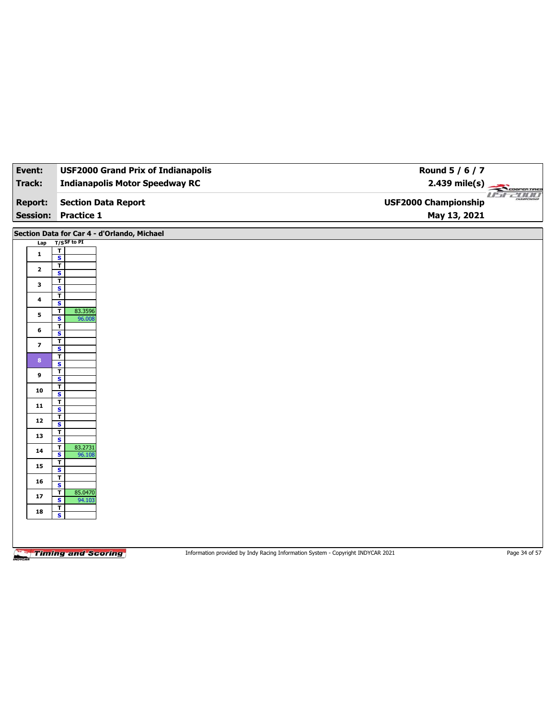| Event:                  | <b>USF2000 Grand Prix of Indianapolis</b>          | Round 5 / 6 / 7                                                                 |                       |
|-------------------------|----------------------------------------------------|---------------------------------------------------------------------------------|-----------------------|
| Track:                  | <b>Indianapolis Motor Speedway RC</b>              | $2.439$ mile(s)                                                                 | <b>THE COOPERTING</b> |
| <b>Report:</b>          | <b>Section Data Report</b>                         | <b>USF2000 Championship</b>                                                     |                       |
| <b>Session:</b>         | <b>Practice 1</b>                                  | May 13, 2021                                                                    |                       |
|                         | Section Data for Car 4 - d'Orlando, Michael        |                                                                                 |                       |
| Lap                     | $T/S$ SF to PI                                     |                                                                                 |                       |
| $\mathbf{1}$            | $\overline{\mathbf{r}}$                            |                                                                                 |                       |
|                         | $\overline{\mathbf{s}}$<br>$\overline{\mathbf{r}}$ |                                                                                 |                       |
| $\mathbf{2}$            | S                                                  |                                                                                 |                       |
| 3                       | T<br>$\overline{\mathbf{s}}$                       |                                                                                 |                       |
| 4                       | т                                                  |                                                                                 |                       |
|                         | S<br>T<br>83.3596                                  |                                                                                 |                       |
| 5                       | $\overline{\mathbf{s}}$<br>96.008                  |                                                                                 |                       |
| 6                       | T<br>$\overline{\mathbf{s}}$                       |                                                                                 |                       |
| $\overline{\mathbf{z}}$ | T<br>$\overline{\mathbf{s}}$                       |                                                                                 |                       |
| 8                       | T                                                  |                                                                                 |                       |
|                         | S<br>T                                             |                                                                                 |                       |
| 9                       | $\overline{\mathbf{s}}$                            |                                                                                 |                       |
| 10                      | т<br>S                                             |                                                                                 |                       |
| 11                      | T                                                  |                                                                                 |                       |
|                         | $\overline{\mathbf{s}}$<br>T                       |                                                                                 |                       |
| 12                      | $\overline{\mathbf{s}}$                            |                                                                                 |                       |
| 13                      | T<br>$\overline{\mathbf{s}}$                       |                                                                                 |                       |
| 14                      | T<br>83.2731                                       |                                                                                 |                       |
|                         | S<br>96.108<br>T                                   |                                                                                 |                       |
| 15                      | $\overline{\mathbf{s}}$                            |                                                                                 |                       |
| 16                      | Τ<br>S                                             |                                                                                 |                       |
| 17                      | 85.0470<br>т<br>$\overline{\mathbf{s}}$<br>94.103  |                                                                                 |                       |
| 18                      | $\mathbf{T}$                                       |                                                                                 |                       |
|                         | $\mathsf{s}$                                       |                                                                                 |                       |
|                         |                                                    |                                                                                 |                       |
|                         |                                                    |                                                                                 |                       |
| NOVCA                   | <b>Timing and Scoring</b>                          | Information provided by Indy Racing Information System - Copyright INDYCAR 2021 | Page 34 of 57         |
|                         |                                                    |                                                                                 |                       |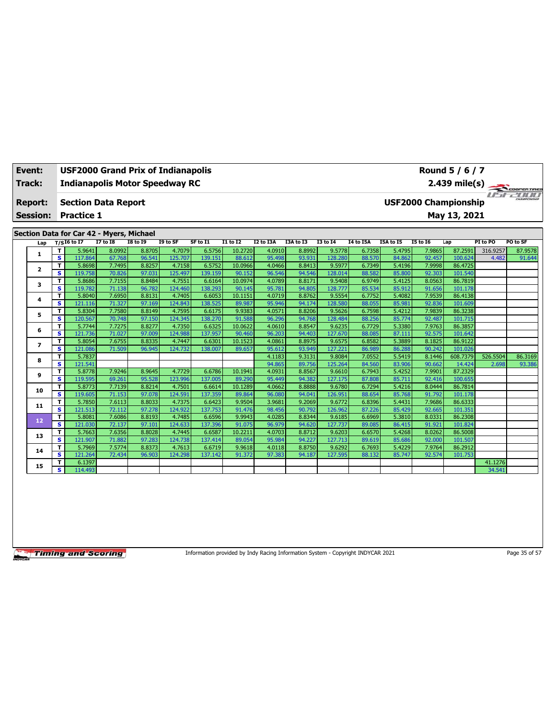| Event:          |                         | <b>USF2000 Grand Prix of Indianapolis</b>                 |                  |                  |                   |                   |                   |                  |                  |                   |                  |                  |                             | Round 5 / 6 / 7    |              |              |
|-----------------|-------------------------|-----------------------------------------------------------|------------------|------------------|-------------------|-------------------|-------------------|------------------|------------------|-------------------|------------------|------------------|-----------------------------|--------------------|--------------|--------------|
| <b>Track:</b>   |                         | <b>Indianapolis Motor Speedway RC</b>                     |                  |                  |                   |                   |                   |                  |                  |                   |                  |                  |                             | $2.439$ mile(s)    |              | COOPER TIRES |
| <b>Report:</b>  |                         | <b>Section Data Report</b>                                |                  |                  |                   |                   |                   |                  |                  |                   |                  |                  | <b>USF2000 Championship</b> |                    | $\mathbb{Z}$ |              |
| <b>Session:</b> |                         | <b>Practice 1</b>                                         |                  |                  |                   |                   |                   |                  |                  |                   |                  |                  |                             | May 13, 2021       |              |              |
|                 |                         |                                                           |                  |                  |                   |                   |                   |                  |                  |                   |                  |                  |                             |                    |              |              |
|                 |                         | Section Data for Car 42 - Myers, Michael<br>$T/SI6$ to I7 | <b>I7 to I8</b>  | <b>I8 to 19</b>  | I9 to SF          | SF to I1          | $I1$ to $I2$      | I2 to I3A        | I3A to I3        | <b>I3 to 14</b>   | <b>14 to 15A</b> | I5A to I5        | <b>I5 to 16</b>             | Lap                | PI to PO     | PO to SF     |
| Lap             | T                       | 5.9641                                                    | 8.0992           | 8.8705           | 4.7079            | 6.5756            | 10.2720           | 4.0910           | 8.8992           | 9.5778            | 6.7358           | 5.4795           | 7.9865                      | 87.2591            | 316.9257     | 87.9578      |
| 1               | $\overline{\mathbf{s}}$ | 117.864                                                   | 67.768           | 96.541           | 125.707           | 139.151           | 88.612            | 95.498           | 93.931           | 128.280           | 88.570           | 84.862           | 92.457                      | 100.624            | 4.482        | 91.644       |
|                 | T                       | 5.8698                                                    | 7.7495           | 8.8257           | 4.7158            | 6.5752            | 10.0966           | 4.0466           | 8.8413           | 9.5977            | 6.7349           | 5.4196           | 7.9998                      | 86.4725            |              |              |
| $\mathbf{2}$    | s                       | 119.758                                                   | 70.826           | 97.031           | 125.497           | 139.159           | 90.152            | 96.546           | 94.546           | 128.014           | 88.582           | 85.800           | 92.303                      | 101.540            |              |              |
|                 | T                       | 5.8686                                                    | 7.7155           | 8.8484           | 4.7551            | 6.6164            | 10.0974           | 4.0789           | 8.8171           | 9.5408            | 6.9749           | 5.4125           | 8.0563                      | 86.7819            |              |              |
| 3               | s.                      | 119.782                                                   | 71.138           | 96.782           | 124.460           | 138.293           | 90.145            | 95.781           | 94.805           | 128,777           | 85.534           | 85.912           | 91.656                      | 101.178            |              |              |
| 4               | т                       | 5.8040                                                    | 7.6950           | 8.8131           | 4.7405            | 6.6053            | 10.1151           | 4.0719           | 8.8762           | 9.5554            | 6.7752           | 5.4082           | 7.9539                      | 86.4138            |              |              |
|                 | s                       | 121.116                                                   | 71.327           | 97.169           | 124.843           | 138.525           | 89.987            | 95.946           | 94.174           | 128.580           | 88.055           | 85.981           | 92.836                      | 101.609            |              |              |
| 5               | T                       | 5.8304                                                    | 7.7580           | 8.8149           | 4.7595            | 6.6175            | 9.9383            | 4.0571           | 8.8206           | 9.5626            | 6.7598           | 5.4212           | 7.9839                      | 86.3238            |              |              |
|                 | s.                      | 120.567                                                   | 70.748           | 97.150           | 124.345           | 138.270           | 91.588            | 96.296           | 94.768           | 128,484           | 88.256           | 85.774           | 92.487                      | 101.715            |              |              |
| 6               | T                       | 5.7744                                                    | 7.7275           | 8.8277           | 4.7350            | 6.6325            | 10.0622           | 4.0610           | 8.8547           | 9.6235            | 6.7729           | 5.3380           | 7.9763                      | 86.3857            |              |              |
|                 | s                       | 121.736                                                   | 71.027           | 97.009           | 124.988           | 137.957           | 90.460            | 96.203           | 94.403           | 127.670           | 88.085           | 87.111           | 92.575                      | 101.642            |              |              |
| $\overline{ }$  | T                       | 5.8054                                                    | 7.6755           | 8.8335           | 4.7447            | 6.6301            | 10.1523           | 4.0861           | 8.8975           | 9.6575            | 6.8582           | 5.3889           | 8.1825                      | 86.9122            |              |              |
|                 | s                       | 121.086                                                   | 71.509           | 96.945           | 124.732           | 138.007           | 89.657            | 95.612           | 93.949           | 127,221           | 86.989           | 86.288           | 90.242                      | 101.026            |              |              |
| 8               | т                       | 5.7837                                                    |                  |                  |                   |                   |                   | 4.1183           | 9.3131           | 9.8084            | 7.0552           | 5.5419           | 8.1446                      | 608.7379           | 526.5504     | 86.3169      |
|                 | s.                      | 121.541                                                   |                  |                  |                   |                   |                   | 94.865           | 89.756           | 125.264           | 84.560           | 83.906           | 90.662                      | 14.424             | 2.698        | 93.386       |
| 9               | т                       | 5.8778                                                    | 7.9246           | 8.9645           | 4.7729            | 6.6786            | 10.1941           | 4.0931           | 8.8567           | 9.6610            | 6.7943           | 5.4252           | 7.9901                      | 87.2329            |              |              |
|                 | s.<br>T                 | 119.595<br>5.8773                                         | 69.261           | 95.528<br>8.8214 | 123.996<br>4.7501 | 137.005<br>6.6614 | 89.290<br>10.1289 | 95.449<br>4.0662 | 94.382<br>8.8888 | 127.175<br>9.6780 | 87.808<br>6.7294 | 85.711<br>5.4216 | 92.416<br>8.0444            | 100.655<br>86.7814 |              |              |
| 10              | s                       | 119.605                                                   | 7.7139<br>71.153 | 97.078           | 124.591           | 137.359           | 89.864            | 96.080           | 94.041           | 126.95:           | 88.654           | 85.768           | 91.792                      | 101.178            |              |              |
|                 | T                       | 5.7850                                                    | 7.6113           | 8.8033           | 4.7375            | 6.6423            | 9.9504            | 3.9681           | 9.2069           | 9.6772            | 6.8396           | 5.4431           | 7.9686                      | 86.6333            |              |              |
| 11              | s                       | 121.513                                                   | 72.112           | 97.278           | 124.922           | 137.753           | 91.476            | 98.456           | 90.792           | 126.962           | 87.226           | 85.429           | 92.665                      | 101.351            |              |              |
|                 | T                       | 5.8081                                                    | 7.6086           | 8.8193           | 4.7485            | 6.6596            | 9.9943            | 4.0285           | 8.8344           | 9.6185            | 6.6969           | 5.3810           | 8.0331                      | 86.2308            |              |              |
| 12              | s                       | 121.030                                                   | 72.137           | 97.101           | 124.633           | 137.396           | 91.075            | 96.979           | 94.620           | 127,737           | 89.085           | 86.415           | 91.921                      | 101.824            |              |              |
|                 | T                       | 5.7663                                                    | 7.6356           | 8.8028           | 4.7445            | 6.6587            | 10.2211           | 4.0703           | 8.8712           | 9.6203            | 6.6570           | 5.4268           | 8.0262                      | 86.5008            |              |              |
| 13              | s                       | 121.907                                                   | 71.882           | 97.283           | 124.738           | 137.414           | 89.054            | 95.984           | 94.227           | 127,713           | 89.619           | 85.686           | 92.000                      | 101.507            |              |              |
|                 | т                       | 5.7969                                                    | 7.5774           | 8.8373           | 4.7613            | 6.6719            | 9.9618            | 4.0118           | 8.8750           | 9.6292            | 6.7693           | 5.4229           | 7.9764                      | 86.2912            |              |              |
| 14              | s                       | 121.264                                                   | 72.434           | 96.903           | 124.298           | 137.142           | 91.372            | 97.383           | 94.187           | 127.595           | 88.132           | 85.747           | 92.574                      | 101.753            |              |              |
|                 | т                       | 6.1397                                                    |                  |                  |                   |                   |                   |                  |                  |                   |                  |                  |                             |                    | 41.1276      |              |
| 15              | s.                      | 114.493                                                   |                  |                  |                   |                   |                   |                  |                  |                   |                  |                  |                             |                    | 34.541       |              |

Information provided by Indy Racing Information System - Copyright INDYCAR 2021 Page 35 of 57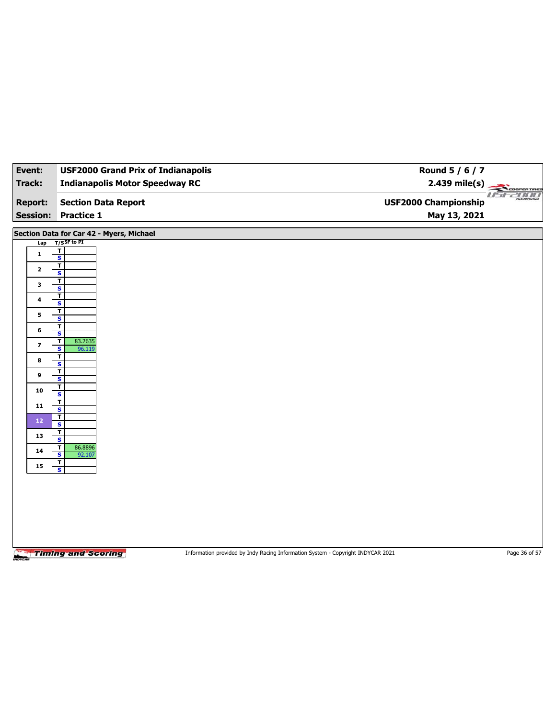| Event:                  | <b>USF2000 Grand Prix of Indianapolis</b>          | Round 5 / 6 / 7                                                                 |               |
|-------------------------|----------------------------------------------------|---------------------------------------------------------------------------------|---------------|
| Track:                  | <b>Indianapolis Motor Speedway RC</b>              | $2.439$ mile(s)                                                                 | COOPERTIRES   |
|                         |                                                    |                                                                                 | USE2000       |
| <b>Report:</b>          | <b>Section Data Report</b>                         | <b>USF2000 Championship</b>                                                     |               |
| <b>Session:</b>         | <b>Practice 1</b>                                  | May 13, 2021                                                                    |               |
|                         | Section Data for Car 42 - Myers, Michael           |                                                                                 |               |
| Lap                     | $T/S$ SF to PI                                     |                                                                                 |               |
| 1                       | $\mathbf T$<br>$\overline{\mathbf{s}}$             |                                                                                 |               |
| $\mathbf{2}$            | T                                                  |                                                                                 |               |
|                         | S<br>$\mathbf T$                                   |                                                                                 |               |
| 3                       | $\overline{\mathbf{s}}$                            |                                                                                 |               |
| $\ddot{\phantom{a}}$    | T<br>$\mathbf{s}$                                  |                                                                                 |               |
| 5                       | $\mathbf T$<br>$\overline{\mathbf{s}}$             |                                                                                 |               |
| 6                       | T                                                  |                                                                                 |               |
|                         | S<br>$\mathbf T$<br>83.2635                        |                                                                                 |               |
| $\overline{\mathbf{z}}$ | $\overline{\mathbf{s}}$<br>96.119                  |                                                                                 |               |
| 8                       | T<br>$\overline{\mathbf{s}}$                       |                                                                                 |               |
| 9                       | $\overline{\mathbf{r}}$<br>$\overline{\mathbf{s}}$ |                                                                                 |               |
| 10                      | T                                                  |                                                                                 |               |
|                         | S<br>$\mathbf T$                                   |                                                                                 |               |
| ${\bf 11}$              | $\overline{\mathbf{s}}$                            |                                                                                 |               |
| $12\,$                  | T<br>S                                             |                                                                                 |               |
| 13                      | T<br>$\overline{\mathbf{s}}$                       |                                                                                 |               |
| 14                      | 86.8896<br>T                                       |                                                                                 |               |
|                         | S<br>92.107<br>$\mathbf T$                         |                                                                                 |               |
| 15                      | $\overline{\mathbf{s}}$                            |                                                                                 |               |
|                         |                                                    |                                                                                 |               |
|                         |                                                    |                                                                                 |               |
|                         |                                                    |                                                                                 |               |
|                         |                                                    |                                                                                 |               |
|                         |                                                    |                                                                                 |               |
|                         |                                                    |                                                                                 |               |
|                         | <b>Timing and Scoring</b>                          | Information provided by Indy Racing Information System - Copyright INDYCAR 2021 | Page 36 of 57 |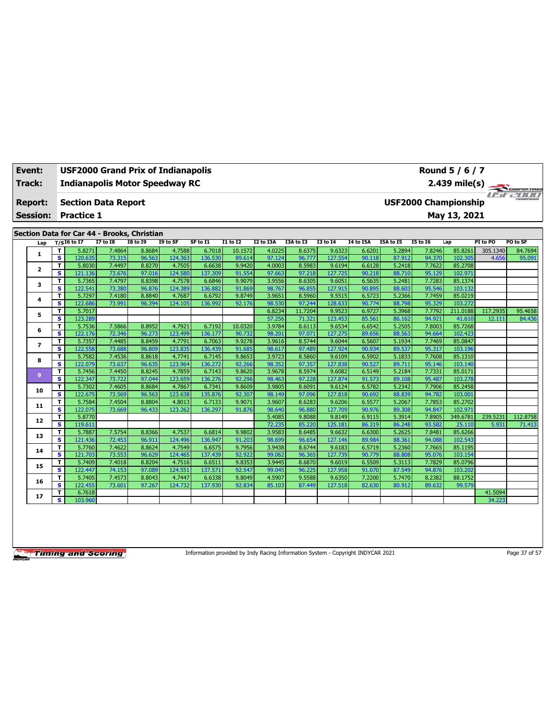| <b>Event:</b><br>Track: |                                   | <b>USF2000 Grand Prix of Indianapolis</b><br>Round 5 / 6 / 7<br><b>Indianapolis Motor Speedway RC</b><br>$2.439$ mile(s) |                                                 |                 |                                             |          |          |                 |           |           |                 |                  |           |                             | COOPERTIRES  |          |                    |
|-------------------------|-----------------------------------|--------------------------------------------------------------------------------------------------------------------------|-------------------------------------------------|-----------------|---------------------------------------------|----------|----------|-----------------|-----------|-----------|-----------------|------------------|-----------|-----------------------------|--------------|----------|--------------------|
|                         | <b>Report:</b><br><b>Session:</b> |                                                                                                                          | <b>Section Data Report</b><br><b>Practice 1</b> |                 |                                             |          |          |                 |           |           |                 |                  |           | <b>USF2000 Championship</b> | May 13, 2021 |          | u <del>srzoo</del> |
|                         |                                   |                                                                                                                          |                                                 |                 | Section Data for Car 44 - Brooks, Christian |          |          |                 |           |           |                 |                  |           |                             |              |          |                    |
|                         | Lap                               |                                                                                                                          | $T/SI6$ to I7                                   | <b>I7 to I8</b> | <b>I8 to 19</b>                             | I9 to SF | SF to I1 | <b>I1 to I2</b> | I2 to I3A | I3A to I3 | <b>I3 to 14</b> | <b>I4 to I5A</b> | I5A to I5 | <b>I5 to 16</b>             | Lap          | PI to PO | PO to SF           |
|                         |                                   | T                                                                                                                        | 5.8271                                          | 7.4864          | 8.8684                                      | 4.7588   | 6.7018   | 10.1572         | 4.0225    | 8.6375    | 9.6323          | 6.6201           | 5.2894    | 7.8246                      | 85.8261      | 305.1340 | 84.7694            |
|                         | 1                                 | $\overline{\mathbf{s}}$                                                                                                  | 120.635                                         | 73.315          | 96.563                                      | 124.363  | 136.530  | 89.614          | 97.124    | 96.777    | 127.554         | 90.118           | 87.912    | 94.370                      | 102.305      | 4.656    | 95.091             |
|                         | $\mathbf{2}$                      | T                                                                                                                        | 5.8030                                          | 7.4497          | 8.8270                                      | 4.7505   | 6.6638   | 9.9420          | 4.0003    | 8.5983    | 9.6194          | 6.6128           | 5.2418    | 7.7622                      | 85.2708      |          |                    |
|                         |                                   | S                                                                                                                        | 121.136                                         | 73.676          | 97.016                                      | 124.580  | 137.309  | 91.554          | 97.663    | 97.218    | 127.725         | 90.218           | 88.710    | 95.129                      | 102.971      |          |                    |
|                         | з                                 | T                                                                                                                        | 5.7365                                          | 7.4797          | 8.8398                                      | 4.7578   | 6.6846   | 9.9079          | 3.9556    | 8.6305    | 9.6051          | 6.5635           | 5.2481    | 7.7283                      | 85.1374      |          |                    |
|                         |                                   | s                                                                                                                        | 122.541                                         | 73.380          | 96.876                                      | 124.389  | 136.882  | 91.869          | 98.767    | 96.855    | 127.915         | 90.895           | 88.603    | 95.546                      | 103.132      |          |                    |
|                         | 4                                 | т                                                                                                                        | 5.7297                                          | 7.4180          | 8.8840                                      | 4.7687   | 6.6792   | 9.8749          | 3.9651    | 8.5960    | 9.5515          | 6.5723           | 5.2366    | 7.7459                      | 85.0219      |          |                    |
|                         |                                   | s                                                                                                                        | 122.686                                         | 73.991          | 96.394                                      | 124.105  | 136.992  | 92.176          | 98.530    | 97.244    | 128.633         | 90.774           | 88.798    | 95.329                      | 103.272      |          |                    |
|                         | 5                                 | T                                                                                                                        | 5.7017                                          |                 |                                             |          |          |                 | 6.8234    | 11.7204   | 9.9523          | 6.9727           | 5.3968    | 7.7792                      | 211.0188     | 117.2935 | 95.4658            |
|                         |                                   | s                                                                                                                        | 123.289                                         |                 |                                             |          |          |                 | 57.256    | 71.321    | 123.453         | 85.561           | 86.162    | 94.921                      | 41.610       | 12.111   | 84.436             |
|                         | 6                                 | T                                                                                                                        | 5.7536                                          | 7.5866          | 8.8952                                      | 4.7921   | 6.7192   | 10.0320         | 3.9784    | 8.6113    | 9.6534          | 6.6542           | 5.2505    | 7.8003                      | 85.7268      |          |                    |
|                         |                                   | s                                                                                                                        | 122.176                                         | 72.346          | 96.273                                      | 123.499  | 136.177  | 90.732          | 98.201    | 97.071    | 127.275         | 89.656           | 88.563    | 94.664                      | 102.423      |          |                    |
|                         | $\overline{ }$                    | т                                                                                                                        | 5.7357                                          | 7.4485          | 8.8459                                      | 4.7791   | 6.7063   | 9.9278          | 3.9616    | 8.5744    | 9.6044          | 6.5607           | 5.1934    | 7.7469                      | 85.0847      |          |                    |
|                         |                                   | $\mathbf{s}$                                                                                                             | 122.558                                         | 73.688          | 96.809                                      | 123.835  | 136.439  | 91.685          | 98.617    | 97.489    | 127.924         | 90.934           | 89.537    | 95.317                      | 103.196      |          |                    |
|                         | 8                                 | т                                                                                                                        | 5.7582                                          | 7.4536          | 8.8618                                      | 4.7741   | 6.7145   | 9.8653          | 3.9723    | 8.5860    | 9.6109          | 6.5902           | 5.1833    | 7.7608                      | 85.1310      |          |                    |
|                         |                                   | $\overline{\mathbf{s}}$                                                                                                  | 122.079                                         | 73.637          | 96.635                                      | 123.964  | 136.272  | 92.266          | 98.352    | 97.357    | 127,838         | 90.527           | 89.711    | 95.146                      | 103.140      |          |                    |
|                         | 9                                 | T                                                                                                                        | 5.7456                                          | 7.4450          | 8.8245                                      | 4.7859   | 6.7143   | 9.8620          | 3.9678    | 8.5974    | 9.6082          | 6.5149           | 5.2184    | 7.7331                      | 85.0171      |          |                    |
|                         |                                   | s                                                                                                                        | 122.347                                         | 73.722          | 97.044                                      | 123.659  | 136.276  | 92.296          | 98.463    | 97.228    | 127.874         | 91.573           | 89.108    | 95.487                      | 103.278      |          |                    |
|                         | 10                                | T                                                                                                                        | 5.7302                                          | 7.4605          | 8.8684                                      | 4.7867   | 6.7341   | 9.8609          | 3.9805    | 8.6091    | 9.6124          | 6.5782           | 5.2342    | 7.7906                      | 85.2458      |          |                    |
|                         |                                   | s                                                                                                                        | 122.675                                         | 73.569          | 96.563                                      | 123.638  | 135.876  | 92.307          | 98.149    | 97.096    | 127.818         | 90.692           | 88.839    | 94.782                      | 103.001      |          |                    |
|                         | 11                                | T                                                                                                                        | 5.7584                                          | 7.4504          | 8.8804                                      | 4.8013   | 6.7133   | 9.9071          | 3.9607    | 8.6283    | 9.6206          | 6.5577           | 5.2067    | 7.7853                      | 85.2702      |          |                    |
|                         |                                   | s                                                                                                                        | 122.075                                         | 73.669          | 96.433                                      | 123.262  | 136.297  | 91.876          | 98.640    | 96.880    | 127,709         | 90.976           | 89.308    | 94.847                      | 102.971      |          |                    |
|                         | 12                                | T                                                                                                                        | 5.8770                                          |                 |                                             |          |          |                 | 5.4085    | 9.8088    | 9.8149          | 6.9115           | 5.3914    | 7.8905                      | 349.6781     | 239.5231 | 112.8758           |
|                         |                                   | s                                                                                                                        | 119.611                                         |                 |                                             |          |          |                 | 72.235    | 85.220    | 125.181         | 86.319           | 86.248    | 93.582                      | 25.110       | 5.931    | 71.413             |
|                         | 13                                | T                                                                                                                        | 5.7887                                          | 7.5754          | 8.8366                                      | 4.7537   | 6.6814   | 9.9802          | 3.9583    | 8.6485    | 9.6632          | 6.6300           | 5.2625    | 7.8481                      | 85.6266      |          |                    |
|                         |                                   | s                                                                                                                        | 121.436                                         | 72.453          | 96.911                                      | 124.496  | 136.947  | 91.203          | 98.699    | 96.654    | 127.146         | 89.984           | 88.361    | 94.088                      | 102.543      |          |                    |
|                         | 14                                | т                                                                                                                        | 5.7760                                          | 7.4622          | 8.8624                                      | 4.7549   | 6.6575   | 9.7956          | 3.9438    | 8.6744    | 9.6183          | 6.5719           | 5.2360    | 7.7665                      | 85.1195      |          |                    |
|                         |                                   | s                                                                                                                        | 121.703                                         | 73.553          | 96.629                                      | 124.465  | 137.439  | 92.922          | 99.062    | 96.365    | 127.739         | 90.779           | 88.808    | 95.076                      | 103.154      |          |                    |
|                         | 15                                | т                                                                                                                        | 5.7409                                          | 7.4018          | 8.8204                                      | 4.7516   | 6.6511   | 9.8353          | 3.9445    | 8.6870    | 9.6019          | 6.5509           | 5.3113    | 7.7829                      | 85.0796      |          |                    |
|                         |                                   | s                                                                                                                        | 122.447                                         | 74.153          | 97.089                                      | 124.551  | 137.571  | 92.547          | 99.045    | 96.225    | 127.958         | 91.070           | 87.549    | 94.876                      | 103.202      |          |                    |
|                         | 16                                | т                                                                                                                        | 5.7405                                          | 7.4573          | 8.8043                                      | 4.7447   | 6.6338   | 9.8049          | 4.5907    | 9.5588    | 9.6350          | 7.2200           | 5.7470    | 8.2382                      | 88.1752      |          |                    |
|                         |                                   | s                                                                                                                        | 122.455                                         | 73.601          | 97.267                                      | 124.732  | 137.930  | 92.834          | 85.103    | 87.449    | 127.518         | 82.630           | 80.912    | 89.632                      | 99.579       |          |                    |
|                         | 17                                | т                                                                                                                        | 6.7618                                          |                 |                                             |          |          |                 |           |           |                 |                  |           |                             |              | 41.5094  |                    |
|                         |                                   | s                                                                                                                        | 103.960                                         |                 |                                             |          |          |                 |           |           |                 |                  |           |                             |              | 34.223   |                    |

Information provided by Indy Racing Information System - Copyright INDYCAR 2021 Page 37 of 57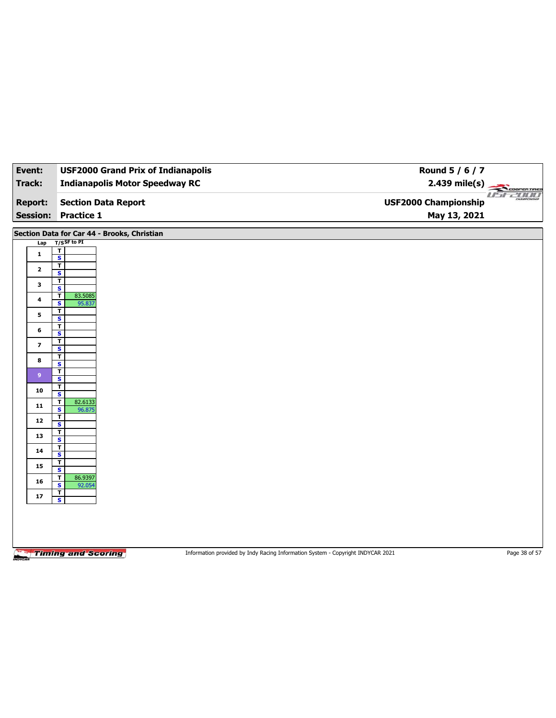| Event:          | <b>USF2000 Grand Prix of Indianapolis</b>     |                                                                                 | Round 5 / 6 / 7             |
|-----------------|-----------------------------------------------|---------------------------------------------------------------------------------|-----------------------------|
| <b>Track:</b>   | <b>Indianapolis Motor Speedway RC</b>         |                                                                                 | 2.439 mile(s)               |
|                 |                                               |                                                                                 | <b>COOPERTIRES</b>          |
| <b>Report:</b>  | <b>Section Data Report</b>                    |                                                                                 | <b>USF2000 Championship</b> |
| <b>Session:</b> | <b>Practice 1</b>                             |                                                                                 | May 13, 2021                |
|                 | Section Data for Car 44 - Brooks, Christian   |                                                                                 |                             |
| Lap             | $T/S$ SF to PI                                |                                                                                 |                             |
| $\mathbf{1}$    | T<br>$\overline{\mathbf{s}}$                  |                                                                                 |                             |
| $\mathbf{2}$    | T                                             |                                                                                 |                             |
|                 | S<br>T                                        |                                                                                 |                             |
| 3               | $\overline{\mathbf{s}}$                       |                                                                                 |                             |
| 4               | 83.5085<br>T<br>S<br>95.837                   |                                                                                 |                             |
| 5               | T<br>$\overline{\mathbf{s}}$                  |                                                                                 |                             |
| 6               | $\overline{\mathbf{r}}$                       |                                                                                 |                             |
|                 | $\overline{\mathbf{s}}$<br>T                  |                                                                                 |                             |
| 7               | $\overline{\mathbf{s}}$                       |                                                                                 |                             |
| 8               | T<br>$\overline{\mathbf{s}}$                  |                                                                                 |                             |
| 9 <sup>°</sup>  | $\overline{\mathbf{r}}$                       |                                                                                 |                             |
|                 | $\overline{\mathbf{s}}$<br>т                  |                                                                                 |                             |
| 10              | S<br>82.6133                                  |                                                                                 |                             |
| 11              | <u>T</u><br>$\overline{\mathbf{s}}$<br>96.875 |                                                                                 |                             |
| 12              | T<br>S                                        |                                                                                 |                             |
| 13              | $\overline{\mathbf{r}}$                       |                                                                                 |                             |
|                 | $\overline{\mathbf{s}}$<br>T                  |                                                                                 |                             |
| 14              | S                                             |                                                                                 |                             |
| 15              | T<br>$\overline{\mathbf{s}}$                  |                                                                                 |                             |
| 16              | 86.9397<br>T<br>s<br>92.054                   |                                                                                 |                             |
| $17$            | $rac{1}{s}$                                   |                                                                                 |                             |
|                 |                                               |                                                                                 |                             |
|                 |                                               |                                                                                 |                             |
|                 |                                               |                                                                                 |                             |
|                 |                                               |                                                                                 |                             |
| NOVCAL          | <b>Timing and Scoring</b>                     | Information provided by Indy Racing Information System - Copyright INDYCAR 2021 | Page 38 of 57               |
|                 |                                               |                                                                                 |                             |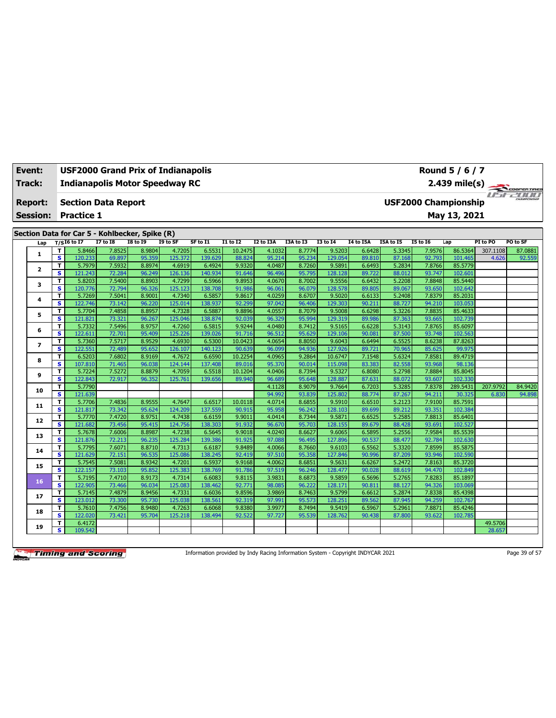| Event:          |                              | <b>USF2000 Grand Prix of Indianapolis</b>      |                  |                  |                   |                   |                  |                  |                  |                   |                  |                  |                  | Round 5 / 6 / 7             |                   |                      |
|-----------------|------------------------------|------------------------------------------------|------------------|------------------|-------------------|-------------------|------------------|------------------|------------------|-------------------|------------------|------------------|------------------|-----------------------------|-------------------|----------------------|
| Track:          |                              | <b>Indianapolis Motor Speedway RC</b>          |                  |                  |                   |                   |                  |                  |                  |                   |                  |                  |                  | $2.439$ mile(s)             |                   | COOPERTIRES          |
| <b>Report:</b>  |                              | <b>Section Data Report</b>                     |                  |                  |                   |                   |                  |                  |                  |                   |                  |                  |                  | <b>USF2000 Championship</b> | 11 <del>5</del> F | <b>PERTIFICATION</b> |
| <b>Session:</b> |                              | <b>Practice 1</b>                              |                  |                  |                   |                   |                  |                  |                  |                   |                  |                  |                  | May 13, 2021                |                   |                      |
|                 |                              |                                                |                  |                  |                   |                   |                  |                  |                  |                   |                  |                  |                  |                             |                   |                      |
|                 |                              | Section Data for Car 5 - Kohlbecker, Spike (R) |                  |                  |                   |                   |                  |                  |                  |                   |                  |                  |                  |                             |                   |                      |
| Lap             |                              | $T/SI6$ to I7                                  | <b>I7 to 18</b>  | <b>I8 to I9</b>  | I9 to SF          | SF to I1          | <b>I1 to I2</b>  | I2 to I3A        | I3A to I3        | <b>I3 to 14</b>   | <b>I4 to I5A</b> | I5A to I5        | <b>15 to 16</b>  | Lap                         | PI to PO          | PO to SF             |
| 1               | т                            | 5.8466                                         | 7.8525           | 8.9804           | 4.7205            | 6.5531            | 10.2475          | 4.1032           | 8.7774           | 9.5203            | 6.6428           | 5.3345           | 7.9576           | 86.5364                     | 307.1108          | 87.0881              |
|                 | $\overline{\mathbf{s}}$      | 120.233                                        | 69.897           | 95.359           | 125.372           | 139.629           | 88.824           | 95.214           | 95.234           | 129.054           | 89.810           | 87.168           | 92.793           | 101.465                     | 4.626             | 92.559               |
| $\mathbf{2}$    | T<br>$\overline{\mathbf{s}}$ | 5.7979<br>121.243                              | 7.5932           | 8.8974<br>96.249 | 4.6919<br>126.136 | 6.4924<br>140.934 | 9.9320           | 4.0487<br>96.496 | 8.7260<br>95.795 | 9.5891            | 6.6493           | 5.2834<br>88.012 | 7.8766<br>93.747 | 85.5779<br>102.601          |                   |                      |
|                 | т                            | 5.8203                                         | 72.284<br>7.5400 | 8.8903           | 4.7299            | 6.5966            | 91.646<br>9.8953 | 4.0670           | 8.7002           | 128.128<br>9.5556 | 89.722<br>6.6432 | 5.2208           | 7.8848           | 85.5440                     |                   |                      |
| 3               | $\overline{\mathbf{s}}$      | 120.776                                        | 72.794           | 96.326           | 125.123           | 138.708           | 91.986           | 96.061           | 96.079           | 128,578           | 89.805           | 89.067           | 93.650           | 102.642                     |                   |                      |
|                 | т                            | 5.7269                                         | 7.5041           | 8.9001           | 4.7340            | 6.5857            | 9.8617           | 4.0259           | 8.6707           | 9.5020            | 6.6133           | 5.2408           | 7.8379           | 85.2031                     |                   |                      |
| 4               | s                            | 122.746                                        | 73.142           | 96.220           | 125.014           | 138.937           | 92.299           | 97.042           | 96.406           | 129.303           | 90.211           | 88.727           | 94.210           | 103.053                     |                   |                      |
|                 | T                            | 5.7704                                         | 7.4858           | 8.8957           | 4.7328            | 6.5887            | 9.8896           | 4.0557           | 8.7079           | 9.5008            | 6.6298           | 5.3226           | 7.8835           | 85.4633                     |                   |                      |
| 5               | s                            | 121.821                                        | 73.321           | 96.267           | 125.046           | 138.874           | 92.039           | 96.329           | 95.994           | 129.319           | 89.986           | 87.363           | 93.665           | 102.739                     |                   |                      |
|                 | T                            | 5.7332                                         | 7.5496           | 8.9757           | 4.7260            | 6.5815            | 9.9244           | 4.0480           | 8.7412           | 9.5165            | 6.6228           | 5.3143           | 7.8765           | 85.6097                     |                   |                      |
| 6               | s                            | 122.611                                        | 72.701           | 95.409           | 125.226           | 139.026           | 91.716           | 96.512           | 95.629           | 129,106           | 90.081           | 87.500           | 93.748           | 102.563                     |                   |                      |
| 7               | т                            | 5.7360                                         | 7.5717           | 8.9529           | 4.6930            | 6.5300            | 10.0423          | 4.0654           | 8.8050           | 9.6043            | 6.6494           | 6.5525           | 8.6238           | 87.8263                     |                   |                      |
|                 | s                            | 122.551                                        | 72.489           | 95.652           | 126.107           | 140.123           | 90.639           | 96.099           | 94.936           | 127.926           | 89.721           | 70.965           | 85.625           | 99.975                      |                   |                      |
| 8               | т                            | 6.5203                                         | 7.6802           | 8.9169           | 4.7672            | 6.6590            | 10.2254          | 4.0965           | 9.2864           | 10.6747           | 7.1548           | 5.6324           | 7.8581           | 89.4719                     |                   |                      |
|                 | s                            | 107.810                                        | 71.465           | 96.038           | 124.144           | 137.408           | 89.016           | 95.370           | 90.014           | 115.098           | 83.383           | 82.558           | 93.968           | 98.136                      |                   |                      |
| 9               | T                            | 5.7224                                         | 7.5272           | 8.8879           | 4.7059            | 6.5518            | 10.1204          | 4.0406           | 8.7394           | 9.5327            | 6.8080           | 5.2798           | 7.8884           | 85.8045                     |                   |                      |
|                 | s                            | 122.843                                        | 72.917           | 96.352           | 125.761           | 139.656           | 89.940           | 96.689           | 95.648           | 128.887           | 87.631           | 88.072           | 93.607           | 102.330                     |                   |                      |
| 10              | т                            | 5.7790                                         |                  |                  |                   |                   |                  | 4.1128           | 8.9079           | 9.7664            | 6.7203           | 5.3285           | 7.8378           | 289.5431                    | 207.9792          | 84.9420              |
|                 | $\overline{\mathbf{s}}$      | 121.639                                        |                  |                  |                   |                   |                  | 94.992           | 93.839           | 125.802           | 88.774           | 87.267           | 94.211           | 30.325                      | 6.830             | 94.898               |
| 11              | т                            | 5.7706                                         | 7.4836           | 8.9555           | 4.7647            | 6.6517            | 10.0118          | 4.0714           | 8.6855           | 9.5910            | 6.6510           | 5.2123           | 7.9100           | 85.7591                     |                   |                      |
|                 | s                            | 121.817<br>5.7770                              | 73.342           | 95.624           | 124.209           | 137.559           | 90.915           | 95.958           | 96.242<br>8.7344 | 128.103           | 89.699           | 89.212<br>5.2585 | 93.351<br>7.8813 | 102.384<br>85.6401          |                   |                      |
| 12              | т<br>s                       | 121.682                                        | 7.4720<br>73.456 | 8.9751<br>95.415 | 4.7438<br>124.756 | 6.6159<br>138.303 | 9.9011<br>91.932 | 4.0414<br>96.670 | 95.703           | 9.5871<br>128.155 | 6.6525<br>89.679 | 88.428           | 93.691           | 102.527                     |                   |                      |
|                 | т                            | 5.7678                                         | 7.6006           | 8.8987           | 4.7238            | 6.5645            | 9.9018           | 4.0240           | 8.6627           | 9.6065            | 6.5895           | 5.2556           | 7.9584           | 85.5539                     |                   |                      |
| 13              | s                            | 121.876                                        | 72.213           | 96.235           | 125.284           | 139.386           | 91.925           | 97.08            | 96.495           | 127.896           | 90.537           | 88.477           | 92.784           | 102.630                     |                   |                      |
|                 | T                            | 5.7795                                         | 7.6071           | 8.8710           | 4.7313            | 6.6187            | 9.8489           | 4.0066           | 8.7660           | 9.6103            | 6.5562           | 5.3320           | 7.8599           | 85.5875                     |                   |                      |
| 14              | s                            | 121.629                                        | 72.151           | 96.535           | 125.086           | 138.245           | 92.419           | 97.510           | 95.358           | 127.846           | 90.996           | 87.209           | 93.946           | 102.590                     |                   |                      |
|                 | T                            | 5.7545                                         | 7.5081           | 8.9342           | 4.7201            | 6.5937            | 9.9168           | 4.0062           | 8.6851           | 9.5631            | 6.6267           | 5.2472           | 7.8163           | 85.3720                     |                   |                      |
| 15              | s                            | 122.157                                        | 73.103           | 95.852           | 125.383           | 138.769           | 91.786           | 97.519           | 96.246           | 128,477           | 90.028           | 88.619           | 94.470           | 102.849                     |                   |                      |
|                 | т                            | 5.7195                                         | 7.4710           | 8.9173           | 4.7314            | 6.6083            | 9.8115           | 3.9831           | 8.6873           | 9.5859            | 6.5696           | 5.2765           | 7.8283           | 85.1897                     |                   |                      |
| 16              | s                            | 122.905                                        | 73.466           | 96.034           | 125.083           | 138.462           | 92.771           | 98.08            | 96.222           | 128.171           | 90.811           | 88.127           | 94.326           | 103.069                     |                   |                      |
| 17              | т                            | 5.7145                                         | 7.4879           | 8.9456           | 4.7331            | 6.6036            | 9.8596           | 3.9869           | 8.7463           | 9.5799            | 6.6612           | 5.2874           | 7.8338           | 85.4398                     |                   |                      |
|                 | s                            | 123.012                                        | 73.300           | 95.730           | 125.038           | 138.561           | 92.319           | 97.991           | 95.573           | 128.251           | 89.562           | 87.945           | 94.259           | 102.767                     |                   |                      |
| 18              | т                            | 5.7610                                         | 7.4756           | 8.9480           | 4.7263            | 6.6068            | 9.8380           | 3.9977           | 8.7494           | 9.5419            | 6.5967           | 5.2961           | 7.8871           | 85.4246                     |                   |                      |
|                 | s                            | 122.020                                        | 73.421           | 95.704           | 125.218           | 138.494           | 92.522           | 97.727           | 95.539           | 128,762           | 90.438           | 87,800           | 93.622           | 102.785                     |                   |                      |
| 19              | т                            | 6.4172                                         |                  |                  |                   |                   |                  |                  |                  |                   |                  |                  |                  |                             | 49.5706           |                      |
|                 | s                            | 109.542                                        |                  |                  |                   |                   |                  |                  |                  |                   |                  |                  |                  |                             | 28.657            |                      |

Information provided by Indy Racing Information System - Copyright INDYCAR 2021 Page 39 of 57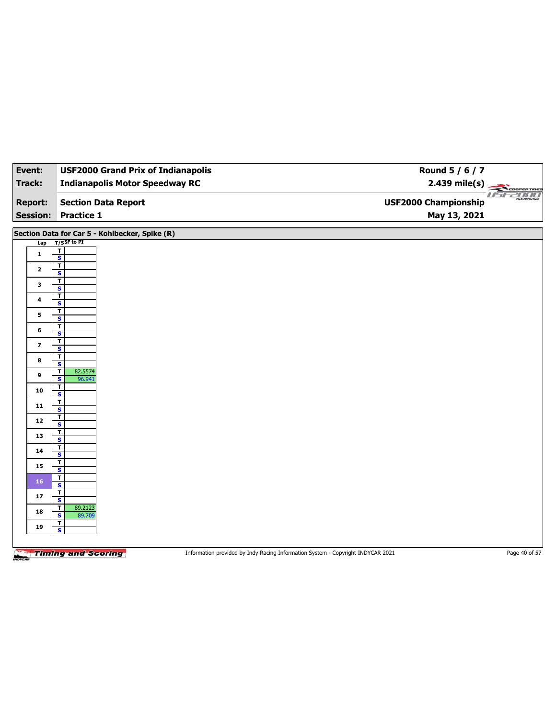| Event:                  | <b>USF2000 Grand Prix of Indianapolis</b>                   | Round 5 / 6 / 7                                                |
|-------------------------|-------------------------------------------------------------|----------------------------------------------------------------|
| Track:                  | <b>Indianapolis Motor Speedway RC</b>                       | $2.439$ mile(s)<br>COOPERTIRES                                 |
| <b>Report:</b>          | <b>Section Data Report</b>                                  | <i>USE 2000</i><br>CHAMPSONSHIL<br><b>USF2000 Championship</b> |
|                         | <b>Session: Practice 1</b>                                  | May 13, 2021                                                   |
|                         | Section Data for Car 5 - Kohlbecker, Spike (R)              |                                                                |
| Lap                     | $T/S$ SF to PI                                              |                                                                |
| 1                       | T<br>$\overline{\mathbf{s}}$                                |                                                                |
| $\mathbf{2}$            | T<br>$\overline{\mathbf{s}}$                                |                                                                |
| 3                       | T                                                           |                                                                |
| 4                       | $\overline{\mathbf{s}}$<br>$\overline{\mathbf{r}}$          |                                                                |
|                         | $\overline{\mathbf{s}}$                                     |                                                                |
| 5                       | $\mathbf T$<br>$\overline{\mathbf{s}}$                      |                                                                |
| 6                       | $\overline{1}$<br>S                                         |                                                                |
| $\overline{\mathbf{z}}$ | T                                                           |                                                                |
|                         | $\overline{\mathbf{s}}$<br>T                                |                                                                |
| 8                       | $\overline{\mathbf{s}}$                                     |                                                                |
| 9                       | 82.5574<br>$\mathbf T$<br>$\overline{\mathbf{s}}$<br>96.941 |                                                                |
| ${\bf 10}$              | T<br>$\overline{\mathbf{s}}$                                |                                                                |
| 11                      | $\mathbf T$                                                 |                                                                |
| 12                      | $\overline{\mathbf{s}}$<br>$\mathbf{T}$                     |                                                                |
|                         | $\overline{\mathbf{s}}$<br>T                                |                                                                |
| 13                      | $\overline{\mathbf{s}}$                                     |                                                                |
| 14                      | $\mathbf{I}$<br>S                                           |                                                                |
| 15                      | $\mathbf{T}$<br>$\overline{\mathbf{s}}$                     |                                                                |
| 16                      | $\overline{\mathbf{r}}$                                     |                                                                |
| 17                      | S<br>$\mathbf T$                                            |                                                                |
|                         | $\overline{\mathbf{s}}$<br>89.2123<br>$\mathbf{r}$          |                                                                |
| 18                      | $\mathbf{s}$<br>89.709<br>$\mathbf{T}$                      |                                                                |
| 19                      | $\overline{\mathbf{s}}$                                     |                                                                |
|                         |                                                             |                                                                |

Information provided by Indy Racing Information System - Copyright INDYCAR 2021 Page 40 of 57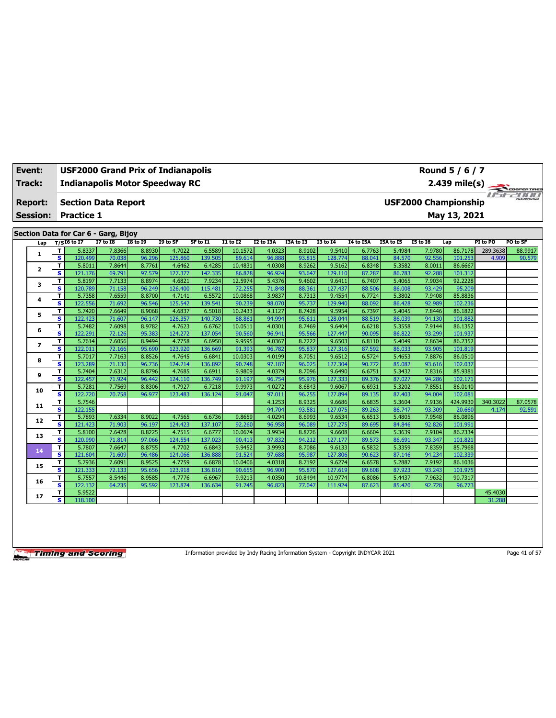| Event:          | USF2000 Grand Prix of Indianapolis<br>Round 5 / 6 / 7<br><b>Indianapolis Motor Speedway RC</b><br>2.439 mile(s) |                                      |                 |                 |          |          |                 |           |           |                 |           |           |                 |                             |          |              |
|-----------------|-----------------------------------------------------------------------------------------------------------------|--------------------------------------|-----------------|-----------------|----------|----------|-----------------|-----------|-----------|-----------------|-----------|-----------|-----------------|-----------------------------|----------|--------------|
| Track:          |                                                                                                                 |                                      |                 |                 |          |          |                 |           |           |                 |           |           |                 |                             |          | COOPER TIRES |
| <b>Report:</b>  |                                                                                                                 | <b>Section Data Report</b>           |                 |                 |          |          |                 |           |           |                 |           |           |                 | <b>USF2000 Championship</b> |          |              |
| <b>Session:</b> |                                                                                                                 | <b>Practice 1</b>                    |                 |                 |          |          |                 |           |           |                 |           |           |                 | May 13, 2021                |          |              |
|                 |                                                                                                                 |                                      |                 |                 |          |          |                 |           |           |                 |           |           |                 |                             |          |              |
|                 |                                                                                                                 | Section Data for Car 6 - Garg, Bijoy |                 |                 |          |          |                 |           |           |                 |           |           |                 |                             |          |              |
| Lap             |                                                                                                                 | $T/SI6$ to I7                        | <b>I7 to I8</b> | <b>18 to 19</b> | I9 to SF | SF to I1 | <b>I1 to I2</b> | I2 to I3A | I3A to I3 | <b>I3 to 14</b> | I4 to I5A | I5A to I5 | <b>I5 to 16</b> | Lap                         | PI to PO | PO to SF     |
| 1               | т                                                                                                               | 5.8337                               | 7.8366          | 8.8930          | 4.7022   | 6.5589   | 10.1572         | 4.0323    | 8.9102    | 9.5410          | 6.7763    | 5.4984    | 7.9780          | 86.7178                     | 289.3638 | 88.9917      |
|                 | $\overline{\mathbf{s}}$                                                                                         | 120.499                              | 70.038          | 96.296          | 125.860  | 139.505  | 89.614          | 96.888    | 93.815    | 128,774         | 88.041    | 84.570    | 92.556          | 101.253                     | 4.909    | 90.579       |
| 2               | т                                                                                                               | 5.8011                               | 7.8644          | 8.7761          | 4.6462   | 6.4285   | 10.4831         | 4.0308    | 8.9262    | 9.5162          | 6.8348    | 5.3582    | 8.0011          | 86.6667                     |          |              |
|                 | s                                                                                                               | 121.176                              | 69.791          | 97.579          | 127.377  | 142.335  | 86.828          | 96.924    | 93.647    | 129.110         | 87.287    | 86.783    | 92.288          | 101.312                     |          |              |
| 3               | т                                                                                                               | 5.8197                               | 7.7133          | 8.8974          | 4.6821   | 7.9234   | 12.5974         | 5.4376    | 9.4602    | 9.6411          | 6.7407    | 5.4065    | 7.9034          | 92.2228                     |          |              |
|                 | s                                                                                                               | 120.789                              | 71.158          | 96.249          | 126.400  | 115.481  | 72.255          | 71.848    | 88.361    | 127.437         | 88.506    | 86.008    | 93.429          | 95.209                      |          |              |
| 4               | T                                                                                                               | 5.7358                               | 7.6559          | 8.8700          | 4.7141   | 6.5572   | 10.0868         | 3.9837    | 8.7313    | 9.4554          | 6.7724    | 5.3802    | 7.9408          | 85,8836                     |          |              |
|                 | s                                                                                                               | 122.556                              | 71.692          | 96.546          | 125.542  | 139.541  | 90.239          | 98.070    | 95.737    | 129.940         | 88.092    | 86.428    | 92.989          | 102.236                     |          |              |
| 5               | т                                                                                                               | 5.7420                               | 7.6649          | 8.9068          | 4.6837   | 6.5018   | 10.2433         | 4.1127    | 8.7428    | 9.5954          | 6.7397    | 5.4045    | 7.8446          | 86.1822                     |          |              |
|                 | s                                                                                                               | 122.423                              | 71.607          | 96.147          | 126.357  | 140.730  | 88.861          | 94.994    | 95.611    | 128.044         | 88.519    | 86.039    | 94.130          | 101.882                     |          |              |
| 6               | т                                                                                                               | 5.7482                               | 7.6098          | 8.9782          | 4.7623   | 6.6762   | 10.0511         | 4.0301    | 8.7469    | 9.6404          | 6.6218    | 5.3558    | 7.9144          | 86.1352                     |          |              |
|                 | s                                                                                                               | 122.291                              | 72.126          | 95.383          | 124.272  | 137.054  | 90.560          | 96.941    | 95.566    | 127.447         | 90.095    | 86.822    | 93.299          | 101.937                     |          |              |
| $\overline{ }$  | T                                                                                                               | 5.7614                               | 7.6056          | 8.9494          | 4.7758   | 6.6950   | 9.9595          | 4.0367    | 8.7222    | 9.6503          | 6.8110    | 5.4049    | 7.8634          | 86.2352                     |          |              |
|                 | s                                                                                                               | 122.011                              | 72.166          | 95.690          | 123.920  | 136.669  | 91.393          | 96.782    | 95.837    | 127.316         | 87.592    | 86.033    | 93.905          | 101.819                     |          |              |
| 8               | т                                                                                                               | 5.7017                               | 7.7163          | 8.8526          | 4.7645   | 6.6841   | 10.0303         | 4.0199    | 8.7051    | 9.6512          | 6.5724    | 5.4653    | 7.8876          | 86.0510                     |          |              |
|                 | s                                                                                                               | 123.289                              | 71.130          | 96.736          | 124.214  | 136.892  | 90.748          | 97.187    | 96.025    | 127.304         | 90.772    | 85.082    | 93.616          | 102.037                     |          |              |
| 9               | т                                                                                                               | 5.7404                               | 7.6312          | 8.8796          | 4.7685   | 6.6911   | 9.9809          | 4.0379    | 8.7096    | 9.6490          | 6.6751    | 5.3432    | 7.8316          | 85.9381                     |          |              |
|                 | s                                                                                                               | 122.457                              | 71.924          | 96.442          | 124.110  | 136.749  | 91.197          | 96.754    | 95.976    | 127.333         | 89.376    | 87.027    | 94.286          | 102.171                     |          |              |
| 10              | Т                                                                                                               | 5.7281                               | 7.7569          | 8.8306          | 4.7927   | 6.7218   | 9.9973          | 4.0272    | 8.6843    | 9.6067          | 6.6931    | 5.3202    | 7.8551          | 86.0140                     |          |              |
|                 | s                                                                                                               | 122.720                              | 70.758          | 96.977          | 123.483  | 136.124  | 91.047          | 97.011    | 96.255    | 127.894         | 89.135    | 87.403    | 94.004          | 102.081                     |          |              |
| 11              | т                                                                                                               | 5.7546                               |                 |                 |          |          |                 | 4.1253    | 8.9325    | 9.6686          | 6.6835    | 5.3604    | 7.9136          | 424.9930                    | 340.3022 | 87.0578      |
|                 | s                                                                                                               | 122.155                              |                 |                 |          |          |                 | 94.704    | 93.581    | 127.075         | 89.263    | 86.747    | 93.309          | 20.660                      | 4.174    | 92.591       |
| 12              | т                                                                                                               | 5.7893                               | 7.6334          | 8.9022          | 4.7565   | 6.6736   | 9.8659          | 4.0294    | 8.6993    | 9.6534          | 6.6513    | 5.4805    | 7.9548          | 86.0896                     |          |              |
|                 | $\overline{\mathbf{s}}$                                                                                         | 121.423                              | 71.903          | 96.197          | 124.423  | 137.107  | 92.260          | 96.958    | 96.089    | 127.275         | 89.695    | 84.846    | 92.826          | 101.991                     |          |              |
| 13              | T                                                                                                               | 5.8100                               | 7.6428          | 8.8225          | 4.7515   | 6.6777   | 10.0674         | 3.9934    | 8.8726    | 9.6608          | 6.6604    | 5.3639    | 7.9104          | 86.2334                     |          |              |
|                 | s                                                                                                               | 120.990                              | 71.814          | 97.066          | 124.554  | 137.023  | 90.413          | 97.832    | 94.212    | 127.177         | 89.573    | 86.691    | 93.347          | 101.821                     |          |              |
| 14              | T                                                                                                               | 5.7807                               | 7.6647          | 8.8755          | 4.7702   | 6.6843   | 9.9452          | 3.9993    | 8.7086    | 9.6133          | 6.5832    | 5.3359    | 7.8359          | 85.7968                     |          |              |
|                 | s                                                                                                               | 121.604                              | 71.609          | 96.486          | 124.066  | 136.888  | 91.524          | 97.688    | 95.987    | 127.806         | 90.623    | 87.146    | 94.234          | 102.339                     |          |              |
| 15              | т                                                                                                               | 5.7936                               | 7.6091          | 8.9525          | 4.7759   | 6.6878   | 10.0406         | 4.0318    | 8.7192    | 9.6274          | 6.6578    | 5.2887    | 7.9192          | 86.1036                     |          |              |
|                 | $\overline{\mathbf{s}}$                                                                                         | 121.333                              | 72.133          | 95.656          | 123.918  | 136.816  | 90.655          | 96.900    | 95.870    | 127.619         | 89.608    | 87.923    | 93.243          | 101.975                     |          |              |
| 16              | T                                                                                                               | 5.7557                               | 8.5446          | 8.9585          | 4.7776   | 6.6967   | 9.9213          | 4.0350    | 10.8494   | 10.9774         | 6.8086    | 5.4437    | 7.9632          | 90.7317                     |          |              |
|                 | s                                                                                                               | 122.132                              | 64.235          | 95.592          | 123.874  | 136.634  | 91.745          | 96.823    | 77.047    | 111.924         | 87.623    | 85.420    | 92.728          | 96.773                      |          |              |
| 17              | т                                                                                                               | 5.9522                               |                 |                 |          |          |                 |           |           |                 |           |           |                 |                             | 45.4030  |              |
|                 | s                                                                                                               | 118.100                              |                 |                 |          |          |                 |           |           |                 |           |           |                 |                             | 31.288   |              |

Information provided by Indy Racing Information System - Copyright INDYCAR 2021 Page 41 of 57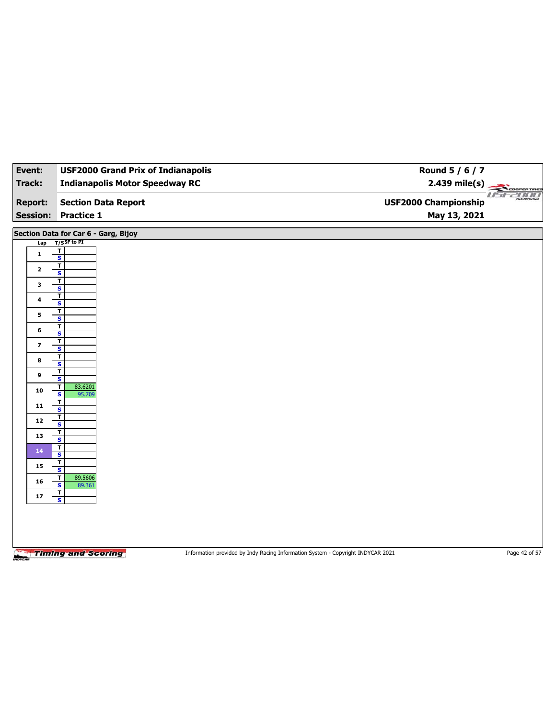| Event:          | <b>USF2000 Grand Prix of Indianapolis</b>          |                                                                                 | Round 5 / 6 / 7             |               |
|-----------------|----------------------------------------------------|---------------------------------------------------------------------------------|-----------------------------|---------------|
| <b>Track:</b>   | <b>Indianapolis Motor Speedway RC</b>              |                                                                                 | $2.439$ mile(s)             |               |
| <b>Report:</b>  | <b>Section Data Report</b>                         |                                                                                 | <b>USF2000 Championship</b> | TELECOPERTRES |
| <b>Session:</b> | <b>Practice 1</b>                                  |                                                                                 | May 13, 2021                |               |
|                 |                                                    |                                                                                 |                             |               |
|                 | Section Data for Car 6 - Garg, Bijoy               |                                                                                 |                             |               |
| Lap             | $T/S$ SF to PI<br>T                                |                                                                                 |                             |               |
| $\mathbf{1}$    | $\overline{\mathbf{s}}$                            |                                                                                 |                             |               |
| $\mathbf{2}$    | T<br>S                                             |                                                                                 |                             |               |
| 3               | $\overline{\mathbf{r}}$<br>$\overline{\mathbf{s}}$ |                                                                                 |                             |               |
| 4               | T                                                  |                                                                                 |                             |               |
|                 | $\overline{\mathbf{s}}$<br>T                       |                                                                                 |                             |               |
| 5               | $\overline{\mathbf{s}}$                            |                                                                                 |                             |               |
| 6               | $\mathbf{T}$<br>S                                  |                                                                                 |                             |               |
| 7               | T<br>$\overline{\mathbf{s}}$                       |                                                                                 |                             |               |
| 8               | T                                                  |                                                                                 |                             |               |
|                 | S<br>T                                             |                                                                                 |                             |               |
| 9               | $\overline{\mathbf{s}}$                            |                                                                                 |                             |               |
| ${\bf 10}$      | 83.6201<br>T<br>$\overline{\mathbf{s}}$<br>95.709  |                                                                                 |                             |               |
| 11              | <u>T</u><br>$\overline{\mathbf{s}}$                |                                                                                 |                             |               |
| 12              | $\overline{1}$                                     |                                                                                 |                             |               |
|                 | $\overline{\mathbf{s}}$<br>T                       |                                                                                 |                             |               |
| 13              | $\overline{\mathbf{s}}$<br>T                       |                                                                                 |                             |               |
| 14              | S                                                  |                                                                                 |                             |               |
| 15              | $\overline{I}$<br>$\overline{\mathbf{s}}$          |                                                                                 |                             |               |
| 16              | 89.5606<br>T<br>S                                  |                                                                                 |                             |               |
| 17              | 89.361<br>$\frac{1}{s}$                            |                                                                                 |                             |               |
|                 |                                                    |                                                                                 |                             |               |
|                 |                                                    |                                                                                 |                             |               |
|                 |                                                    |                                                                                 |                             |               |
|                 |                                                    |                                                                                 |                             |               |
|                 | <b>Timing and Scoring</b>                          | Information provided by Indy Racing Information System - Copyright INDYCAR 2021 |                             | Page 42 of 57 |
|                 |                                                    |                                                                                 |                             |               |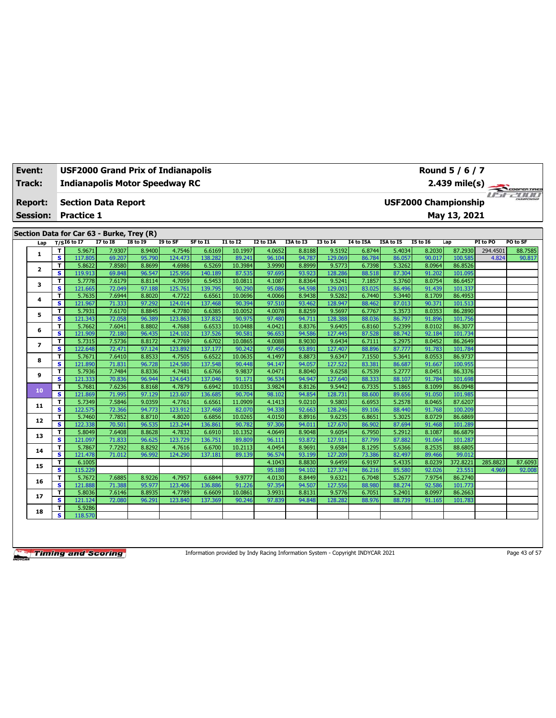| Event:                                    |                         | USF2000 Grand Prix of Indianapolis |                  |                  |                                       |                   |                   |                  |                  |                   |                  |                  |                  | Round 5 / 6 / 7             |          |                                                            |
|-------------------------------------------|-------------------------|------------------------------------|------------------|------------------|---------------------------------------|-------------------|-------------------|------------------|------------------|-------------------|------------------|------------------|------------------|-----------------------------|----------|------------------------------------------------------------|
| Track:                                    |                         |                                    |                  |                  | <b>Indianapolis Motor Speedway RC</b> |                   |                   |                  |                  |                   |                  |                  |                  | 2.439 mile(s)               |          |                                                            |
| <b>Report:</b>                            |                         | <b>Section Data Report</b>         |                  |                  |                                       |                   |                   |                  |                  |                   |                  |                  |                  | <b>USF2000 Championship</b> |          | COOPERTIRES<br><b>Cole of the All of the Second Second</b> |
|                                           |                         |                                    |                  |                  |                                       |                   |                   |                  |                  |                   |                  |                  |                  |                             |          |                                                            |
| <b>Session:</b>                           |                         | <b>Practice 1</b>                  |                  |                  |                                       |                   |                   |                  |                  |                   |                  |                  |                  | May 13, 2021                |          |                                                            |
| Section Data for Car 63 - Burke, Trey (R) |                         |                                    |                  |                  |                                       |                   |                   |                  |                  |                   |                  |                  |                  |                             |          |                                                            |
| Lap                                       |                         | $T/SI6$ to I7                      | <b>I7 to 18</b>  | <b>I8 to 19</b>  | I9 to SF                              | SF to I1          | <b>I1 to I2</b>   | I2 to I3A        | I3A to I3        | <b>I3 to 14</b>   | I4 to I5A        | I5A to I5        | <b>15 to 16</b>  | Lap                         | PI to PO | PO to SF                                                   |
|                                           | T                       | 5.9671                             | 7.9307           | 8.9400           | 4.7546                                | 6.6169            | 10.1997           | 4.0652           | 8.8188           | 9.5192            | 6.8744           | 5.4034           | 8.2030           | 87.2930                     | 294.4501 | 88.7585                                                    |
| 1.                                        | $\overline{\mathbf{s}}$ | 117.805                            | 69.207           | 95.790           | 124.473                               | 138.282           | 89.241            | 96.104           | 94.787           | 129.069           | 86.784           | 86.057           | 90.017           | 100.585                     | 4.824    | 90.817                                                     |
| 2                                         | T                       | 5.8622                             | 7.8580           | 8.8699           | 4.6986                                | 6.5269            | 10.3984           | 3.9990           | 8.8999           | 9.5773            | 6.7398           | 5.3262           | 8.0964           | 86.8526                     |          |                                                            |
|                                           | s                       | 119.913                            | 69.848           | 96.547           | 125.956                               | 140.189           | 87.535            | 97.695           | 93.923           | 128,286           | 88.518           | 87.304           | 91.202           | 101.095                     |          |                                                            |
| 3                                         | T                       | 5.7778                             | 7.6179           | 8.8114           | 4.7059                                | 6.5453            | 10.0811           | 4.1087           | 8.8364           | 9.5241            | 7.1857           | 5.3760           | 8.0754           | 86.6457                     |          |                                                            |
|                                           | s                       | 121.665                            | 72.049           | 97.188           | 125.761                               | 139.795           | 90.290            | 95.086           | 94.598           | 129.003           | 83.025           | 86.496           | 91.439           | 101.337                     |          |                                                            |
| 4                                         | т                       | 5.7635                             | 7.6944           | 8.8020           | 4.7722                                | 6.6561            | 10.0696           | 4.0066           | 8.9438           | 9.5282            | 6.7440           | 5.3440           | 8.1709           | 86.4953                     |          |                                                            |
|                                           | s                       | 121.967                            | 71.333           | 97.292           | 124.014                               | 137.468           | 90.394            | 97.510           | 93.462           | 128.947           | 88.462           | 87.013           | 90.371           | 101.513                     |          |                                                            |
| 5                                         | T                       | 5.7931                             | 7.6170           | 8.8845           | 4.7780                                | 6.6385            | 10.0052           | 4.0078           | 8.8259           | 9.5697            | 6.7767           | 5.3573           | 8.0353           | 86.2890                     |          |                                                            |
|                                           | s<br>T                  | 121.343<br>5.7662                  | 72.058<br>7.6041 | 96.389<br>8.8802 | 123.863<br>4.7688                     | 137.832<br>6.6533 | 90.975<br>10.0488 | 97.480<br>4.0421 | 94.711<br>8.8376 | 128.388<br>9.6405 | 88.036<br>6.8160 | 86.797<br>5.2399 | 91.896<br>8.0102 | 101.756<br>86.3077          |          |                                                            |
| 6                                         | s                       | 121.909                            | 72.180           | 96.435           | 124.102                               | 137.526           | 90.581            | 96.653           | 94.586           | 127.445           | 87.528           | 88.742           | 92.184           | 101.734                     |          |                                                            |
|                                           | т                       | 5.7315                             | 7.5736           | 8.8172           | 4.7769                                | 6.6702            | 10.0865           | 4.0088           | 8.9030           | 9.6434            | 6.7111           | 5.2975           | 8.0452           | 86.2649                     |          |                                                            |
| $\overline{ }$                            | $\overline{\mathbf{s}}$ | 122.648                            | 72.471           | 97.124           | 123.892                               | 137.177           | 90.242            | 97.456           | 93.891           | 127.407           | 88.896           | 87.777           | 91.783           | 101.784                     |          |                                                            |
|                                           | T                       | 5.7671                             | 7.6410           | 8.8533           | 4.7505                                | 6.6522            | 10.0635           | 4.1497           | 8.8873           | 9.6347            | 7.1550           | 5.3641           | 8.0553           | 86.9737                     |          |                                                            |
| 8                                         | s                       | 121.890                            | 71.831           | 96.728           | 124.580                               | 137.548           | 90.448            | 94.147           | 94.057           | 127.522           | 83.381           | 86.687           | 91.667           | 100.955                     |          |                                                            |
|                                           | т                       | 5.7936                             | 7.7484           | 8.8336           | 4.7481                                | 6.6766            | 9.9837            | 4.0471           | 8.8040           | 9.6258            | 6.7539           | 5.2777           | 8.0451           | 86.3376                     |          |                                                            |
| 9                                         | s                       | 121.333                            | 70.836           | 96.944           | 124.643                               | 137.046           | 91.171            | 96.534           | 94.947           | 127.640           | 88.333           | 88.107           | 91.784           | 101.698                     |          |                                                            |
|                                           | T                       | 5.7681                             | 7.6236           | 8.8168           | 4.7879                                | 6.6942            | 10.0351           | 3.9824           | 8.8126           | 9.5442            | 6.7335           | 5.1865           | 8.1099           | 86.0948                     |          |                                                            |
| 10                                        | s                       | 121.869                            | 71.995           | 97.129           | 123.607                               | 136.685           | 90.704            | 98.102           | 94.854           | 128,731           | 88.600           | 89.656           | 91.050           | 101.985                     |          |                                                            |
|                                           | T                       | 5.7349                             | 7.5846           | 9.0359           | 4.7761                                | 6.6561            | 11.0909           | 4.1413           | 9.0210           | 9.5803            | 6.6953           | 5.2578           | 8.0465           | 87.6207                     |          |                                                            |
| 11                                        | s                       | 122.575                            | 72.366           | 94.773           | 123.912                               | 137.468           | 82.070            | 94.338           | 92.663           | 128.246           | 89.106           | 88.440           | 91.768           | 100.209                     |          |                                                            |
|                                           | т                       | 5.7460                             | 7.7852           | 8.8710           | 4.8020                                | 6.6856            | 10.0265           | 4.0150           | 8.8916           | 9.6235            | 6.8651           | 5.3025           | 8.0729           | 86.6869                     |          |                                                            |
| 12                                        | s                       | 122.338                            | 70.501           | 96.535           | 123.244                               | 136.861           | 90.782            | 97.306           | 94.011           | 127.670           | 86.902           | 87.694           | 91.468           | 101.289                     |          |                                                            |
| 13                                        | T                       | 5.8049                             | 7.6408           | 8.8628           | 4.7832                                | 6.6910            | 10.1352           | 4.0649           | 8.9048           | 9.6054            | 6.7950           | 5.2912           | 8.1087           | 86.6879                     |          |                                                            |
|                                           | s                       | 121.097                            | 71.833           | 96.625           | 123.729                               | 136.751           | 89.809            | 96.111           | 93.872           | 127.911           | 87.799           | 87.882           | 91.064           | 101.287                     |          |                                                            |
| 14                                        | т                       | 5.7867                             | 7.7292           | 8.8292           | 4.7616                                | 6.6700            | 10.2113           | 4.0454           | 8.9691           | 9.6584            | 8.1295           | 5.6366           | 8.2535           | 88.6805                     |          |                                                            |
|                                           | s                       | 121.478                            | 71.012           | 96.992           | 124.290                               | 137.181           | 89.139            | 96.574           | 93.199           | 127.209           | 73.386           | 82.497           | 89.466           | 99.012                      |          |                                                            |
| 15                                        | т                       | 6.1005                             |                  |                  |                                       |                   |                   | 4.1043           | 8.8830           | 9.6459            | 6.9197           | 5.4335           | 8.0239           | 372.8221                    | 285.8823 | 87.6093                                                    |
|                                           | $\overline{\mathbf{s}}$ | 115.229                            |                  |                  |                                       |                   |                   | 95.188           | 94.102           | 127.374           | 86.216           | 85.580           | 92.026           | 23.551                      | 4.969    | 92.008                                                     |
| 16                                        | т                       | 5.7672                             | 7.6885           | 8.9226           | 4.7957                                | 6.6844            | 9.9777            | 4.0130           | 8.8449           | 9.6321            | 6.7048           | 5.2677           | 7.9754           | 86.2740                     |          |                                                            |
|                                           | s                       | 121.888                            | 71.388           | 95.977           | 123.406                               | 136.886           | 91.226            | 97.354           | 94.507           | 127.556           | 88.980           | 88.274           | 92.586           | 101.773                     |          |                                                            |
| 17                                        | т                       | 5.8036                             | 7.6146           | 8.8935           | 4.7789                                | 6.6609            | 10.0861           | 3.9931           | 8.8131           | 9.5776            | 6.7051           | 5.2401           | 8.0997           | 86.2663                     |          |                                                            |
|                                           | s                       | 121.124                            | 72.080           | 96.291           | 123.840                               | 137.369           | 90.246            | 97.839           | 94.848           | 128.282           | 88.976           | 88.739           | 91.165           | 101.783                     |          |                                                            |
| 18                                        | T                       | 5.9286                             |                  |                  |                                       |                   |                   |                  |                  |                   |                  |                  |                  |                             |          |                                                            |
|                                           | s                       | 118.570                            |                  |                  |                                       |                   |                   |                  |                  |                   |                  |                  |                  |                             |          |                                                            |

Information provided by Indy Racing Information System - Copyright INDYCAR 2021 Page 43 of 57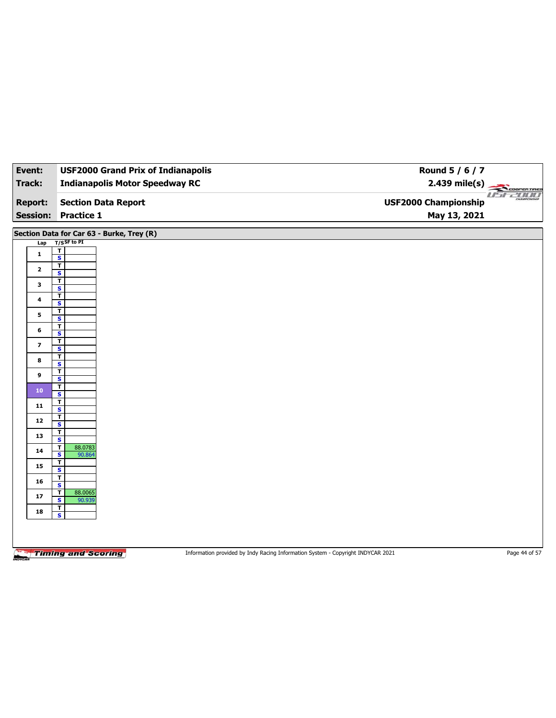| Event:                  | <b>USF2000 Grand Prix of Indianapolis</b>                   | Round 5 / 6 / 7                                                                 |                       |
|-------------------------|-------------------------------------------------------------|---------------------------------------------------------------------------------|-----------------------|
| <b>Track:</b>           | <b>Indianapolis Motor Speedway RC</b>                       | 2.439 mile(s)                                                                   | COOPERTIRES           |
| <b>Report:</b>          | <b>Section Data Report</b>                                  | <b>USF2000 Championship</b>                                                     | usr2000<br>CHAMPIONSH |
| <b>Session:</b>         | <b>Practice 1</b>                                           | May 13, 2021                                                                    |                       |
|                         |                                                             |                                                                                 |                       |
|                         | Section Data for Car 63 - Burke, Trey (R)                   |                                                                                 |                       |
| Lap                     | $T/S$ SF to PI<br>$\overline{\mathsf{r}}$                   |                                                                                 |                       |
| $\mathbf{1}$            | $\overline{\mathbf{s}}$                                     |                                                                                 |                       |
| $\mathbf{2}$            | $\overline{\mathsf{r}}$<br>S                                |                                                                                 |                       |
| 3                       | T                                                           |                                                                                 |                       |
|                         | $\overline{\mathbf{s}}$<br>Ŧ                                |                                                                                 |                       |
| 4                       | $\overline{\mathbf{s}}$<br>T                                |                                                                                 |                       |
| 5                       | $\overline{\mathbf{s}}$                                     |                                                                                 |                       |
| 6                       | т<br>S                                                      |                                                                                 |                       |
| $\overline{\mathbf{z}}$ | $\mathbf T$                                                 |                                                                                 |                       |
|                         | $\overline{\mathbf{s}}$<br>T                                |                                                                                 |                       |
| 8                       | S                                                           |                                                                                 |                       |
| 9                       | T<br>$\overline{\mathbf{s}}$                                |                                                                                 |                       |
| 10                      | T<br>S                                                      |                                                                                 |                       |
| 11                      | T                                                           |                                                                                 |                       |
|                         | $\overline{\mathbf{s}}$<br>T                                |                                                                                 |                       |
| 12                      | S                                                           |                                                                                 |                       |
| 13                      | $\overline{1}$<br>$\overline{\mathbf{s}}$                   |                                                                                 |                       |
| 14                      | 88.0783<br>$\mathbf T$<br>$\sf{s}$<br>90.864                |                                                                                 |                       |
| 15                      | T                                                           |                                                                                 |                       |
|                         | $\overline{\mathbf{s}}$<br>T                                |                                                                                 |                       |
| 16                      | $\overline{\mathbf{s}}$                                     |                                                                                 |                       |
| ${\bf 17}$              | $\mathbf T$<br>88.0065<br>$\overline{\mathbf{s}}$<br>90.939 |                                                                                 |                       |
| 18                      | $\mathbf{T}$<br>$\overline{\mathbf{s}}$                     |                                                                                 |                       |
|                         |                                                             |                                                                                 |                       |
|                         |                                                             |                                                                                 |                       |
|                         |                                                             | Information provided by Indy Racing Information System - Copyright INDYCAR 2021 | Page 44 of 57         |
|                         | <b>Timing and Scoring</b>                                   |                                                                                 |                       |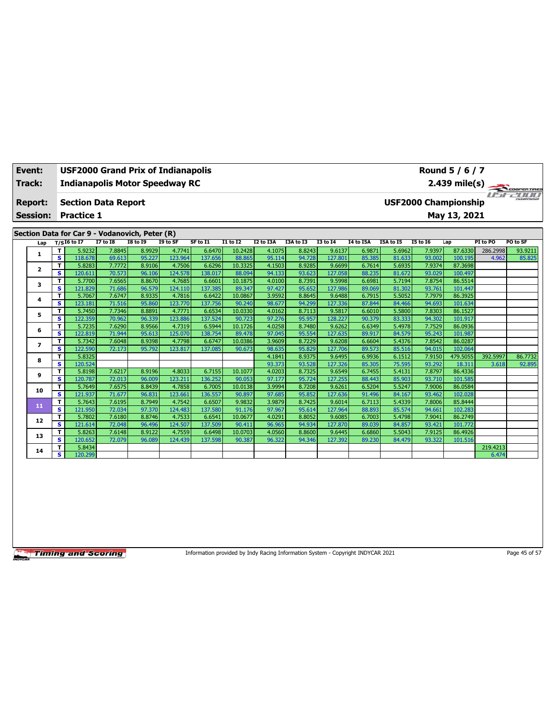| Event:          |                         |                            |                 | <b>USF2000 Grand Prix of Indianapolis</b>      |          |          |                 |                  |                  |                   |                  |                  |                             | Round 5 / 6 / 7   |          |          |
|-----------------|-------------------------|----------------------------|-----------------|------------------------------------------------|----------|----------|-----------------|------------------|------------------|-------------------|------------------|------------------|-----------------------------|-------------------|----------|----------|
| Track:          |                         |                            |                 | <b>Indianapolis Motor Speedway RC</b>          |          |          |                 |                  |                  |                   |                  |                  |                             | $2.439$ mile(s)   |          |          |
| <b>Report:</b>  |                         | <b>Section Data Report</b> |                 |                                                |          |          |                 |                  |                  |                   |                  |                  | <b>USF2000 Championship</b> |                   |          |          |
| <b>Session:</b> |                         | <b>Practice 1</b>          |                 |                                                |          |          |                 |                  |                  |                   |                  |                  |                             | May 13, 2021      |          |          |
|                 |                         |                            |                 | Section Data for Car 9 - Vodanovich, Peter (R) |          |          |                 |                  |                  |                   |                  |                  |                             |                   |          |          |
|                 |                         | $T/S$ I6 to I7             | <b>I7 to I8</b> | <b>I8 to 19</b>                                | I9 to SF | SF to I1 | <b>I1 to I2</b> | I2 to I3A        | I3A to I3        | <b>I3 to 14</b>   | <b>14 to 15A</b> | I5A to I5        | <b>15 to 16</b>             | Lap               | PI to PO | PO to SF |
| Lap             | T                       | 5.9232                     | 7.8845          | 8.9929                                         | 4.7741   | 6.6470   | 10.2428         | 4.1075           | 8.8243           | 9.6137            | 6.9871           | 5.6962           | 7.9397                      | 87.6330           | 286.2998 | 93.9211  |
| 1               | $\overline{\mathbf{s}}$ | 118,678                    | 69.613          | 95.227                                         | 123.964  | 137.656  | 88.865          | 95.114           | 94.728           | 127.801           | 85.385           | 81.633           | 93.002                      | 100.195           | 4.962    | 85.825   |
|                 | T                       | 5.8283                     | 7.7772          | 8.9106                                         | 4.7506   | 6.6296   | 10.3325         | 4.1503           | 8.9285           | 9.6699            | 6.7614           | 5.6935           | 7.9374                      | 87.3698           |          |          |
| $\mathbf{2}$    | s                       | 120.611                    | 70.573          | 96.106                                         | 124.578  | 138.017  | 88.094          | 94.133           | 93.623           | 127.058           | 88.235           | 81.672           | 93.029                      | 100.497           |          |          |
|                 | T                       | 5.7700                     | 7.6565          | 8.8670                                         | 4.7685   | 6.6601   | 10.1875         | 4.0100           | 8.7391           | 9.5998            | 6.6981           | 5.7194           | 7.8754                      | 86.5514           |          |          |
| 3               | s.                      | 121.829                    | 71.686          | 96.579                                         | 124.110  | 137.385  | 89.347          | 97.427           | 95.652           | 127.986           | 89.069           | 81.302           | 93.761                      | 101.447           |          |          |
| 4               | т                       | 5.7067                     | 7.6747          | 8.9335                                         | 4.7816   | 6.6422   | 10.0867         | 3.9592           | 8.8645           | 9.6488            | 6.7915           | 5.5052           | 7.7979                      | 86.3925           |          |          |
|                 | s                       | 123.181                    | 71.516          | 95.860                                         | 123.770  | 137.756  | 90.240          | 98.677           | 94.299           | 127.336           | 87.844           | 84.466           | 94.693                      | 101.634           |          |          |
| 5               | T                       | 5.7450                     | 7.7346          | 8.8891                                         | 4.7771   | 6.6534   | 10.0330         | 4.0162           | 8.7113           | 9.5817            | 6.6010           | 5.5800           | 7.8303                      | 86.1527           |          |          |
|                 | s                       | 122.359                    | 70.962          | 96.339                                         | 123.886  | 137.524  | 90.723          | 97.276           | 95.957           | 128.227           | 90.379           | 83.333           | 94.302                      | 101.917           |          |          |
| 6               | T                       | 5.7235                     | 7.6290          | 8.9566                                         | 4.7319   | 6.5944   | 10.1726         | 4.0258           | 8.7480           | 9.6262            | 6.6349           | 5.4978           | 7.7529                      | 86.0936           |          |          |
|                 | s                       | 122.819                    | 71.944          | 95.613                                         | 125.070  | 138.754  | 89.478          | 97.045           | 95.554           | 127.635           | 89.917           | 84.579           | 95.243                      | 101.987           |          |          |
| 7               | T                       | 5.7342                     | 7.6048          | 8.9398                                         | 4.7798   | 6.6747   | 10.0386         | 3.9609           | 8.7229           | 9.6208            | 6.6604           | 5.4376           | 7.8542                      | 86.0287           |          |          |
|                 | s.                      | 122.590                    | 72.173          | 95.792                                         | 123.817  | 137.085  | 90.673          | 98.635           | 95.829           | 127.706           | 89.573           | 85.516           | 94.015                      | 102.064           |          |          |
| 8               | т                       | 5.8325                     |                 |                                                |          |          |                 | 4.1841           | 8.9375<br>93.528 | 9.6495<br>127.326 | 6.9936           | 6.1512           | 7.9150<br>93.292            | 479.5055          | 392.5997 | 86.7732  |
|                 | s                       | 120.524<br>5.8198          | 7.6217          | 8.9196                                         | 4.8033   | 6.7155   | 10.1077         | 93.373<br>4.0203 | 8.7325           | 9.6549            | 85.305<br>6.7455 | 75.595<br>5.4131 | 7.8797                      | 18.311<br>86.4336 | 3.618    | 92.895   |
| 9               | т<br>s                  | 120.787                    | 72.013          | 96.009                                         | 123,211  | 136.252  | 90.053          | 97.177           | 95.724           | 127.255           | 88.443           | 85.903           | 93.710                      | 101.585           |          |          |
|                 | T                       | 5.7649                     | 7.6575          | 8.8439                                         | 4.7858   | 6.7005   | 10.0138         | 3.9994           | 8.7208           | 9.6261            | 6.5204           | 5.5247           | 7.9006                      | 86.0584           |          |          |
| 10              | s                       | 121.937                    | 71.677          | 96.831                                         | 123.661  | 136.557  | 90.897          | 97.685           | 95.852           | 127.636           | 91.496           | 84.167           | 93.462                      | 102.028           |          |          |
|                 | T                       | 5.7643                     | 7.6195          | 8.7949                                         | 4.7542   | 6.6507   | 9.9832          | 3.9879           | 8.7425           | 9.6014            | 6.7113           | 5.4339           | 7.8006                      | 85.8444           |          |          |
| 11              | s                       | 121.950                    | 72.034          | 97.370                                         | 124.483  | 137.580  | 91.176          | 97.967           | 95.614           | 127.964           | 88.893           | 85.574           | 94.661                      | 102.283           |          |          |
|                 | T                       | 5.7802                     | 7.6180          | 8.8746                                         | 4.7533   | 6.6541   | 10.0677         | 4.0291           | 8.8052           | 9.6085            | 6.7003           | 5.4798           | 7.9041                      | 86.2749           |          |          |
| 12              | s                       | 121.614                    | 72.048          | 96.496                                         | 124.507  | 137.509  | 90.411          | 96.965           | 94.934           | 127,870           | 89.039           | 84.857           | 93.421                      | 101.772           |          |          |
| 13              | T                       | 5.8263                     | 7.6148          | 8.9122                                         | 4.7559   | 6.6498   | 10.0703         | 4.0560           | 8.8600           | 9.6445            | 6.6860           | 5.5043           | 7.9125                      | 86.4926           |          |          |
|                 | s                       | 120.652                    | 72.079          | 96.089                                         | 124.439  | 137.598  | 90.387          | 96.322           | 94.346           | 127.392           | 89.230           | 84.479           | 93.322                      | 101.516           |          |          |
| 14              | т                       | 5.8434                     |                 |                                                |          |          |                 |                  |                  |                   |                  |                  |                             |                   | 219.4213 |          |
|                 | s                       | 120.299                    |                 |                                                |          |          |                 |                  |                  |                   |                  |                  |                             |                   | 6.474    |          |

Information provided by Indy Racing Information System - Copyright INDYCAR 2021 Page 45 of 57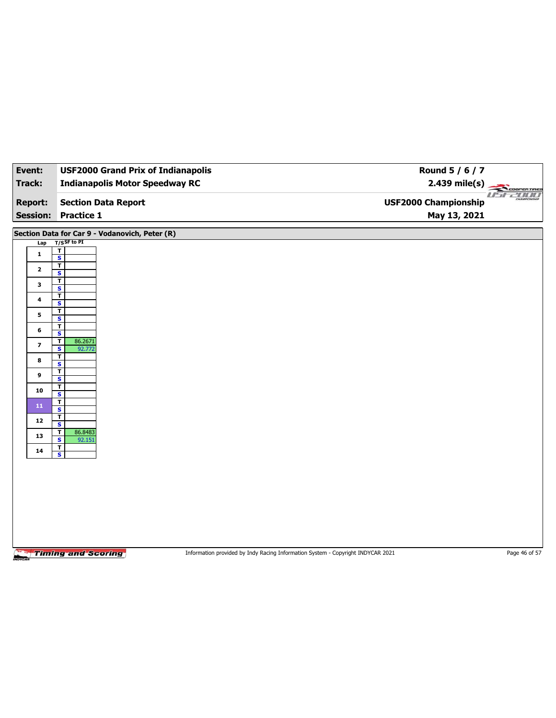| Event:          | <b>USF2000 Grand Prix of Indianapolis</b>                               | Round 5 / 6 / 7                                                                 |                                |
|-----------------|-------------------------------------------------------------------------|---------------------------------------------------------------------------------|--------------------------------|
| <b>Track:</b>   | <b>Indianapolis Motor Speedway RC</b>                                   | $2.439$ mile(s)                                                                 | COOPERTIRES                    |
| <b>Report:</b>  | <b>Section Data Report</b>                                              | <b>USF2000 Championship</b>                                                     | <i>USE 2000</i><br>CHAMPIONSHI |
| <b>Session:</b> | <b>Practice 1</b>                                                       | May 13, 2021                                                                    |                                |
|                 | Section Data for Car 9 - Vodanovich, Peter (R)                          |                                                                                 |                                |
| Lap             | T/SSF to PI<br>$\mathbf T$                                              |                                                                                 |                                |
| $\mathbf{1}$    | $\overline{\mathbf{s}}$                                                 |                                                                                 |                                |
| $\mathbf{2}$    | T<br>S                                                                  |                                                                                 |                                |
| 3               | T<br>$\overline{\mathbf{s}}$                                            |                                                                                 |                                |
| 4               | $\mathbf{T}$                                                            |                                                                                 |                                |
|                 | $\mathbf{s}$<br>T                                                       |                                                                                 |                                |
| 5               | $\overline{\mathbf{s}}$                                                 |                                                                                 |                                |
| 6               | T<br>$\overline{\mathbf{s}}$                                            |                                                                                 |                                |
| 7               | $\overline{\mathbf{r}}$<br>86.2671<br>$\overline{\mathbf{s}}$<br>92.772 |                                                                                 |                                |
| 8               | T                                                                       |                                                                                 |                                |
| 9               | $\overline{\mathbf{s}}$<br>T                                            |                                                                                 |                                |
|                 | $\overline{\mathbf{s}}$<br>т                                            |                                                                                 |                                |
| 10              | S                                                                       |                                                                                 |                                |
| 11              | T<br>$\overline{\mathbf{s}}$                                            |                                                                                 |                                |
| 12              | T<br>$\mathbf{s}$                                                       |                                                                                 |                                |
| 13              | 86.8483<br>T<br>$\overline{\mathbf{s}}$<br>92.151                       |                                                                                 |                                |
| 14              | $\overline{\mathbf{r}}$                                                 |                                                                                 |                                |
|                 | S                                                                       |                                                                                 |                                |
|                 |                                                                         |                                                                                 |                                |
|                 |                                                                         |                                                                                 |                                |
|                 |                                                                         |                                                                                 |                                |
|                 |                                                                         |                                                                                 |                                |
|                 |                                                                         |                                                                                 |                                |
|                 |                                                                         |                                                                                 |                                |
|                 | <b>Timing and Scoring</b>                                               | Information provided by Indy Racing Information System - Copyright INDYCAR 2021 | Page 46 of 57                  |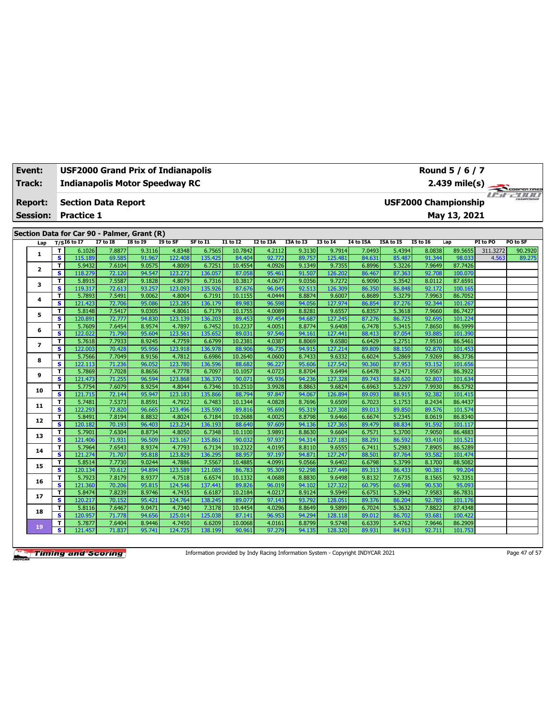| Event:          |              | Round 5 / 6 / 7<br><b>USF2000 Grand Prix of Indianapolis</b> |                                                                                                                     |                                             |                  |                   |                   |                   |                  |                  |                   |                  |                  |                  |                    |          |              |
|-----------------|--------------|--------------------------------------------------------------|---------------------------------------------------------------------------------------------------------------------|---------------------------------------------|------------------|-------------------|-------------------|-------------------|------------------|------------------|-------------------|------------------|------------------|------------------|--------------------|----------|--------------|
| Track:          |              |                                                              | <b>Indianapolis Motor Speedway RC</b><br>2.439 mile(s)<br><b>Section Data Report</b><br><b>USF2000 Championship</b> |                                             |                  |                   |                   |                   |                  |                  |                   |                  |                  |                  |                    |          | COOPER TIRES |
| <b>Report:</b>  |              |                                                              |                                                                                                                     |                                             |                  |                   |                   |                   |                  |                  |                   |                  |                  |                  |                    |          | use zoo      |
| <b>Session:</b> |              | <b>Practice 1</b>                                            |                                                                                                                     |                                             |                  |                   |                   |                   |                  |                  |                   |                  |                  |                  | May 13, 2021       |          |              |
|                 |              |                                                              |                                                                                                                     |                                             |                  |                   |                   |                   |                  |                  |                   |                  |                  |                  |                    |          |              |
|                 |              |                                                              |                                                                                                                     | Section Data for Car 90 - Palmer, Grant (R) |                  |                   |                   |                   |                  |                  |                   |                  |                  |                  |                    |          |              |
|                 | Lap          | $T/SI6$ to I7                                                |                                                                                                                     | <b>I7 to I8</b>                             | <b>I8 to I9</b>  | I9 to SF          | SF to I1          | $I1$ to $I2$      | <b>I2 to I3A</b> | I3A to I3        | <b>I3 to 14</b>   | <b>I4 to I5A</b> | I5A to I5        | <b>I5 to 16</b>  | Lap                | PI to PO | PO to SF     |
|                 | $\mathbf{1}$ | T                                                            | 6.1026                                                                                                              | 7.8877                                      | 9.3116           | 4.8348            | 6.7565            | 10.7842           | 4.2112           | 9.3130           | 9.7914            | 7.0493           | 5.4394           | 8.0838           | 89.5655            | 311.3272 | 90.2920      |
|                 |              | $\overline{\mathbf{s}}$                                      | 115.189                                                                                                             | 69.585                                      | 91.967<br>9.0575 | 122.408<br>4.8009 | 135.425<br>6.7251 | 84.404            | 92.772<br>4.0926 | 89.757<br>9.1349 | 125.481<br>9.7355 | 84.631<br>6.8996 | 85.487           | 91.344<br>7.9649 | 98.033<br>87.7426  | 4.563    | 89.275       |
|                 | $\mathbf{z}$ | T<br>s                                                       | 5.9432<br>118.279                                                                                                   | 7.6104<br>72.120                            | 94.547           | 123.272           | 136.057           | 10.4554<br>87.058 | 95.461           | 91.507           | 126.202           | 86.467           | 5.3226<br>87.363 | 92.708           | 100.070            |          |              |
|                 |              | т                                                            | 5.8915                                                                                                              | 7.5587                                      | 9.1828           | 4.8079            | 6.7316            | 10.3817           | 4.0677           | 9.0356           | 9.7272            | 6.9090           | 5.3542           | 8.0112           | 87.6591            |          |              |
|                 | з            | s                                                            | 119.317                                                                                                             | 72.613                                      | 93.257           | 123.093           | 135.926           | 87.676            | 96.045           | 92.513           | 126.309           | 86.350           | 86.848           | 92.172           | 100.165            |          |              |
|                 |              | T                                                            | 5.7893                                                                                                              | 7.5491                                      | 9.0062           | 4.8004            | 6.7191            | 10.1155           | 4.0444           | 8.8874           | 9.6007            | 6.8689           | 5.3279           | 7.9963           | 86.7052            |          |              |
|                 | 4            | s                                                            | 121.423                                                                                                             | 72.706                                      | 95.086           | 123.285           | 136.179           | 89.983            | 96.598           | 94.056           | 127.974           | 86.854           | 87.276           | 92.344           | 101.267            |          |              |
|                 |              | т                                                            | 5.8148                                                                                                              | 7.5417                                      | 9.0305           | 4.8061            | 6.7179            | 10.1755           | 4.0089           | 8.8281           | 9.6557            | 6.8357           | 5.3618           | 7.9660           | 86.7427            |          |              |
|                 | 5            | s                                                            | 120.891                                                                                                             | 72.777                                      | 94.830           | 123.139           | 136.203           | 89.453            | 97.454           | 94.687           | 127.245           | 87.276           | 86.725           | 92.695           | 101.224            |          |              |
|                 |              | т                                                            | 5.7609                                                                                                              | 7.6454                                      | 8.9574           | 4.7897            | 6.7452            | 10.2237           | 4.0051           | 8.8774           | 9.6408            | 6.7478           | 5.3415           | 7.8650           | 86.5999            |          |              |
|                 | 6            | s                                                            | 122.022                                                                                                             | 71.790                                      | 95.604           | 123.561           | 135.652           | 89.031            | 97.546           | 94.161           | 127.441           | 88.413           | 87.054           | 93.885           | 101.390            |          |              |
|                 |              | т                                                            | 5.7618                                                                                                              | 7.7933                                      | 8.9245           | 4.7759            | 6.6799            | 10.2381           | 4.0387           | 8.8069           | 9.6580            | 6.6429           | 5.2751           | 7.9510           | 86.5461            |          |              |
|                 | 7            | $\overline{\mathbf{s}}$                                      | 122.003                                                                                                             | 70.428                                      | 95.956           | 123.918           | 136.978           | 88.906            | 96.735           | 94.915           | 127.214           | 89.809           | 88.150           | 92.870           | 101.453            |          |              |
|                 |              | т                                                            | 5.7566                                                                                                              | 7.7049                                      | 8.9156           | 4.7812            | 6.6986            | 10.2640           | 4.0600           | 8.7433           | 9.6332            | 6.6024           | 5.2869           | 7.9269           | 86.3736            |          |              |
|                 | 8            | $\overline{\mathbf{s}}$                                      | 122.113                                                                                                             | 71.236                                      | 96.052           | 123.780           | 136.596           | 88.682            | 96.227           | 95.606           | 127.542           | 90.360           | 87.953           | 93.152           | 101.656            |          |              |
|                 |              | T                                                            | 5.7869                                                                                                              | 7.7028                                      | 8.8656           | 4.7778            | 6.7097            | 10.1057           | 4.0723           | 8.8704           | 9.6494            | 6.6478           | 5.2471           | 7.9567           | 86.3922            |          |              |
|                 | 9            | $\overline{\mathbf{s}}$                                      | 121.473                                                                                                             | 71.255                                      | 96.594           | 123.868           | 136.370           | 90.071            | 95.936           | 94.236           | 127.328           | 89.743           | 88.620           | 92.803           | 101.634            |          |              |
|                 |              | т                                                            | 5.7754                                                                                                              | 7.6079                                      | 8.9254           | 4.8044            | 6.7346            | 10.2510           | 3.9928           | 8.8863           | 9.6824            | 6.6963           | 5.2297           | 7.9930           | 86.5792            |          |              |
|                 | 10           | s                                                            | 121.715                                                                                                             | 72.144                                      | 95.947           | 123.183           | 135.866           | 88.794            | 97.847           | 94.067           | 126.894           | 89.093           | 88.915           | 92.382           | 101.415            |          |              |
|                 |              | т                                                            | 5.7481                                                                                                              | 7.5373                                      | 8.8591           | 4.7922            | 6.7483            | 10.1344           | 4.0828           | 8.7696           | 9.6509            | 6.7023           | 5.1753           | 8.2434           | 86.4437            |          |              |
|                 | 11           | s                                                            | 122.293                                                                                                             | 72.820                                      | 96.665           | 123.496           | 135.590           | 89.816            | 95.690           | 95.319           | 127.308           | 89.013           | 89.850           | 89.576           | 101.574            |          |              |
|                 | 12           | т                                                            | 5.8491                                                                                                              | 7.8194                                      | 8.8832           | 4.8024            | 6.7184            | 10.2688           | 4.0025           | 8.8798           | 9.6466            | 6.6674           | 5.2345           | 8.0619           | 86.8340            |          |              |
|                 |              | s                                                            | 120.182                                                                                                             | 70.193                                      | 96.403           | 123.234           | 136.193           | 88.640            | 97.609           | 94.136           | 127.365           | 89.479           | 88.834           | 91.592           | 101.117            |          |              |
|                 | 13           | т                                                            | 5.7901                                                                                                              | 7.6304                                      | 8.8734           | 4.8050            | 6.7348            | 10.1100           | 3.9891           | 8.8630           | 9.6604            | 6.7571           | 5.3700           | 7.9050           | 86.4883            |          |              |
|                 |              | s                                                            | 121.406                                                                                                             | 71.931                                      | 96.509           | 123.167           | 135.861           | 90.032            | 97.937           | 94.314           | 127.183           | 88.291           | 86.592           | 93.410           | 101.521            |          |              |
|                 | 14           | т                                                            | 5.7964                                                                                                              | 7.6543                                      | 8.9374           | 4.7793            | 6.7134            | 10.2322           | 4.0195           | 8.8110           | 9.6555            | 6.7411           | 5.2983           | 7.8905           | 86.5289            |          |              |
|                 |              | s                                                            | 121.274                                                                                                             | 71.707                                      | 95.818           | 123.829           | 136.295           | 88.957            | 97.197           | 94.871           | 127.247           | 88.501           | 87.764           | 93.582           | 101.474            |          |              |
|                 | 15           | T                                                            | 5.8514                                                                                                              | 7.7730                                      | 9.0244           | 4.7886            | 7.5567            | 10.4885           | 4.0991           | 9.0566           | 9.6402            | 6.6798           | 5.3799           | 8.1700           | 88.5082            |          |              |
|                 |              | s                                                            | 120.134                                                                                                             | 70.612                                      | 94.894           | 123.589           | 121.085           | 86.783            | 95.309           | 92.298           | 127.449           | 89.313           | 86.433           | 90.381           | 99.204             |          |              |
|                 | 16           | т                                                            | 5.7923                                                                                                              | 7.8179                                      | 8.9377           | 4.7518            | 6.6574            | 10.1332           | 4.0688           | 8.8830           | 9.6498            | 9.8132           | 7.6735           | 8.1565           | 92.3351            |          |              |
|                 |              | $\overline{\mathbf{s}}$                                      | 121.360                                                                                                             | 70.206                                      | 95.815           | 124.546           | 137.441           | 89.826            | 96.019           | 94.102           | 127.322           | 60.795           | 60.598           | 90.530           | 95.093             |          |              |
|                 | 17           | T                                                            | 5.8474                                                                                                              | 7.8239                                      | 8.9746           | 4.7435            | 6.6187            | 10.2184           | 4.0217           | 8.9124           | 9.5949            | 6.6751           | 5.3942           | 7.9583           | 86.7831            |          |              |
|                 |              | s                                                            | 120.217                                                                                                             | 70.152                                      | 95.421           | 124.764           | 138.245           | 89.077            | 97.143           | 93.792           | 128.05            | 89.376           | 86.204           | 92.785           | 101.176            |          |              |
|                 | 18           | т<br>s                                                       | 5.8116                                                                                                              | 7.6467                                      | 9.0471<br>94.656 | 4.7340<br>125.014 | 7.3178<br>125.038 | 10.4454           | 4.0296           | 8.8649           | 9.5899            | 6.7024           | 5.3632           | 7.8822           | 87.4348<br>100.422 |          |              |
|                 |              |                                                              | 120.957                                                                                                             | 71.778                                      |                  |                   |                   | 87.141            | 96.953           | 94.294           | 128.118           | 89.012           | 86.702           | 93.681           |                    |          |              |
|                 | 19           | т                                                            | 5.7877                                                                                                              | 7.6404                                      | 8.9446           | 4.7450            | 6.6209            | 10.0068           | 4.0161           | 8.8799           | 9.5748            | 6.6339           | 5.4762           | 7.9646           | 86.2909            |          |              |
|                 |              | s                                                            | 121.457                                                                                                             | 71.837                                      | 95.741           | 124.725           | 138.199           | 90.961            | 97.279           | 94.135           | 128,320           | 89.931           | 84.913           | 92.711           | 101.753            |          |              |

Information provided by Indy Racing Information System - Copyright INDYCAR 2021 Page 47 of 57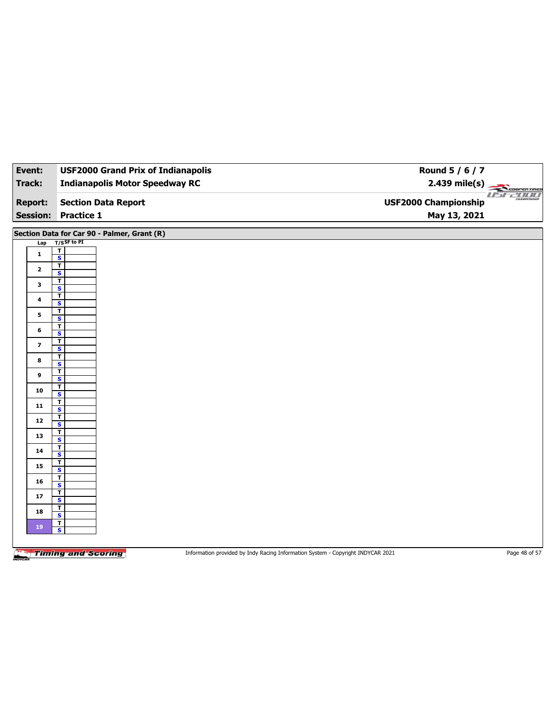| Event:         | <b>USF2000 Grand Prix of Indianapolis</b>          | Round 5 / 6 / 7                       |
|----------------|----------------------------------------------------|---------------------------------------|
| Track:         | <b>Indianapolis Motor Speedway RC</b>              | $2.439$ mile(s)<br>COOPERTIRES        |
| <b>Report:</b> | <b>Section Data Report</b>                         | useann<br><b>USF2000 Championship</b> |
|                | <b>Session: Practice 1</b>                         | May 13, 2021                          |
|                | Section Data for Car 90 - Palmer, Grant (R)        |                                       |
| Lap            | $T/S$ SF to PI                                     |                                       |
| $\mathbf{1}$   | $rac{1}{s}$                                        |                                       |
| $\mathbf{2}$   | $\overline{\mathbf{r}}$                            |                                       |
| 3              | $\mathsf{s}$<br>T                                  |                                       |
|                | $\overline{\mathbf{s}}$<br>T                       |                                       |
| 4              | S                                                  |                                       |
| 5              | $\overline{\mathbf{r}}$<br>$\overline{\mathbf{s}}$ |                                       |
| 6              | $\overline{\mathbf{r}}$<br>$\mathbf{s}$            |                                       |
|                | $\mathbf{T}$                                       |                                       |
| $\overline{7}$ | $\overline{\mathbf{s}}$                            |                                       |
| 8              | T<br>S                                             |                                       |
|                | $\overline{\mathbf{r}}$                            |                                       |
| 9              | $\overline{\mathbf{s}}$                            |                                       |
| 10             | T<br>$\overline{\mathbf{s}}$                       |                                       |
|                | $\overline{\mathbf{r}}$                            |                                       |
| ${\bf 11}$     | $\overline{\mathbf{s}}$                            |                                       |
| $12\,$         | $\overline{\mathbf{r}}$<br>$\overline{\mathbf{s}}$ |                                       |
| 13             | T<br>$\overline{\mathbf{s}}$                       |                                       |
| 14             | T<br>$\overline{\mathbf{s}}$                       |                                       |
| 15             | $\mathbf T$                                        |                                       |
|                | $\overline{\mathbf{s}}$<br>T                       |                                       |
| 16             | S<br>$\mathbf{T}$                                  |                                       |
| 17             | $\overline{\mathbf{s}}$                            |                                       |
| 18             | T<br>$\mathbf{s}$                                  |                                       |
| 19             | $\mathbf{T}$<br>$\overline{\mathbf{s}}$            |                                       |
|                |                                                    |                                       |

Information provided by Indy Racing Information System - Copyright INDYCAR 2021 Page 48 of 57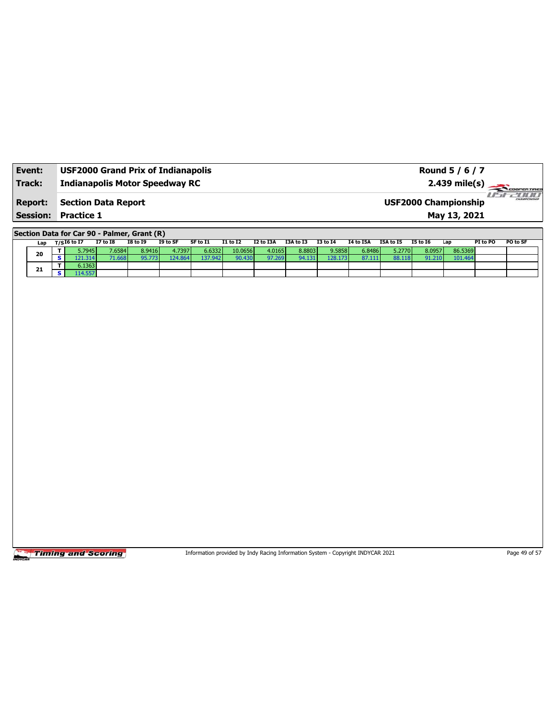| Event:          | <b>USF2000 Grand Prix of Indianapolis</b> | Round 5 / 6 / 7                                                 |
|-----------------|-------------------------------------------|-----------------------------------------------------------------|
| Track:          | <b>Indianapolis Motor Speedway RC</b>     | $2.439$ mile(s) $\overbrace{\hspace{2cm}}$ coorer Time          |
| <b>Report:</b>  | <b>Section Data Report</b>                | 7 10 10 1<br><b>CHAMPIONSHIP</b><br><b>USF2000 Championship</b> |
| <b>Session:</b> | <b>Practice 1</b>                         | May 13, 2021                                                    |

**Section Data for Car 90 - Palmer, Grant (R)**

| Lap | $T/SI6$ to I7               | <b>I7 to I8</b> | I8 to 19 | I9 to SF | SF to I1 | <b>I1 to I2</b>     | I2 to I3A | I3A to I3 | <b>I3 to I4</b> | I4 to I5A | I5A to I5 | I5 to 16 | Lap     | PI to PO | <b>PO to SF</b> |
|-----|-----------------------------|-----------------|----------|----------|----------|---------------------|-----------|-----------|-----------------|-----------|-----------|----------|---------|----------|-----------------|
| 20  | 5.7945                      | 7.6584          | 8.9416   | 4.7397   | 6.6332   | 10.0656             | 4.0165    | 8.8803    | 9.5858          | 6.8486    | 5.2770    | 8.0957   | 86.5369 |          |                 |
|     | $\angle 1.314$ <sup>r</sup> | 71.668          |          | 124.864  | 137.942  | 90.430 <sub>h</sub> | 97.269    | 94.131    | 128.173         | 87.111    | 88.118    | 91.210   | 101.464 |          |                 |
| 21  | 6.1363                      |                 |          |          |          |                     |           |           |                 |           |           |          |         |          |                 |
|     |                             |                 |          |          |          |                     |           |           |                 |           |           |          |         |          |                 |

Timing and Scoring

Information provided by Indy Racing Information System - Copyright INDYCAR 2021 Page 49 of 57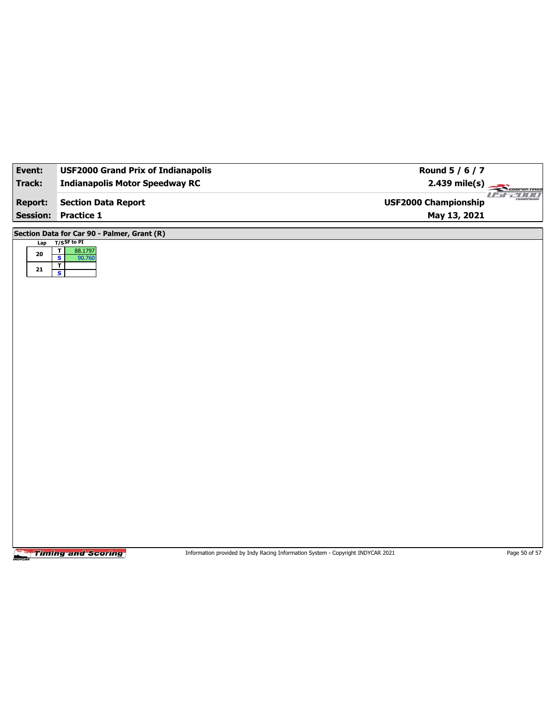| Event:          | <b>USF2000 Grand Prix of Indianapolis</b>            | Round 5 / 6 / 7                                              |
|-----------------|------------------------------------------------------|--------------------------------------------------------------|
| Track:          | <b>Indianapolis Motor Speedway RC</b>                | $2.439$ mile(s)<br>COOPERTIRES                               |
| <b>Report:</b>  | <b>Section Data Report</b>                           | <b>2000 MM</b><br>CHAMPIONSHI<br><b>USF2000 Championship</b> |
| <b>Session:</b> | Practice 1                                           | May 13, 2021                                                 |
|                 | Section Data for Car 90 - Palmer, Grant (R)          |                                                              |
| Lap             | $T/S$ SF to PI<br>$\overline{\mathbf{r}}$<br>88.1797 |                                                              |
| ${\bf 20}$      | $\overline{\mathbf{s}}$<br>90.760                    |                                                              |
| 21              | $\overline{\mathbf{r}}$<br>$\overline{\mathbf{s}}$   |                                                              |
|                 |                                                      |                                                              |
|                 |                                                      |                                                              |
|                 |                                                      |                                                              |
|                 |                                                      |                                                              |
|                 |                                                      |                                                              |
|                 |                                                      |                                                              |
|                 |                                                      |                                                              |
|                 |                                                      |                                                              |
|                 |                                                      |                                                              |
|                 |                                                      |                                                              |
|                 |                                                      |                                                              |
|                 |                                                      |                                                              |
|                 |                                                      |                                                              |
|                 |                                                      |                                                              |
|                 |                                                      |                                                              |
|                 |                                                      |                                                              |
|                 |                                                      |                                                              |
|                 |                                                      |                                                              |
|                 |                                                      |                                                              |

Information provided by Indy Racing Information System - Copyright INDYCAR 2021 Page 50 of 57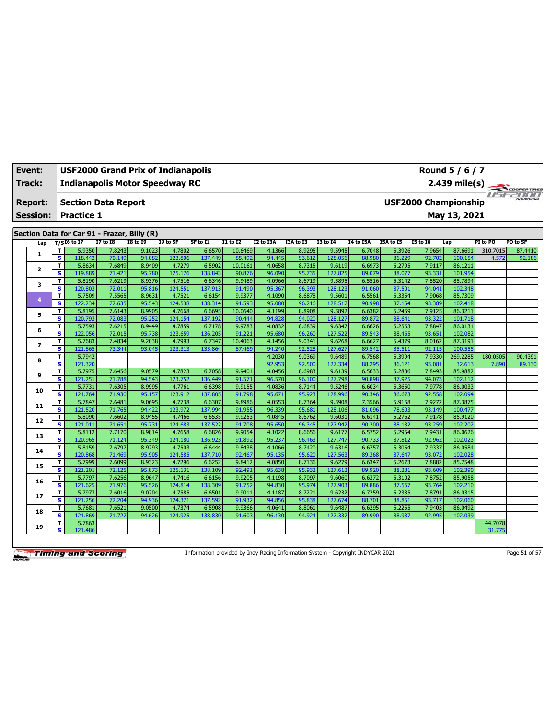| Event:          | <b>USF2000 Grand Prix of Indianapolis</b><br>Round 5 / 6 / 7<br><b>Indianapolis Motor Speedway RC</b><br>2.439 mile(s)<br>COOPER TIRES |                                                           |                                             |                  |                   |                   |                   |                  |                  |                   |                  |                  |                  |                    |          |          |
|-----------------|----------------------------------------------------------------------------------------------------------------------------------------|-----------------------------------------------------------|---------------------------------------------|------------------|-------------------|-------------------|-------------------|------------------|------------------|-------------------|------------------|------------------|------------------|--------------------|----------|----------|
| Track:          |                                                                                                                                        | <b>Section Data Report</b><br><b>USF2000 Championship</b> |                                             |                  |                   |                   |                   |                  |                  |                   |                  |                  |                  |                    |          |          |
| <b>Report:</b>  |                                                                                                                                        |                                                           |                                             |                  |                   |                   |                   |                  |                  |                   |                  |                  |                  |                    |          | usean a  |
| <b>Session:</b> |                                                                                                                                        | <b>Practice 1</b>                                         |                                             |                  |                   |                   |                   |                  |                  |                   |                  |                  |                  | May 13, 2021       |          |          |
|                 |                                                                                                                                        |                                                           |                                             |                  |                   |                   |                   |                  |                  |                   |                  |                  |                  |                    |          |          |
|                 |                                                                                                                                        |                                                           | Section Data for Car 91 - Frazer, Billy (R) |                  |                   |                   |                   |                  |                  |                   |                  |                  |                  |                    |          |          |
| Lap             |                                                                                                                                        | $T/SI6$ to I7                                             | <b>I7 to I8</b>                             | <b>I8 to 19</b>  | I9 to SF          | SF to I1          | $I1$ to $I2$      | <b>I2 to I3A</b> | I3A to I3        | <b>I3 to 14</b>   | <b>I4 to I5A</b> | I5A to I5        | <b>I5 to 16</b>  | Lap                | PI to PO | PO to SF |
| 1               | т                                                                                                                                      | 5.9350                                                    | 7.8243                                      | 9.1023           | 4.7802            | 6.6570            | 10.6469           | 4.1366           | 8.9295           | 9.5945            | 6.7048           | 5.3926           | 7.9654           | 87.6691            | 310.7015 | 87.4410  |
|                 | $\overline{\mathbf{s}}$                                                                                                                | 118.442                                                   | 70.149                                      | 94.082           | 123.806           | 137.449           | 85.492            | 94.445           | 93.612           | 128.056           | 88.980           | 86.229           | 92.702           | 100.154            | 4.572    | 92.186   |
| $\overline{2}$  | T<br>s                                                                                                                                 | 5.8634<br>119.889                                         | 7.6849<br>71.421                            | 8.9409<br>95.780 | 4.7279<br>125.176 | 6.5902<br>138.843 | 10.0161<br>90.876 | 4.0658<br>96.090 | 8.7315<br>95.735 | 9.6119<br>127.825 | 6.6973<br>89.079 | 5.2795<br>88.077 | 7.9117<br>93.331 | 86.1211<br>101.954 |          |          |
|                 | T                                                                                                                                      | 5.8190                                                    | 7.6219                                      | 8.9376           | 4.7516            | 6.6346            | 9.9489            | 4.0966           | 8.6719           | 9.5895            | 6.5516           | 5.3142           | 7.8520           | 85.7894            |          |          |
| з               | s                                                                                                                                      | 120.803                                                   | 72.011                                      | 95.816           | 124.551           | 137.913           | 91.490            | 95.367           | 96.393           | 128.123           | 91.060           | 87.501           | 94.041           | 102.348            |          |          |
|                 | T                                                                                                                                      | 5.7509                                                    | 7.5565                                      | 8.9631           | 4.7521            | 6.6154            | 9.9377            | 4.1090           | 8.6878           | 9.5601            | 6.5561           | 5.3354           | 7.9068           | 85.7309            |          |          |
| $\overline{4}$  | s                                                                                                                                      | 122.234                                                   | 72.635                                      | 95.543           | 124.538           | 138.314           | 91.593            | 95.080           | 96.216           | 128.517           | 90.998           | 87.154           | 93.389           | 102.418            |          |          |
|                 | T                                                                                                                                      | 5.8195                                                    | 7.6143                                      | 8.9905           | 4.7668            | 6.6695            | 10.0640           | 4.1199           | 8.8908           | 9.5892            | 6.6382           | 5.2459           | 7.9125           | 86.3211            |          |          |
| 5               | s                                                                                                                                      | 120.793                                                   | 72.083                                      | 95.252           | 124.154           | 137.192           | 90.444            | 94.828           | 94.020           | 128.127           | 89.872           | 88.641           | 93.322           | 101.718            |          |          |
|                 | T                                                                                                                                      | 5.7593                                                    | 7.6215                                      | 8.9449           | 4.7859            | 6.7178            | 9.9783            | 4.0832           | 8.6839           | 9.6347            | 6.6626           | 5.2563           | 7.8847           | 86.0131            |          |          |
| 6               | s                                                                                                                                      | 122.056                                                   | 72.015                                      | 95.738           | 123.659           | 136.205           | 91.221            | 95.680           | 96.260           | 127.522           | 89.543           | 88.465           | 93.651           | 102.082            |          |          |
|                 | T                                                                                                                                      | 5.7683                                                    | 7.4834                                      | 9.2038           | 4.7993            | 6.7347            | 10.4063           | 4.1456           | 9.0341           | 9.6268            | 6.6627           | 5.4379           | 8.0162           | 87.3191            |          |          |
| $\overline{ }$  | $\overline{\mathbf{s}}$                                                                                                                | 121.865                                                   | 73.344                                      | 93.045           | 123.313           | 135.864           | 87.469            | 94.240           | 92.528           | 127.627           | 89.542           | 85.511           | 92.115           | 100.555            |          |          |
|                 | т                                                                                                                                      | 5.7942                                                    |                                             |                  |                   |                   |                   | 4.2030           | 9.0369           | 9.6489            | 6.7568           | 5.3994           | 7.9330           | 269.2285           | 180.0505 | 90.4391  |
| 8               | $\overline{\mathbf{s}}$                                                                                                                | 121.320                                                   |                                             |                  |                   |                   |                   | 92.953           | 92.500           | 127.334           | 88.295           | 86.121           | 93.081           | 32.613             | 7.890    | 89.130   |
|                 | T                                                                                                                                      | 5.7975                                                    | 7.6456                                      | 9.0579           | 4.7823            | 6.7058            | 9.9401            | 4.0456           | 8.6983           | 9.6139            | 6.5633           | 5.2886           | 7.8493           | 85.9882            |          |          |
| 9               | $\overline{\mathbf{s}}$                                                                                                                | 121.251                                                   | 71.788                                      | 94.543           | 123.752           | 136.449           | 91.571            | 96.570           | 96.100           | 127.798           | 90.898           | 87.925           | 94.073           | 102.112            |          |          |
| 10              | T                                                                                                                                      | 5.7731                                                    | 7.6305                                      | 8.9995           | 4.7761            | 6.6398            | 9.9155            | 4.0836           | 8.7144           | 9.5246            | 6.6034           | 5.3650           | 7.9778           | 86.0033            |          |          |
|                 | $\mathbf{s}$                                                                                                                           | 121.764                                                   | 71.930                                      | 95.157           | 123.912           | 137.805           | 91.798            | 95.671           | 95.923           | 128.996           | 90.346           | 86.673           | 92.558           | 102.094            |          |          |
| 11              | T                                                                                                                                      | 5.7847                                                    | 7.6481                                      | 9.0695           | 4.7738            | 6.6307            | 9.8986            | 4.0553           | 8.7364           | 9.5908            | 7.3566           | 5.9158           | 7.9272           | 87.3875            |          |          |
|                 | s                                                                                                                                      | 121.520                                                   | 71.765                                      | 94.422           | 123.972           | 137.994           | 91.955            | 96.339           | 95.681           | 128.106           | 81.096           | 78.603           | 93.149           | 100.477            |          |          |
| 12              | T                                                                                                                                      | 5.8090                                                    | 7.6602                                      | 8.9455           | 4.7466            | 6.6535            | 9.9253            | 4.0845           | 8.6762           | 9.6031            | 6.6141           | 5.2762           | 7.9178           | 85.9120            |          |          |
|                 | s                                                                                                                                      | 121.011                                                   | 71.651                                      | 95.731           | 124.683           | 137.522           | 91.708            | 95.650           | 96.345           | 127.942           | 90.200           | 88.132           | 93.259           | 102.202            |          |          |
| 13              | T                                                                                                                                      | 5.8112                                                    | 7.7170                                      | 8.9814           | 4.7658            | 6.6826            | 9.9054            | 4.1022           | 8.6656           | 9.6177            | 6.5752           | 5.2954           | 7.9431           | 86.0626            |          |          |
|                 | s                                                                                                                                      | 120.965                                                   | 71.124                                      | 95.349           | 124.180           | 136.923           | 91.892            | 95.237           | 96.463           | 127.747           | 90.733           | 87.812           | 92.962           | 102.023            |          |          |
| 14              | T                                                                                                                                      | 5.8159                                                    | 7.6797                                      | 8.9293           | 4.7503            | 6.6444            | 9.8438            | 4.1066           | 8.7420           | 9.6316            | 6.6757           | 5.3054           | 7.9337           | 86.0584            |          |          |
|                 | s                                                                                                                                      | 120.868                                                   | 71.469                                      | 95.905           | 124.585           | 137.710           | 92.467            | 95.135           | 95.620           | 127.563           | 89.368           | 87.647           | 93.072           | 102.028            |          |          |
| 15              | T                                                                                                                                      | 5.7999                                                    | 7.6099                                      | 8.9323           | 4.7296            | 6.6252            | 9.8412            | 4.0850<br>95.638 | 8.7136           | 9.6279            | 6.6347           | 5.2673           | 7.8882           | 85.7548            |          |          |
|                 | s<br>T                                                                                                                                 | 121.201<br>5.7797                                         | 72.125<br>7.6256                            | 95.873<br>8.9647 | 125.131<br>4.7416 | 138.109<br>6.6156 | 92.491<br>9.9205  | 4.1198           | 95.932<br>8.7097 | 127.612<br>9.6060 | 89.920<br>6.6372 | 88.281<br>5.3102 | 93.609<br>7.8752 | 102.390<br>85.9058 |          |          |
| 16              | $\overline{\mathbf{s}}$                                                                                                                | 121.625                                                   | 71.976                                      | 95.526           | 124.814           | 138.309           | 91.752            | 94.83            | 95.974           | 127.903           | 89.886           | 87.567           | 93.764           | 102.210            |          |          |
|                 | T                                                                                                                                      | 5.7973                                                    | 7.6016                                      | 9.0204           | 4.7585            | 6.6501            | 9.9011            | 4.1187           | 8.7221           | 9.6232            | 6.7259           | 5.2335           | 7.8791           | 86.0315            |          |          |
| 17              | s                                                                                                                                      | 121.256                                                   | 72.204                                      | 94.936           | 124.371           | 137.592           | 91.932            | 94.856           | 95.838           | 127.674           | 88.701           | 88.851           | 93.717           | 102.060            |          |          |
|                 | T                                                                                                                                      | 5.7681                                                    | 7.6521                                      | 9.0500           | 4.7374            | 6.5908            | 9.9366            | 4.0641           | 8.8061           | 9.6487            | 6.6295           | 5.2255           | 7.9403           | 86.0492            |          |          |
| 18              | s                                                                                                                                      | 121.869                                                   | 71.727                                      | 94.626           | 124.925           | 138,830           | 91.603            | 96.130           | 94.924           | 127.337           | 89.990           | 88.987           | 92.995           | 102.039            |          |          |
|                 | Τ                                                                                                                                      | 5.7863                                                    |                                             |                  |                   |                   |                   |                  |                  |                   |                  |                  |                  |                    | 44.7078  |          |
| 19              | s                                                                                                                                      | 121.486                                                   |                                             |                  |                   |                   |                   |                  |                  |                   |                  |                  |                  |                    | 31.775   |          |
|                 |                                                                                                                                        |                                                           |                                             |                  |                   |                   |                   |                  |                  |                   |                  |                  |                  |                    |          |          |

Information provided by Indy Racing Information System - Copyright INDYCAR 2021 Page 51 of 57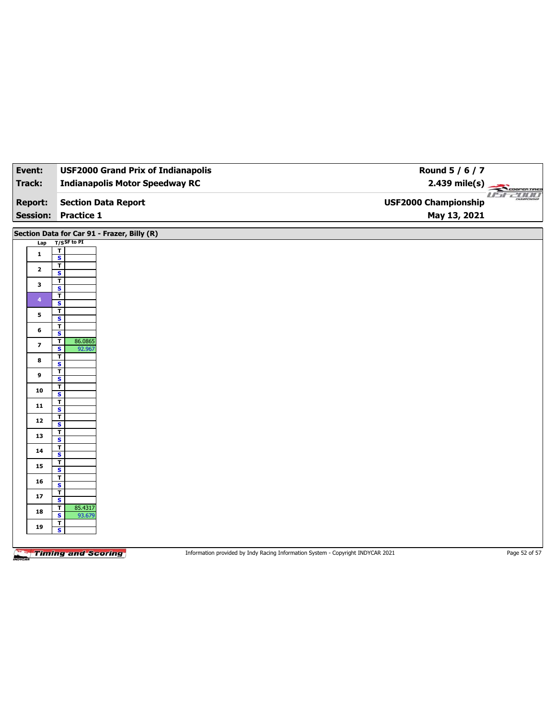| Event:                  | <b>USF2000 Grand Prix of Indianapolis</b>          | Round 5 / 6 / 7                               |
|-------------------------|----------------------------------------------------|-----------------------------------------------|
| <b>Track:</b>           | <b>Indianapolis Motor Speedway RC</b>              | $2.439$ mile(s)<br>COOPERTIRES                |
| <b>Report:</b>          | <b>Section Data Report</b>                         | <b>USEZIOL</b><br><b>USF2000 Championship</b> |
|                         | <b>Session: Practice 1</b>                         | May 13, 2021                                  |
|                         | Section Data for Car 91 - Frazer, Billy (R)        |                                               |
| Lap                     | $T/S$ SF to PI                                     |                                               |
| $\mathbf{1}$            | $\mathbf T$<br>$\overline{\mathbf{s}}$             |                                               |
| $\mathbf{2}$            | $\overline{\mathbf{r}}$<br>$\mathbf{s}$            |                                               |
| 3                       | $\mathbf{T}$<br>$\overline{\mathbf{s}}$            |                                               |
| $\overline{4}$          | $\overline{\mathbf{r}}$<br>S                       |                                               |
| 5                       | $\mathbf{T}$                                       |                                               |
| 6                       | $\overline{\mathbf{s}}$<br>T                       |                                               |
| $\overline{\mathbf{z}}$ | S<br>86.0865<br>$\mathbf{T}$                       |                                               |
| 8                       | 92.967<br>$\overline{\mathbf{s}}$<br>$\mathbf{T}$  |                                               |
|                         | S<br>$\overline{\mathbf{r}}$                       |                                               |
| 9                       | $\overline{\mathbf{s}}$<br>T                       |                                               |
| 10                      | S<br>$\overline{\mathbf{r}}$                       |                                               |
| 11                      | $\overline{\mathbf{s}}$                            |                                               |
| $12\,$                  | $\overline{\mathbf{r}}$<br>$\overline{\mathbf{s}}$ |                                               |
| 13                      | $\overline{\mathbf{r}}$<br>$\overline{\mathbf{s}}$ |                                               |
| 14                      | T<br>$\overline{\mathbf{s}}$                       |                                               |
| 15                      | $\mathbf T$<br>$\overline{\mathbf{s}}$             |                                               |
| 16                      | T<br>S                                             |                                               |
| 17                      | $\mathbf{T}$<br>$\overline{\mathbf{s}}$            |                                               |
| 18                      | 85.4317<br>T<br>S<br>93.679                        |                                               |
| 19                      | $\overline{\mathbf{r}}$                            |                                               |
|                         | $\overline{\mathbf{s}}$                            |                                               |
|                         |                                                    |                                               |

Information provided by Indy Racing Information System - Copyright INDYCAR 2021 Page 52 of 57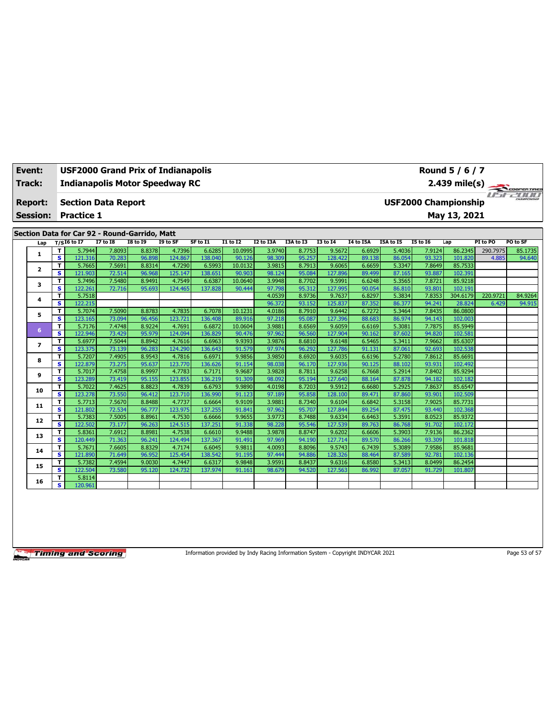| Event:          |                         | <b>USF2000 Grand Prix of Indianapolis</b>                                  |                  |                  |                   |                   |                  |                  |                  |                   |                  |                  |                  | Round 5 / 6 / 7             |          |             |
|-----------------|-------------------------|----------------------------------------------------------------------------|------------------|------------------|-------------------|-------------------|------------------|------------------|------------------|-------------------|------------------|------------------|------------------|-----------------------------|----------|-------------|
| Track:          |                         | <b>Indianapolis Motor Speedway RC</b>                                      |                  |                  |                   |                   |                  |                  |                  |                   |                  |                  |                  | $2.439$ mile(s)             |          | COOPERTIRES |
| <b>Report:</b>  |                         | <b>Section Data Report</b>                                                 |                  |                  |                   |                   |                  |                  |                  |                   |                  |                  |                  | <b>USF2000 Championship</b> |          | FF-2000     |
| <b>Session:</b> |                         | <b>Practice 1</b>                                                          |                  |                  |                   |                   |                  |                  |                  |                   |                  |                  |                  | May 13, 2021                |          |             |
|                 |                         |                                                                            |                  |                  |                   |                   |                  |                  |                  |                   |                  |                  |                  |                             |          |             |
|                 |                         | Section Data for Car 92 - Round-Garrido, Matt<br>$T/S$ <sup>16</sup> to 17 | <b>I7 to 18</b>  | <b>I8 to I9</b>  | I9 to SF          | SF to I1          | $I1$ to $I2$     | I2 to I3A        | I3A to I3        | <b>I3 to 14</b>   | <b>I4 to I5A</b> | <b>I5A to 15</b> | <b>I5 to 16</b>  | Lap                         | PI to PO | PO to SF    |
| Lap             | т                       | 5.7944                                                                     | 7.8093           | 8.8378           | 4.7396            | 6.6285            | 10.0995          | 3.9740           | 8.7753           | 9.5672            | 6.6929           | 5.4036           | 7.9124           | 86.2345                     | 290.7975 | 85.1735     |
| 1               | $\overline{\mathbf{s}}$ | 121.316                                                                    | 70.283           | 96.898           | 124.867           | 138.040           | 90.126           | 98.309           | 95.257           | 128,422           | 89.138           | 86.054           | 93.323           | 101.820                     | 4.885    | 94.640      |
|                 | T                       | 5.7665                                                                     | 7.5691           | 8.8314           | 4.7290            | 6.5993            | 10.0132          | 3.9815           | 8.7913           | 9.6065            | 6.6659           | 5.3347           | 7.8649           | 85.7533                     |          |             |
| $\mathbf{2}$    | s                       | 121.903                                                                    | 72.514           | 96.968           | 125.147           | 138.651           | 90.903           | 98.124           | 95.084           | 127,896           | 89.499           | 87.165           | 93.887           | 102.391                     |          |             |
| 3               | T                       | 5.7496                                                                     | 7.5480           | 8.9491           | 4.7549            | 6.6387            | 10.0640          | 3.9948           | 8.7702           | 9.5991            | 6.6248           | 5.3565           | 7.8721           | 85.9218                     |          |             |
|                 | s                       | 122.261                                                                    | 72.716           | 95.693           | 124.465           | 137.828           | 90.444           | 97.798           | 95.312           | 127.995           | 90.054           | 86.810           | 93.801           | 102.191                     |          |             |
| 4               | T                       | 5.7518                                                                     |                  |                  |                   |                   |                  | 4.0539           | 8.9736           | 9.7637            | 6.8297           | 5.3834           | 7.8353           | 304.6179                    | 220.9721 | 84.9264     |
|                 | s.                      | 122.215                                                                    |                  |                  |                   |                   |                  | 96.372           | 93.152           | 125.837           | 87.352           | 86.377           | 94.241           | 28.824                      | 6.429    | 94.915      |
| 5               | T                       | 5.7074                                                                     | 7.5090           | 8.8783           | 4.7835            | 6.7078            | 10.1231          | 4.0186           | 8.7910           | 9.6442            | 6.7272           | 5.3464           | 7.8435           | 86.0800                     |          |             |
|                 | s.                      | 123.165                                                                    | 73.094           | 96.456           | 123.721           | 136.408           | 89.916           | 97.218           | 95.087           | 127.396           | 88.683           | 86.974           | 94.143           | 102.003                     |          |             |
| 6               | T                       | 5.7176                                                                     | 7.4748           | 8.9224           | 4.7691            | 6.6872            | 10.0604          | 3.9881           | 8.6569           | 9.6059            | 6.6169           | 5.3081           | 7.7875           | 85.5949                     |          |             |
|                 | s                       | 122.946                                                                    | 73.429           | 95.979           | 124.094           | 136.829           | 90.476           | 97.962<br>3.9876 | 96.560           | 127.904           | 90.162           | 87.602           | 94.820<br>7.9662 | 102.581                     |          |             |
| 7               | T<br>s                  | 5.6977<br>123.375                                                          | 7.5044<br>73.139 | 8.8942<br>96.283 | 4.7616<br>124.290 | 6.6963<br>136.643 | 9.9393<br>91.579 | 97.974           | 8.6810<br>96.292 | 9.6148<br>127.786 | 6.5465<br>91.131 | 5.3411<br>87.061 | 92.693           | 85.6307<br>102.538          |          |             |
|                 | T                       | 5.7207                                                                     | 7.4905           | 8.9543           | 4.7816            | 6.6971            | 9.9856           | 3.9850           | 8.6920           | 9.6035            | 6.6196           | 5.2780           | 7.8612           | 85.6691                     |          |             |
| 8               | s                       | 122.879                                                                    | 73.275           | 95.637           | 123.770           | 136.626           | 91.154           | 98.038           | 96.170           | 127.936           | 90.125           | 88.102           | 93.931           | 102.492                     |          |             |
|                 | т                       | 5.7017                                                                     | 7.4758           | 8.9997           | 4.7783            | 6.7171            | 9.9687           | 3.9828           | 8.7811           | 9.6258            | 6.7668           | 5.2914           | 7.8402           | 85.9294                     |          |             |
| 9               | s                       | 123.289                                                                    | 73.419           | 95.155           | 123.855           | 136.219           | 91.309           | 98.092           | 95.194           | 127.640           | 88.164           | 87.878           | 94.182           | 102.182                     |          |             |
|                 | T                       | 5.7022                                                                     | 7.4625           | 8.8823           | 4.7839            | 6.6793            | 9.9890           | 4.0198           | 8.7203           | 9.5912            | 6.6680           | 5.2925           | 7.8637           | 85.6547                     |          |             |
| 10              | s                       | 123.278                                                                    | 73.550           | 96.412           | 123.710           | 136.990           | 91.123           | 97.189           | 95.858           | 128.100           | 89.471           | 87.860           | 93.901           | 102.509                     |          |             |
|                 | т                       | 5.7713                                                                     | 7.5670           | 8.8488           | 4.7737            | 6.6664            | 9.9109           | 3.9881           | 8.7340           | 9.6104            | 6.6842           | 5.3158           | 7.9025           | 85.7731                     |          |             |
| 11              | s.                      | 121.802                                                                    | 72.534           | 96.777           | 123.975           | 137.255           | 91.841           | 97.962           | 95.707           | 127.844           | 89.254           | 87.475           | 93.440           | 102.368                     |          |             |
| 12              | T.                      | 5.7383                                                                     | 7.5005           | 8.8961           | 4.7530            | 6.6666            | 9.9655           | 3.9773           | 8.7488           | 9.6334            | 6.6463           | 5.3591           | 8.0523           | 85.9372                     |          |             |
|                 | s                       | 122.502                                                                    | 73.177           | 96.263           | 124.515           | 137.251           | 91.338           | 98.228           | 95.546           | 127.539           | 89.763           | 86.768           | 91.702           | 102.172                     |          |             |
| 13              | T                       | 5.8361                                                                     | 7.6912           | 8.8981           | 4.7538            | 6.6610            | 9.9488           | 3.9878           | 8.8747           | 9.6202            | 6.6606           | 5.3903           | 7.9136           | 86.2362                     |          |             |
|                 | $\overline{\mathbf{s}}$ | 120.449                                                                    | 71.363           | 96.241           | 124.494           | 137.367           | 91.491           | 97.969           | 94.190           | 127.714           | 89.570           | 86.266           | 93.309           | 101.818                     |          |             |
| 14              | T                       | 5.7671                                                                     | 7.6605           | 8.8329           | 4.7174            | 6.6045            | 9.9811           | 4.0093           | 8.8096           | 9.5743            | 6.7439           | 5.3089           | 7.9586           | 85.9681                     |          |             |
|                 | s                       | 121.890                                                                    | 71.649           | 96.952           | 125.454           | 138.542           | 91.195           | 97.444           | 94.886           | 128.326           | 88.464           | 87.589           | 92.781           | 102.136                     |          |             |
| 15              | T                       | 5.7382                                                                     | 7.4594           | 9.0030           | 4.7447            | 6.6317            | 9.9848           | 3.9591           | 8.8437           | 9.6316            | 6.8580           | 5.3413           | 8.0499           | 86.2454                     |          |             |
|                 | s                       | 122.504                                                                    | 73.580           | 95.120           | 124.732           | 137.974           | 91.161           | 98.679           | 94.520           | 127.563           | 86.992           | 87.057           | 91.729           | 101.807                     |          |             |
| 16              | т                       | 5.8114                                                                     |                  |                  |                   |                   |                  |                  |                  |                   |                  |                  |                  |                             |          |             |
|                 | s                       | 120.961                                                                    |                  |                  |                   |                   |                  |                  |                  |                   |                  |                  |                  |                             |          |             |

Information provided by Indy Racing Information System - Copyright INDYCAR 2021 Page 53 of 57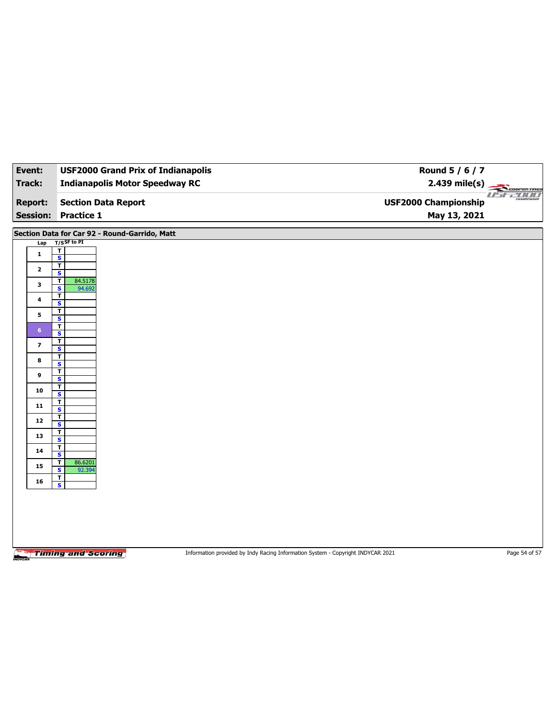| Event:          | <b>USF2000 Grand Prix of Indianapolis</b>     | Round 5 / 6 / 7                                                                 |               |
|-----------------|-----------------------------------------------|---------------------------------------------------------------------------------|---------------|
| <b>Track:</b>   | <b>Indianapolis Motor Speedway RC</b>         |                                                                                 |               |
| <b>Report:</b>  | <b>Section Data Report</b>                    | <b>USF2000 Championship</b>                                                     | 2.439 mile(s) |
| <b>Session:</b> | <b>Practice 1</b>                             | May 13, 2021                                                                    |               |
|                 | Section Data for Car 92 - Round-Garrido, Matt |                                                                                 |               |
| Lap             | $T/S$ SF to PI                                |                                                                                 |               |
| $\mathbf{1}$    | $\mathbf T$<br>$\overline{\mathbf{s}}$        |                                                                                 |               |
| $\mathbf{2}$    | $\overline{\mathbf{r}}$<br>S                  |                                                                                 |               |
| 3               | T<br>84.5178                                  |                                                                                 |               |
|                 | $\overline{\mathbf{s}}$<br>94.692<br>T        |                                                                                 |               |
| 4               | $\overline{\mathbf{s}}$<br>$\mathbf T$        |                                                                                 |               |
| 5               | $\overline{\mathbf{s}}$                       |                                                                                 |               |
| 6 <sup>1</sup>  | T<br>S                                        |                                                                                 |               |
| $\overline{ }$  | T<br>$\overline{\mathbf{s}}$                  |                                                                                 |               |
| 8               | T                                             |                                                                                 |               |
| 9               | S<br>$\mathbf T$                              |                                                                                 |               |
|                 | $\overline{\mathbf{s}}$<br>T                  |                                                                                 |               |
| 10              | $\mathbf{s}$<br>$\mathbf T$                   |                                                                                 |               |
| 11              | $\overline{\mathbf{s}}$                       |                                                                                 |               |
| 12              | T<br>$\overline{\mathbf{s}}$                  |                                                                                 |               |
| 13              | $\mathbf T$<br>$\overline{\mathbf{s}}$        |                                                                                 |               |
| 14              | T<br>$\mathbf{s}$                             |                                                                                 |               |
| 15              | 86.6201<br>T                                  |                                                                                 |               |
| 16              | $\overline{\mathbf{s}}$<br>92.394<br>T        |                                                                                 |               |
|                 | S                                             |                                                                                 |               |
|                 |                                               |                                                                                 |               |
|                 |                                               |                                                                                 |               |
|                 |                                               |                                                                                 |               |
|                 |                                               |                                                                                 |               |
|                 | <b>Timing and Scoring</b>                     | Information provided by Indy Racing Information System - Copyright INDYCAR 2021 | Page 54 of 57 |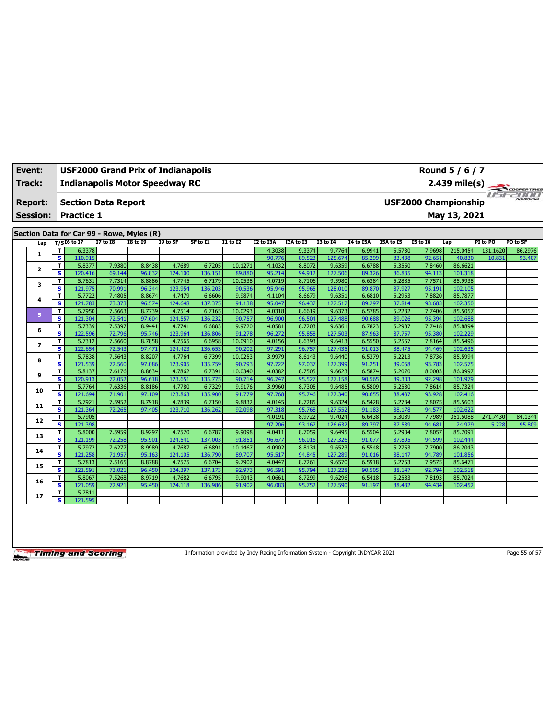| Event: |                 |                         | <b>USF2000 Grand Prix of Indianapolis</b> |                  |                  |                   |                   |                  |                  |                  |                   | Round 5 / 6 / 7  |                  |                  |                             |          |                     |
|--------|-----------------|-------------------------|-------------------------------------------|------------------|------------------|-------------------|-------------------|------------------|------------------|------------------|-------------------|------------------|------------------|------------------|-----------------------------|----------|---------------------|
| Track: |                 |                         | <b>Indianapolis Motor Speedway RC</b>     |                  |                  |                   |                   |                  |                  |                  |                   |                  |                  |                  | $2.439$ mile(s)             |          | COOPERTIRES         |
|        | <b>Report:</b>  |                         | <b>Section Data Report</b>                |                  |                  |                   |                   |                  |                  |                  |                   |                  |                  |                  | <b>USF2000 Championship</b> |          | <i>I Fifty Time</i> |
|        | <b>Session:</b> |                         | <b>Practice 1</b>                         |                  |                  |                   |                   |                  |                  |                  |                   |                  |                  |                  | May 13, 2021                |          |                     |
|        |                 |                         | Section Data for Car 99 - Rowe, Myles (R) |                  |                  |                   |                   |                  |                  |                  |                   |                  |                  |                  |                             |          |                     |
|        | Lap             |                         | $T/SI6$ to I7                             | <b>I7 to I8</b>  | <b>I8 to 19</b>  | I9 to SF          | SF to I1          | $I1$ to $I2$     | I2 to I3A        | I3A to I3        | <b>I3 to 14</b>   | <b>I4 to I5A</b> | I5A to I5        | <b>I5 to 16</b>  | Lap                         | PI to PO | PO to SF            |
|        | 1               | T                       | 6.3378                                    |                  |                  |                   |                   |                  | 4.3038           | 9.3374           | 9.7764            | 6.9941           | 5.5730           | 7.9698           | 215.0454                    | 131.1620 | 86.2976             |
|        |                 | $\overline{\mathbf{s}}$ | 110.915                                   |                  |                  |                   |                   |                  | 90.776           | 89.523           | 125.674           | 85.299           | 83.438           | 92.651           | 40.830                      | 10.831   | 93.407              |
|        | 2               | T                       | 5.8377                                    | 7.9380           | 8.8438           | 4.7689            | 6.7205            | 10.1271          | 4.1032           | 8.8072           | 9.6359            | 6.6788           | 5.3550           | 7.8460           | 86.6621                     |          |                     |
|        |                 | s                       | 120.416                                   | 69.144           | 96.832           | 124.100           | 136.151           | 89.880           | 95.214           | 94.912           | 127.506           | 89.326           | 86.835           | 94.113           | 101.318                     |          |                     |
|        | з               | T                       | 5.7631                                    | 7.7314           | 8.8886           | 4.7745            | 6.7179            | 10.0538          | 4.0719           | 8.7106           | 9.5980            | 6.6384           | 5.2885           | 7.7571           | 85.9938                     |          |                     |
|        |                 | $\overline{\mathbf{s}}$ | 121.975                                   | 70.991           | 96.344           | 123.954           | 136.203           | 90.536           | 95.946           | 95.965           | 128.010           | 89.870           | 87.927           | 95.191           | 102.105                     |          |                     |
|        | 4               | т                       | 5.7722                                    | 7.4805           | 8.8674           | 4.7479            | 6.6606            | 9.9874           | 4.1104           | 8.6679           | 9.6351            | 6.6810           | 5.2953           | 7.8820           | 85.7877                     |          |                     |
|        |                 | s                       | 121.783                                   | 73.373           | 96.574           | 124.648           | 137.375           | 91.138           | 95.047           | 96.437           | 127.517           | 89.297           | 87.814           | 93.683           | 102.350                     |          |                     |
|        | 5               | т                       | 5.7950                                    | 7.5663           | 8.7739           | 4.7514            | 6.7165            | 10.0293          | 4.0318           | 8.6619           | 9.6373            | 6.5785           | 5.2232           | 7.7406           | 85.5057                     |          |                     |
|        |                 | s<br>T                  | 121.304                                   | 72.541           | 97.604           | 124.557           | 136.232           | 90.757           | 96.900           | 96.504           | 127.488           | 90.688           | 89.026           | 95.394           | 102.688                     |          |                     |
|        | 6               | s                       | 5.7339<br>122.596                         | 7.5397<br>72.796 | 8.9441<br>95.746 | 4.7741<br>123.964 | 6.6883<br>136.806 | 9.9720<br>91.278 | 4.0581<br>96.272 | 8.7203<br>95.858 | 9.6361<br>127.503 | 6.7823<br>87.963 | 5.2987<br>87.757 | 7.7418<br>95.380 | 85.8894<br>102.229          |          |                     |
|        |                 | T                       | 5.7312                                    | 7.5660           | 8.7858           | 4.7565            | 6.6958            | 10.0910          | 4.0156           | 8.6393           | 9.6413            | 6.5550           | 5.2557           | 7.8164           | 85.5496                     |          |                     |
|        | 7               | s                       | 122.654                                   | 72.543           | 97.471           | 124.423           | 136.653           | 90.202           | 97.291           | 96.757           | 127.435           | 91.013           | 88.475           | 94.469           | 102.635                     |          |                     |
|        |                 | T                       | 5.7838                                    | 7.5643           | 8.8207           | 4.7764            | 6.7399            | 10.0253          | 3.9979           | 8.6143           | 9.6440            | 6.5379           | 5.2213           | 7.8736           | 85.5994                     |          |                     |
|        | 8               | s                       | 121.539                                   | 72.560           | 97.086           | 123.905           | 135.759           | 90.793           | 97.722           | 97.037           | 127.399           | 91.251           | 89.058           | 93.783           | 102.575                     |          |                     |
|        |                 | T                       | 5.8137                                    | 7.6176           | 8.8634           | 4.7862            | 6.7391            | 10.0340          | 4.0382           | 8.7505           | 9.6623            | 6.5874           | 5.2070           | 8.0003           | 86.0997                     |          |                     |
|        | 9               | s                       | 120.913                                   | 72.052           | 96.618           | 123.651           | 135.775           | 90.714           | 96.747           | 95.527           | 127.158           | 90.565           | 89.303           | 92.298           | 101.979                     |          |                     |
|        |                 | T                       | 5.7764                                    | 7.6336           | 8.8186           | 4.7780            | 6.7329            | 9.9176           | 3.9960           | 8.7305           | 9.6485            | 6.5809           | 5.2580           | 7.8614           | 85.7324                     |          |                     |
|        | 10              | s                       | 121.694                                   | 71.901           | 97.109           | 123.863           | 135.900           | 91.779           | 97.768           | 95.746           | 127.340           | 90.655           | 88.437           | 93.928           | 102.416                     |          |                     |
|        |                 | т                       | 5.7921                                    | 7.5952           | 8.7918           | 4.7839            | 6.7150            | 9.8832           | 4.0145           | 8.7285           | 9.6324            | 6.5428           | 5.2734           | 7.8075           | 85.5603                     |          |                     |
|        | 11              | s                       | 121.364                                   | 72.265           | 97.405           | 123.710           | 136.262           | 92.098           | 97.318           | 95.768           | 127.552           | 91.183           | 88.178           | 94.577           | 102.622                     |          |                     |
|        | 12              | т                       | 5.7905                                    |                  |                  |                   |                   |                  | 4.0191           | 8.9722           | 9.7024            | 6.6438           | 5.3089           | 7.7989           | 351.5088                    | 271.7430 | 84.1344             |
|        |                 | s                       | 121.398                                   |                  |                  |                   |                   |                  | 97.206           | 93.167           | 126.632           | 89.797           | 87.589           | 94.681           | 24.979                      | 5.228    | 95.809              |
|        | 13              | T                       | 5.8000                                    | 7.5959           | 8.9297           | 4.7520            | 6.6787            | 9.9098           | 4.0411           | 8.7059           | 9.6495            | 6.5504           | 5.2904           | 7.8057           | 85.7091                     |          |                     |
|        |                 | s                       | 121.199                                   | 72.258           | 95.901           | 124.541           | 137.003           | 91.851           | 96.677           | 96.016           | 127.326           | 91.077           | 87.895           | 94.599           | 102.444                     |          |                     |
|        | 14              | T                       | 5.7972                                    | 7.6277           | 8.9989           | 4.7687            | 6.6891            | 10.1467          | 4.0902           | 8.8134           | 9.6523            | 6.5548           | 5.2753           | 7.7900           | 86.2043                     |          |                     |
|        |                 | s                       | 121.258                                   | 71.957           | 95.163           | 124.105           | 136.790           | 89.707           | 95.517           | 94.845           | 127.289           | 91.016           | 88.147           | 94.789           | 101.856                     |          |                     |
|        | 15              | T                       | 5.7813                                    | 7.5165           | 8.8788           | 4.7575            | 6.6704            | 9.7902           | 4.0447           | 8.7261           | 9.6570            | 6.5918           | 5.2753           | 7.9575           | 85.6471                     |          |                     |
|        |                 | s                       | 121.591                                   | 73.02            | 96.450           | 124.397           | 137.173           | 92.973           | 96.591           | 95.794           | 127.228           | 90.505           | 88.147           | 92.794           | 102.518                     |          |                     |
|        | 16              | T                       | 5.8067                                    | 7.5268           | 8.9719           | 4.7682            | 6.6795            | 9.9043           | 4.0661           | 8.7299           | 9.6296            | 6.5418           | 5.2583           | 7.8193           | 85.7024                     |          |                     |
|        |                 | s                       | 121.059                                   | 72.921           | 95.450           | 124.118           | 136.986           | 91.902           | 96.083           | 95.752           | 127.590           | 91.197           | 88.432           | 94.434           | 102.452                     |          |                     |
|        | 17              | T.                      | 5.7811                                    |                  |                  |                   |                   |                  |                  |                  |                   |                  |                  |                  |                             |          |                     |
|        |                 | s                       | 121.595                                   |                  |                  |                   |                   |                  |                  |                  |                   |                  |                  |                  |                             |          |                     |

Information provided by Indy Racing Information System - Copyright INDYCAR 2021 Page 55 of 57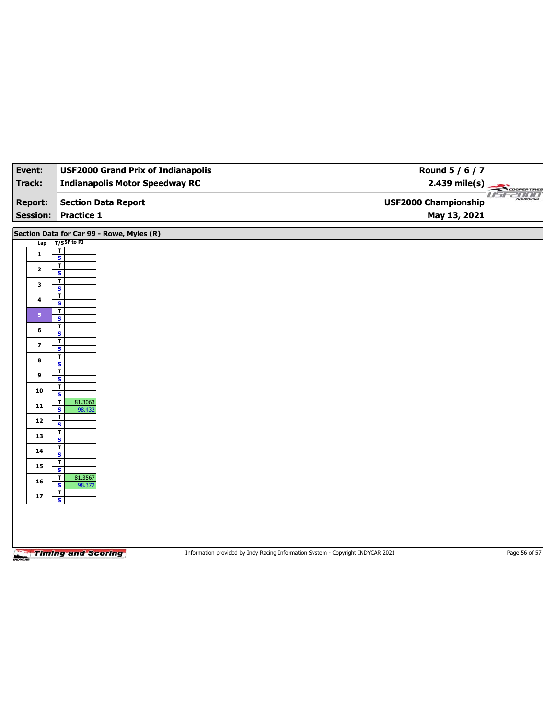| Event:                                    | <b>USF2000 Grand Prix of Indianapolis</b>                    | Round 5 / 6 / 7                                                                 |               |
|-------------------------------------------|--------------------------------------------------------------|---------------------------------------------------------------------------------|---------------|
| <b>Track:</b>                             | <b>Indianapolis Motor Speedway RC</b>                        | 2.439 mile(s)                                                                   | COOPERTIRES   |
| <b>Report:</b><br><b>Session:</b>         | <b>Section Data Report</b><br><b>Practice 1</b>              | <b>USF2000 Championship</b><br>May 13, 2021                                     | usraum        |
| Section Data for Car 99 - Rowe, Myles (R) |                                                              |                                                                                 |               |
| Lap                                       | $T/S$ SF to PI                                               |                                                                                 |               |
| $\mathbf{1}$                              | T                                                            |                                                                                 |               |
|                                           | $\overline{\mathbf{s}}$<br>$\overline{\mathbf{r}}$           |                                                                                 |               |
| $\mathbf{2}$                              | $\overline{\mathbf{s}}$                                      |                                                                                 |               |
| 3                                         | T<br>$\overline{\mathbf{s}}$                                 |                                                                                 |               |
| 4                                         | T<br>S                                                       |                                                                                 |               |
| 5 <sup>1</sup>                            | T                                                            |                                                                                 |               |
|                                           | $\overline{\mathbf{s}}$<br>т                                 |                                                                                 |               |
| 6                                         | $\overline{\mathbf{s}}$                                      |                                                                                 |               |
| 7                                         | T<br>$\overline{\mathbf{s}}$                                 |                                                                                 |               |
| 8                                         | T                                                            |                                                                                 |               |
|                                           | $\overline{\mathbf{s}}$<br>T                                 |                                                                                 |               |
| 9                                         | $\overline{\mathbf{s}}$<br>T                                 |                                                                                 |               |
| 10                                        | S                                                            |                                                                                 |               |
| 11                                        | 81.3063<br>$\mathbf{T}$<br>$\overline{\mathbf{s}}$<br>98.432 |                                                                                 |               |
| 12                                        | $\overline{1}$                                               |                                                                                 |               |
|                                           | $\overline{\mathbf{s}}$<br>$\overline{\mathbf{r}}$           |                                                                                 |               |
| 13                                        | $\overline{\mathbf{s}}$                                      |                                                                                 |               |
| 14                                        | T<br>S                                                       |                                                                                 |               |
| 15                                        | T<br>$\overline{\mathbf{s}}$                                 |                                                                                 |               |
| 16                                        | 81.3567<br>T                                                 |                                                                                 |               |
|                                           | S<br>98.372<br>$\mathbf T$                                   |                                                                                 |               |
| 17                                        | $\overline{\mathbf{s}}$                                      |                                                                                 |               |
|                                           |                                                              |                                                                                 |               |
|                                           |                                                              |                                                                                 |               |
|                                           |                                                              |                                                                                 |               |
|                                           | <b>Timing and Scoring</b>                                    | Information provided by Indy Racing Information System - Copyright INDYCAR 2021 | Page 56 of 57 |
|                                           |                                                              |                                                                                 |               |